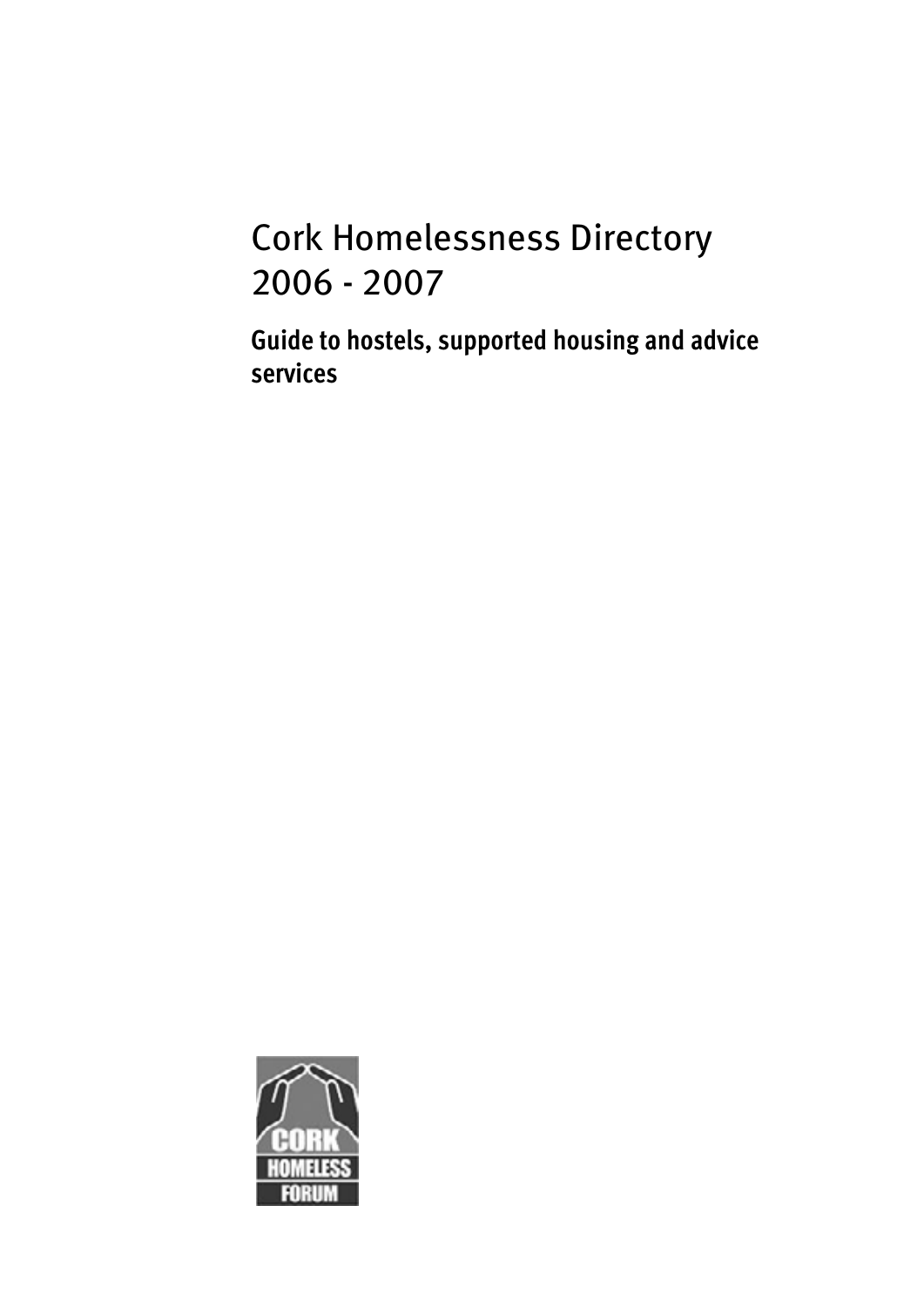# Cork Homelessness Directory 2006 - 2007

**Guide to hostels, supported housing and advice services** 

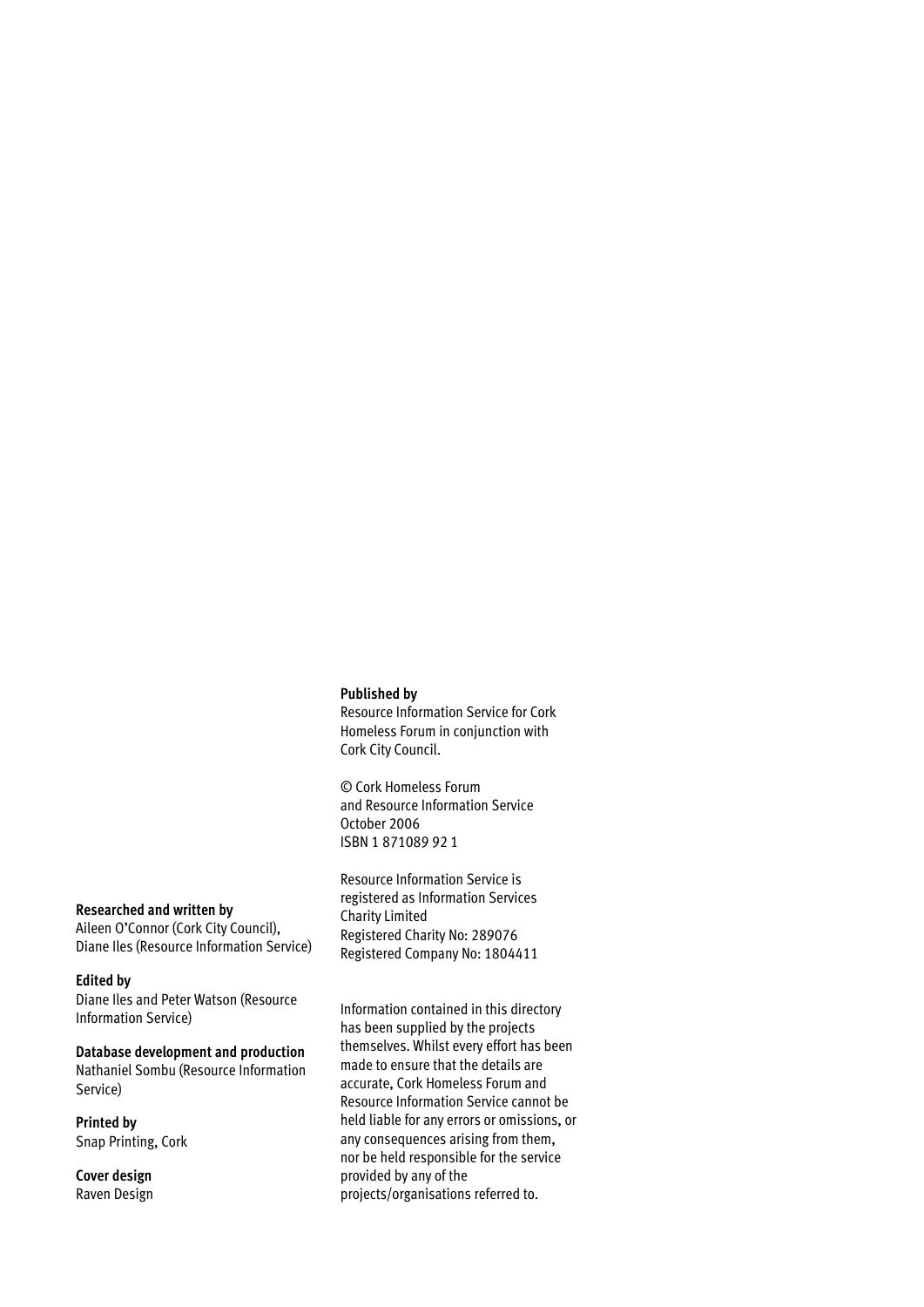### **Published by**

Resource Information Service for Cork Homeless Forum in conjunction with Cork City Council.

© Cork Homeless Forum and Resource Information Service October 2006 ISBN 1 871089 92 1

Resource Information Service is registered as Information Services Charity Limited Registered Charity No: 289076 Registered Company No: 1804411

#### **Researched and written by**

Aileen O'Connor (Cork City Council), Diane Iles (Resource Information Service)

### **Edited by**

Diane Iles and Peter Watson (Resource Information Service)

**Database development and production**  Nathaniel Sombu (Resource Information Service)

**Printed by**  Snap Printing, Cork

**Cover design**  Raven Design Information contained in this directory has been supplied by the projects themselves. Whilst every effort has been made to ensure that the details are accurate, Cork Homeless Forum and Resource Information Service cannot be held liable for any errors or omissions, or any consequences arising from them, nor be held responsible for the service provided by any of the projects/organisations referred to.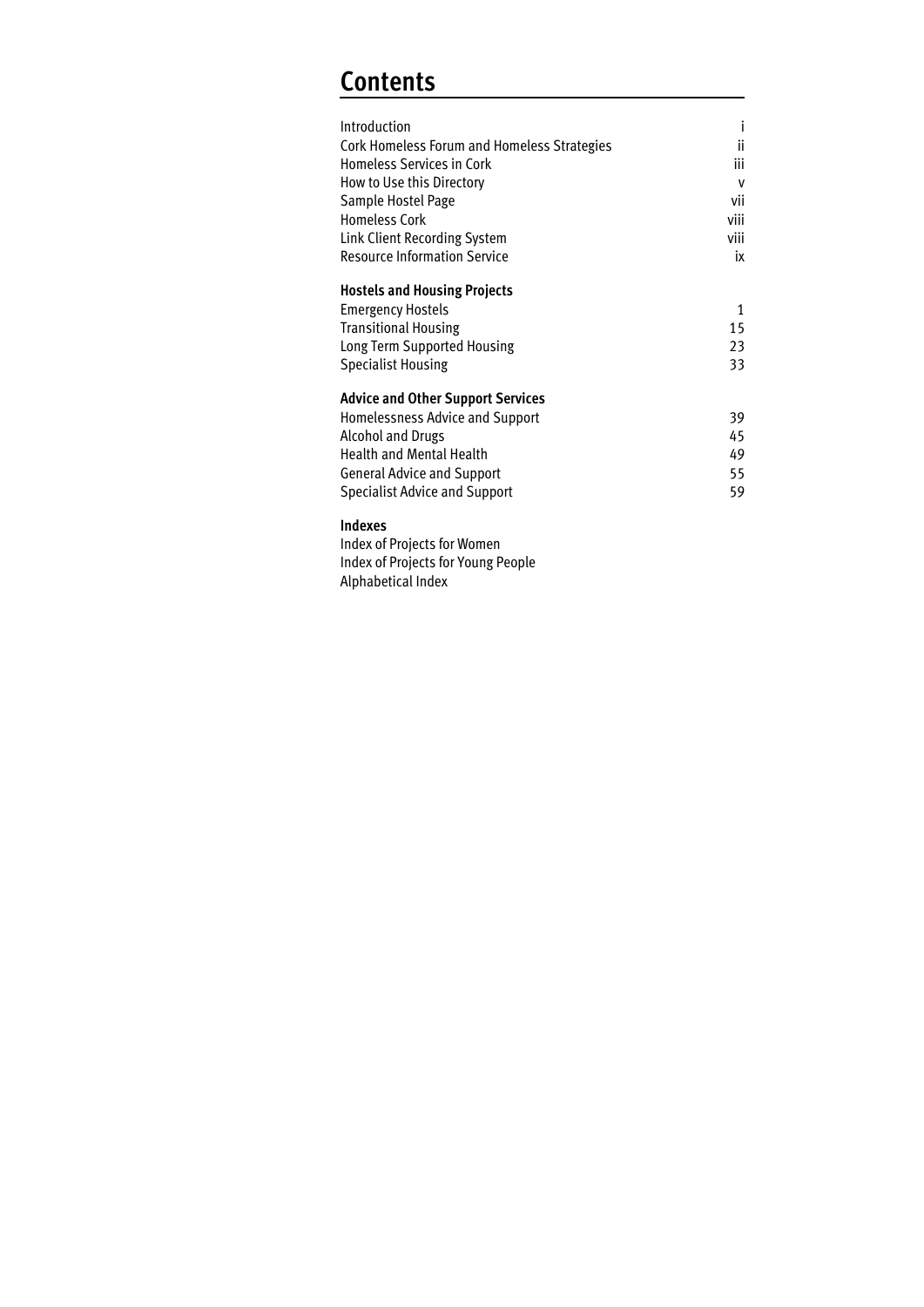# **Contents**

| Introduction<br>Cork Homeless Forum and Homeless Strategies<br><b>Homeless Services in Cork</b><br>How to Use this Directory<br>Sample Hostel Page<br><b>Homeless Cork</b><br>Link Client Recording System<br><b>Resource Information Service</b> | i<br>ii<br>iii<br>$\mathsf{v}$<br>vii<br>viii<br>viii<br>ix |
|---------------------------------------------------------------------------------------------------------------------------------------------------------------------------------------------------------------------------------------------------|-------------------------------------------------------------|
| <b>Hostels and Housing Projects</b><br><b>Emergency Hostels</b><br><b>Transitional Housing</b><br>Long Term Supported Housing<br><b>Specialist Housing</b>                                                                                        | 1<br>15<br>23<br>33                                         |
| <b>Advice and Other Support Services</b><br>Homelessness Advice and Support<br><b>Alcohol and Drugs</b><br><b>Health and Mental Health</b><br><b>General Advice and Support</b><br><b>Specialist Advice and Support</b>                           | 39<br>45<br>49<br>55<br>59                                  |
| Indexes<br>Index of Projects for Women<br>Index of Projects for Young People<br>Alphabetical Index                                                                                                                                                |                                                             |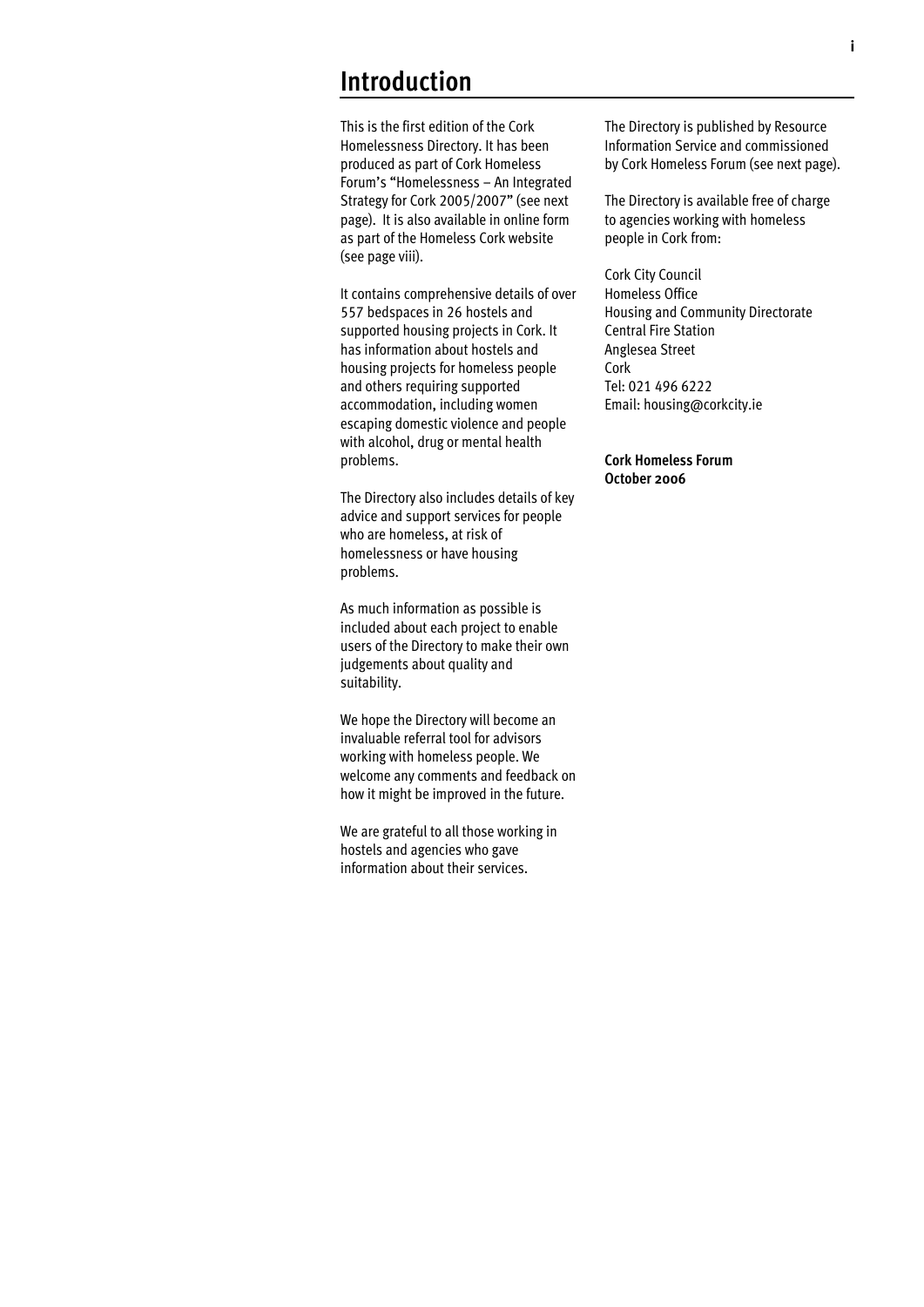## **Introduction**

This is the first edition of the Cork Homelessness Directory. It has been produced as part of Cork Homeless Forum's "Homelessness – An Integrated Strategy for Cork 2005/2007" (see next page). It is also available in online form as part of the Homeless Cork website (see page viii).

It contains comprehensive details of over 557 bedspaces in 26 hostels and supported housing projects in Cork. It has information about hostels and housing projects for homeless people and others requiring supported accommodation, including women escaping domestic violence and people with alcohol, drug or mental health problems.

The Directory also includes details of key advice and support services for people who are homeless, at risk of homelessness or have housing problems.

As much information as possible is included about each project to enable users of the Directory to make their own judgements about quality and suitability.

We hope the Directory will become an invaluable referral tool for advisors working with homeless people. We welcome any comments and feedback on how it might be improved in the future.

We are grateful to all those working in hostels and agencies who gave information about their services.

The Directory is published by Resource Information Service and commissioned by Cork Homeless Forum (see next page).

The Directory is available free of charge to agencies working with homeless people in Cork from:

Cork City Council Homeless Office Housing and Community Directorate Central Fire Station Anglesea Street Cork Tel: 021 496 6222 Email: housing@corkcity.ie

### **Cork Homeless Forum October 2006**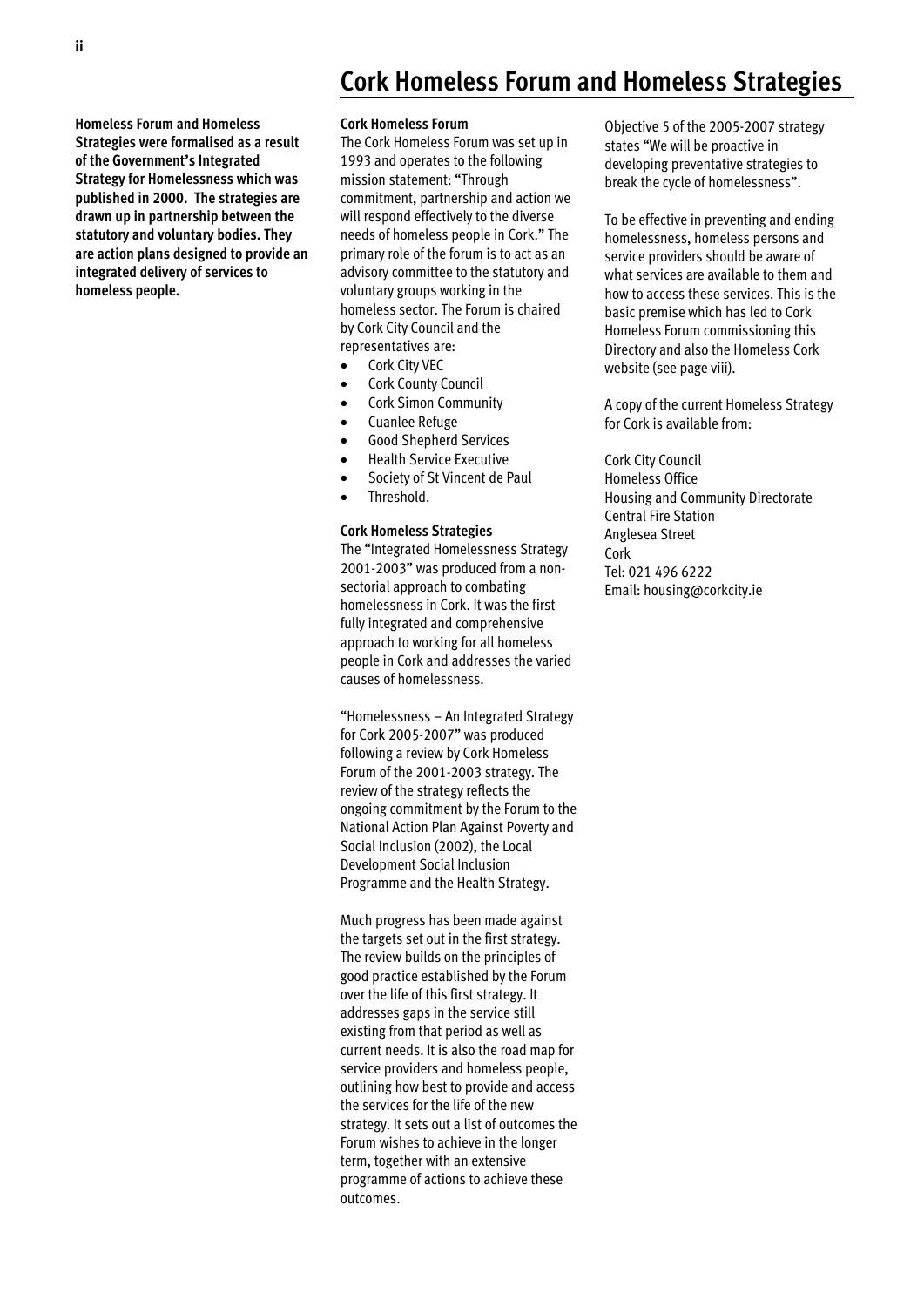### **Homeless Forum and Homeless Strategies were formalised as a result of the Government's Integrated Strategy for Homelessness which was published in 2000. The strategies are drawn up in partnership between the statutory and voluntary bodies. They are action plans designed to provide an integrated delivery of services to homeless people.**

## **Cork Homeless Forum and Homeless Strategies**

#### **Cork Homeless Forum**

The Cork Homeless Forum was set up in 1993 and operates to the following mission statement: "Through commitment, partnership and action we will respond effectively to the diverse needs of homeless people in Cork." The primary role of the forum is to act as an advisory committee to the statutory and voluntary groups working in the homeless sector. The Forum is chaired by Cork City Council and the representatives are:

- Cork City VEC
- Cork County Council
- Cork Simon Community
- **Cuanlee Refuge**
- x Good Shepherd Services
- x Health Service Executive
- Society of St Vincent de Paul
- Threshold.

### **Cork Homeless Strategies**

The "Integrated Homelessness Strategy 2001-2003" was produced from a nonsectorial approach to combating homelessness in Cork. It was the first fully integrated and comprehensive approach to working for all homeless people in Cork and addresses the varied causes of homelessness.

"Homelessness – An Integrated Strategy for Cork 2005-2007" was produced following a review by Cork Homeless Forum of the 2001-2003 strategy. The review of the strategy reflects the ongoing commitment by the Forum to the National Action Plan Against Poverty and Social Inclusion (2002), the Local Development Social Inclusion Programme and the Health Strategy.

Much progress has been made against the targets set out in the first strategy. The review builds on the principles of good practice established by the Forum over the life of this first strategy. It addresses gaps in the service still existing from that period as well as current needs. It is also the road map for service providers and homeless people, outlining how best to provide and access the services for the life of the new strategy. It sets out a list of outcomes the Forum wishes to achieve in the longer term, together with an extensive programme of actions to achieve these outcomes.

Objective 5 of the 2005-2007 strategy states "We will be proactive in developing preventative strategies to break the cycle of homelessness".

To be effective in preventing and ending homelessness, homeless persons and service providers should be aware of what services are available to them and how to access these services. This is the basic premise which has led to Cork Homeless Forum commissioning this Directory and also the Homeless Cork website (see page viii).

A copy of the current Homeless Strategy for Cork is available from:

Cork City Council Homeless Office Housing and Community Directorate Central Fire Station Anglesea Street Cork Tel: 021 496 6222 Email: housing@corkcity.ie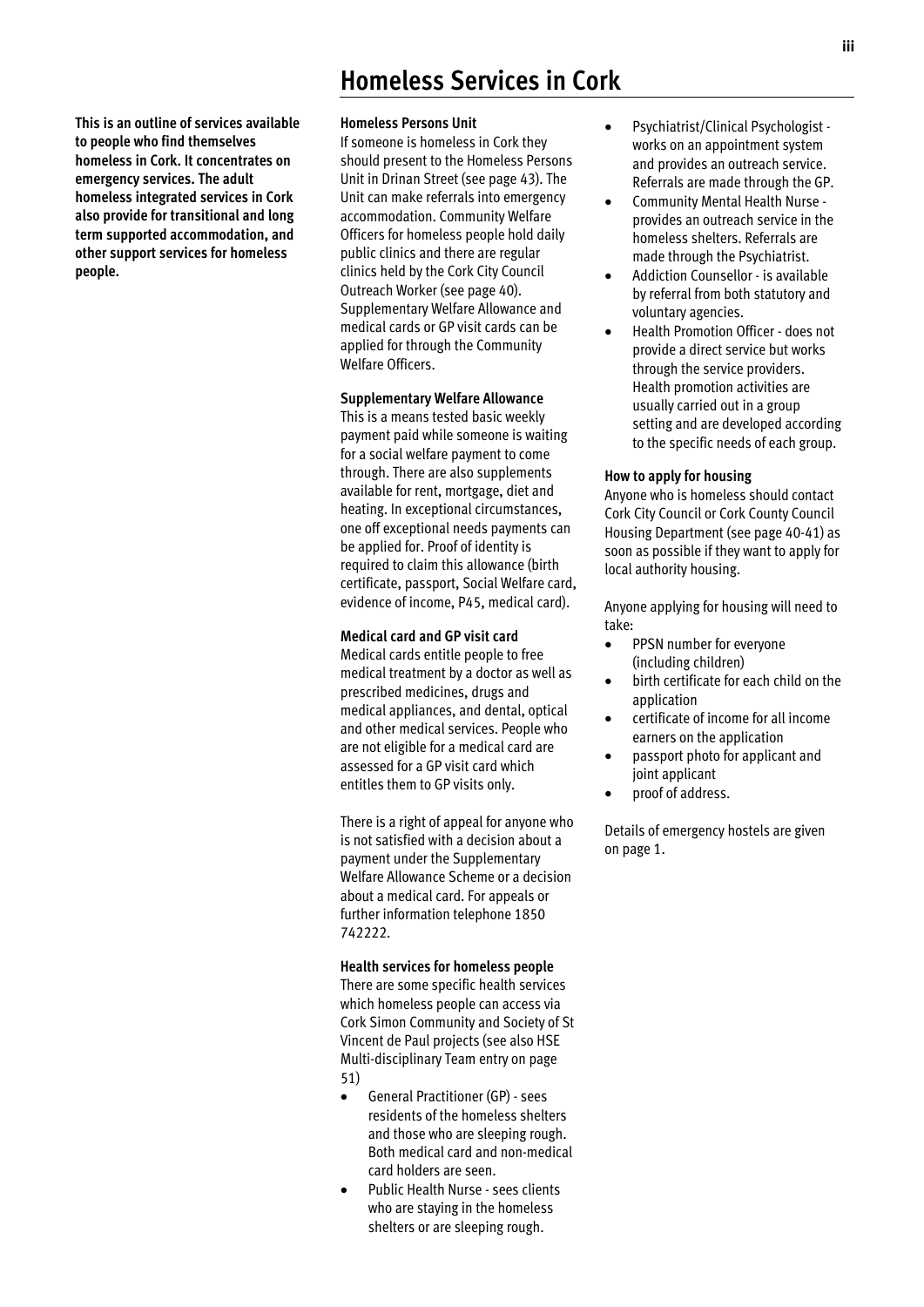**This is an outline of services available to people who find themselves homeless in Cork. It concentrates on emergency services. The adult homeless integrated services in Cork also provide for transitional and long term supported accommodation, and other support services for homeless people.** 

## **Homeless Services in Cork**

#### **Homeless Persons Unit**

If someone is homeless in Cork they should present to the Homeless Persons Unit in Drinan Street (see page 43). The Unit can make referrals into emergency accommodation. Community Welfare Officers for homeless people hold daily public clinics and there are regular clinics held by the Cork City Council Outreach Worker (see page 40). Supplementary Welfare Allowance and medical cards or GP visit cards can be applied for through the Community Welfare Officers.

### **Supplementary Welfare Allowance**

This is a means tested basic weekly payment paid while someone is waiting for a social welfare payment to come through. There are also supplements available for rent, mortgage, diet and heating. In exceptional circumstances, one off exceptional needs payments can be applied for. Proof of identity is required to claim this allowance (birth certificate, passport, Social Welfare card, evidence of income, P45, medical card).

### **Medical card and GP visit card**

Medical cards entitle people to free medical treatment by a doctor as well as prescribed medicines, drugs and medical appliances, and dental, optical and other medical services. People who are not eligible for a medical card are assessed for a GP visit card which entitles them to GP visits only.

There is a right of appeal for anyone who is not satisfied with a decision about a payment under the Supplementary Welfare Allowance Scheme or a decision about a medical card. For appeals or further information telephone 1850 742222.

#### **Health services for homeless people**

There are some specific health services which homeless people can access via Cork Simon Community and Society of St Vincent de Paul projects (see also HSE Multi-disciplinary Team entry on page 51)

- x General Practitioner (GP) sees residents of the homeless shelters and those who are sleeping rough. Both medical card and non-medical card holders are seen.
- Public Health Nurse sees clients who are staying in the homeless shelters or are sleeping rough.
- x Psychiatrist/Clinical Psychologist works on an appointment system and provides an outreach service. Referrals are made through the GP.
- x Community Mental Health Nurse provides an outreach service in the homeless shelters. Referrals are made through the Psychiatrist.
- Addiction Counsellor is available by referral from both statutory and voluntary agencies.
- Health Promotion Officer does not provide a direct service but works through the service providers. Health promotion activities are usually carried out in a group setting and are developed according to the specific needs of each group.

### **How to apply for housing**

Anyone who is homeless should contact Cork City Council or Cork County Council Housing Department (see page 40-41) as soon as possible if they want to apply for local authority housing.

Anyone applying for housing will need to take:

- PPSN number for everyone (including children)
- birth certificate for each child on the application
- x certificate of income for all income earners on the application
- passport photo for applicant and joint applicant
- proof of address.

Details of emergency hostels are given on page 1.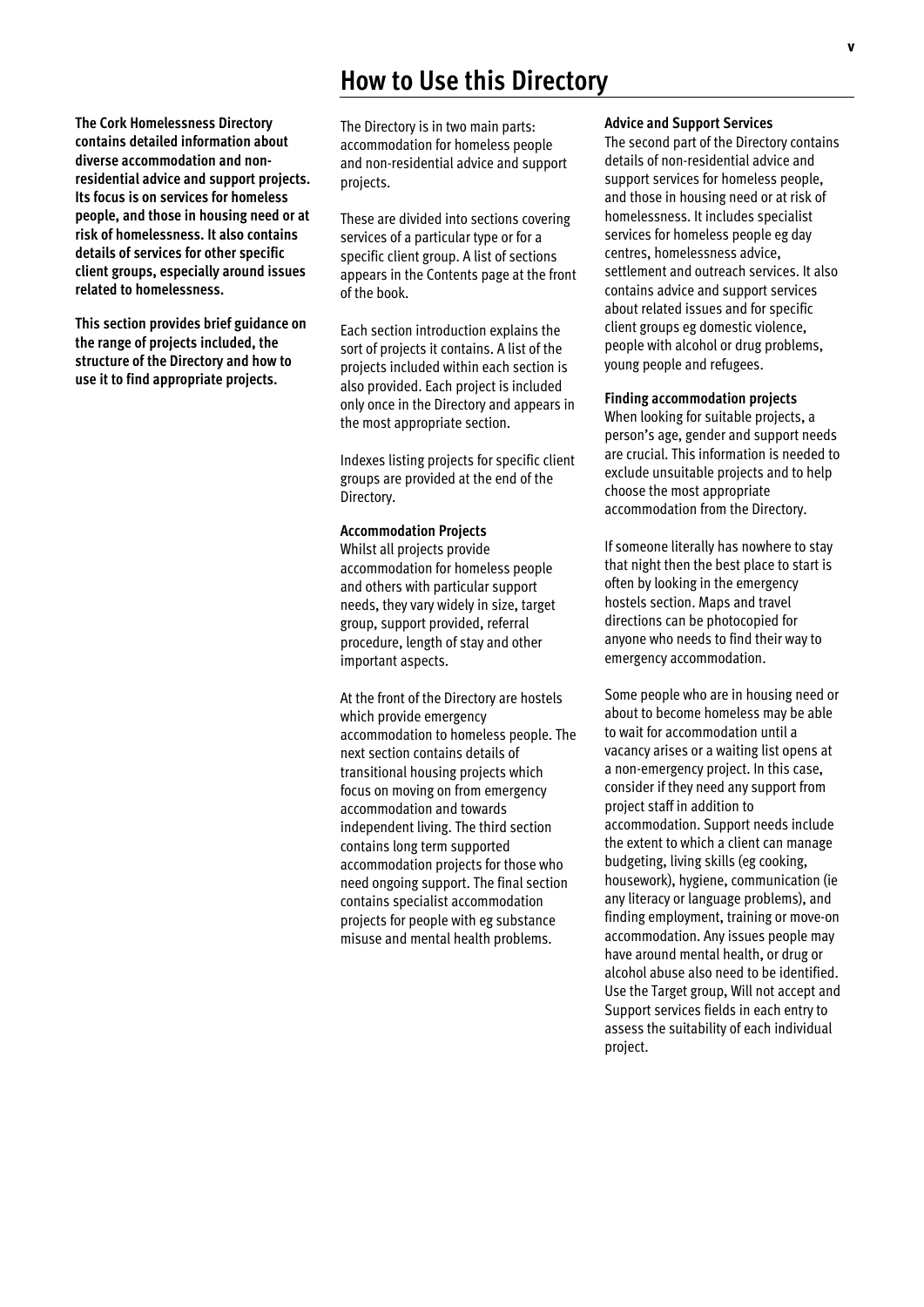## **How to Use this Directory**

**The Cork Homelessness Directory contains detailed information about diverse accommodation and nonresidential advice and support projects. Its focus is on services for homeless people, and those in housing need or at risk of homelessness. It also contains details of services for other specific client groups, especially around issues related to homelessness.** 

**This section provides brief guidance on the range of projects included, the structure of the Directory and how to use it to find appropriate projects.** 

The Directory is in two main parts: accommodation for homeless people and non-residential advice and support projects.

These are divided into sections covering services of a particular type or for a specific client group. A list of sections appears in the Contents page at the front of the book.

Each section introduction explains the sort of projects it contains. A list of the projects included within each section is also provided. Each project is included only once in the Directory and appears in the most appropriate section.

Indexes listing projects for specific client groups are provided at the end of the Directory.

#### **Accommodation Projects**

Whilst all projects provide accommodation for homeless people and others with particular support needs, they vary widely in size, target group, support provided, referral procedure, length of stay and other important aspects.

At the front of the Directory are hostels which provide emergency accommodation to homeless people. The next section contains details of transitional housing projects which focus on moving on from emergency accommodation and towards independent living. The third section contains long term supported accommodation projects for those who need ongoing support. The final section contains specialist accommodation projects for people with eg substance misuse and mental health problems.

#### **Advice and Support Services**

The second part of the Directory contains details of non-residential advice and support services for homeless people, and those in housing need or at risk of homelessness. It includes specialist services for homeless people eg day centres, homelessness advice, settlement and outreach services. It also contains advice and support services about related issues and for specific client groups eg domestic violence, people with alcohol or drug problems, young people and refugees.

### **Finding accommodation projects**

When looking for suitable projects, a person's age, gender and support needs are crucial. This information is needed to exclude unsuitable projects and to help choose the most appropriate accommodation from the Directory.

If someone literally has nowhere to stay that night then the best place to start is often by looking in the emergency hostels section. Maps and travel directions can be photocopied for anyone who needs to find their way to emergency accommodation.

Some people who are in housing need or about to become homeless may be able to wait for accommodation until a vacancy arises or a waiting list opens at a non-emergency project. In this case, consider if they need any support from project staff in addition to accommodation. Support needs include the extent to which a client can manage budgeting, living skills (eg cooking, housework), hygiene, communication (ie any literacy or language problems), and finding employment, training or move-on accommodation. Any issues people may have around mental health, or drug or alcohol abuse also need to be identified. Use the Target group, Will not accept and Support services fields in each entry to assess the suitability of each individual project.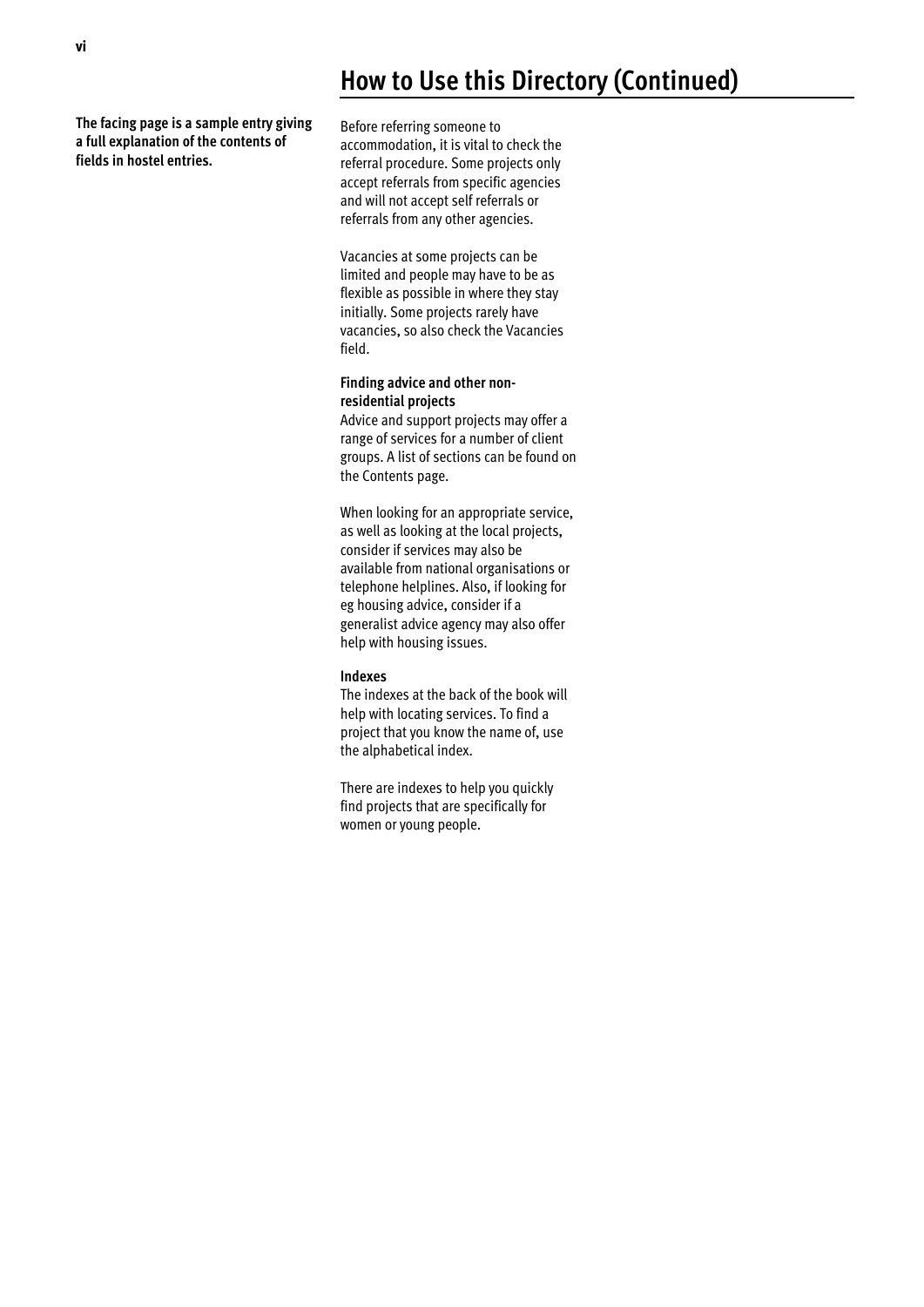## **How to Use this Directory (Continued)**

**The facing page is a sample entry giving a full explanation of the contents of fields in hostel entries.** 

Before referring someone to accommodation, it is vital to check the referral procedure. Some projects only accept referrals from specific agencies and will not accept self referrals or referrals from any other agencies.

Vacancies at some projects can be limited and people may have to be as flexible as possible in where they stay initially. Some projects rarely have vacancies, so also check the Vacancies field.

### **Finding advice and other nonresidential projects**

Advice and support projects may offer a range of services for a number of client groups. A list of sections can be found on the Contents page.

When looking for an appropriate service, as well as looking at the local projects, consider if services may also be available from national organisations or telephone helplines. Also, if looking for eg housing advice, consider if a generalist advice agency may also offer help with housing issues.

### **Indexes**

The indexes at the back of the book will help with locating services. To find a project that you know the name of, use the alphabetical index.

There are indexes to help you quickly find projects that are specifically for women or young people.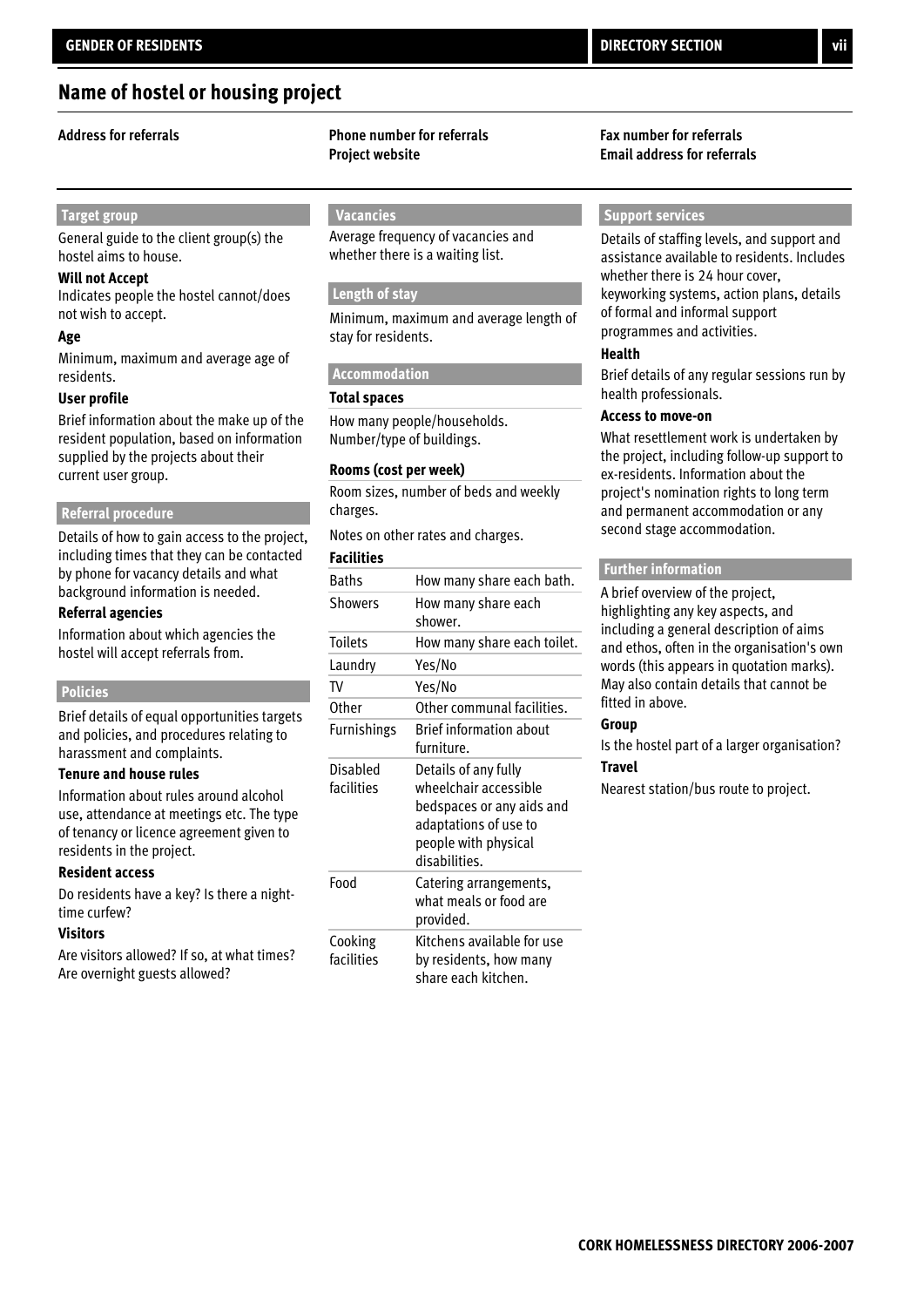### **Name of hostel or housing project**

### **Target group**

General guide to the client group(s) the hostel aims to house.

### **Will not Accept**

Indicates people the hostel cannot/does not wish to accept.

#### **Age**

Minimum, maximum and average age of residents.

### **User profile**

Brief information about the make up of the resident population, based on information supplied by the projects about their current user group.

### **Referral procedure**

Details of how to gain access to the project, including times that they can be contacted by phone for vacancy details and what background information is needed.

#### **Referral agencies**

Information about which agencies the hostel will accept referrals from.

#### **Policies**

Brief details of equal opportunities targets and policies, and procedures relating to harassment and complaints.

#### **Tenure and house rules**

Information about rules around alcohol use, attendance at meetings etc. The type of tenancy or licence agreement given to residents in the project.

### **Resident access**

Do residents have a key? Is there a nighttime curfew?

#### **Visitors**

Are visitors allowed? If so, at what times? Are overnight guests allowed?

### **Address for referrals Phone number for referrals Fax number for referrals Project website Email address for referrals**

### **Vacancies**

Average frequency of vacancies and whether there is a waiting list.

### **Length of stay**

Minimum, maximum and average length of stay for residents.

### **Accommodation**

### **Total spaces**

How many people/households. Number/type of buildings.

### **Rooms (cost per week)**

Room sizes, number of beds and weekly charges.

### Notes on other rates and charges.

**Facilities**

| <b>Baths</b>           | How many share each bath.                                                                                                                    |
|------------------------|----------------------------------------------------------------------------------------------------------------------------------------------|
| <b>Showers</b>         | How many share each<br>shower.                                                                                                               |
| <b>Toilets</b>         | How many share each toilet.                                                                                                                  |
| Laundry                | Yes/No                                                                                                                                       |
| TV                     | Yes/No                                                                                                                                       |
| Other                  | Other communal facilities.                                                                                                                   |
| Furnishings            | <b>Brief information about</b><br>furniture.                                                                                                 |
| Disabled<br>facilities | Details of any fully<br>wheelchair accessible<br>bedspaces or any aids and<br>adaptations of use to<br>people with physical<br>disabilities. |
| Food                   | Catering arrangements,<br>what meals or food are<br>provided.                                                                                |
| Cooking<br>facilities  | Kitchens available for use<br>by residents, how many<br>share each kitchen.                                                                  |

### **Support services**

Details of staffing levels, and support and assistance available to residents. Includes whether there is 24 hour cover, keyworking systems, action plans, details of formal and informal support programmes and activities.

#### **Health**

Brief details of any regular sessions run by health professionals.

### **Access to move-on**

What resettlement work is undertaken by the project, including follow-up support to ex-residents. Information about the project's nomination rights to long term and permanent accommodation or any second stage accommodation.

#### **Further information**

A brief overview of the project, highlighting any key aspects, and including a general description of aims and ethos, often in the organisation's own words (this appears in quotation marks). May also contain details that cannot be fitted in above.

### **Group**

Is the hostel part of a larger organisation? **Travel**

Nearest station/bus route to project.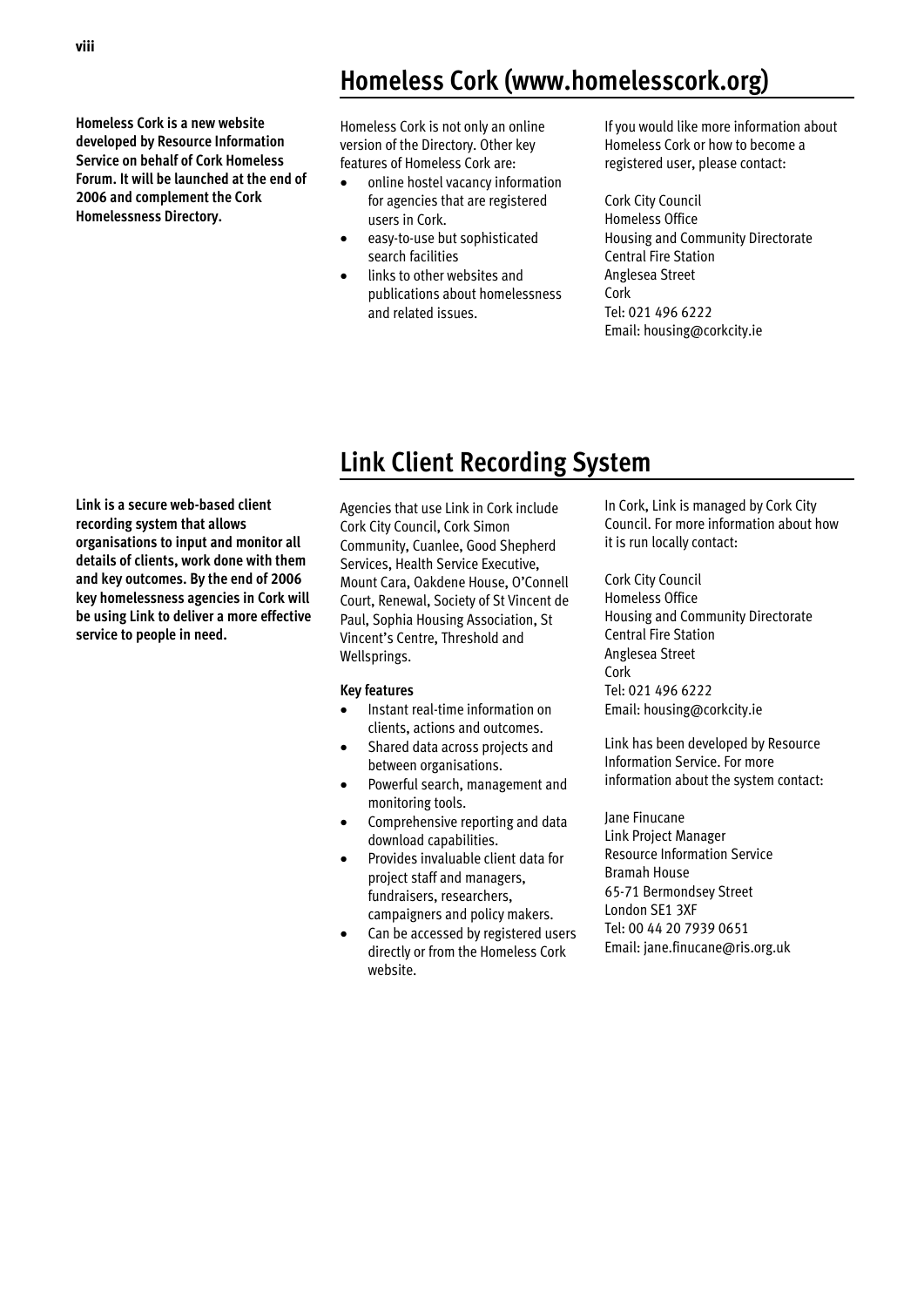**Homeless Cork is a new website developed by Resource Information Service on behalf of Cork Homeless Forum. It will be launched at the end of 2006 and complement the Cork Homelessness Directory.** 

## **Homeless Cork (www.homelesscork.org)**

Homeless Cork is not only an online version of the Directory. Other key features of Homeless Cork are:

- online hostel vacancy information for agencies that are registered users in Cork.
- easy-to-use but sophisticated search facilities
- links to other websites and publications about homelessness and related issues.

If you would like more information about Homeless Cork or how to become a registered user, please contact:

Cork City Council Homeless Office Housing and Community Directorate Central Fire Station Anglesea Street Cork Tel: 021 496 6222 Email: housing@corkcity.ie

## **Link Client Recording System**

**Link is a secure web-based client recording system that allows organisations to input and monitor all details of clients, work done with them and key outcomes. By the end of 2006 key homelessness agencies in Cork will be using Link to deliver a more effective service to people in need.** 

Agencies that use Link in Cork include Cork City Council, Cork Simon Community, Cuanlee, Good Shepherd Services, Health Service Executive, Mount Cara, Oakdene House, O'Connell Court, Renewal, Society of St Vincent de Paul, Sophia Housing Association, St Vincent's Centre, Threshold and Wellsprings.

### **Key features**

- Instant real-time information on clients, actions and outcomes.
- Shared data across projects and between organisations.
- Powerful search, management and monitoring tools.
- Comprehensive reporting and data download capabilities.
- Provides invaluable client data for project staff and managers, fundraisers, researchers, campaigners and policy makers.
- Can be accessed by registered users directly or from the Homeless Cork website.

In Cork, Link is managed by Cork City Council. For more information about how it is run locally contact:

Cork City Council Homeless Office Housing and Community Directorate Central Fire Station Anglesea Street Cork Tel: 021 496 6222 Email: housing@corkcity.ie

Link has been developed by Resource Information Service. For more information about the system contact:

Jane Finucane Link Project Manager Resource Information Service Bramah House 65-71 Bermondsey Street London SE1 3XF Tel: 00 44 20 7939 0651 Email: jane.finucane@ris.org.uk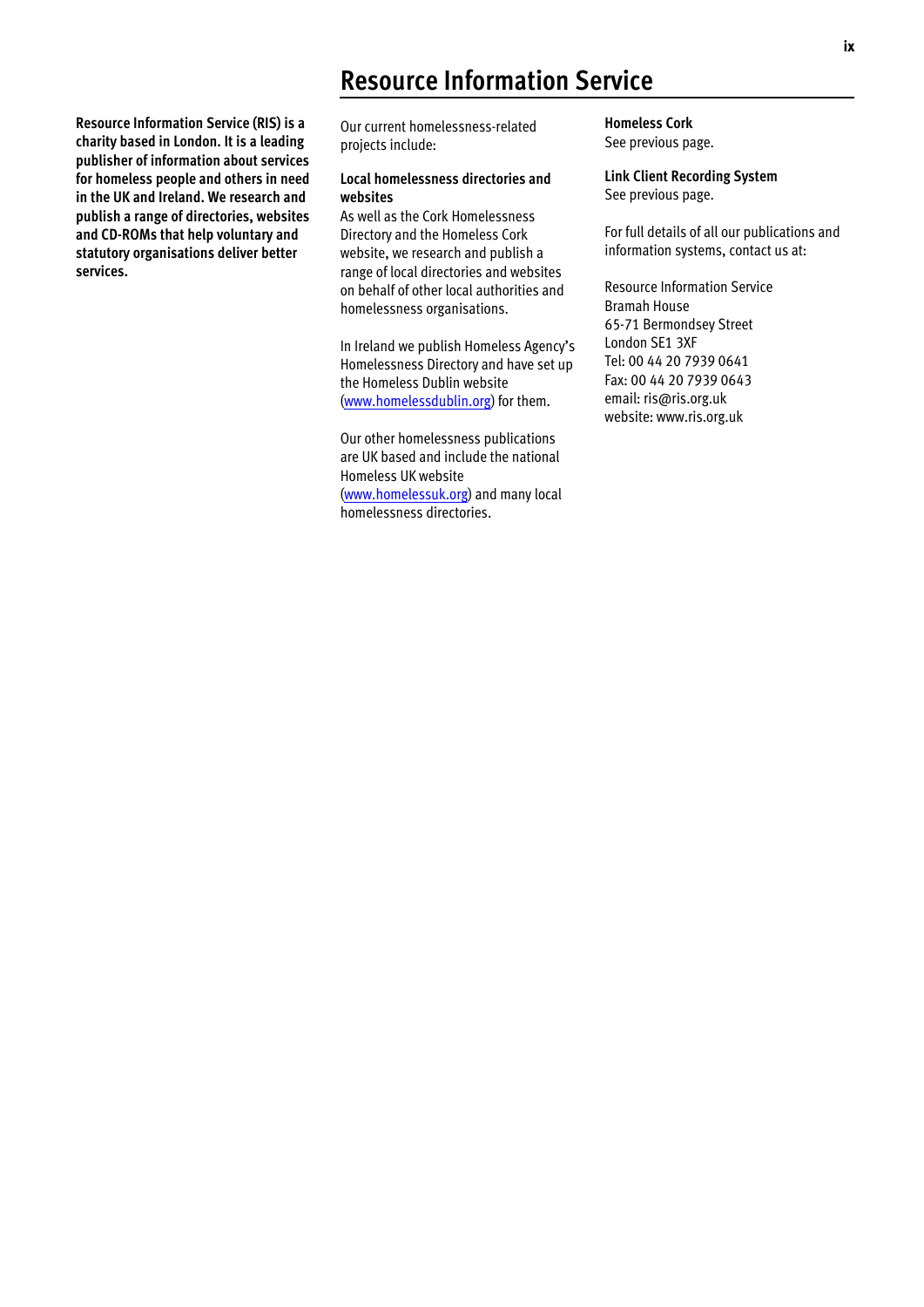## **Resource Information Service**

**Resource Information Service (RIS) is a charity based in London. It is a leading publisher of information about services for homeless people and others in need in the UK and Ireland. We research and publish a range of directories, websites and CD-ROMs that help voluntary and statutory organisations deliver better services.** 

Our current homelessness-related projects include:

### **Local homelessness directories and websites**

As well as the Cork Homelessness Directory and the Homeless Cork website, we research and publish a range of local directories and websites on behalf of other local authorities and homelessness organisations.

In Ireland we publish Homeless Agency's Homelessness Directory and have set up the Homeless Dublin website (www.homelessdublin.org) for them.

Our other homelessness publications are UK based and include the national Homeless UK website (www.homelessuk.org) and many local homelessness directories.

**Homeless Cork**  See previous page.

**Link Client Recording System**  See previous page.

For full details of all our publications and information systems, contact us at:

Resource Information Service Bramah House 65-71 Bermondsey Street London SE1 3XF Tel: 00 44 20 7939 0641 Fax: 00 44 20 7939 0643 email: ris@ris.org.uk website: www.ris.org.uk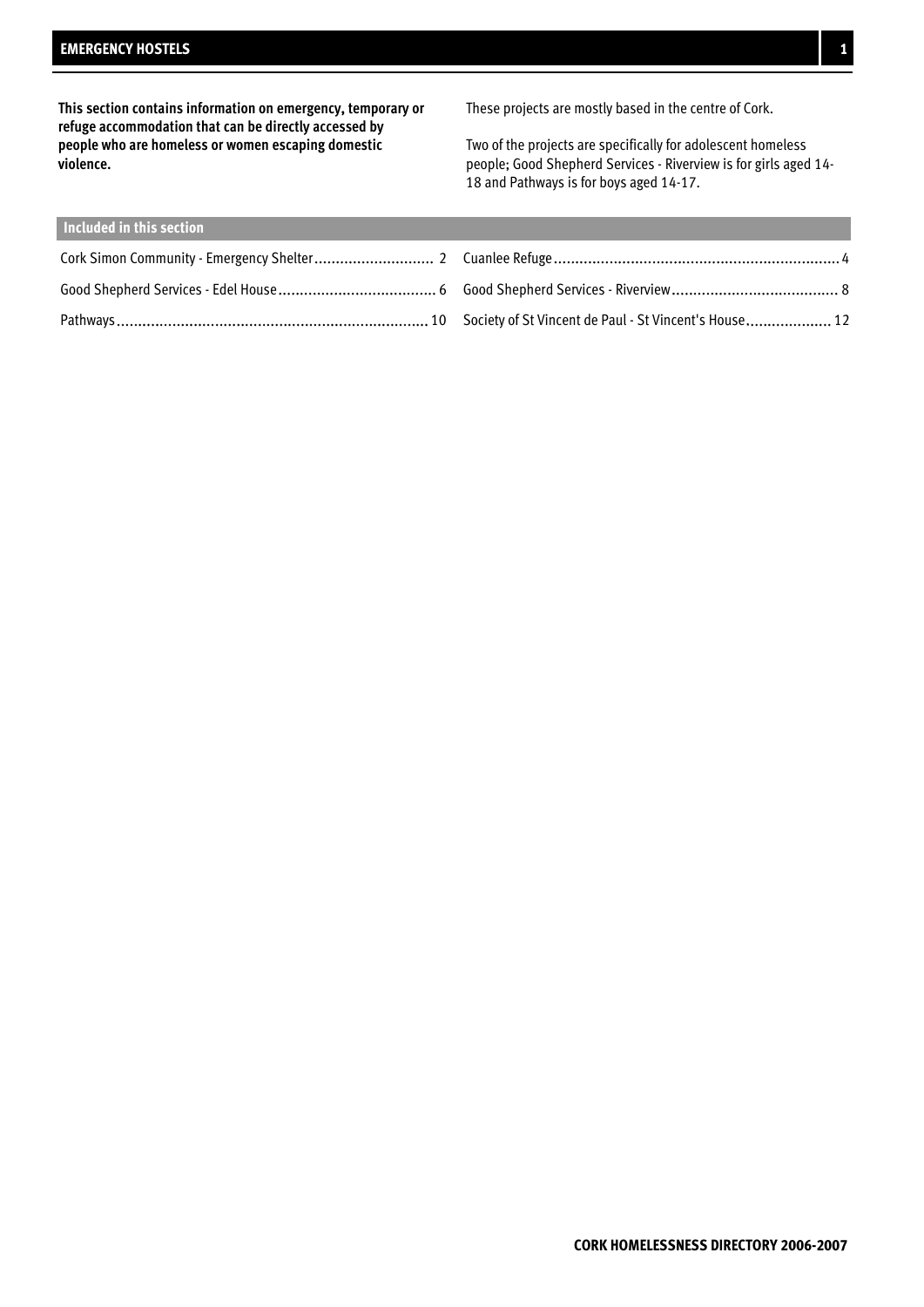**This section contains information on emergency, temporary or refuge accommodation that can be directly accessed by people who are homeless or women escaping domestic violence.**

These projects are mostly based in the centre of Cork.

Two of the projects are specifically for adolescent homeless people; Good Shepherd Services - Riverview is for girls aged 14- 18 and Pathways is for boys aged 14-17.

| Included in this section |  |
|--------------------------|--|
|                          |  |
|                          |  |
|                          |  |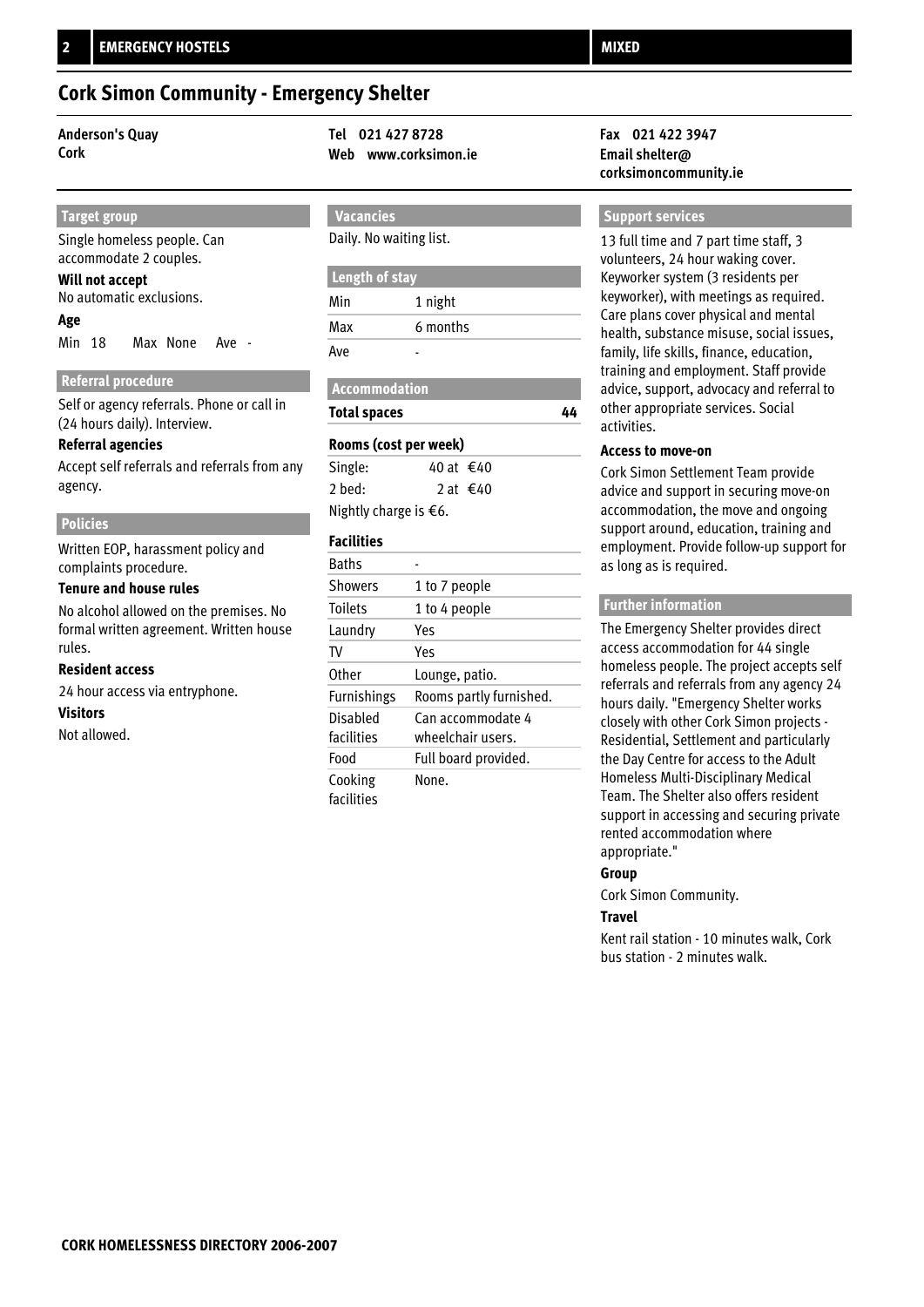### **Cork Simon Community - Emergency Shelter**

### **Target group**

Single homeless people. Can accommodate 2 couples.

### **Will not accept**

No automatic exclusions.

### **Age**

Min 18 Max None Ave -

### **Referral procedure**

Self or agency referrals. Phone or call in (24 hours daily). Interview.

### **Referral agencies**

Accept self referrals and referrals from any agency.

### **Policies**

Written EOP, harassment policy and complaints procedure.

### **Tenure and house rules**

No alcohol allowed on the premises. No formal written agreement. Written house rules.

### **Resident access**

24 hour access via entryphone. **Visitors** Not allowed.

### **Anderson's Quay Tel 021 427 8728 Fax 021 422 3947 Cork Web www.corksimon.ie Email shelter@**

## **Vacancies**

### Daily. No waiting list.

### **Length of stay**

| Min | 1 night  |
|-----|----------|
| Max | 6 months |
| Ave |          |

| <b>Total spaces</b> |
|---------------------|
|                     |

### **Rooms (cost per week)**

| Single:                         | 40 at €40                     |
|---------------------------------|-------------------------------|
| 2 hed:                          | 2 at $\text{\textsterling}40$ |
| Nightly charge is $\epsilon$ 6. |                               |

### **Facilities**

| <b>Baths</b>       |                         |
|--------------------|-------------------------|
| <b>Showers</b>     | 1 to 7 people           |
| <b>Toilets</b>     | 1 to 4 people           |
| Laundry            | Yes                     |
| TV                 | Yes                     |
| Other              | Lounge, patio.          |
| <b>Furnishings</b> | Rooms partly furnished. |
| Disabled           | Can accommodate 4       |
| facilities         | wheelchair users.       |
| Food               | Full board provided.    |
| Cooking            | None.                   |
| facilities         |                         |

# **corksimoncommunity.ie**

### **Support services**

13 full time and 7 part time staff, 3 volunteers, 24 hour waking cover. Keyworker system (3 residents per keyworker), with meetings as required. Care plans cover physical and mental health, substance misuse, social issues, family, life skills, finance, education, training and employment. Staff provide advice, support, advocacy and referral to other appropriate services. Social activities.

### **Access to move-on**

**44**

Cork Simon Settlement Team provide advice and support in securing move-on accommodation, the move and ongoing support around, education, training and employment. Provide follow-up support for as long as is required.

### **Further information**

The Emergency Shelter provides direct access accommodation for 44 single homeless people. The project accepts self referrals and referrals from any agency 24 hours daily. "Emergency Shelter works closely with other Cork Simon projects - Residential, Settlement and particularly the Day Centre for access to the Adult Homeless Multi-Disciplinary Medical Team. The Shelter also offers resident support in accessing and securing private rented accommodation where appropriate."

### **Group**

Cork Simon Community.

### **Travel**

Kent rail station - 10 minutes walk, Cork bus station - 2 minutes walk.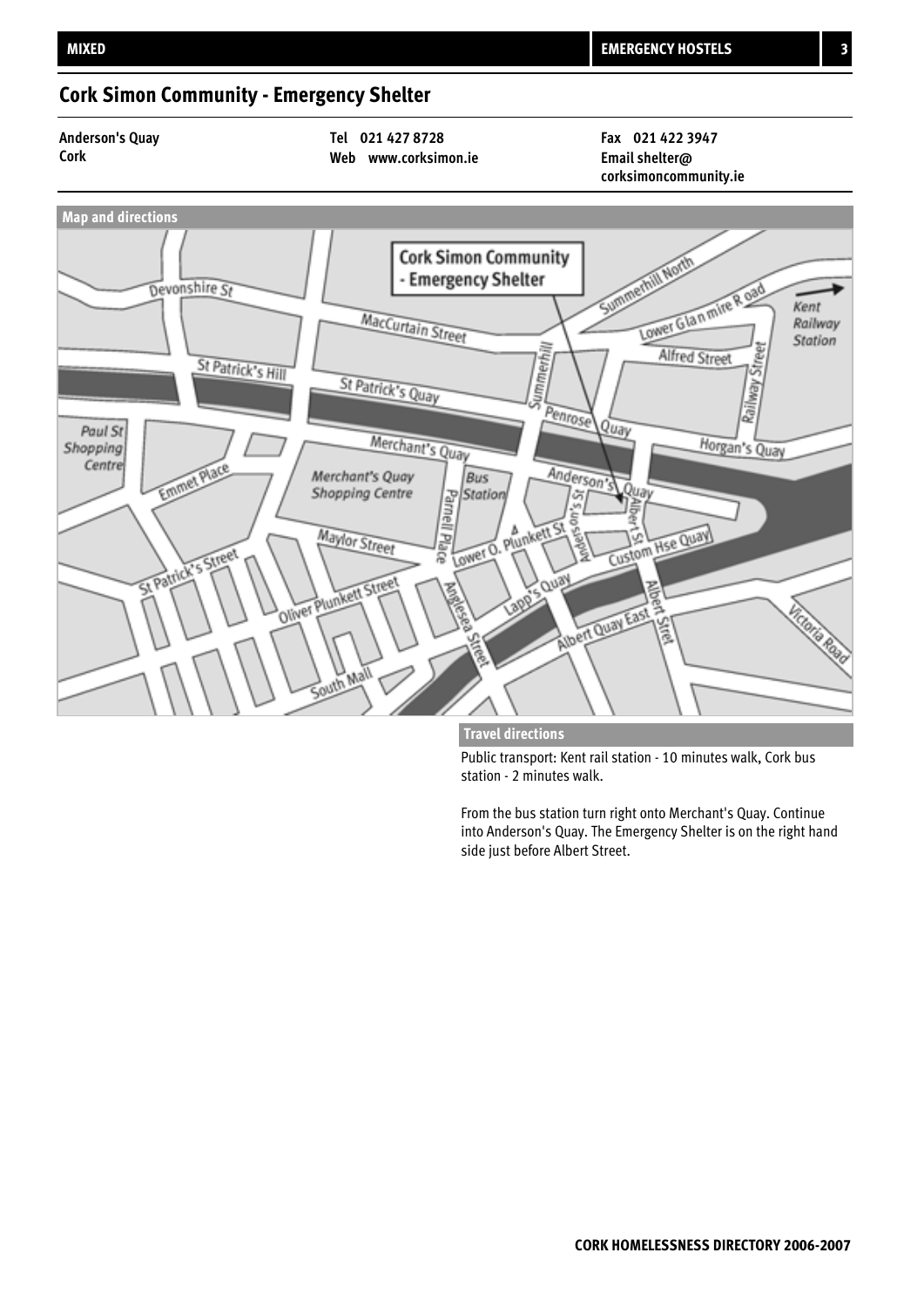### **Cork Simon Community - Emergency Shelter**

**Anderson's Quay Tel 021 427 8728 Fax 021 422 3947**

**Cork Web www.corksimon.ie Email shelter@**

**corksimoncommunity.ie**



**Travel directions**

Public transport: Kent rail station - 10 minutes walk, Cork bus station - 2 minutes walk.

From the bus station turn right onto Merchant's Quay. Continue into Anderson's Quay. The Emergency Shelter is on the right hand side just before Albert Street.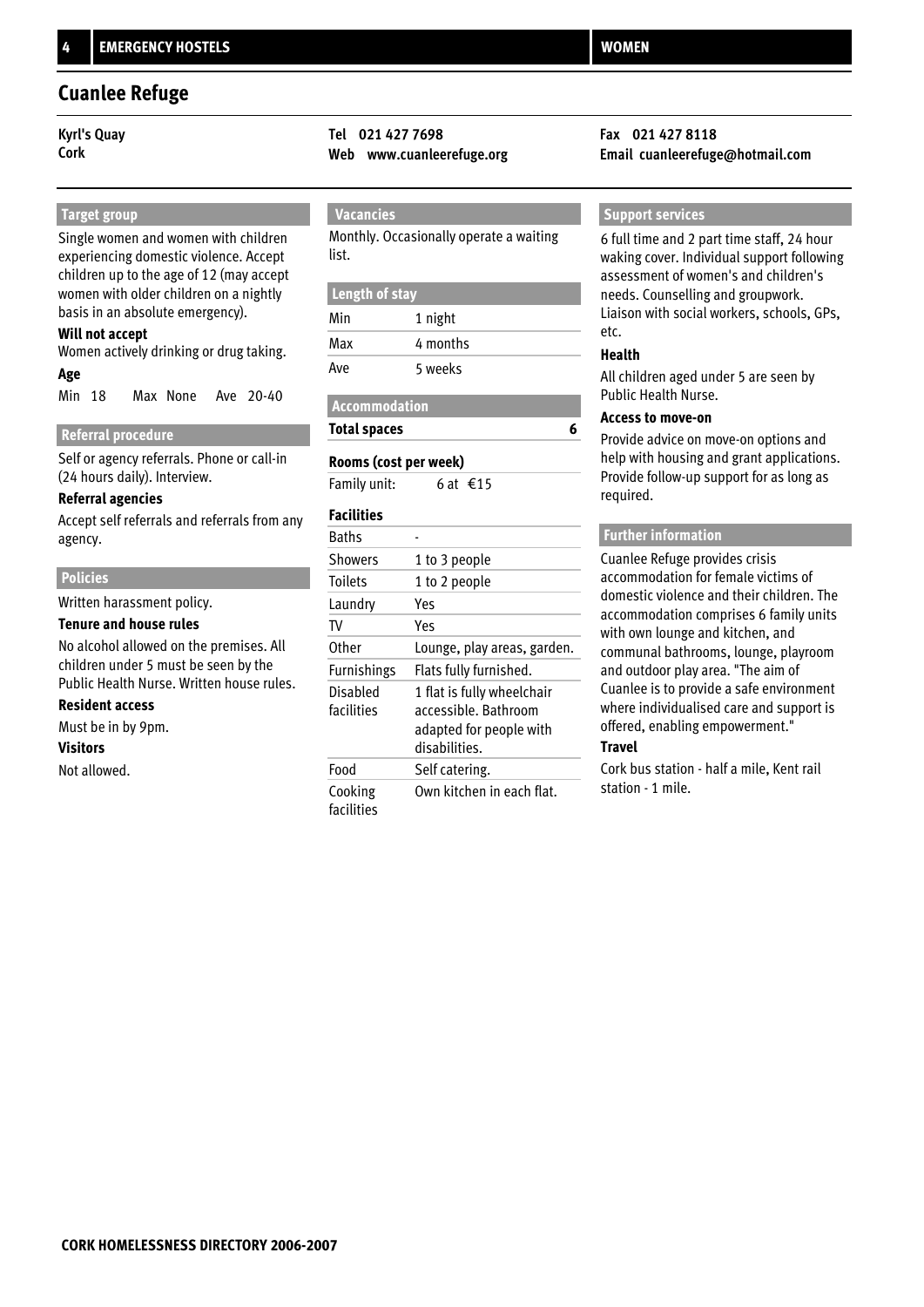### **Cuanlee Refuge**

 **Target group**

Single women and women with children experiencing domestic violence. Accept children up to the age of 12 (may accept women with older children on a nightly basis in an absolute emergency).

### **Will not accept**

**Age** Women actively drinking or drug taking.

Min 18 Max None Ave 20-40

### **Referral procedure**

Self or agency referrals. Phone or call-in (24 hours daily). Interview.

### **Referral agencies**

Accept self referrals and referrals from any agency.

### **Policies**

Written harassment policy.

### **Tenure and house rules**

No alcohol allowed on the premises. All children under 5 must be seen by the Public Health Nurse. Written house rules.

### **Resident access**

Must be in by 9pm.

### **Visitors**

Not allowed.

# **Kyrl's Quay Tel 021 427 7698 Fax 021 427 8118**

### **Vacancies**

Monthly. Occasionally operate a waiting list.

### **Length of stay**

| Min | 1 night  |
|-----|----------|
| Max | 4 months |
| Ave | 5 weeks  |

### **Accommodation Total spaces**

## **Rooms (cost per week)**

Family unit: 6 at €15

### **Facilities**

| Baths                  |                                                                                                |
|------------------------|------------------------------------------------------------------------------------------------|
| Showers                | 1 to 3 people                                                                                  |
| <b>Toilets</b>         | 1 to 2 people                                                                                  |
| Laundry                | Yes                                                                                            |
| TV                     | Yes                                                                                            |
| Other                  | Lounge, play areas, garden.                                                                    |
| <b>Furnishings</b>     | Flats fully furnished.                                                                         |
| Disabled<br>facilities | 1 flat is fully wheelchair<br>accessible, Bathroom<br>adapted for people with<br>disabilities. |
| Food                   | Self catering.                                                                                 |
| Cooking<br>facilities  | Own kitchen in each flat.                                                                      |

**Cork Web www.cuanleerefuge.org Email cuanleerefuge@hotmail.com**

### **Support services**

6 full time and 2 part time staff, 24 hour waking cover. Individual support following assessment of women's and children's needs. Counselling and groupwork. Liaison with social workers, schools, GPs, etc.

### **Health**

**6**

All children aged under 5 are seen by Public Health Nurse.

### **Access to move-on**

Provide advice on move-on options and help with housing and grant applications. Provide follow-up support for as long as required.

### **Further information**

Cuanlee Refuge provides crisis accommodation for female victims of domestic violence and their children. The accommodation comprises 6 family units with own lounge and kitchen, and communal bathrooms, lounge, playroom and outdoor play area. "The aim of Cuanlee is to provide a safe environment where individualised care and support is offered, enabling empowerment."

### **Travel**

Cork bus station - half a mile, Kent rail station - 1 mile.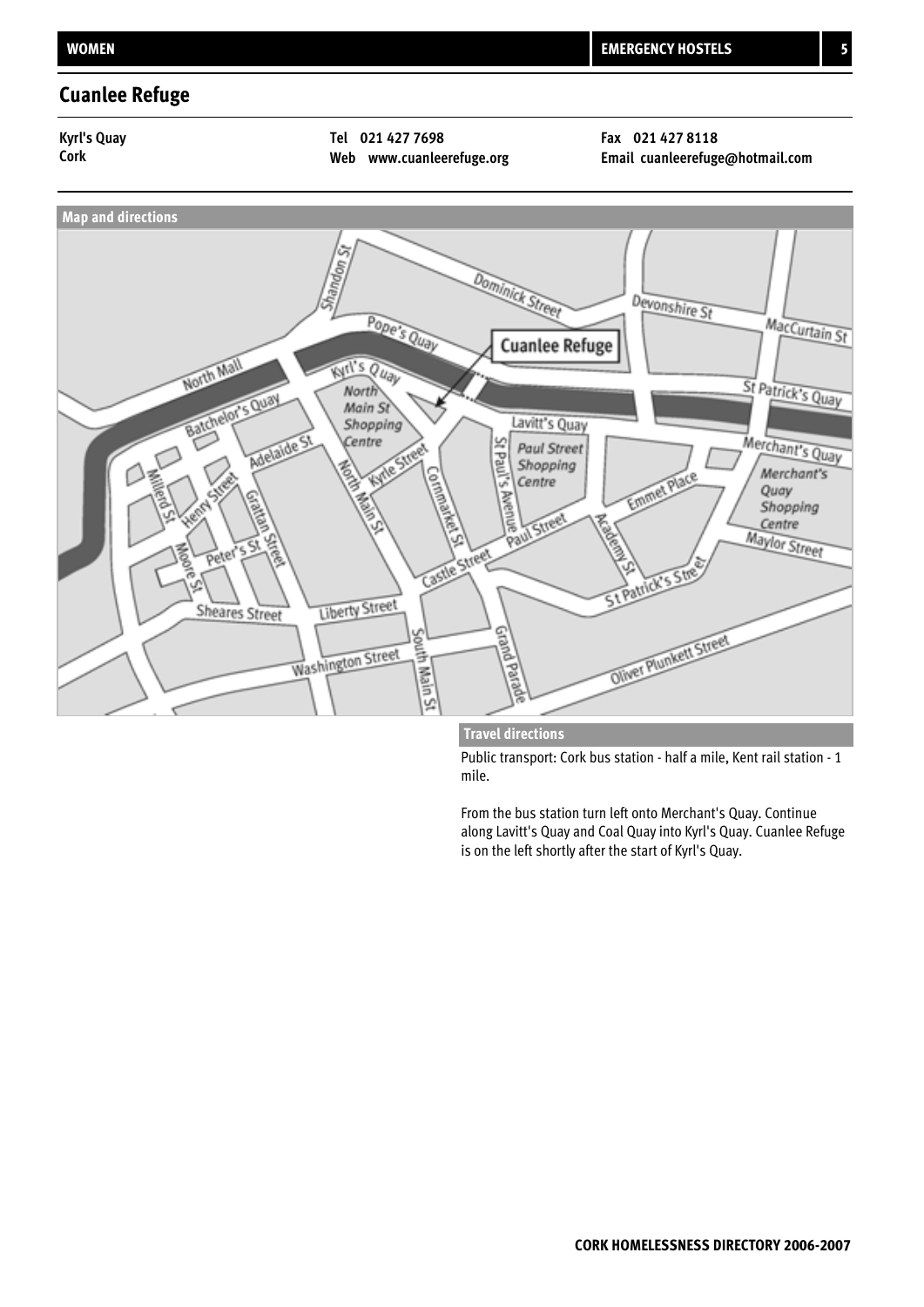### **Cuanlee Refuge**

### **Kyrl's Quay Tel 021 427 7698 Fax 021 427 8118**

**Cork Web www.cuanleerefuge.org Email cuanleerefuge@hotmail.com**



### **Travel directions**

Public transport: Cork bus station - half a mile, Kent rail station - 1 mile.

From the bus station turn left onto Merchant's Quay. Continue along Lavitt's Quay and Coal Quay into Kyrl's Quay. Cuanlee Refuge is on the left shortly after the start of Kyrl's Quay.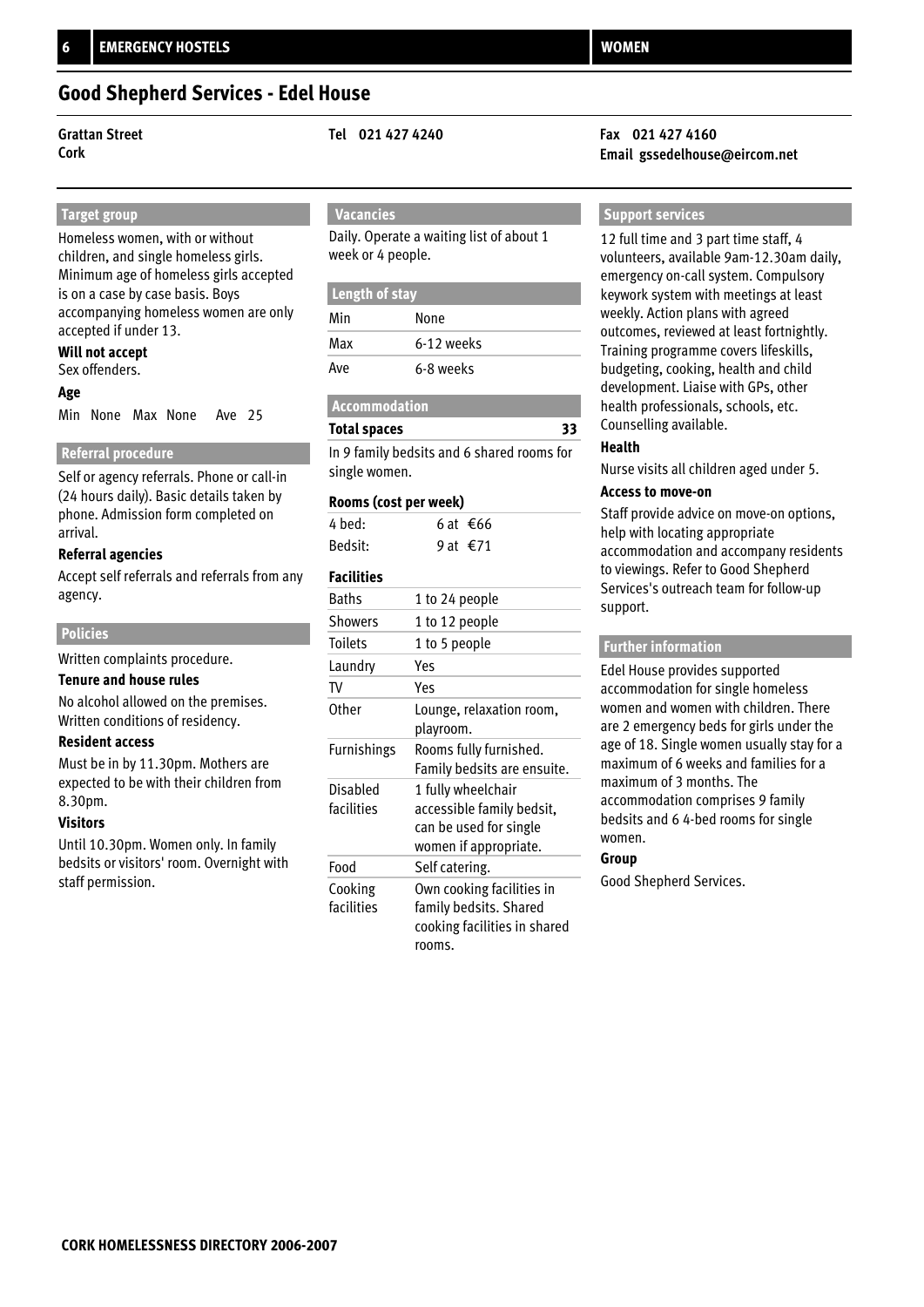### **Good Shepherd Services - Edel House**

**Grattan Street Tel 021 427 4240 Fax 021 427 4160**

### **Target group**

Homeless women, with or without children, and single homeless girls. Minimum age of homeless girls accepted is on a case by case basis. Boys accompanying homeless women are only accepted if under 13.

### **Will not accept**

Sex offenders.

### **Age**

Min None Max None Ave 25

### **Referral procedure**

Self or agency referrals. Phone or call-in (24 hours daily). Basic details taken by phone. Admission form completed on arrival.

### **Referral agencies**

Accept self referrals and referrals from any agency.

### **Policies**

Written complaints procedure.

### **Tenure and house rules**

No alcohol allowed on the premises. Written conditions of residency.

### **Resident access**

Must be in by 11.30pm. Mothers are expected to be with their children from 8.30pm.

### **Visitors**

Until 10.30pm. Women only. In family bedsits or visitors' room. Overnight with staff permission.

### **Vacancies**

Daily. Operate a waiting list of about 1 week or 4 people.

| Length of stay |            |
|----------------|------------|
| Min            | None       |
| Max            | 6-12 weeks |
| Ave            | 6-8 weeks  |

### **Accommodation**

**Total spaces**

In 9 family bedsits and 6 shared rooms for single women.

### **Rooms (cost per week)**

| 4 bed:  | 6 at €66 |
|---------|----------|
| Bedsit: | 9 at €71 |

### **Facilities**

| <b>Baths</b>           | 1 to 24 people                                                                                     |
|------------------------|----------------------------------------------------------------------------------------------------|
| <b>Showers</b>         | 1 to 12 people                                                                                     |
| Toilets                | 1 to 5 people                                                                                      |
| Laundry                | Yes                                                                                                |
| TV                     | Yes                                                                                                |
| Other                  | Lounge, relaxation room,<br>playroom.                                                              |
| <b>Furnishings</b>     | Rooms fully furnished.<br>Family bedsits are ensuite.                                              |
| Disabled<br>facilities | 1 fully wheelchair<br>accessible family bedsit,<br>can be used for single<br>women if appropriate. |
| Food                   | Self catering.                                                                                     |
| Cooking<br>facilities  | Own cooking facilities in<br>family bedsits. Shared<br>cooking facilities in shared<br>rooms.      |

# **Cork Email gssedelhouse@eircom.net**

### **Support services**

12 full time and 3 part time staff, 4 volunteers, available 9am-12.30am daily, emergency on-call system. Compulsory keywork system with meetings at least weekly. Action plans with agreed outcomes, reviewed at least fortnightly. Training programme covers lifeskills, budgeting, cooking, health and child development. Liaise with GPs, other health professionals, schools, etc. Counselling available.

### **Health**

**33**

Nurse visits all children aged under 5.

### **Access to move-on**

Staff provide advice on move-on options, help with locating appropriate accommodation and accompany residents to viewings. Refer to Good Shepherd Services's outreach team for follow-up support.

### **Further information**

Edel House provides supported accommodation for single homeless women and women with children. There are 2 emergency beds for girls under the age of 18. Single women usually stay for a maximum of 6 weeks and families for a maximum of 3 months. The accommodation comprises 9 family bedsits and 6 4-bed rooms for single women.

### **Group**

Good Shepherd Services.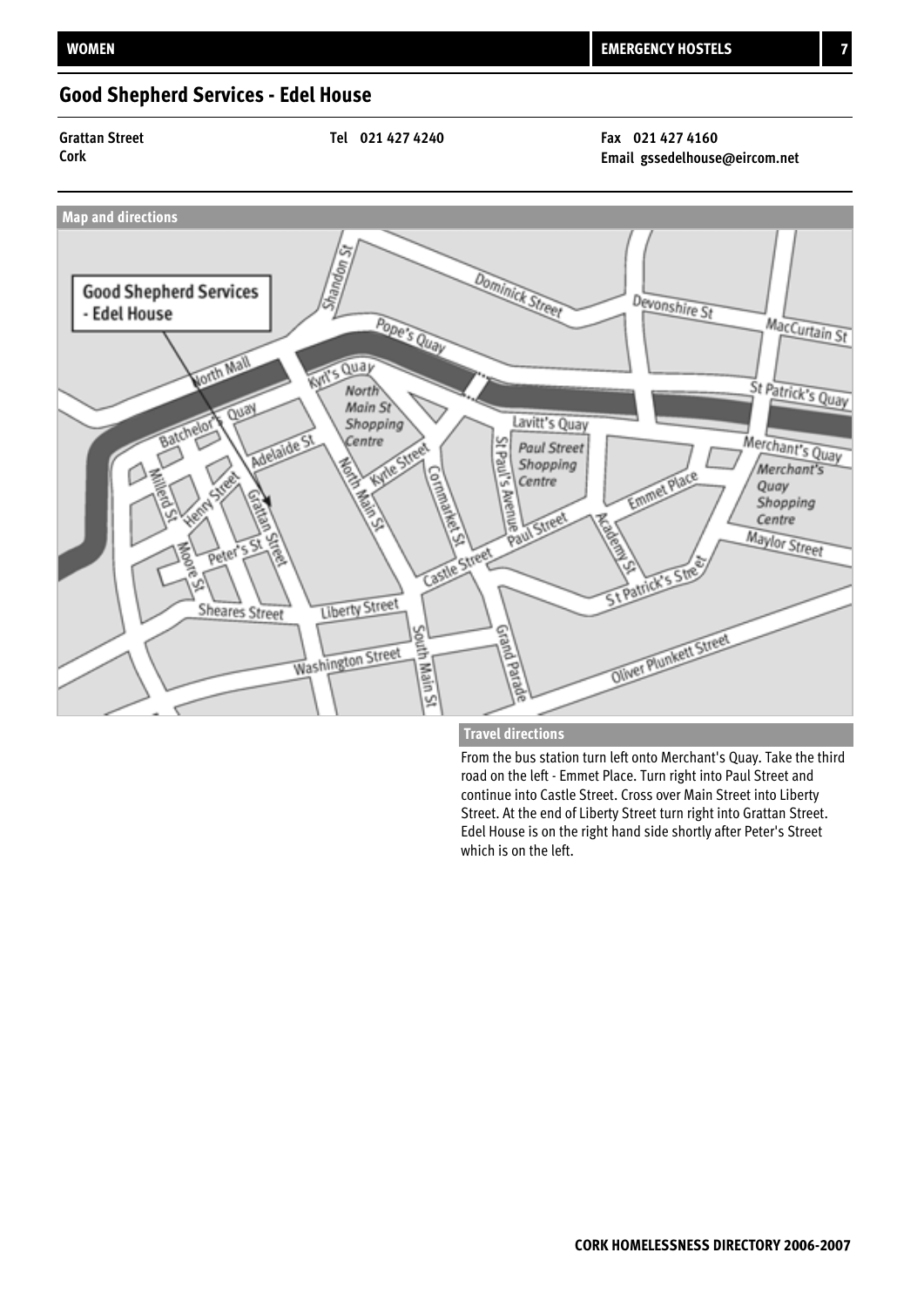## **Good Shepherd Services - Edel House**

**Grattan Street Tel 021 427 4240 Fax 021 427 4160**

**Cork Email gssedelhouse@eircom.net**



### **Travel directions**

From the bus station turn left onto Merchant's Quay. Take the third road on the left - Emmet Place. Turn right into Paul Street and continue into Castle Street. Cross over Main Street into Liberty Street. At the end of Liberty Street turn right into Grattan Street. Edel House is on the right hand side shortly after Peter's Street which is on the left.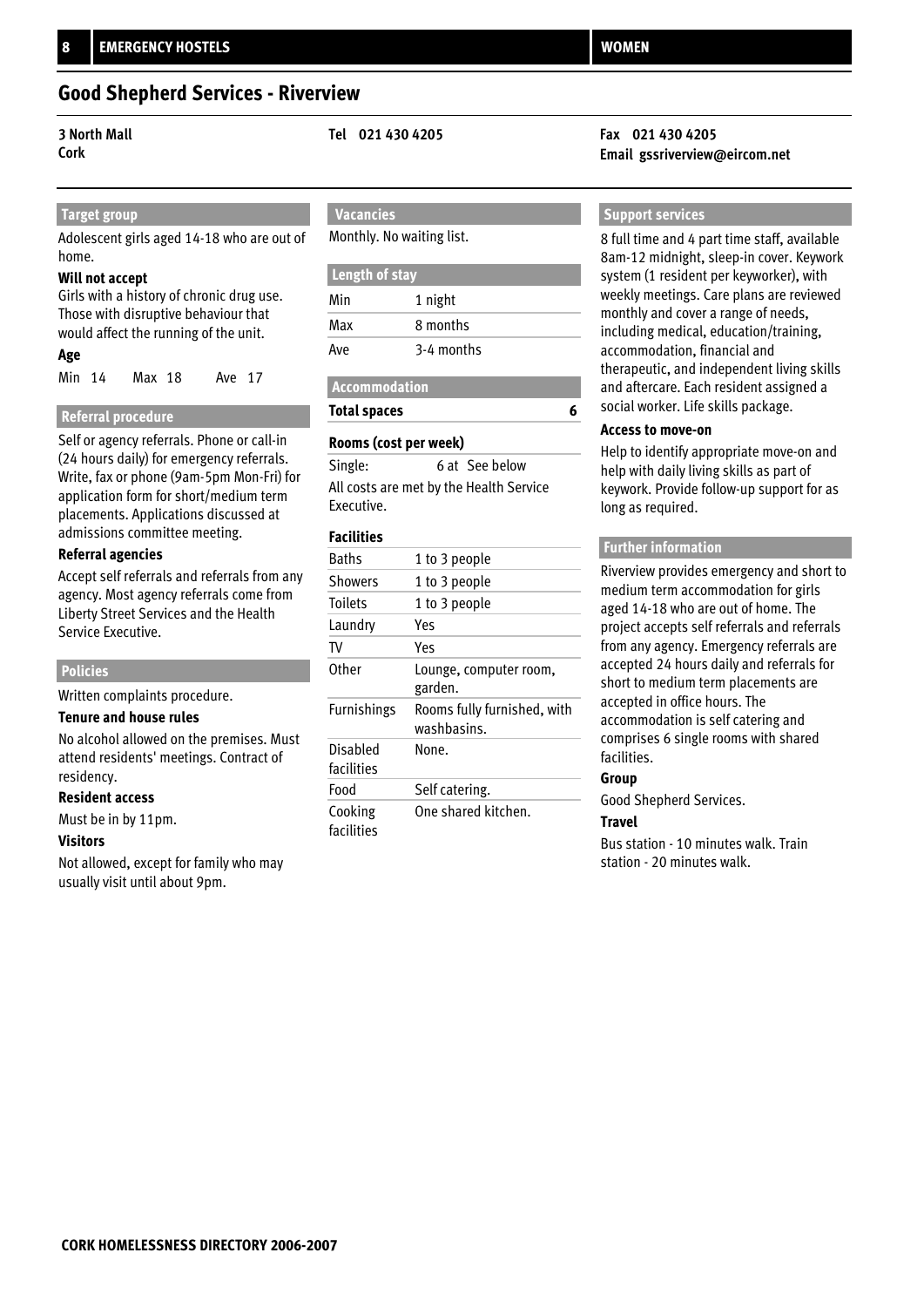### **Good Shepherd Services - Riverview**

### **Target group**

Adolescent girls aged 14-18 who are out of home.

### **Will not accept**

Girls with a history of chronic drug use. Those with disruptive behaviour that would affect the running of the unit.

### **Age**

Min 14 Max 18 Ave 17

### **Referral procedure**

Self or agency referrals. Phone or call-in (24 hours daily) for emergency referrals. Write, fax or phone (9am-5pm Mon-Fri) for application form for short/medium term placements. Applications discussed at admissions committee meeting.

### **Referral agencies**

Accept self referrals and referrals from any agency. Most agency referrals come from Liberty Street Services and the Health Service Executive.

### **Policies**

Written complaints procedure.

### **Tenure and house rules**

No alcohol allowed on the premises. Must attend residents' meetings. Contract of residency.

### **Resident access**

Must be in by 11pm.

### **Visitors**

Not allowed, except for family who may usually visit until about 9pm.

## **Vacancies**

Monthly. No waiting list.

| Length of stay |            |  |
|----------------|------------|--|
| Min            | 1 night    |  |
| Max            | 8 months   |  |
| Ave            | 3-4 months |  |

## **Accommodation**

**Total spaces**

### **Rooms (cost per week)**

| Single:                                 | 6 at See below |
|-----------------------------------------|----------------|
| All costs are met by the Health Service |                |
| Executive.                              |                |

### **Facilities**

| <b>Baths</b>           | 1 to 3 people                              |
|------------------------|--------------------------------------------|
| Showers                | 1 to 3 people                              |
| <b>Toilets</b>         | 1 to 3 people                              |
| Laundry                | Yes                                        |
| TV                     | Yes                                        |
| Other                  | Lounge, computer room,<br>garden.          |
| <b>Furnishings</b>     | Rooms fully furnished, with<br>washbasins. |
| Disabled<br>facilities | None.                                      |
| Food                   | Self catering.                             |
| Cooking<br>facilities  | One shared kitchen.                        |

### **3 North Mall Tel 021 430 4205 Fax 021 430 4205 Cork Email gssriverview@eircom.net**

### **Support services**

8 full time and 4 part time staff, available 8am-12 midnight, sleep-in cover. Keywork system (1 resident per keyworker), with weekly meetings. Care plans are reviewed monthly and cover a range of needs, including medical, education/training, accommodation, financial and therapeutic, and independent living skills and aftercare. Each resident assigned a social worker. Life skills package.

### **Access to move-on**

**6**

Help to identify appropriate move-on and help with daily living skills as part of keywork. Provide follow-up support for as long as required.

### **Further information**

Riverview provides emergency and short to medium term accommodation for girls aged 14-18 who are out of home. The project accepts self referrals and referrals from any agency. Emergency referrals are accepted 24 hours daily and referrals for short to medium term placements are accepted in office hours. The accommodation is self catering and comprises 6 single rooms with shared facilities.

### **Group**

Good Shepherd Services.

### **Travel**

Bus station - 10 minutes walk. Train station - 20 minutes walk.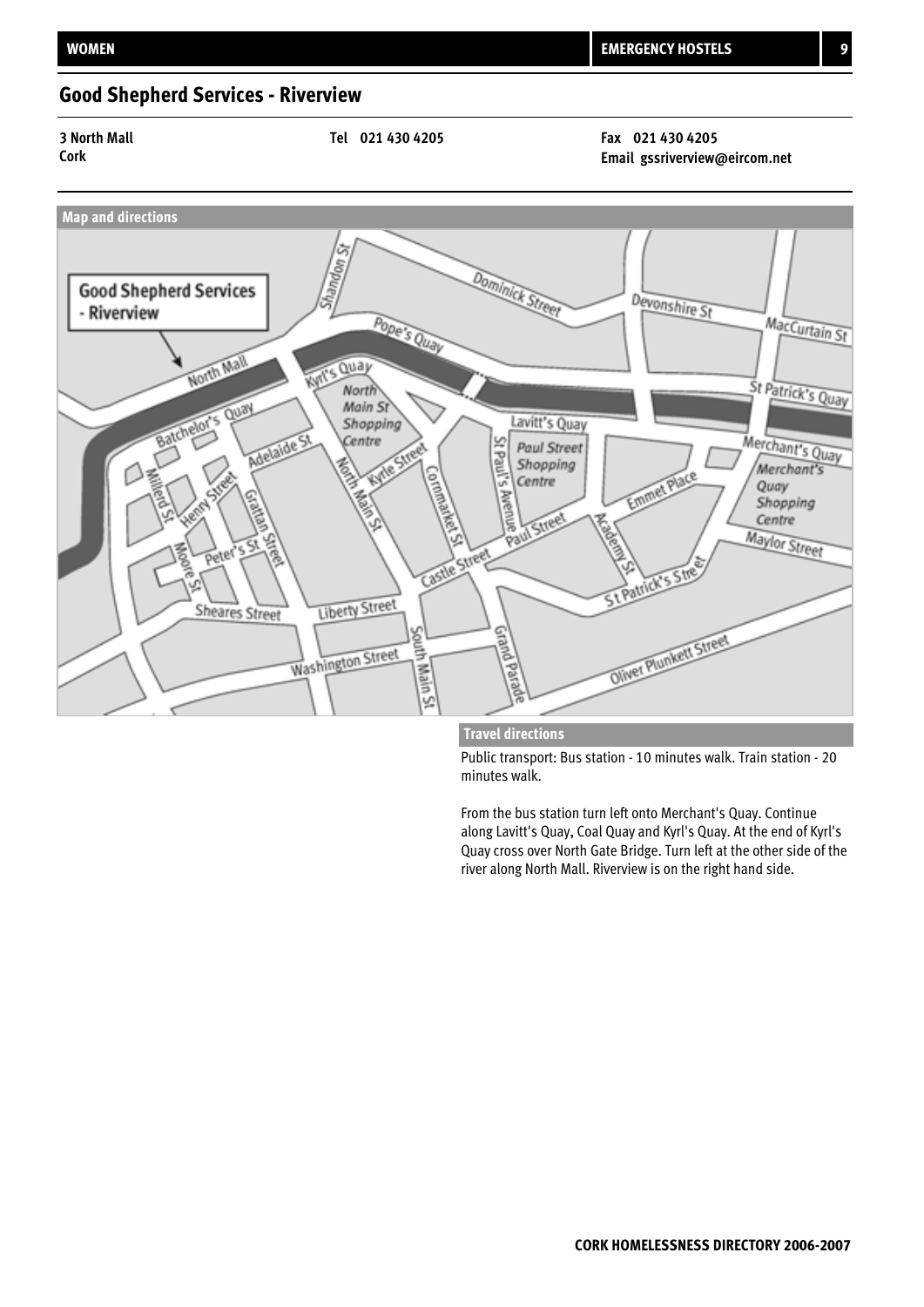## **Good Shepherd Services - Riverview**

**3 North Mall Tel 021 430 4205 Fax 021 430 4205**

**Cork Email gssriverview@eircom.net**



**Travel directions**

Public transport: Bus station - 10 minutes walk. Train station - 20 minutes walk.

From the bus station turn left onto Merchant's Quay. Continue along Lavitt's Quay, Coal Quay and Kyrl's Quay. At the end of Kyrl's Quay cross over North Gate Bridge. Turn left at the other side of the river along North Mall. Riverview is on the right hand side.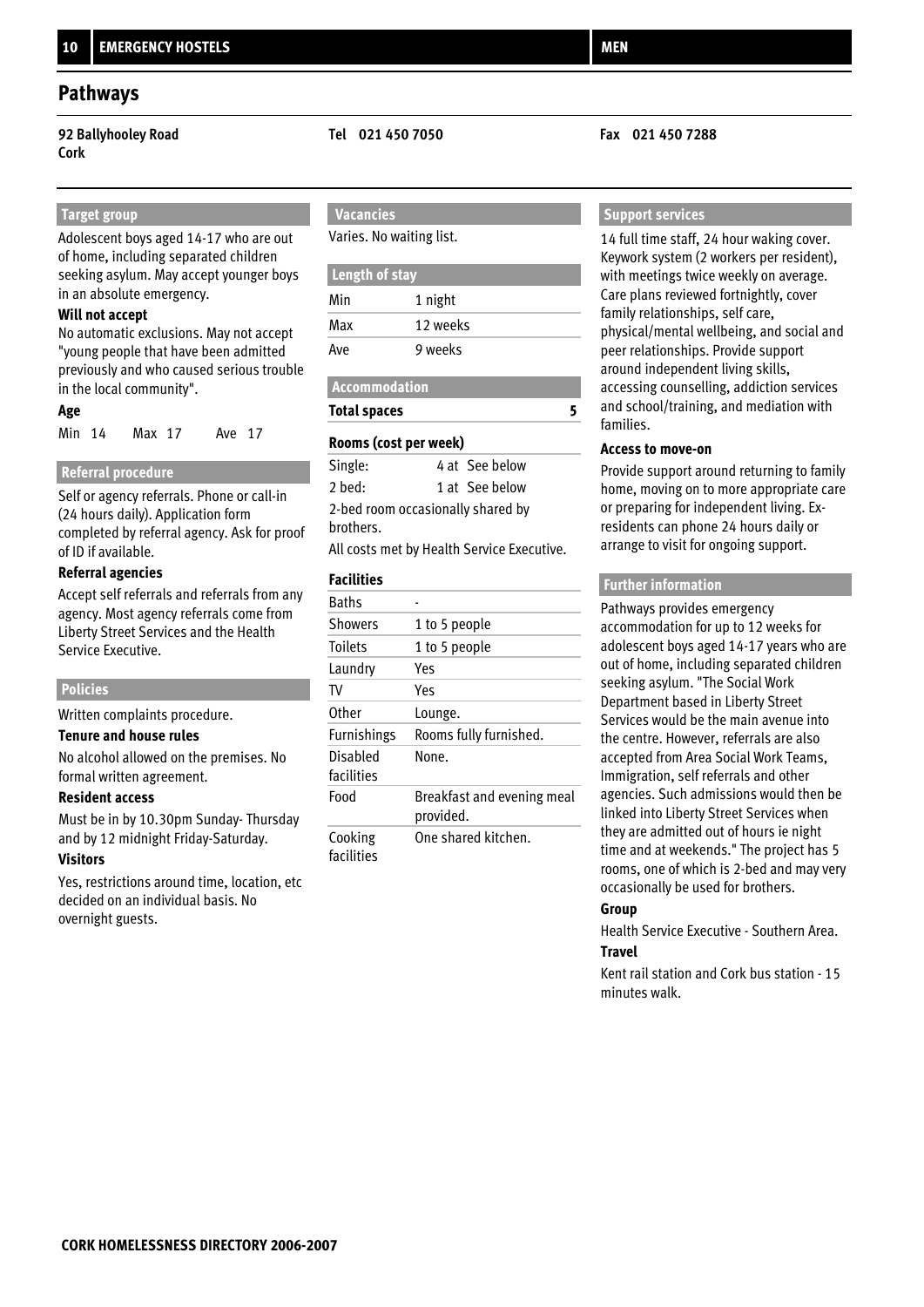**92 Ballyhooley Road Tel 021 450 7050 Fax 021 450 7288 Cork**

### **Target group**

Adolescent boys aged 14-17 who are out of home, including separated children seeking asylum. May accept younger boys in an absolute emergency.

### **Will not accept**

No automatic exclusions. May not accept "young people that have been admitted previously and who caused serious trouble in the local community".

### **Age**

| Min 14 | Max 17 | Ave 17 |  |
|--------|--------|--------|--|
|        |        |        |  |

### **Referral procedure**

Self or agency referrals. Phone or call-in (24 hours daily). Application form completed by referral agency. Ask for proof of ID if available.

### **Referral agencies**

Accept self referrals and referrals from any agency. Most agency referrals come from Liberty Street Services and the Health Service Executive.

### **Policies**

Written complaints procedure.

### **Tenure and house rules**

No alcohol allowed on the premises. No formal written agreement.

### **Resident access**

Must be in by 10.30pm Sunday- Thursday and by 12 midnight Friday-Saturday.

### **Visitors**

Yes, restrictions around time, location, etc decided on an individual basis. No overnight guests.

### **Vacancies**

Varies. No waiting list.

| Length of stay |          |  |
|----------------|----------|--|
| Min            | 1 night  |  |
| Max            | 12 weeks |  |
| Ave            | 9 weeks  |  |

| <b>Accommodation</b> |  |
|----------------------|--|
| <b>Total spaces</b>  |  |

### **Rooms (cost per week)**

| Single:                           | 4 at See below |  |
|-----------------------------------|----------------|--|
| 2 bed:                            | 1 at See below |  |
| 2-bed room occasionally shared by |                |  |
| brothers.                         |                |  |

All costs met by Health Service Executive.

### **Facilities**

| <b>Baths</b>           |                                         |
|------------------------|-----------------------------------------|
| <b>Showers</b>         | 1 to 5 people                           |
| <b>Toilets</b>         | 1 to 5 people                           |
| Laundry                | Yes                                     |
| TV                     | Yes                                     |
| Other                  | Lounge.                                 |
| <b>Furnishings</b>     | Rooms fully furnished.                  |
| Disabled<br>facilities | None.                                   |
| Food                   | Breakfast and evening meal<br>provided. |
| Cooking<br>facilities  | One shared kitchen.                     |

### **Support services**

14 full time staff, 24 hour waking cover. Keywork system (2 workers per resident), with meetings twice weekly on average. Care plans reviewed fortnightly, cover family relationships, self care, physical/mental wellbeing, and social and peer relationships. Provide support around independent living skills, accessing counselling, addiction services and school/training, and mediation with families.

### **Access to move-on**

**5**

Provide support around returning to family home, moving on to more appropriate care or preparing for independent living. Exresidents can phone 24 hours daily or arrange to visit for ongoing support.

### **Further information**

Pathways provides emergency accommodation for up to 12 weeks for adolescent boys aged 14-17 years who are out of home, including separated children seeking asylum. "The Social Work Department based in Liberty Street Services would be the main avenue into the centre. However, referrals are also accepted from Area Social Work Teams, Immigration, self referrals and other agencies. Such admissions would then be linked into Liberty Street Services when they are admitted out of hours ie night time and at weekends." The project has 5 rooms, one of which is 2-bed and may very occasionally be used for brothers.

### **Group**

Health Service Executive - Southern Area. **Travel**

Kent rail station and Cork bus station - 15 minutes walk.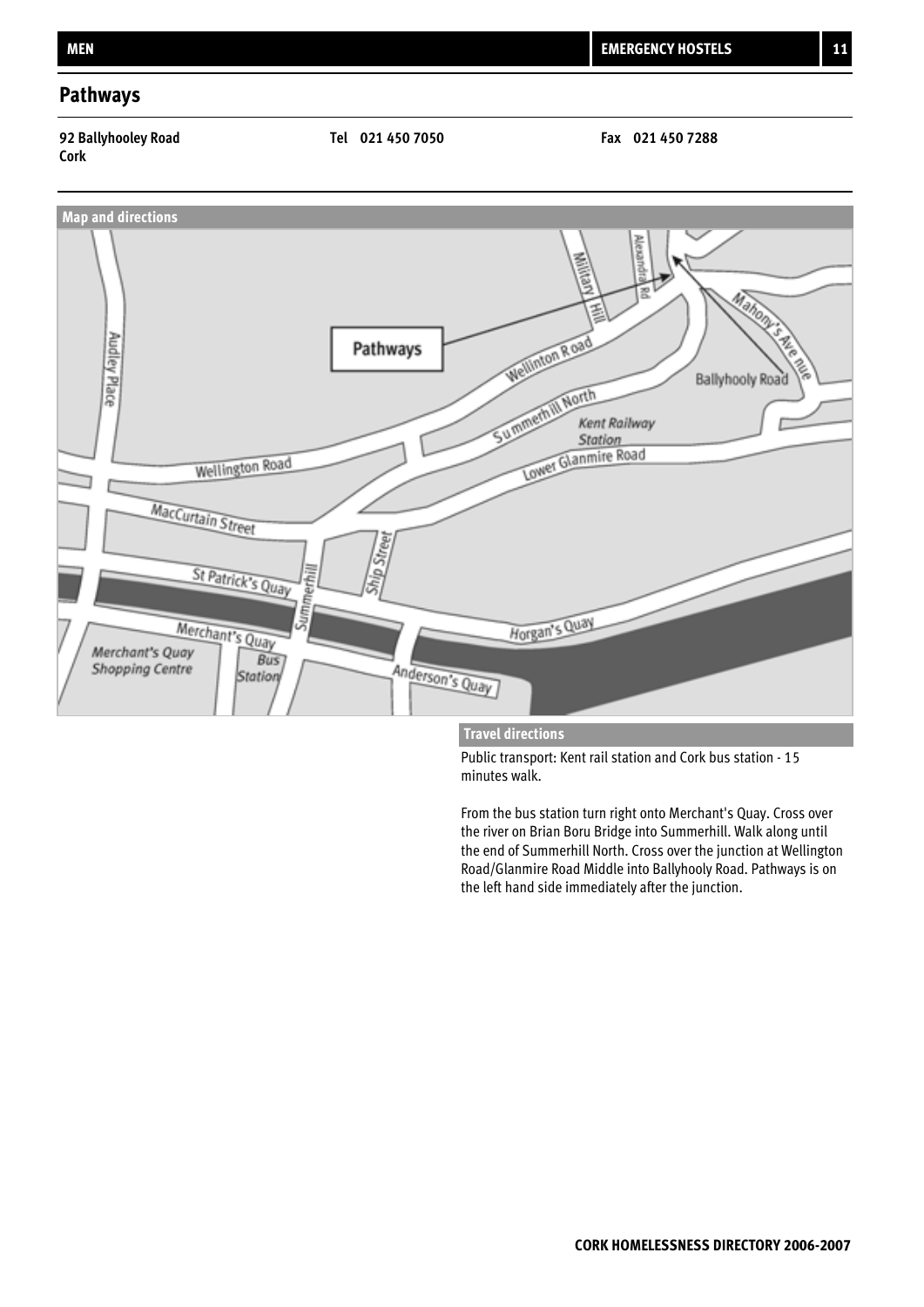### **Pathways**

# **Cork**





### **Travel directions**

Public transport: Kent rail station and Cork bus station - 15 minutes walk.

From the bus station turn right onto Merchant's Quay. Cross over the river on Brian Boru Bridge into Summerhill. Walk along until the end of Summerhill North. Cross over the junction at Wellington Road/Glanmire Road Middle into Ballyhooly Road. Pathways is on the left hand side immediately after the junction.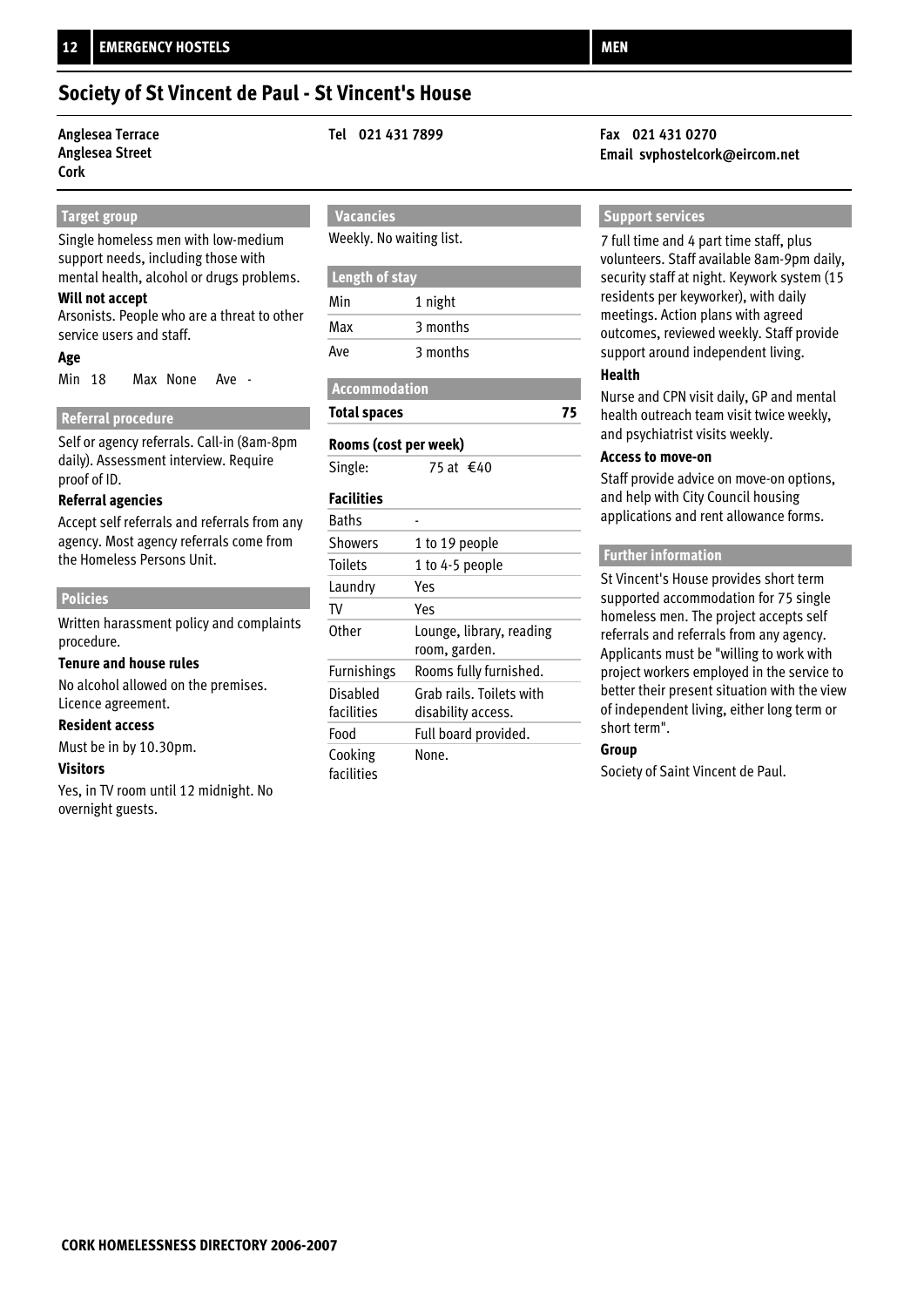## **Society of St Vincent de Paul - St Vincent's House**

## **Anglesea Street Cork**

### **Target group**

Single homeless men with low-medium support needs, including those with mental health, alcohol or drugs problems.

### **Will not accept**

Arsonists. People who are a threat to other service users and staff.

### **Age**

Min 18 Max None Ave -

### **Referral procedure**

Self or agency referrals. Call-in (8am-8pm daily). Assessment interview. Require proof of ID.

### **Referral agencies**

Accept self referrals and referrals from any agency. Most agency referrals come from the Homeless Persons Unit.

### **Policies**

Written harassment policy and complaints procedure.

### **Tenure and house rules**

No alcohol allowed on the premises. Licence agreement.

### **Resident access**

Must be in by 10.30pm.

### **Visitors**

Yes, in TV room until 12 midnight. No overnight guests.

 **Vacancies**

Weekly. No waiting list.

| Length of stay |          |  |
|----------------|----------|--|
| Min            | 1 night  |  |
| Max            | 3 months |  |
| Ave            | 3 months |  |

| Accommodation       |  |
|---------------------|--|
| <b>Total spaces</b> |  |

### **Rooms (cost per week)**

Single:  $75$  at €40

### **Facilities**

| <b>Baths</b>           |                                                |
|------------------------|------------------------------------------------|
| <b>Showers</b>         | 1 to 19 people                                 |
| <b>Toilets</b>         | 1 to 4-5 people                                |
| Laundry                | Yes                                            |
| TV                     | Yes                                            |
| Other                  | Lounge, library, reading<br>room, garden.      |
| <b>Furnishings</b>     | Rooms fully furnished.                         |
| Disabled<br>facilities | Grab rails. Toilets with<br>disability access. |
| Food                   | Full board provided.                           |
| Cooking<br>facilities  | None.                                          |

### **Anglesea Terrace Tel 021 431 7899 Fax 021 431 0270 Email svphostelcork@eircom.net**

### **Support services**

7 full time and 4 part time staff, plus volunteers. Staff available 8am-9pm daily, security staff at night. Keywork system (15 residents per keyworker), with daily meetings. Action plans with agreed outcomes, reviewed weekly. Staff provide support around independent living.

### **Health**

**75**

Nurse and CPN visit daily, GP and mental health outreach team visit twice weekly, and psychiatrist visits weekly.

### **Access to move-on**

Staff provide advice on move-on options, and help with City Council housing applications and rent allowance forms.

### **Further information**

St Vincent's House provides short term supported accommodation for 75 single homeless men. The project accepts self referrals and referrals from any agency. Applicants must be "willing to work with project workers employed in the service to better their present situation with the view of independent living, either long term or short term".

### **Group**

Society of Saint Vincent de Paul.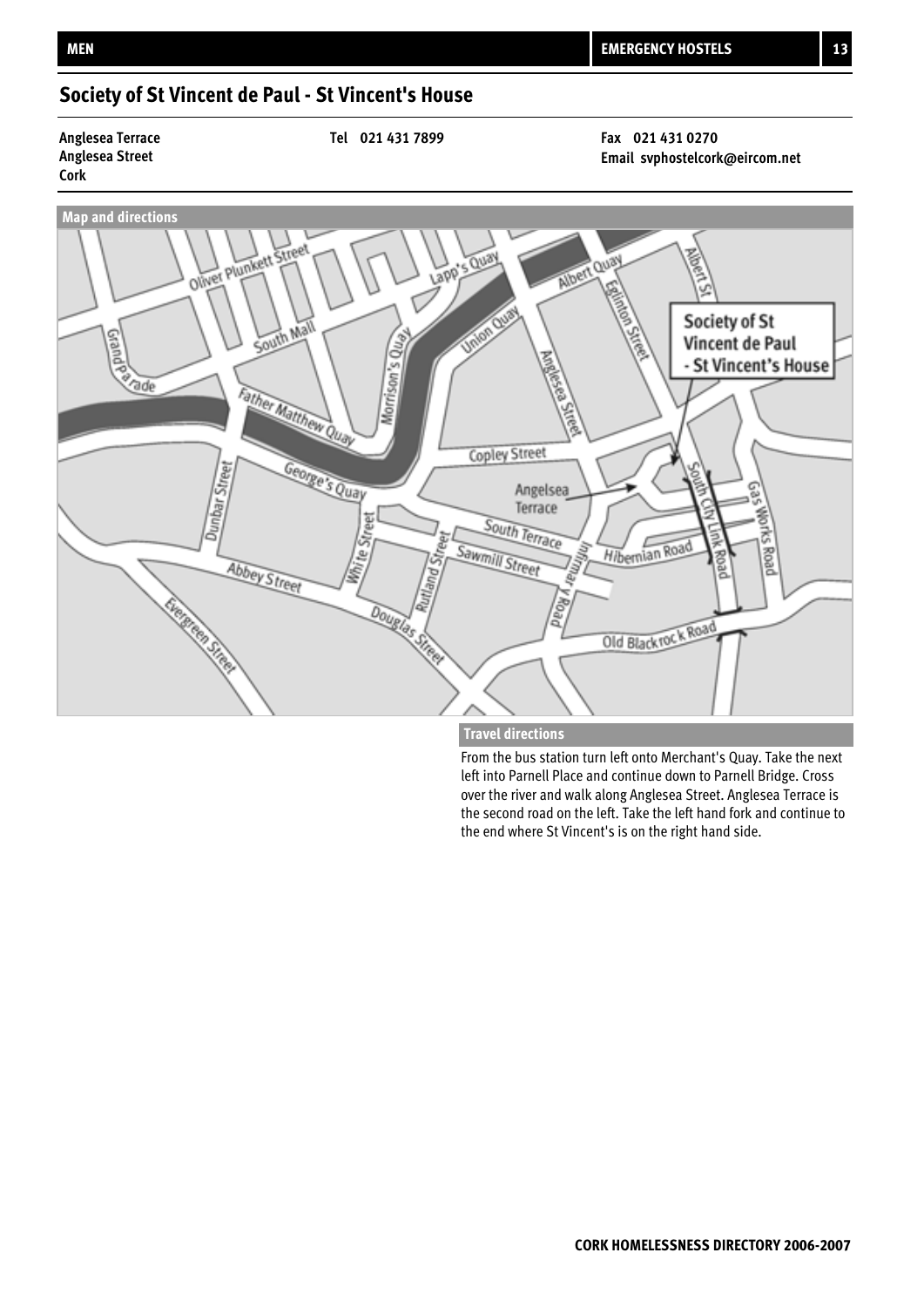## **Society of St Vincent de Paul - St Vincent's House**

## **Anglesea Street Cork**

**Anglesea Terrace Tel 021 431 7899 Fax 021 431 0270**

**Email svphostelcork@eircom.net**



### **Travel directions**

From the bus station turn left onto Merchant's Quay. Take the next left into Parnell Place and continue down to Parnell Bridge. Cross over the river and walk along Anglesea Street. Anglesea Terrace is the second road on the left. Take the left hand fork and continue to the end where St Vincent's is on the right hand side.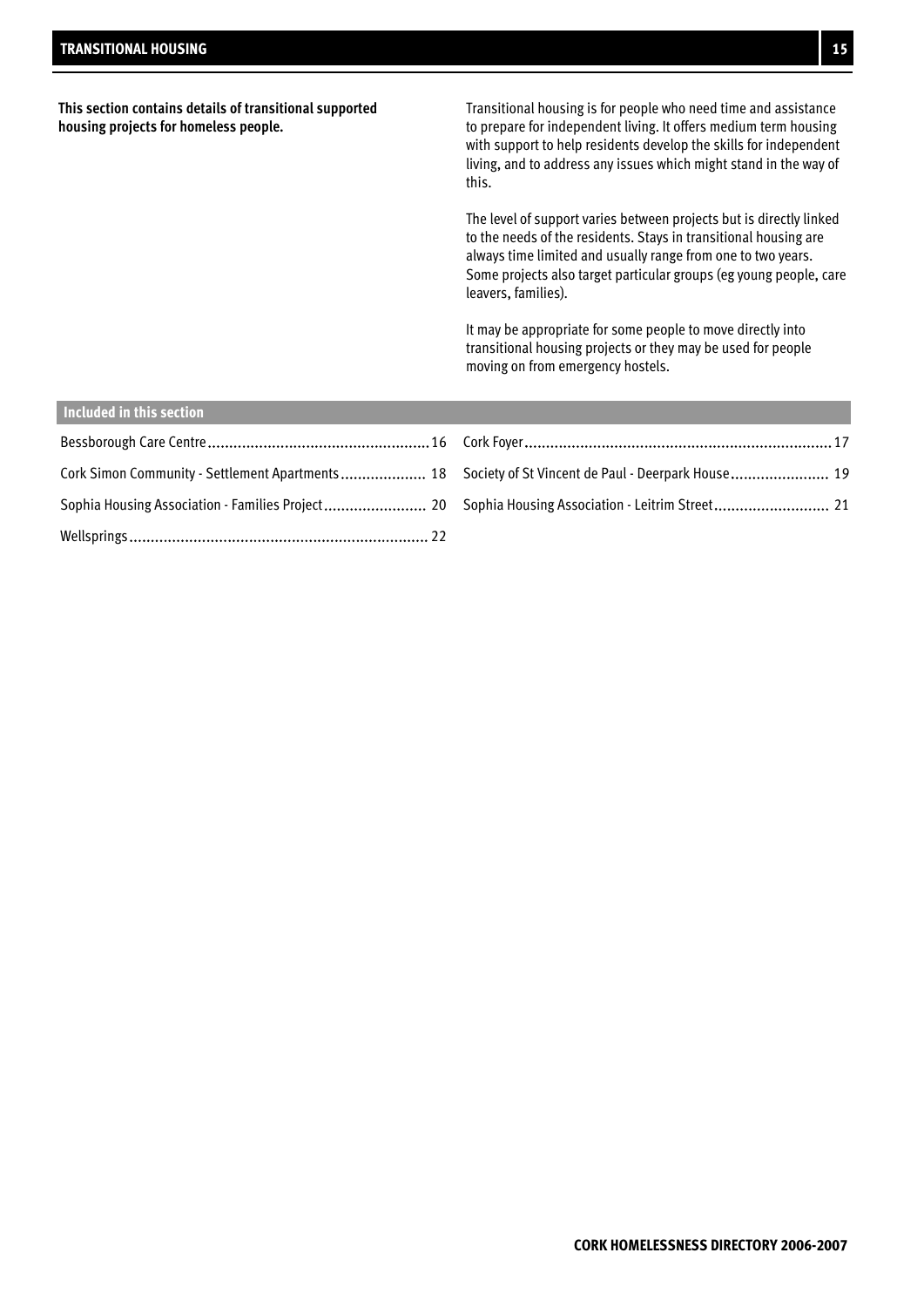| This section contains details of transitional supported<br>housing projects for homeless people.    | Transitional housing is for people who need time and assistance<br>to prepare for independent living. It offers medium term housing<br>with support to help residents develop the skills for independent<br>living, and to address any issues which might stand in the way of<br>this.<br>The level of support varies between projects but is directly linked<br>to the needs of the residents. Stays in transitional housing are<br>always time limited and usually range from one to two years. |
|-----------------------------------------------------------------------------------------------------|---------------------------------------------------------------------------------------------------------------------------------------------------------------------------------------------------------------------------------------------------------------------------------------------------------------------------------------------------------------------------------------------------------------------------------------------------------------------------------------------------|
|                                                                                                     | Some projects also target particular groups (eg young people, care<br>leavers, families).                                                                                                                                                                                                                                                                                                                                                                                                         |
|                                                                                                     | It may be appropriate for some people to move directly into<br>transitional housing projects or they may be used for people<br>moving on from emergency hostels.                                                                                                                                                                                                                                                                                                                                  |
| Included in this section                                                                            |                                                                                                                                                                                                                                                                                                                                                                                                                                                                                                   |
|                                                                                                     |                                                                                                                                                                                                                                                                                                                                                                                                                                                                                                   |
| Cork Simon Community - Settlement Apartments  18 Society of St Vincent de Paul - Deerpark House  19 |                                                                                                                                                                                                                                                                                                                                                                                                                                                                                                   |

Sophia Housing Association - Families Project 20 . ........................ Sophia Housing Association - Leitrim Street 21 ...........................

Wellsprings 22 ......................................................................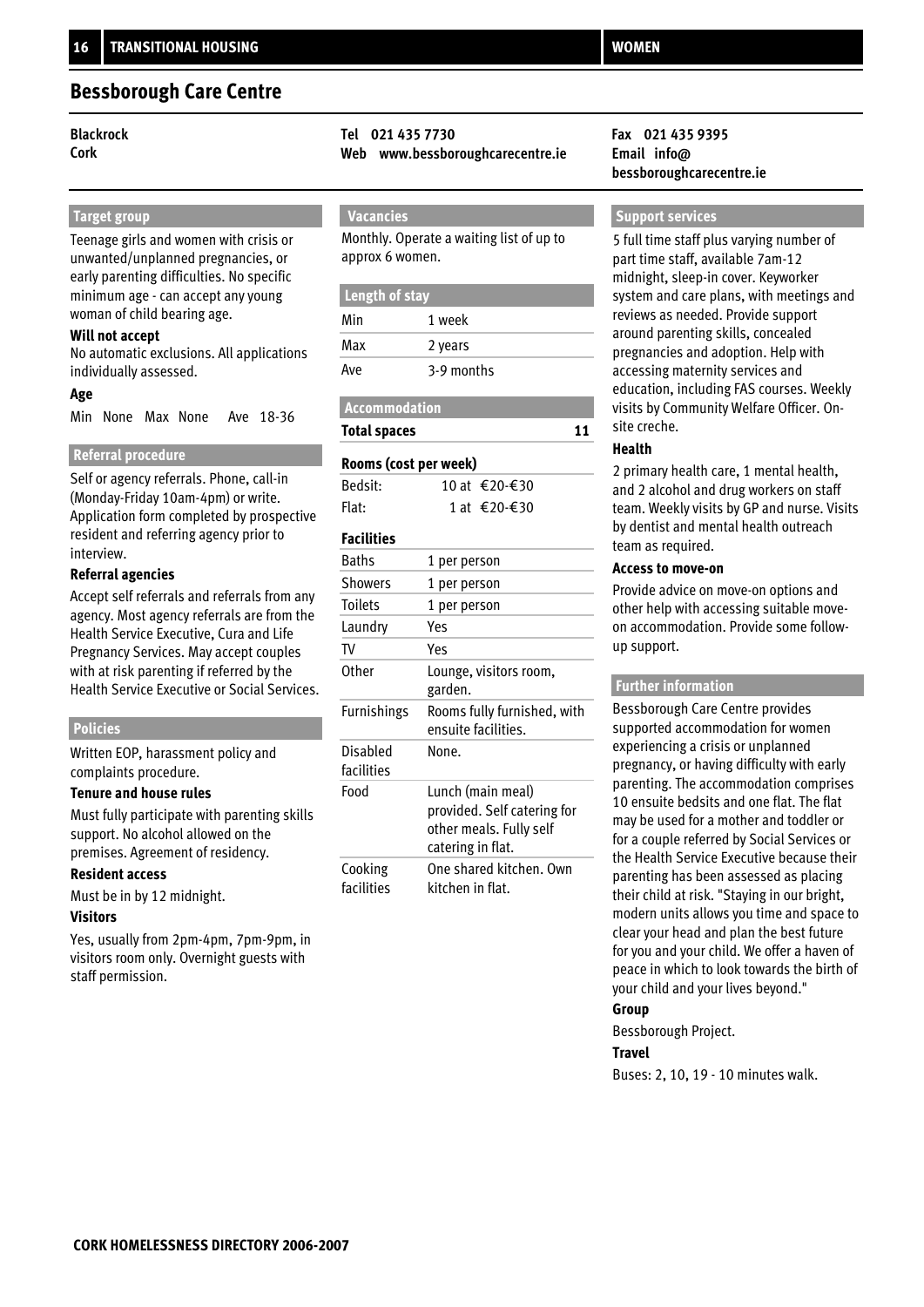### **Bessborough Care Centre**

### **Target group**

Teenage girls and women with crisis or unwanted/unplanned pregnancies, or early parenting difficulties. No specific minimum age - can accept any young woman of child bearing age.

### **Will not accept**

No automatic exclusions. All applications individually assessed.

### **Age**

Min None Max None Ave 18-36

### **Referral procedure**

Self or agency referrals. Phone, call-in (Monday-Friday 10am-4pm) or write. Application form completed by prospective resident and referring agency prior to interview.

### **Referral agencies**

Accept self referrals and referrals from any agency. Most agency referrals are from the Health Service Executive, Cura and Life Pregnancy Services. May accept couples with at risk parenting if referred by the Health Service Executive or Social Services.

### **Policies**

Written EOP, harassment policy and complaints procedure.

### **Tenure and house rules**

Must fully participate with parenting skills support. No alcohol allowed on the premises. Agreement of residency.

### **Resident access**

Must be in by 12 midnight.

### **Visitors**

Yes, usually from 2pm-4pm, 7pm-9pm, in visitors room only. Overnight guests with staff permission.

### **Blackrock Tel 021 435 7730 Fax 021 435 9395**

**Cork Web www.bessboroughcarecentre.ie Email info@**

### **Vacancies**

Monthly. Operate a waiting list of up to approx 6 women.

### **Length of stay**

| Min | 1 week     |
|-----|------------|
| Max | 2 years    |
| Ave | 3-9 months |

### **Accommodation**

**Total spaces**

### **Rooms (cost per week)**

| Bedsit: | 10 at €20-€30 |
|---------|---------------|
| Flat:   | 1 at €20-€30  |

### **Facilities**

| <b>Baths</b>           | 1 per person                                                                                     |
|------------------------|--------------------------------------------------------------------------------------------------|
| <b>Showers</b>         | 1 per person                                                                                     |
| <b>Toilets</b>         | 1 per person                                                                                     |
| Laundry                | Yes                                                                                              |
| TV                     | Yes                                                                                              |
| Other                  | Lounge, visitors room,<br>garden.                                                                |
| Furnishings            | Rooms fully furnished, with<br>ensuite facilities.                                               |
| Disabled<br>facilities | None.                                                                                            |
| Food                   | Lunch (main meal)<br>provided. Self catering for<br>other meals. Fully self<br>catering in flat. |
| Cooking<br>facilities  | One shared kitchen. Own<br>kitchen in flat.                                                      |

# **bessboroughcarecentre.ie**

### **Support services**

5 full time staff plus varying number of part time staff, available 7am-12 midnight, sleep-in cover. Keyworker system and care plans, with meetings and reviews as needed. Provide support around parenting skills, concealed pregnancies and adoption. Help with accessing maternity services and education, including FAS courses. Weekly visits by Community Welfare Officer. Onsite creche.

### **Health**

**11**

2 primary health care, 1 mental health, and 2 alcohol and drug workers on staff team. Weekly visits by GP and nurse. Visits by dentist and mental health outreach team as required.

### **Access to move-on**

Provide advice on move-on options and other help with accessing suitable moveon accommodation. Provide some followup support.

### **Further information**

Bessborough Care Centre provides supported accommodation for women experiencing a crisis or unplanned pregnancy, or having difficulty with early parenting. The accommodation comprises 10 ensuite bedsits and one flat. The flat may be used for a mother and toddler or for a couple referred by Social Services or the Health Service Executive because their parenting has been assessed as placing their child at risk. "Staying in our bright, modern units allows you time and space to clear your head and plan the best future for you and your child. We offer a haven of peace in which to look towards the birth of your child and your lives beyond."

### **Group**

Bessborough Project.

### **Travel**

Buses: 2, 10, 19 - 10 minutes walk.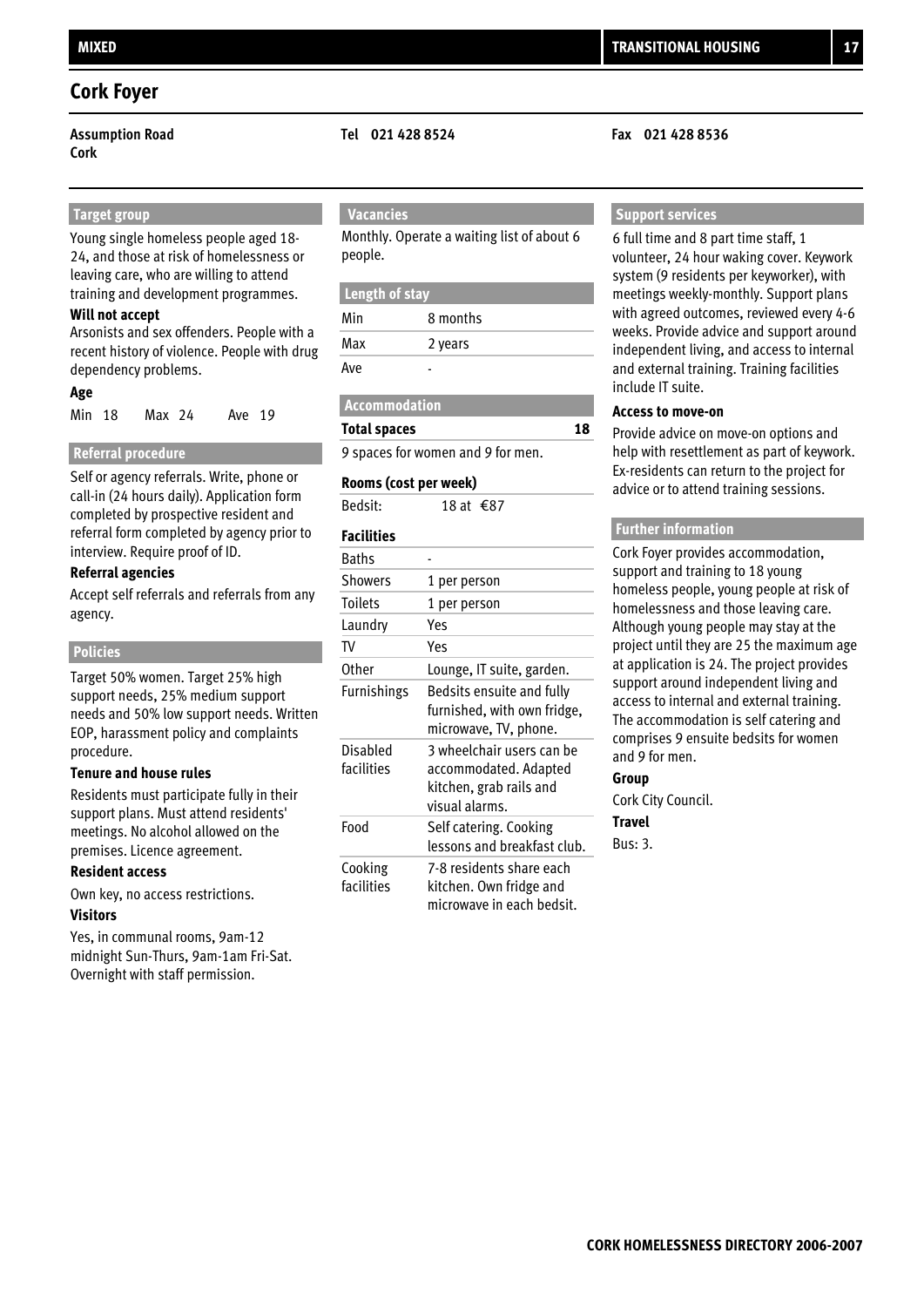### **Cork Foyer**

**Cork**

### **Target group**

Young single homeless people aged 18- 24, and those at risk of homelessness or leaving care, who are willing to attend training and development programmes.

### **Will not accept**

Arsonists and sex offenders. People with a recent history of violence. People with drug dependency problems.

### **Age**

| Min 18 |  | Max 24 |  | Ave 19 |  |
|--------|--|--------|--|--------|--|
|--------|--|--------|--|--------|--|

### **Referral procedure**

Self or agency referrals. Write, phone or call-in (24 hours daily). Application form completed by prospective resident and referral form completed by agency prior to interview. Require proof of ID.

### **Referral agencies**

Accept self referrals and referrals from any agency.

### **Policies**

Target 50% women. Target 25% high support needs, 25% medium support needs and 50% low support needs. Written EOP, harassment policy and complaints procedure.

### **Tenure and house rules**

Residents must participate fully in their support plans. Must attend residents' meetings. No alcohol allowed on the premises. Licence agreement.

### **Resident access**

Own key, no access restrictions. **Visitors**

Yes, in communal rooms, 9am-12 midnight Sun-Thurs, 9am-1am Fri-Sat. Overnight with staff permission.

### **Assumption Road Tel 021 428 8524 Fax 021 428 8536**

### **Vacancies**

Monthly. Operate a waiting list of about 6 people.

### **Length of stay**

| Min | 8 months |
|-----|----------|
| Max | 2 years  |
| Ave |          |

### **Accommodation**

**Total spaces**

9 spaces for women and 9 for men.

### **Rooms (cost per week)**

Bedsit:  $18$  at €87

### **Facilities**

| <b>Baths</b>           |                                                                                                 |
|------------------------|-------------------------------------------------------------------------------------------------|
| <b>Showers</b>         | 1 per person                                                                                    |
| <b>Toilets</b>         | 1 per person                                                                                    |
| Laundry                | Yes                                                                                             |
| TV                     | Yes                                                                                             |
| <b>Other</b>           | Lounge, IT suite, garden.                                                                       |
| Furnishings            | Bedsits ensuite and fully<br>furnished, with own fridge,<br>microwave, TV, phone.               |
| Disabled<br>facilities | 3 wheelchair users can be<br>accommodated. Adapted<br>kitchen, grab rails and<br>visual alarms. |
| Food                   | Self catering. Cooking<br>lessons and breakfast club.                                           |
| Cooking<br>facilities  | 7-8 residents share each<br>kitchen. Own fridge and<br>microwave in each bedsit.                |

### **Support services**

6 full time and 8 part time staff, 1 volunteer, 24 hour waking cover. Keywork system (9 residents per keyworker), with meetings weekly-monthly. Support plans with agreed outcomes, reviewed every 4-6 weeks. Provide advice and support around independent living, and access to internal and external training. Training facilities include IT suite.

### **Access to move-on**

**18**

Provide advice on move-on options and help with resettlement as part of keywork. Ex-residents can return to the project for advice or to attend training sessions.

### **Further information**

Cork Foyer provides accommodation, support and training to 18 young homeless people, young people at risk of homelessness and those leaving care. Although young people may stay at the project until they are 25 the maximum age at application is 24. The project provides support around independent living and access to internal and external training. The accommodation is self catering and comprises 9 ensuite bedsits for women and 9 for men.

### **Group**

Cork City Council.

### **Travel**

Bus: 3.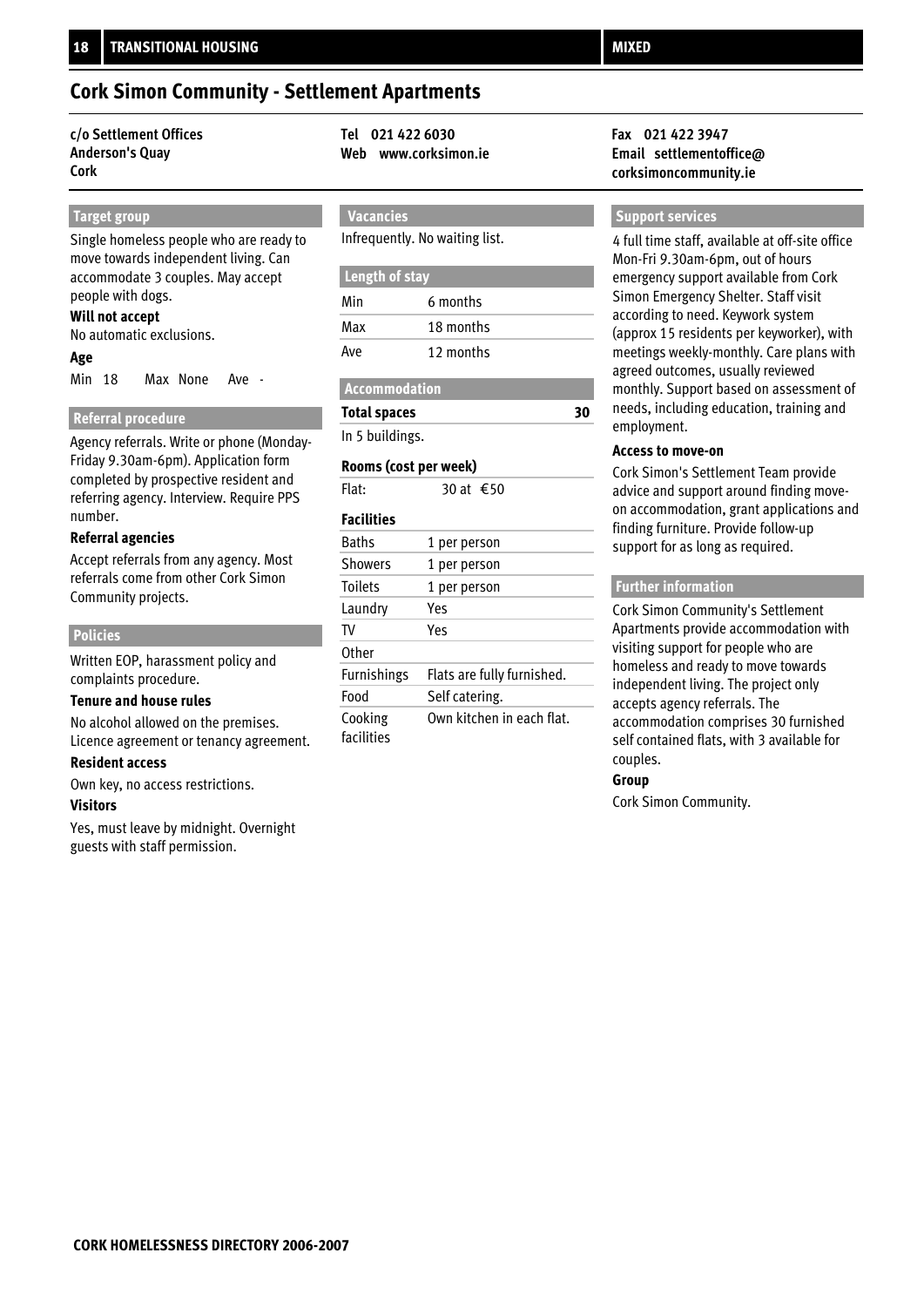### **Cork Simon Community - Settlement Apartments**

### **c/o Settlement Offices Tel 021 422 6030 Fax 021 422 3947 Anderson's Quay Cork**

### **Target group**

Single homeless people who are ready to move towards independent living. Can accommodate 3 couples. May accept people with dogs.

#### **Will not accept**

No automatic exclusions.

### **Age**

Min 18 Max None Ave -

### **Referral procedure**

Agency referrals. Write or phone (Monday-Friday 9.30am-6pm). Application form completed by prospective resident and referring agency. Interview. Require PPS number.

### **Referral agencies**

Accept referrals from any agency. Most referrals come from other Cork Simon Community projects.

### **Policies**

Written EOP, harassment policy and complaints procedure.

#### **Tenure and house rules**

No alcohol allowed on the premises. Licence agreement or tenancy agreement.

#### **Resident access**

Own key, no access restrictions.

### **Visitors**

Yes, must leave by midnight. Overnight guests with staff permission.

 **Vacancies**

Infrequently. No waiting list.

### **Length of stay**

| Min | 6 months  |
|-----|-----------|
| Max | 18 months |
| Ave | 12 months |

### **Accommodation**

**Total spaces**

In 5 buildings.

### **Rooms (cost per week)**

Flat:  $30$  at €50

### **Facilities**

| <b>Baths</b>       | 1 per person               |
|--------------------|----------------------------|
| <b>Showers</b>     | 1 per person               |
| <b>Toilets</b>     | 1 per person               |
| Laundry            | Yes                        |
| TV                 | Yes                        |
| Other              |                            |
| <b>Furnishings</b> | Flats are fully furnished. |
| Food               | Self catering.             |
| Cooking            | Own kitchen in each flat.  |
| facilities         |                            |

## **Web www.corksimon.ie Email settlementoffice@ corksimoncommunity.ie**

### **Support services**

4 full time staff, available at off-site office Mon-Fri 9.30am-6pm, out of hours emergency support available from Cork Simon Emergency Shelter. Staff visit according to need. Keywork system (approx 15 residents per keyworker), with meetings weekly-monthly. Care plans with agreed outcomes, usually reviewed monthly. Support based on assessment of needs, including education, training and employment.

### **Access to move-on**

**30**

Cork Simon's Settlement Team provide advice and support around finding moveon accommodation, grant applications and finding furniture. Provide follow-up support for as long as required.

### **Further information**

Cork Simon Community's Settlement Apartments provide accommodation with visiting support for people who are homeless and ready to move towards independent living. The project only accepts agency referrals. The accommodation comprises 30 furnished self contained flats, with 3 available for couples.

### **Group**

Cork Simon Community.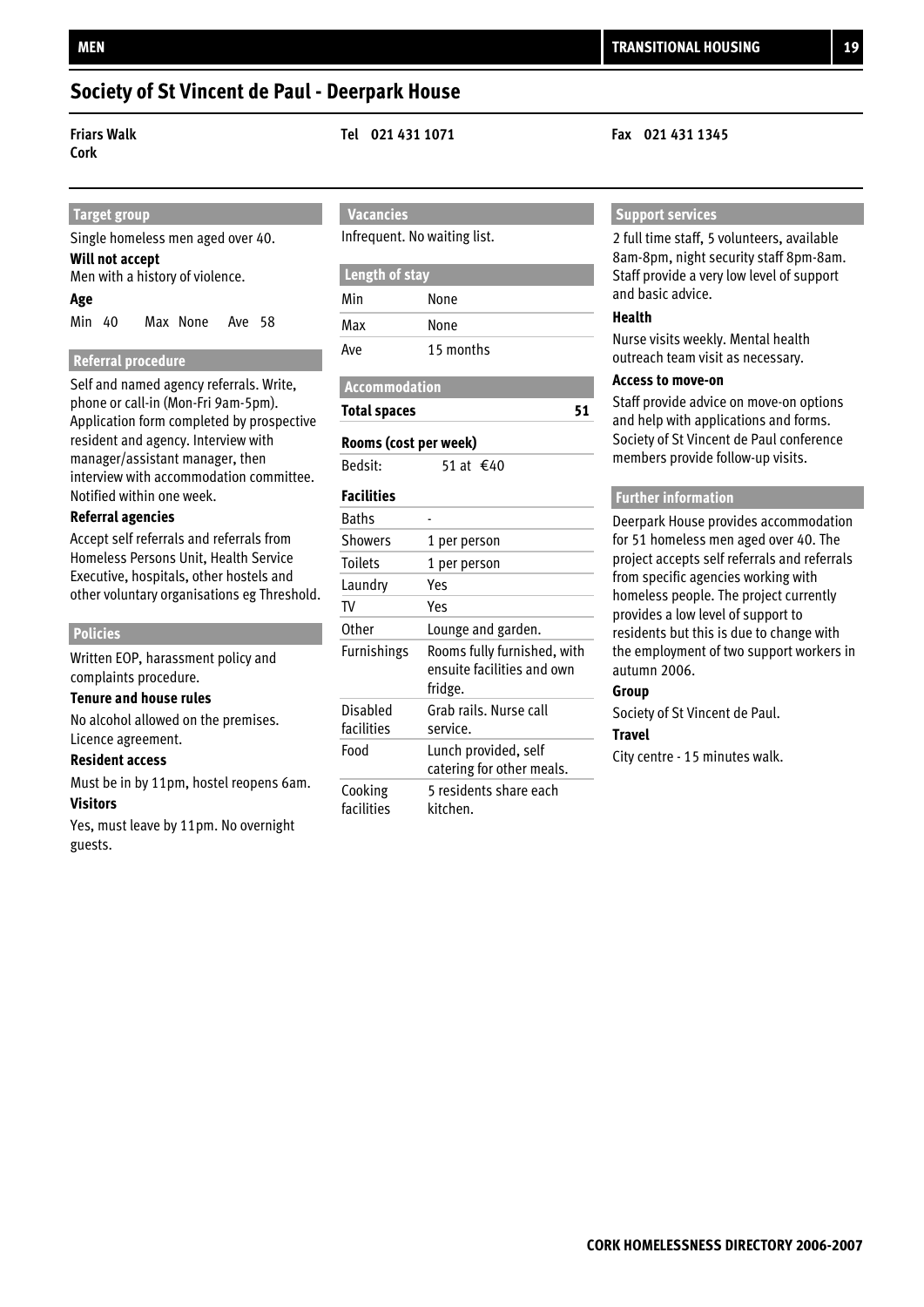### **Society of St Vincent de Paul - Deerpark House**

**Cork**

**Friars Walk Tel 021 431 1071 Fax 021 431 1345**

## **Target group**

Single homeless men aged over 40. **Age** Men with a history of violence. Min 40 Max None Ave 58 **Will not accept**

### **Referral procedure**

Self and named agency referrals. Write, phone or call-in (Mon-Fri 9am-5pm). Application form completed by prospective resident and agency. Interview with manager/assistant manager, then interview with accommodation committee. Notified within one week.

### **Referral agencies**

Accept self referrals and referrals from Homeless Persons Unit, Health Service Executive, hospitals, other hostels and other voluntary organisations eg Threshold.

### **Policies**

Written EOP, harassment policy and complaints procedure.

### **Tenure and house rules**

No alcohol allowed on the premises. Licence agreement.

### **Resident access**

Must be in by 11pm, hostel reopens 6am. **Visitors**

Yes, must leave by 11pm. No overnight guests.

### **Vacancies**

Infrequent. No waiting list.

### **Length of stay**

| Min | None      |  |
|-----|-----------|--|
| Max | None      |  |
| Ave | 15 months |  |

### **Accommodation**

**Total spaces**

### **Rooms (cost per week)**

Bedsit:  $51$  at €40

### **Facilities**

| <b>Baths</b>           |                                                                      |
|------------------------|----------------------------------------------------------------------|
| Showers                | 1 per person                                                         |
| <b>Toilets</b>         | 1 per person                                                         |
| Laundry                | Yes                                                                  |
| TV                     | Yes                                                                  |
| Other                  | Lounge and garden.                                                   |
| <b>Furnishings</b>     | Rooms fully furnished, with<br>ensuite facilities and own<br>fridge. |
| Disabled<br>facilities | Grab rails. Nurse call<br>service.                                   |
| Food                   | Lunch provided, self<br>catering for other meals.                    |
| Cooking<br>facilities  | 5 residents share each<br>kitchen.                                   |
|                        |                                                                      |

### **Support services**

2 full time staff, 5 volunteers, available 8am-8pm, night security staff 8pm-8am. Staff provide a very low level of support and basic advice.

### **Health**

**51**

Nurse visits weekly. Mental health outreach team visit as necessary.

### **Access to move-on**

Staff provide advice on move-on options and help with applications and forms. Society of St Vincent de Paul conference members provide follow-up visits.

### **Further information**

Deerpark House provides accommodation for 51 homeless men aged over 40. The project accepts self referrals and referrals from specific agencies working with homeless people. The project currently provides a low level of support to residents but this is due to change with the employment of two support workers in autumn 2006.

### **Group**

Society of St Vincent de Paul.

### **Travel**

City centre - 15 minutes walk.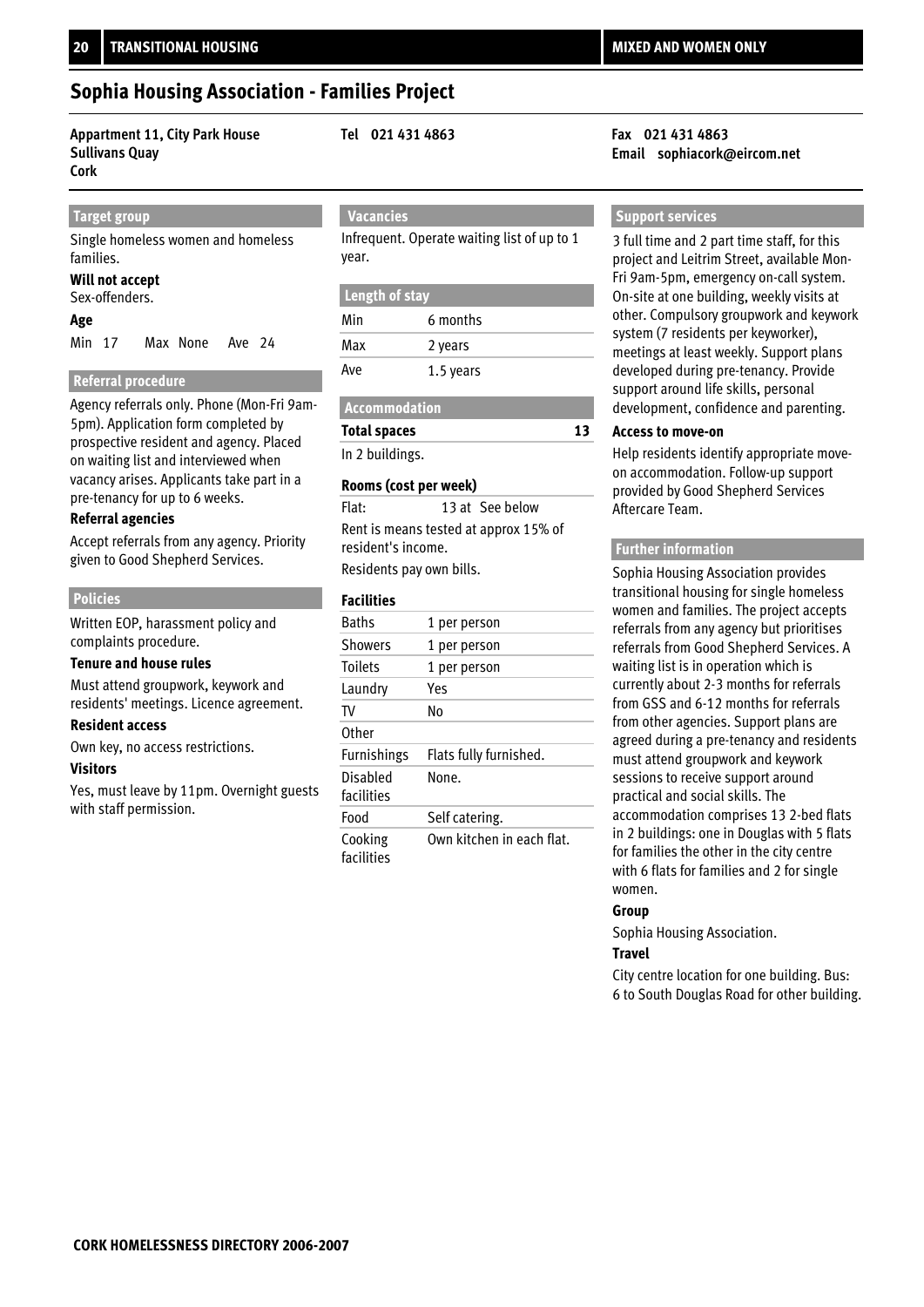## **Sophia Housing Association - Families Project**

### **Appartment 11, City Park House Tel 021 431 4863 Fax 021 431 4863 Sullivans Quay Cork**

### **Target group**

Single homeless women and homeless families.

### **Will not accept**

Sex-offenders.

### **Age**

Min 17 Max None Ave 24

### **Referral procedure**

Agency referrals only. Phone (Mon-Fri 9am-5pm). Application form completed by prospective resident and agency. Placed on waiting list and interviewed when vacancy arises. Applicants take part in a pre-tenancy for up to 6 weeks.

### **Referral agencies**

Accept referrals from any agency. Priority given to Good Shepherd Services.

### **Policies**

Written EOP, harassment policy and complaints procedure.

### **Tenure and house rules**

Must attend groupwork, keywork and residents' meetings. Licence agreement.

### **Resident access**

Own key, no access restrictions.

### **Visitors**

Yes, must leave by 11pm. Overnight guests with staff permission.

 **Vacancies**

Infrequent. Operate waiting list of up to 1 year.

### **Length of stay**

| Min | 6 months  |  |
|-----|-----------|--|
| Max | 2 years   |  |
| Ave | 1.5 years |  |

### **Accommodation**

**Total spaces**

In 2 buildings.

### **Rooms (cost per week)**

Rent is means tested at approx 15% of resident's income. Flat: 13 at See below

Residents pay own bills.

### **Facilities**

| <b>Baths</b>           | 1 per person              |
|------------------------|---------------------------|
| <b>Showers</b>         | 1 per person              |
| <b>Toilets</b>         | 1 per person              |
| Laundry                | Yes                       |
| TV                     | N٥                        |
| Other                  |                           |
| <b>Furnishings</b>     | Flats fully furnished.    |
| Disabled<br>facilities | None.                     |
| Food                   | Self catering.            |
| Cooking<br>facilities  | Own kitchen in each flat. |

# **Email sophiacork@eircom.net**

### **Support services**

3 full time and 2 part time staff, for this project and Leitrim Street, available Mon-Fri 9am-5pm, emergency on-call system. On-site at one building, weekly visits at other. Compulsory groupwork and keywork system (7 residents per keyworker), meetings at least weekly. Support plans developed during pre-tenancy. Provide support around life skills, personal development, confidence and parenting.

### **Access to move-on**

**13**

Help residents identify appropriate moveon accommodation. Follow-up support provided by Good Shepherd Services Aftercare Team.

### **Further information**

Sophia Housing Association provides transitional housing for single homeless women and families. The project accepts referrals from any agency but prioritises referrals from Good Shepherd Services. A waiting list is in operation which is currently about 2-3 months for referrals from GSS and 6-12 months for referrals from other agencies. Support plans are agreed during a pre-tenancy and residents must attend groupwork and keywork sessions to receive support around practical and social skills. The accommodation comprises 13 2-bed flats in 2 buildings: one in Douglas with 5 flats for families the other in the city centre with 6 flats for families and 2 for single women.

### **Group**

Sophia Housing Association.

### **Travel**

City centre location for one building. Bus: 6 to South Douglas Road for other building.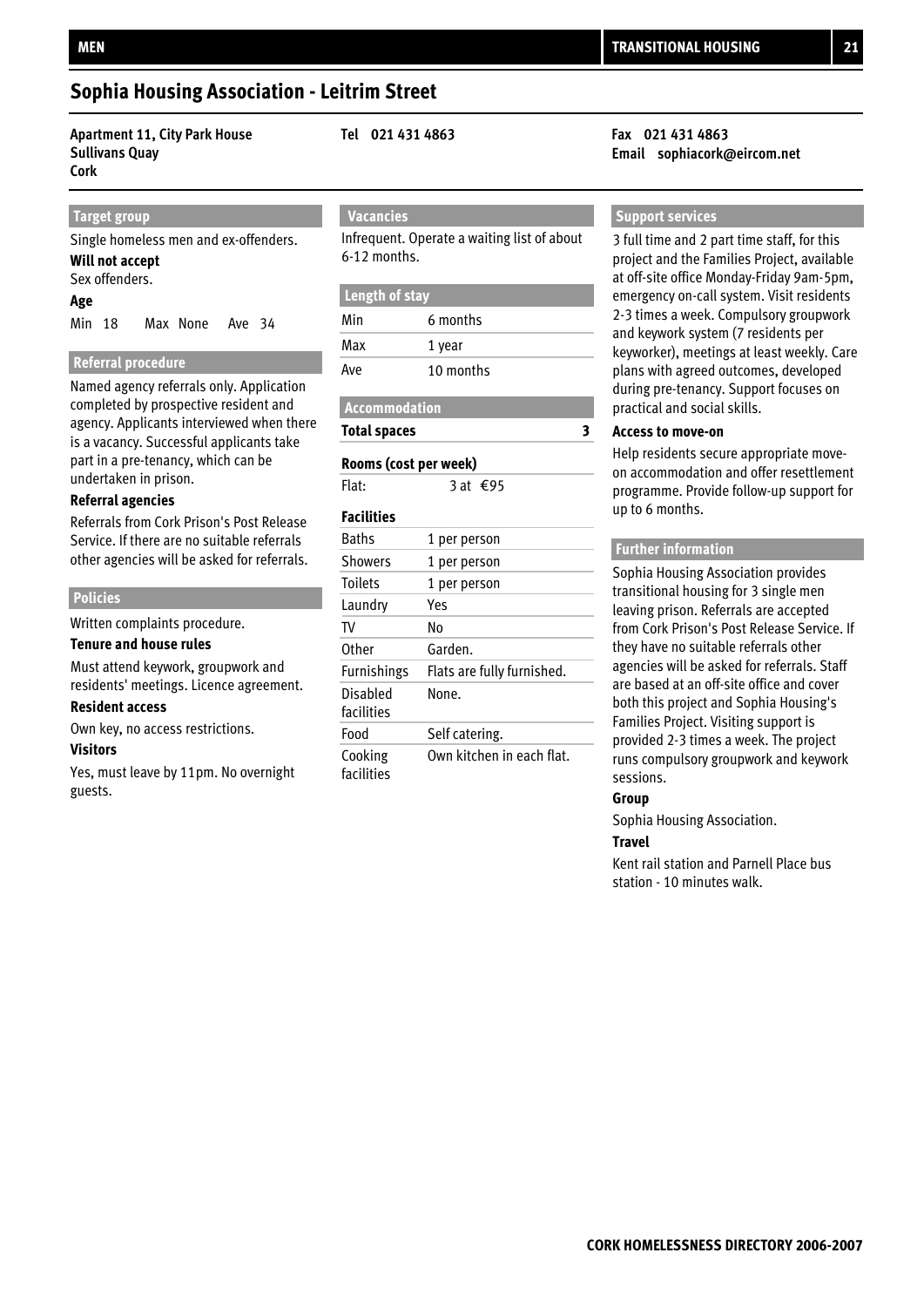### **Sophia Housing Association - Leitrim Street**

**Apartment 11, City Park House Tel 021 431 4863 Fax 021 431 4863 Sullivans Quay Cork** 

### **Target group**

Single homeless men and ex-offenders.

#### Sex offenders. **Will not accept**

### **Age**

Min 18 Max None Ave 34

### **Referral procedure**

Named agency referrals only. Application completed by prospective resident and agency. Applicants interviewed when there is a vacancy. Successful applicants take part in a pre-tenancy, which can be undertaken in prison.

### **Referral agencies**

Referrals from Cork Prison's Post Release Service. If there are no suitable referrals other agencies will be asked for referrals.

### **Policies**

Written complaints procedure.

### **Tenure and house rules**

Must attend keywork, groupwork and residents' meetings. Licence agreement.

### **Resident access**

Own key, no access restrictions.

### **Visitors**

Yes, must leave by 11pm. No overnight guests.

### **Vacancies**

Infrequent. Operate a waiting list of about 6-12 months.

### **Length of stay**

| Min | 6 months  |
|-----|-----------|
| Max | 1 year    |
| Ave | 10 months |

### **Accommodation**

**Total spaces**

### **Rooms (cost per week)**

Flat:  $\overline{3}$  at €95

### **Facilities**

| <b>Baths</b>           | 1 per person               |
|------------------------|----------------------------|
| <b>Showers</b>         | 1 per person               |
| <b>Toilets</b>         | 1 per person               |
| Laundry                | Yes                        |
| TV                     | No                         |
| Other                  | Garden.                    |
| <b>Furnishings</b>     | Flats are fully furnished. |
| Disabled<br>facilities | None.                      |
| Food                   | Self catering.             |
| Cooking<br>facilities  | Own kitchen in each flat.  |

# **Email sophiacork@eircom.net**

### **Support services**

3 full time and 2 part time staff, for this project and the Families Project, available at off-site office Monday-Friday 9am-5pm, emergency on-call system. Visit residents 2-3 times a week. Compulsory groupwork and keywork system (7 residents per keyworker), meetings at least weekly. Care plans with agreed outcomes, developed during pre-tenancy. Support focuses on practical and social skills.

### **Access to move-on**

**3**

Help residents secure appropriate moveon accommodation and offer resettlement programme. Provide follow-up support for up to 6 months.

### **Further information**

Sophia Housing Association provides transitional housing for 3 single men leaving prison. Referrals are accepted from Cork Prison's Post Release Service. If they have no suitable referrals other agencies will be asked for referrals. Staff are based at an off-site office and cover both this project and Sophia Housing's Families Project. Visiting support is provided 2-3 times a week. The project runs compulsory groupwork and keywork sessions.

### **Group**

Sophia Housing Association.

### **Travel**

Kent rail station and Parnell Place bus station - 10 minutes walk.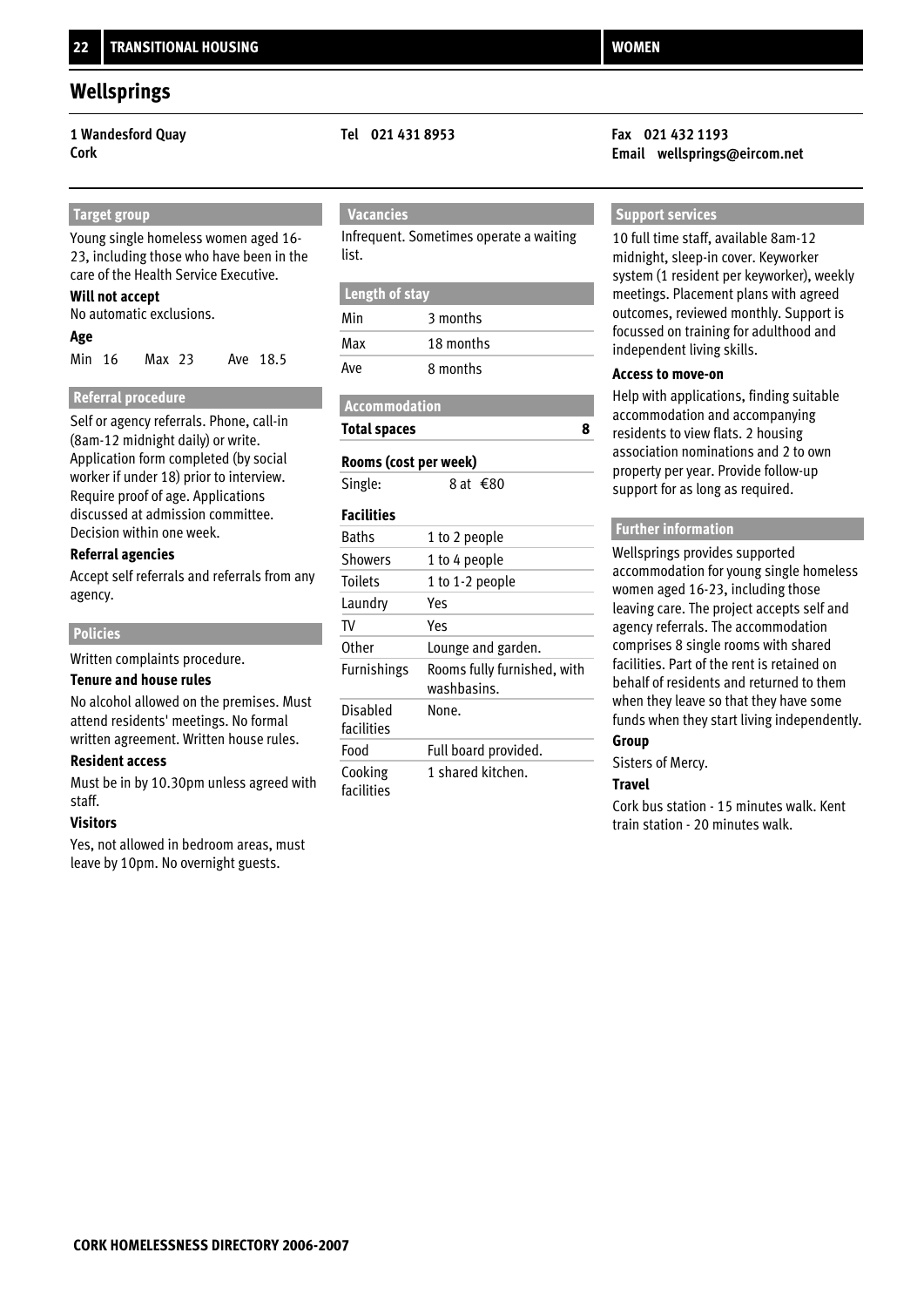### **Wellsprings**

 **Target group** Young single homeless women aged 16- 23, including those who have been in the care of the Health Service Executive.

### **Will not accept**

No automatic exclusions.

### **Age**

Min 16 Max 23 Ave 18.5

### **Referral procedure**

Self or agency referrals. Phone, call-in (8am-12 midnight daily) or write. Application form completed (by social worker if under 18) prior to interview. Require proof of age. Applications discussed at admission committee. Decision within one week.

### **Referral agencies**

Accept self referrals and referrals from any agency.

### **Policies**

Written complaints procedure.

### **Tenure and house rules**

No alcohol allowed on the premises. Must attend residents' meetings. No formal written agreement. Written house rules.

### **Resident access**

Must be in by 10.30pm unless agreed with staff.

### **Visitors**

Yes, not allowed in bedroom areas, must leave by 10pm. No overnight guests.

Infrequent. Sometimes operate a waiting list.

### **Length of stay**

| Min | 3 months  |
|-----|-----------|
| Max | 18 months |
| Ave | 8 months  |

### **Accommodation**

### **Total spaces**

### **Rooms (cost per week)**

Single: 8 at  $€80$ 

### **Facilities**

| <b>Baths</b>           | 1 to 2 people                              |
|------------------------|--------------------------------------------|
| <b>Showers</b>         | 1 to 4 people                              |
| <b>Toilets</b>         | 1 to 1-2 people                            |
| Laundry                | Yes                                        |
| TV                     | Yes                                        |
| <b>Other</b>           | Lounge and garden.                         |
| Furnishings            | Rooms fully furnished, with<br>washbasins. |
| Disabled<br>facilities | None.                                      |
| Food                   | Full board provided.                       |
| Cooking<br>facilities  | 1 shared kitchen.                          |

### **1 Wandesford Quay Tel 021 431 8953 Fax 021 432 1193 Cork Email wellsprings@eircom.net**

### **Support services**

10 full time staff, available 8am-12 midnight, sleep-in cover. Keyworker system (1 resident per keyworker), weekly meetings. Placement plans with agreed outcomes, reviewed monthly. Support is focussed on training for adulthood and independent living skills.

### **Access to move-on**

**8**

Help with applications, finding suitable accommodation and accompanying residents to view flats. 2 housing association nominations and 2 to own property per year. Provide follow-up support for as long as required.

### **Further information**

Wellsprings provides supported accommodation for young single homeless women aged 16-23, including those leaving care. The project accepts self and agency referrals. The accommodation comprises 8 single rooms with shared facilities. Part of the rent is retained on behalf of residents and returned to them when they leave so that they have some funds when they start living independently. **Group**

### Sisters of Mercy.

### **Travel**

Cork bus station - 15 minutes walk. Kent train station - 20 minutes walk.

## **Vacancies**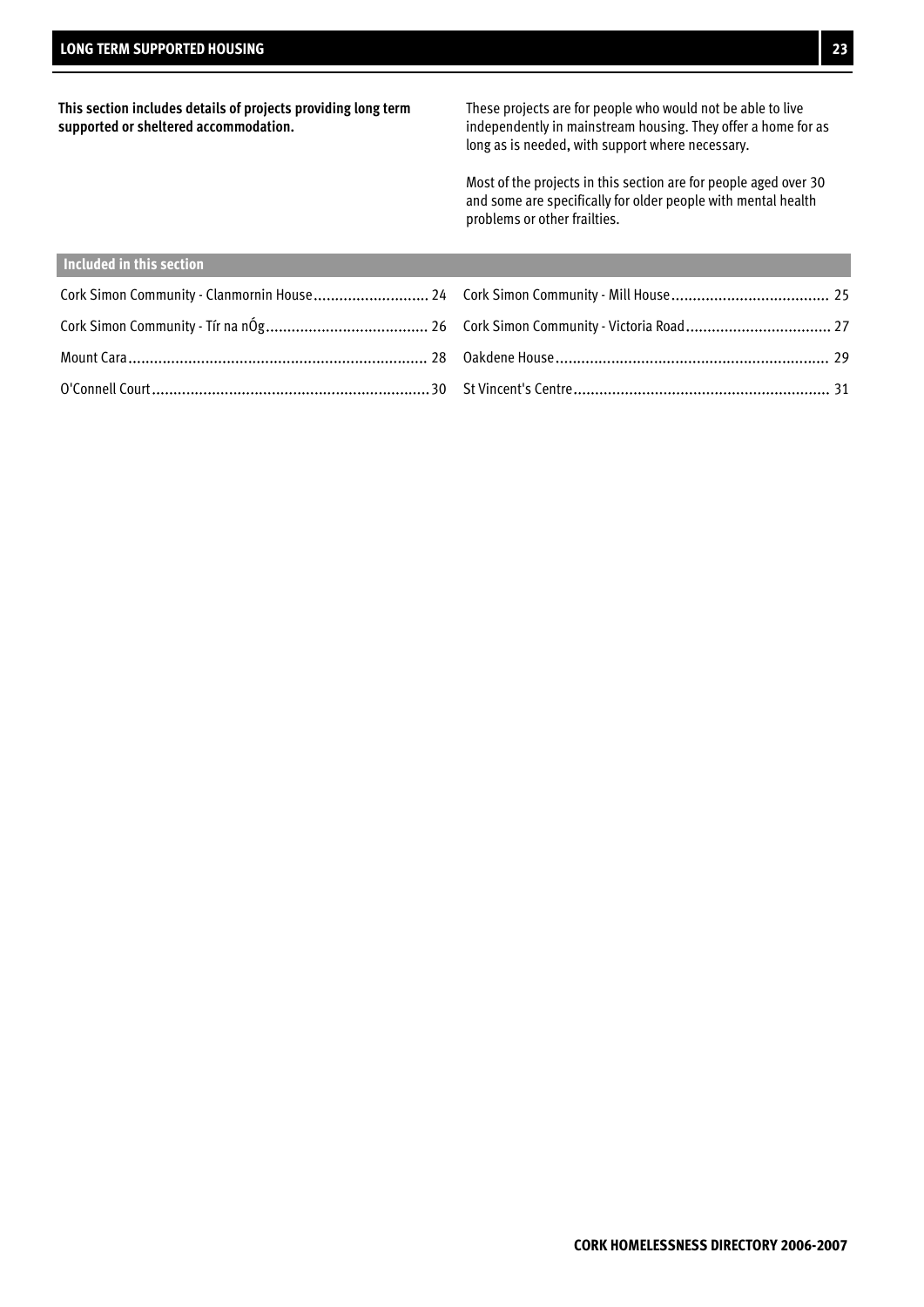**This section includes details of projects providing long term supported or sheltered accommodation.**

These projects are for people who would not be able to live independently in mainstream housing. They offer a home for as long as is needed, with support where necessary.

Most of the projects in this section are for people aged over 30 and some are specifically for older people with mental health problems or other frailties.

| Included in this section |  |
|--------------------------|--|
|                          |  |
|                          |  |
|                          |  |
|                          |  |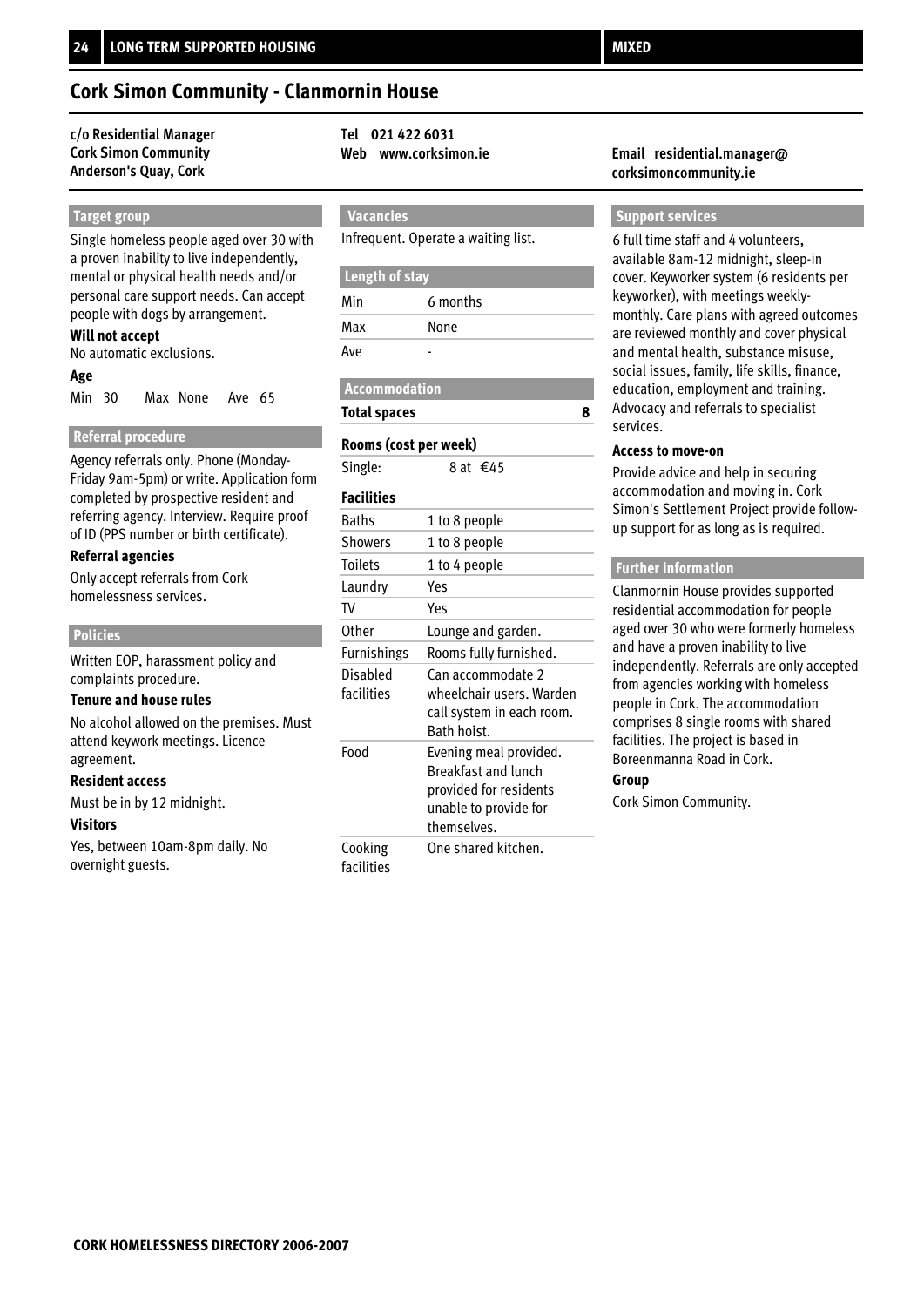#### **c/o Residential Manager Tel 021 422 6031 Cork Simon Community Anderson's Quay, Cork**

#### **Target group**

Single homeless people aged over 30 with a proven inability to live independently, mental or physical health needs and/or personal care support needs. Can accept people with dogs by arrangement.

#### **Will not accept**

No automatic exclusions.

#### **Age**

Min 30 Max None Ave 65

#### **Referral procedure**

Agency referrals only. Phone (Monday-Friday 9am-5pm) or write. Application form completed by prospective resident and referring agency. Interview. Require proof of ID (PPS number or birth certificate).

#### **Referral agencies**

Only accept referrals from Cork homelessness services.

#### **Policies**

Written EOP, harassment policy and complaints procedure.

#### **Tenure and house rules**

No alcohol allowed on the premises. Must attend keywork meetings. Licence agreement.

#### **Resident access**

Must be in by 12 midnight.

#### **Visitors**

Yes, between 10am-8pm daily. No overnight guests.

### **Vacancies**

Infrequent. Operate a waiting list.

#### **Length of stay**

| Min | 6 months |
|-----|----------|
| Max | None     |
| Ave |          |

 **Accommodation**

#### **Total spaces**

#### **Rooms (cost per week)**

Single: 8 at €45

### **Facilities**

| <b>Baths</b>           | 1 to 8 people                                                                                                   |
|------------------------|-----------------------------------------------------------------------------------------------------------------|
| Showers                | 1 to 8 people                                                                                                   |
| <b>Toilets</b>         | 1 to 4 people                                                                                                   |
| Laundry                | Yes                                                                                                             |
| TV                     | Yes                                                                                                             |
| Other                  | Lounge and garden.                                                                                              |
| Furnishings            | Rooms fully furnished.                                                                                          |
| Disabled<br>facilities | Can accommodate 2<br>wheelchair users. Warden<br>call system in each room.<br>Bath hoist.                       |
| Food                   | Evening meal provided.<br>Breakfast and lunch<br>provided for residents<br>unable to provide for<br>themselves. |
| Cooking<br>facilities  | One shared kitchen.                                                                                             |

#### **Web www.corksimon.ie Email residential.manager@ corksimoncommunity.ie**

#### **Support services**

6 full time staff and 4 volunteers, available 8am-12 midnight, sleep-in cover. Keyworker system (6 residents per keyworker), with meetings weeklymonthly. Care plans with agreed outcomes are reviewed monthly and cover physical and mental health, substance misuse, social issues, family, life skills, finance, education, employment and training. Advocacy and referrals to specialist services.

#### **Access to move-on**

**8**

Provide advice and help in securing accommodation and moving in. Cork Simon's Settlement Project provide followup support for as long as is required.

#### **Further information**

Clanmornin House provides supported residential accommodation for people aged over 30 who were formerly homeless and have a proven inability to live independently. Referrals are only accepted from agencies working with homeless people in Cork. The accommodation comprises 8 single rooms with shared facilities. The project is based in Boreenmanna Road in Cork.

#### **Group**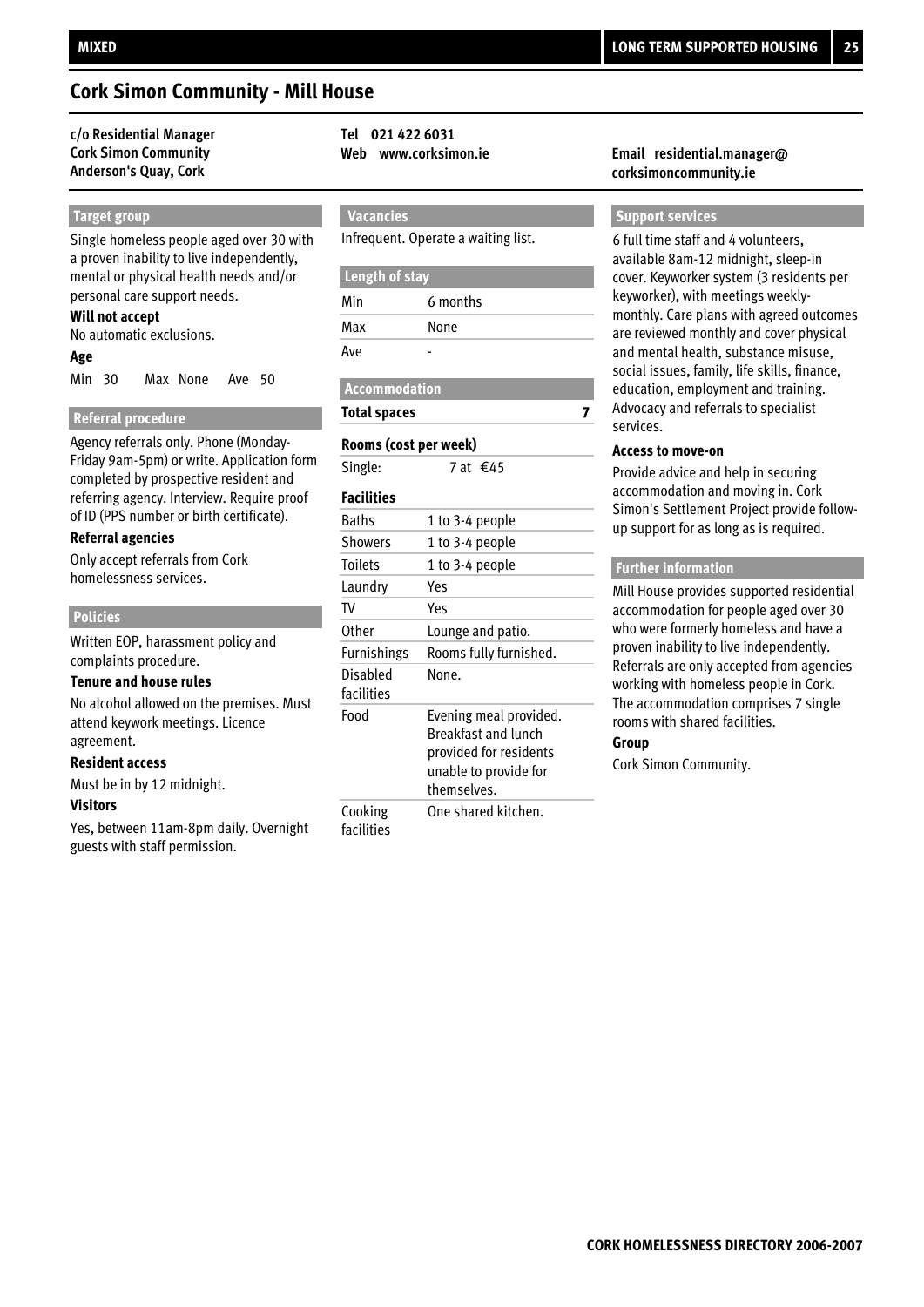### **Cork Simon Community - Mill House**

#### **c/o Residential Manager Tel 021 422 6031 Cork Simon Community Anderson's Quay, Cork**

# **Target group**

Single homeless people aged over 30 with a proven inability to live independently, mental or physical health needs and/or personal care support needs.

#### **Will not accept**

No automatic exclusions.

#### **Age**

Min 30 Max None Ave 50

#### **Referral procedure**

Agency referrals only. Phone (Monday-Friday 9am-5pm) or write. Application form completed by prospective resident and referring agency. Interview. Require proof of ID (PPS number or birth certificate).

#### **Referral agencies**

Only accept referrals from Cork homelessness services.

#### **Policies**

Written EOP, harassment policy and complaints procedure.

#### **Tenure and house rules**

No alcohol allowed on the premises. Must attend keywork meetings. Licence agreement.

#### **Resident access**

Must be in by 12 midnight.

#### **Visitors**

Yes, between 11am-8pm daily. Overnight guests with staff permission.

 **Vacancies**

Infrequent. Operate a waiting list.

#### **Length of stay**

| Min | 6 months |
|-----|----------|
| Max | None     |
| Ave |          |

 **Accommodation**

#### **Total spaces**

#### **Rooms (cost per week)**

Single:  $7$  at €45

#### **Facilities**

| <b>Baths</b>           | 1 to 3-4 people                                                                                                        |
|------------------------|------------------------------------------------------------------------------------------------------------------------|
| Showers                | 1 to 3-4 people                                                                                                        |
| Toilets                | 1 to 3-4 people                                                                                                        |
| Laundry                | Yes                                                                                                                    |
| TV                     | Yes                                                                                                                    |
| Other                  | Lounge and patio.                                                                                                      |
| <b>Furnishings</b>     | Rooms fully furnished.                                                                                                 |
| Disabled<br>facilities | None.                                                                                                                  |
| Food                   | Evening meal provided.<br><b>Breakfast and lunch</b><br>provided for residents<br>unable to provide for<br>themselves. |
| Cooking<br>facilities  | One shared kitchen.                                                                                                    |

#### **Web www.corksimon.ie Email residential.manager@ corksimoncommunity.ie**

#### **Support services**

6 full time staff and 4 volunteers, available 8am-12 midnight, sleep-in cover. Keyworker system (3 residents per keyworker), with meetings weeklymonthly. Care plans with agreed outcomes are reviewed monthly and cover physical and mental health, substance misuse, social issues, family, life skills, finance, education, employment and training. Advocacy and referrals to specialist services.

#### **Access to move-on**

**7**

Provide advice and help in securing accommodation and moving in. Cork Simon's Settlement Project provide followup support for as long as is required.

#### **Further information**

Mill House provides supported residential accommodation for people aged over 30 who were formerly homeless and have a proven inability to live independently. Referrals are only accepted from agencies working with homeless people in Cork. The accommodation comprises 7 single rooms with shared facilities.

#### **Group**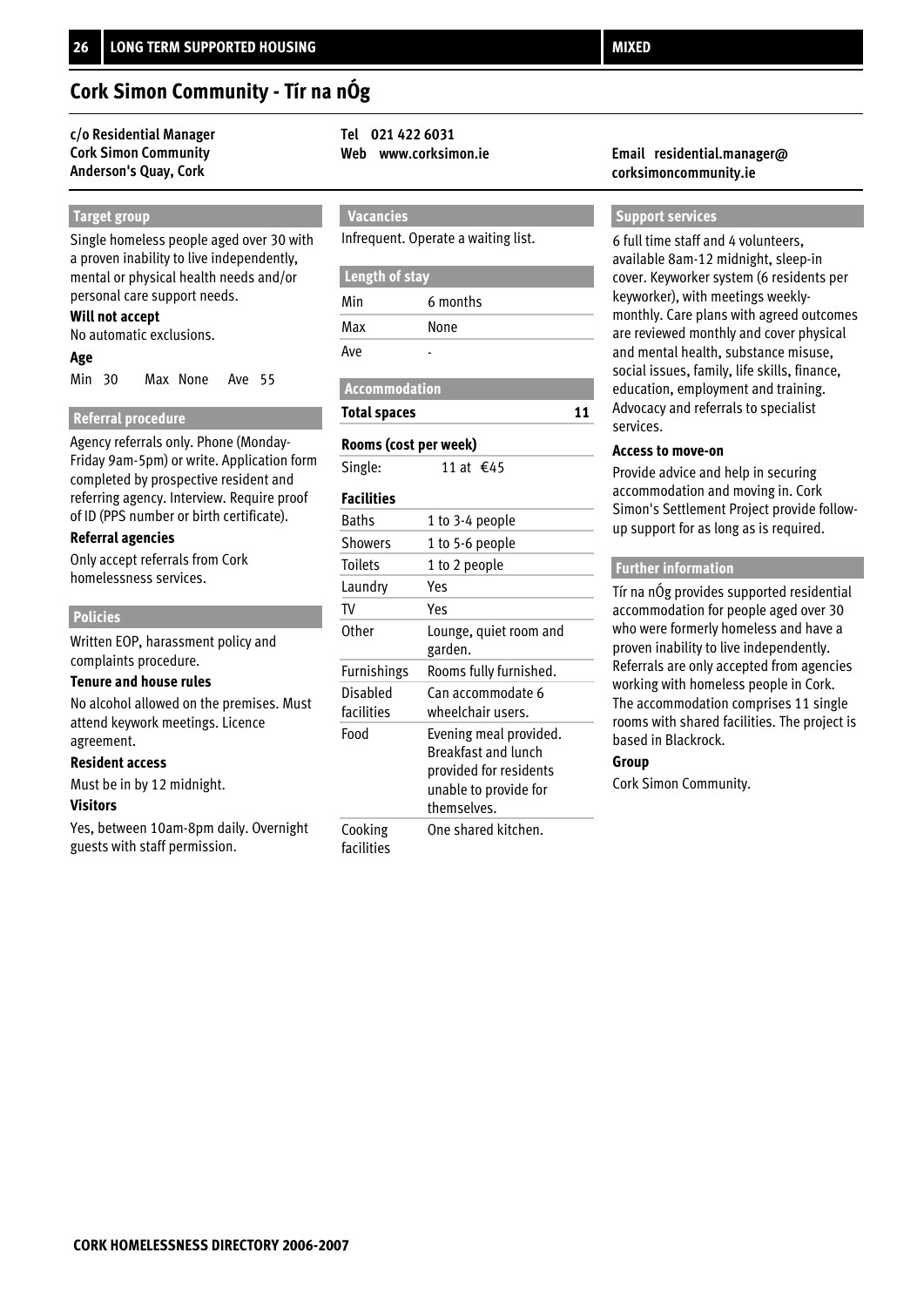### **Cork Simon Community - Tír na nÓg**

#### **c/o Residential Manager Tel 021 422 6031 Cork Simon Community Anderson's Quay, Cork**

#### **Target group**

Single homeless people aged over 30 with a proven inability to live independently, mental or physical health needs and/or personal care support needs.

#### **Will not accept**

No automatic exclusions.

#### **Age**

Min 30 Max None Ave 55

#### **Referral procedure**

Agency referrals only. Phone (Monday-Friday 9am-5pm) or write. Application form completed by prospective resident and referring agency. Interview. Require proof of ID (PPS number or birth certificate).

#### **Referral agencies**

Only accept referrals from Cork homelessness services.

#### **Policies**

Written EOP, harassment policy and complaints procedure.

#### **Tenure and house rules**

No alcohol allowed on the premises. Must attend keywork meetings. Licence agreement.

#### **Resident access**

Must be in by 12 midnight.

#### **Visitors**

Yes, between 10am-8pm daily. Overnight guests with staff permission.

 **Vacancies**

Infrequent. Operate a waiting list.

#### **Length of stay**

| Min | 6 months |
|-----|----------|
| Max | None     |
| Ave |          |

 **Accommodation**

#### **Total spaces**

#### **Rooms (cost per week)**

Single:  $11$  at €45

#### **Facilities**

| <b>Baths</b>           | 1 to 3-4 people                                                                                                 |
|------------------------|-----------------------------------------------------------------------------------------------------------------|
| <b>Showers</b>         | 1 to 5-6 people                                                                                                 |
| <b>Toilets</b>         | 1 to 2 people                                                                                                   |
| Laundry                | Yes                                                                                                             |
| TV                     | Yes                                                                                                             |
| Other                  | Lounge, quiet room and<br>garden.                                                                               |
| Furnishings            | Rooms fully furnished.                                                                                          |
| Disabled<br>facilities | Can accommodate 6<br>wheelchair users.                                                                          |
| Food                   | Evening meal provided.<br>Breakfast and lunch<br>provided for residents<br>unable to provide for<br>themselves. |
| Cooking<br>facilities  | One shared kitchen.                                                                                             |

#### **Web www.corksimon.ie Email residential.manager@ corksimoncommunity.ie**

#### **Support services**

6 full time staff and 4 volunteers, available 8am-12 midnight, sleep-in cover. Keyworker system (6 residents per keyworker), with meetings weeklymonthly. Care plans with agreed outcomes are reviewed monthly and cover physical and mental health, substance misuse, social issues, family, life skills, finance, education, employment and training. Advocacy and referrals to specialist services.

#### **Access to move-on**

**11**

Provide advice and help in securing accommodation and moving in. Cork Simon's Settlement Project provide followup support for as long as is required.

#### **Further information**

Tír na nÓg provides supported residential accommodation for people aged over 30 who were formerly homeless and have a proven inability to live independently. Referrals are only accepted from agencies working with homeless people in Cork. The accommodation comprises 11 single rooms with shared facilities. The project is based in Blackrock.

#### **Group**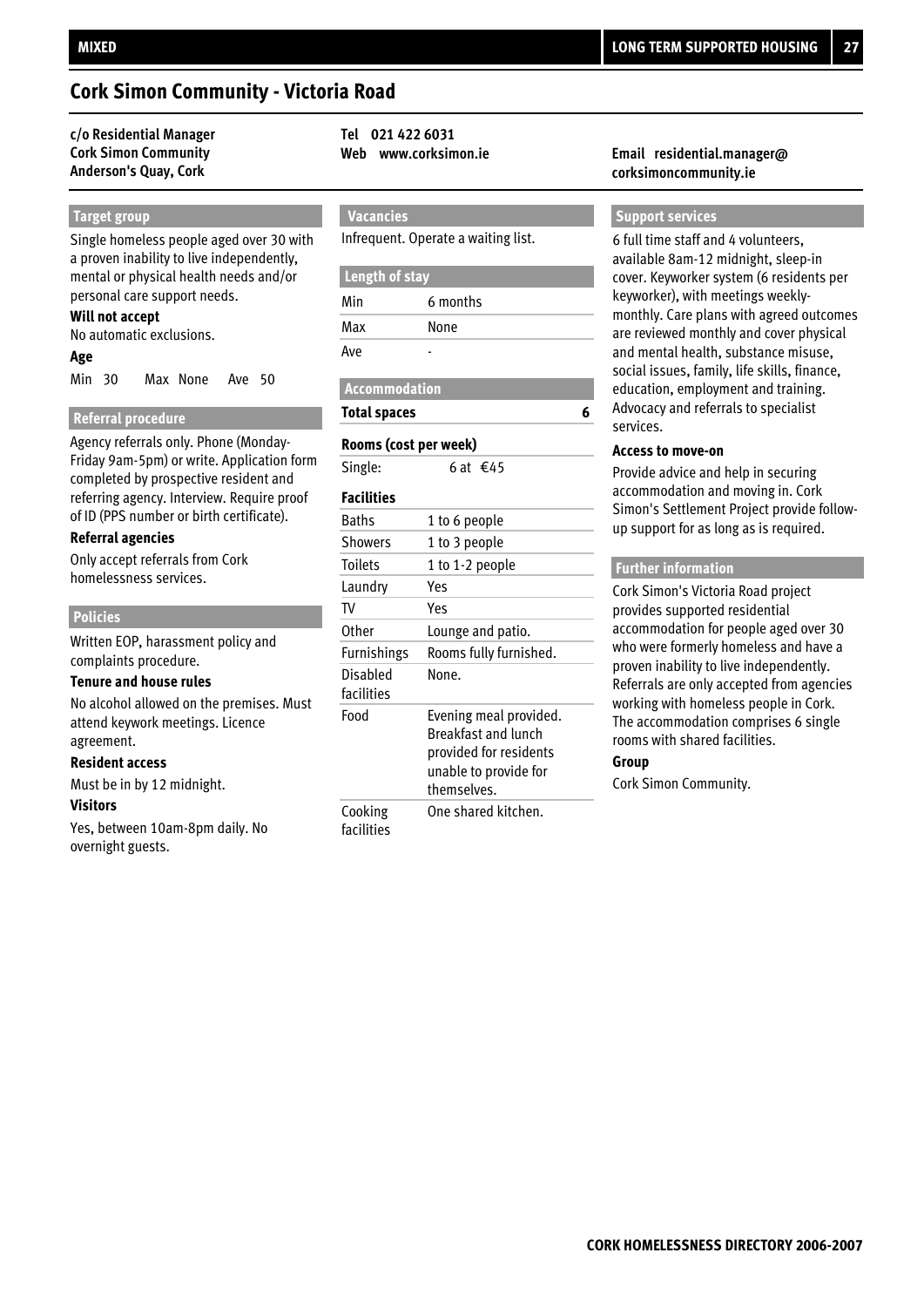### **Cork Simon Community - Victoria Road**

#### **c/o Residential Manager Tel 021 422 6031 Cork Simon Community Anderson's Quay, Cork**

#### **Target group**

Single homeless people aged over 30 with a proven inability to live independently, mental or physical health needs and/or personal care support needs.

#### **Will not accept**

No automatic exclusions.

#### **Age**

Min 30 Max None Ave 50

#### **Referral procedure**

Agency referrals only. Phone (Monday-Friday 9am-5pm) or write. Application form completed by prospective resident and referring agency. Interview. Require proof of ID (PPS number or birth certificate).

#### **Referral agencies**

Only accept referrals from Cork homelessness services.

#### **Policies**

Written EOP, harassment policy and complaints procedure.

#### **Tenure and house rules**

No alcohol allowed on the premises. Must attend keywork meetings. Licence agreement.

#### **Resident access**

Must be in by 12 midnight.

#### **Visitors**

Yes, between 10am-8pm daily. No overnight guests.

 **Vacancies**

Infrequent. Operate a waiting list.

#### **Length of stay**

| Min | 6 months |
|-----|----------|
| Max | None     |
| Ave |          |

 **Accommodation**

#### **Total spaces**

#### **Rooms (cost per week)**

Single: 6 at €45

#### **Facilities**

| <b>Baths</b>           | 1 to 6 people                                                                                                   |
|------------------------|-----------------------------------------------------------------------------------------------------------------|
| <b>Showers</b>         | 1 to 3 people                                                                                                   |
| Toilets                | 1 to 1-2 people                                                                                                 |
| Laundry                | Yes                                                                                                             |
| TV                     | Yes                                                                                                             |
| Other                  | Lounge and patio.                                                                                               |
| <b>Furnishings</b>     | Rooms fully furnished.                                                                                          |
| Disabled<br>facilities | None.                                                                                                           |
| Food                   | Evening meal provided.<br>Breakfast and lunch<br>provided for residents<br>unable to provide for<br>themselves. |
| Cooking<br>facilities  | One shared kitchen.                                                                                             |

#### **Web www.corksimon.ie Email residential.manager@ corksimoncommunity.ie**

#### **Support services**

6 full time staff and 4 volunteers, available 8am-12 midnight, sleep-in cover. Keyworker system (6 residents per keyworker), with meetings weeklymonthly. Care plans with agreed outcomes are reviewed monthly and cover physical and mental health, substance misuse, social issues, family, life skills, finance, education, employment and training. Advocacy and referrals to specialist services.

#### **Access to move-on**

**6**

Provide advice and help in securing accommodation and moving in. Cork Simon's Settlement Project provide followup support for as long as is required.

#### **Further information**

Cork Simon's Victoria Road project provides supported residential accommodation for people aged over 30 who were formerly homeless and have a proven inability to live independently. Referrals are only accepted from agencies working with homeless people in Cork. The accommodation comprises 6 single rooms with shared facilities.

#### **Group**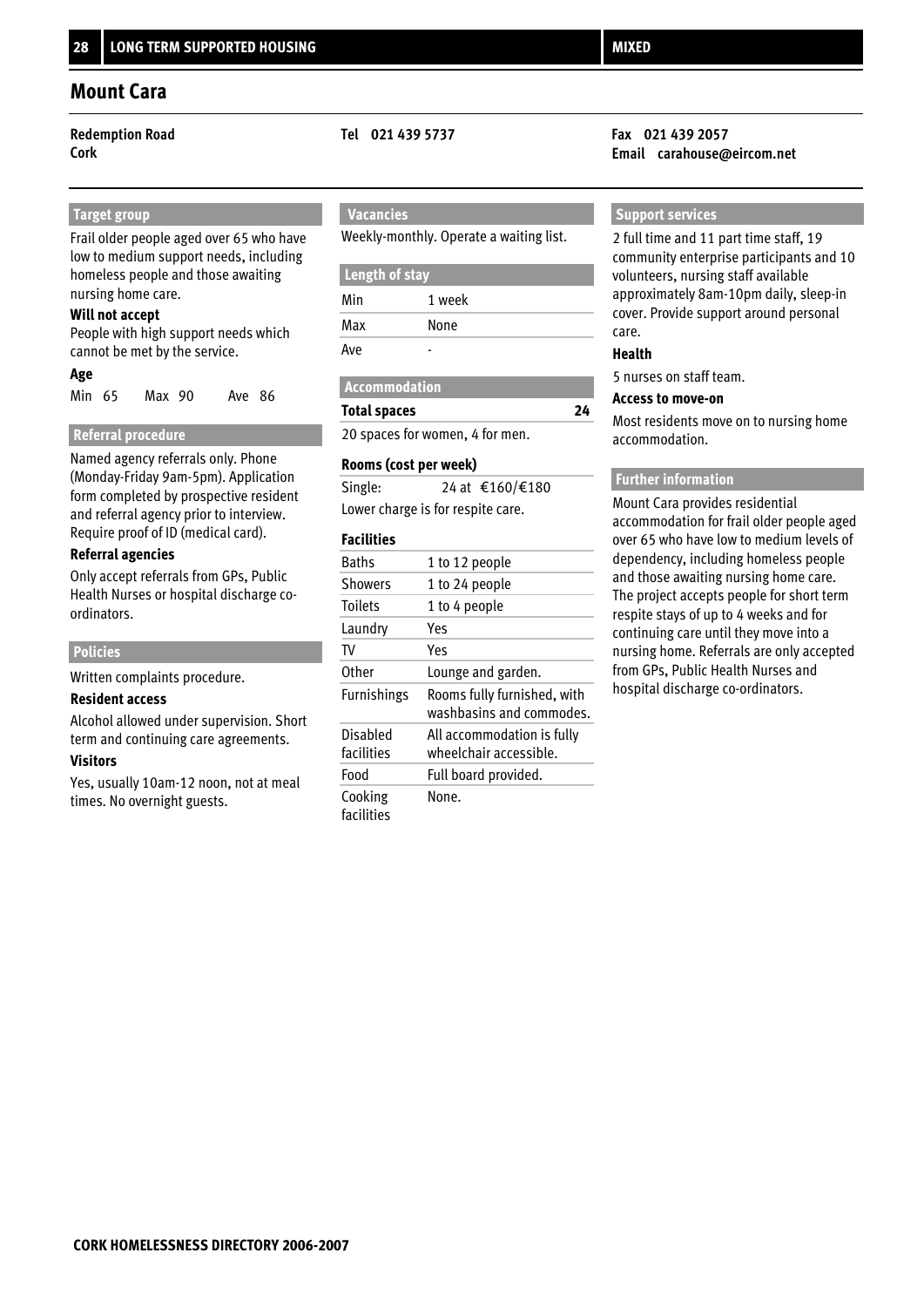#### **Target group**

Frail older people aged over 65 who have low to medium support needs, including homeless people and those awaiting nursing home care.

#### **Will not accept**

People with high support needs which cannot be met by the service.

#### **Age**

Min 65 Max 90 Ave 86

#### **Referral procedure**

Named agency referrals only. Phone (Monday-Friday 9am-5pm). Application form completed by prospective resident and referral agency prior to interview. Require proof of ID (medical card).

#### **Referral agencies**

Only accept referrals from GPs, Public Health Nurses or hospital discharge coordinators.

#### **Policies**

Written complaints procedure.

#### **Resident access**

Alcohol allowed under supervision. Short term and continuing care agreements.

#### **Visitors**

Yes, usually 10am-12 noon, not at meal times. No overnight guests.

### **Vacancies**

Weekly-monthly. Operate a waiting list.

#### **Length of stay**

| Min | 1 week |
|-----|--------|
| Max | None   |
| Ave |        |

#### **Accommodation**

#### **Total spaces**

20 spaces for women, 4 for men.

#### **Rooms (cost per week)**

| Single: | 24 at €160/€180                   |
|---------|-----------------------------------|
|         | Lower charge is for respite care. |

#### **Facilities**

| <b>Baths</b>           | 1 to 12 people                                          |
|------------------------|---------------------------------------------------------|
| <b>Showers</b>         | 1 to 24 people                                          |
| <b>Toilets</b>         | 1 to 4 people                                           |
| Laundry                | Yes                                                     |
| TV                     | Yes                                                     |
| Other                  | Lounge and garden.                                      |
| <b>Furnishings</b>     | Rooms fully furnished, with<br>washbasins and commodes. |
| Disabled<br>facilities | All accommodation is fully<br>wheelchair accessible.    |
| Food                   | Full board provided.                                    |
| Cooking<br>facilities  | None.                                                   |

#### **Redemption Road Tel 021 439 5737 Fax 021 439 2057 Cork Email carahouse@eircom.net**

#### **Support services**

2 full time and 11 part time staff, 19 community enterprise participants and 10 volunteers, nursing staff available approximately 8am-10pm daily, sleep-in cover. Provide support around personal care.

#### **Health**

**24**

5 nurses on staff team.

#### **Access to move-on**

Most residents move on to nursing home accommodation.

#### **Further information**

Mount Cara provides residential accommodation for frail older people aged over 65 who have low to medium levels of dependency, including homeless people and those awaiting nursing home care. The project accepts people for short term respite stays of up to 4 weeks and for continuing care until they move into a nursing home. Referrals are only accepted from GPs, Public Health Nurses and hospital discharge co-ordinators.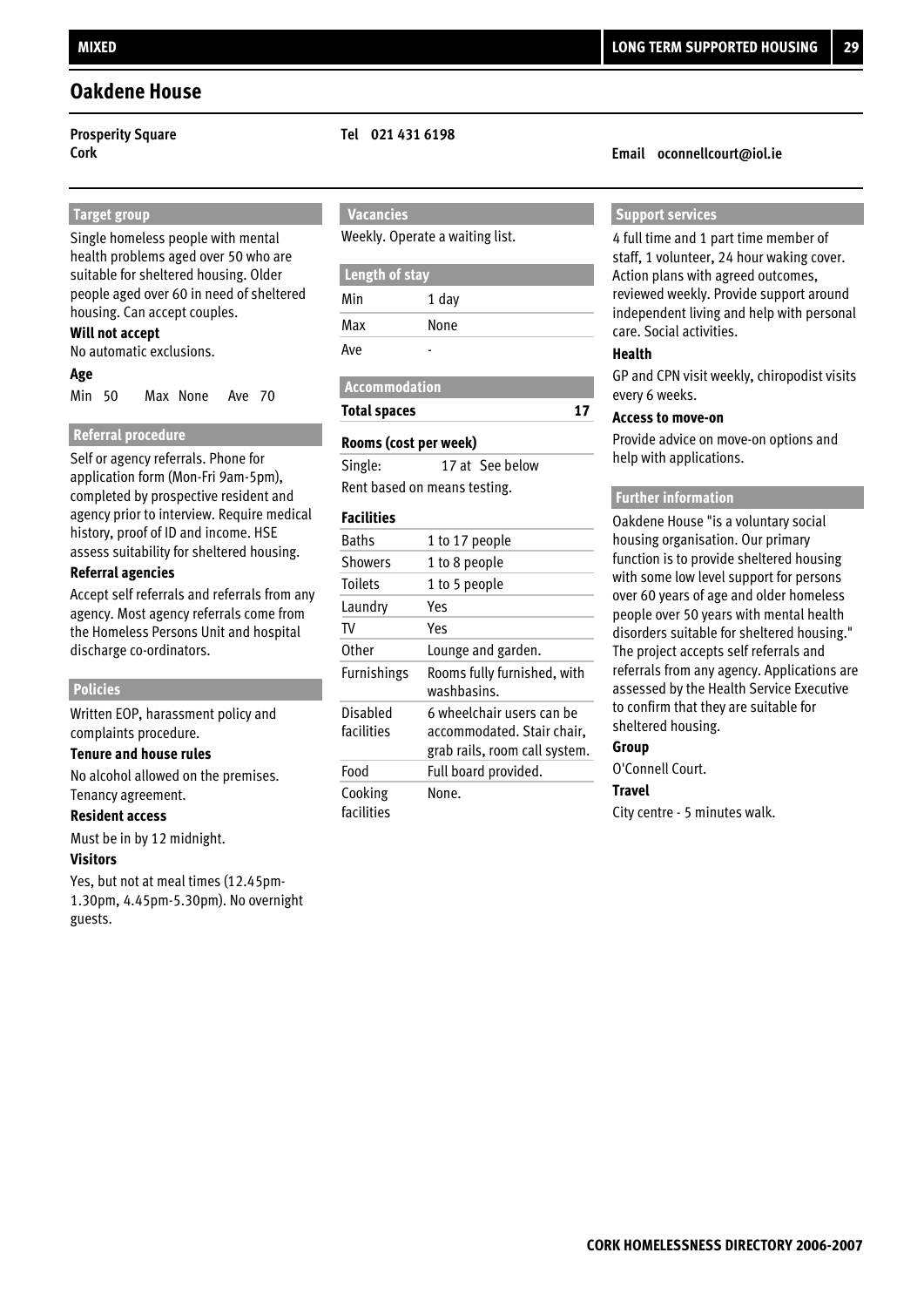### **Oakdene House**

#### **Target group**

Single homeless people with mental health problems aged over 50 who are suitable for sheltered housing. Older people aged over 60 in need of sheltered housing. Can accept couples.

#### **Will not accept**

No automatic exclusions.

#### **Age**

Min 50 Max None Ave 70

#### **Referral procedure**

Self or agency referrals. Phone for application form (Mon-Fri 9am-5pm), completed by prospective resident and agency prior to interview. Require medical history, proof of ID and income. HSE assess suitability for sheltered housing.

#### **Referral agencies**

Accept self referrals and referrals from any agency. Most agency referrals come from the Homeless Persons Unit and hospital discharge co-ordinators.

#### **Policies**

Written EOP, harassment policy and complaints procedure.

#### **Tenure and house rules**

No alcohol allowed on the premises. Tenancy agreement.

#### **Resident access**

Must be in by 12 midnight.

#### **Visitors**

Yes, but not at meal times (12.45pm-1.30pm, 4.45pm-5.30pm). No overnight guests.

#### **Prosperity Square Tel 021 431 6198**

### **Vacancies**

Weekly. Operate a waiting list.

| Length of stay |       |  |
|----------------|-------|--|
| Min            | 1 day |  |
| Max            | None  |  |
| Ave            |       |  |

## **Accommodation**

**Total spaces**

#### **Rooms (cost per week)**

Rent based on means testing. Single: 17 at See below

#### **Facilities**

| <b>Baths</b>           | 1 to 17 people                                                                           |
|------------------------|------------------------------------------------------------------------------------------|
| <b>Showers</b>         | 1 to 8 people                                                                            |
| <b>Toilets</b>         | 1 to 5 people                                                                            |
| Laundry                | Yes                                                                                      |
| TV                     | Yes                                                                                      |
| 0ther                  | Lounge and garden.                                                                       |
| Furnishings            | Rooms fully furnished, with<br>washbasins.                                               |
| Disabled<br>facilities | 6 wheelchair users can be<br>accommodated. Stair chair,<br>grab rails, room call system. |
| Food                   | Full board provided.                                                                     |
| Cooking<br>facilities  | None.                                                                                    |

#### **Cork Email oconnellcourt@iol.ie**

#### **Support services**

4 full time and 1 part time member of staff, 1 volunteer, 24 hour waking cover. Action plans with agreed outcomes, reviewed weekly. Provide support around independent living and help with personal care. Social activities.

#### **Health**

**17**

GP and CPN visit weekly, chiropodist visits every 6 weeks.

#### **Access to move-on**

Provide advice on move-on options and help with applications.

#### **Further information**

Oakdene House "is a voluntary social housing organisation. Our primary function is to provide sheltered housing with some low level support for persons over 60 years of age and older homeless people over 50 years with mental health disorders suitable for sheltered housing." The project accepts self referrals and referrals from any agency. Applications are assessed by the Health Service Executive to confirm that they are suitable for sheltered housing.

#### **Group**

O'Connell Court.

#### **Travel**

City centre - 5 minutes walk.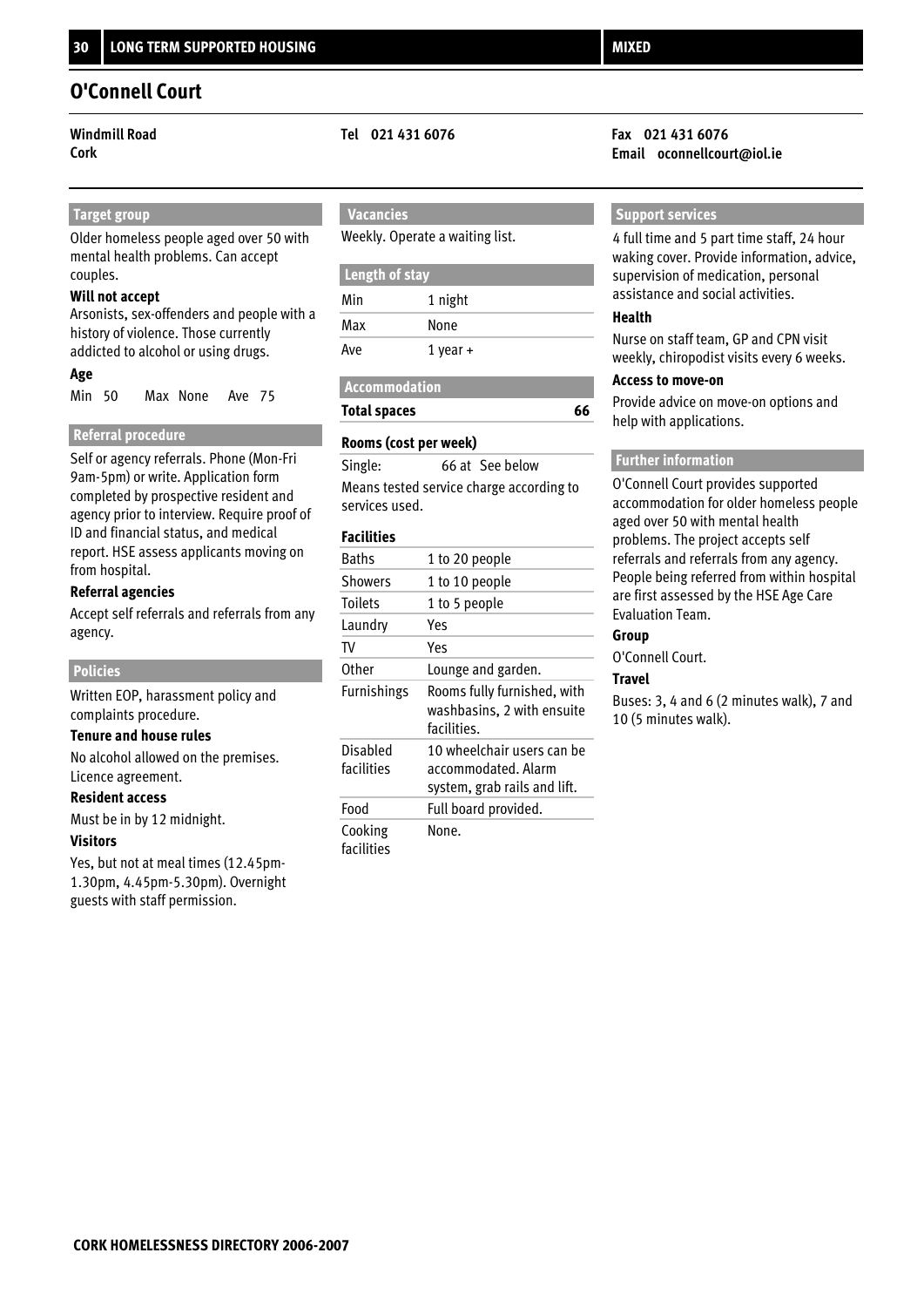### **O'Connell Court**

#### **Target group**

Older homeless people aged over 50 with mental health problems. Can accept couples.

#### **Will not accept**

Arsonists, sex-offenders and people with a history of violence. Those currently addicted to alcohol or using drugs.

#### **Age**

Min 50 Max None Ave 75

#### **Referral procedure**

Self or agency referrals. Phone (Mon-Fri 9am-5pm) or write. Application form completed by prospective resident and agency prior to interview. Require proof of ID and financial status, and medical report. HSE assess applicants moving on from hospital.

#### **Referral agencies**

Accept self referrals and referrals from any agency.

#### **Policies**

Written EOP, harassment policy and complaints procedure.

#### **Tenure and house rules**

No alcohol allowed on the premises. Licence agreement.

#### **Resident access**

Must be in by 12 midnight.

#### **Visitors**

Yes, but not at meal times (12.45pm-1.30pm, 4.45pm-5.30pm). Overnight guests with staff permission.

### **Vacancies**

Weekly. Operate a waiting list.

| Length of stay |              |
|----------------|--------------|
| Min            | 1 night      |
| Max            | None         |
| Ave            | $1$ year $+$ |

| <b>Accommodation</b> |  |
|----------------------|--|
| <b>Total spaces</b>  |  |

#### **Rooms (cost per week)**

Means tested service charge according to services used. Single: 66 at See below

#### **Facilities**

| Baths                  | 1 to 20 people                                                                    |
|------------------------|-----------------------------------------------------------------------------------|
| Showers                | 1 to 10 people                                                                    |
| <b>Toilets</b>         | 1 to 5 people                                                                     |
| Laundry                | Υρς                                                                               |
| TV                     | Yes                                                                               |
| 0ther                  | Lounge and garden.                                                                |
| Furnishings            | Rooms fully furnished, with<br>washbasins, 2 with ensuite<br>facilities.          |
| Disabled<br>facilities | 10 wheelchair users can be<br>accommodated. Alarm<br>system, grab rails and lift. |
| Food                   | Full board provided.                                                              |
| Cooking<br>facilities  | None.                                                                             |

#### **Windmill Road Tel 021 431 6076 Fax 021 431 6076 Cork Email oconnellcourt@iol.ie**

#### **Support services**

4 full time and 5 part time staff, 24 hour waking cover. Provide information, advice, supervision of medication, personal assistance and social activities.

#### **Health**

**66**

Nurse on staff team, GP and CPN visit weekly, chiropodist visits every 6 weeks.

#### **Access to move-on**

Provide advice on move-on options and help with applications.

#### **Further information**

O'Connell Court provides supported accommodation for older homeless people aged over 50 with mental health problems. The project accepts self referrals and referrals from any agency. People being referred from within hospital are first assessed by the HSE Age Care Evaluation Team.

#### **Group**

O'Connell Court.

#### **Travel**

Buses: 3, 4 and 6 (2 minutes walk), 7 and 10 (5 minutes walk).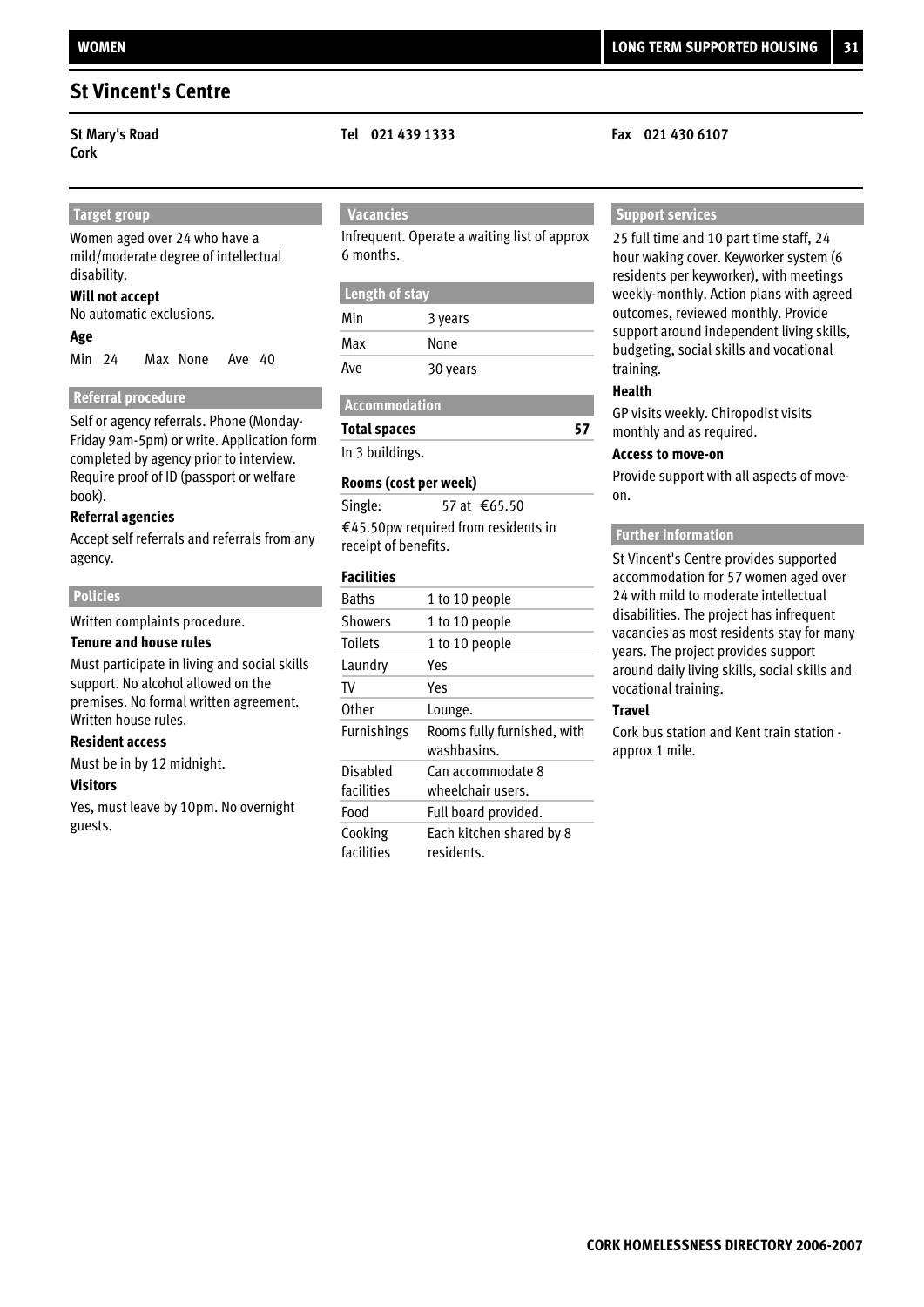**Cork**

## **Target group**

Women aged over 24 who have a mild/moderate degree of intellectual disability.

#### **Will not accept**

No automatic exclusions.

#### **Age**

Min 24 Max None Ave 40

#### **Referral procedure**

Self or agency referrals. Phone (Monday-Friday 9am-5pm) or write. Application form completed by agency prior to interview. Require proof of ID (passport or welfare book).

#### **Referral agencies**

Accept self referrals and referrals from any agency.

#### **Policies**

Written complaints procedure.

#### **Tenure and house rules**

Must participate in living and social skills support. No alcohol allowed on the premises. No formal written agreement. Written house rules.

#### **Resident access**

Must be in by 12 midnight.

#### **Visitors**

Yes, must leave by 10pm. No overnight guests.

### **Vacancies**

Infrequent. Operate a waiting list of approx 6 months.

#### **Length of stay**

| Min | 3 years  |
|-----|----------|
| Max | None     |
| Ave | 30 years |

#### **Accommodation**

**Total spaces**

In 3 buildings.

#### **Rooms (cost per week)**

€45.50pw required from residents in receipt of benefits. Single: 57 at €65.50

#### **Facilities**

| <b>Baths</b>       | 1 to 10 people                             |
|--------------------|--------------------------------------------|
| <b>Showers</b>     | 1 to 10 people                             |
| <b>Toilets</b>     | 1 to 10 people                             |
| Laundry            | Yes                                        |
| TV                 | Yes                                        |
| Other              | Lounge.                                    |
|                    |                                            |
| <b>Furnishings</b> | Rooms fully furnished, with<br>washbasins. |
| Disabled           | Can accommodate 8                          |
| facilities         | wheelchair users.                          |
| Food               | Full board provided.                       |
| Cooking            | Each kitchen shared by 8                   |

#### **St Mary's Road Tel 021 439 1333 Fax 021 430 6107**

#### **Support services**

25 full time and 10 part time staff, 24 hour waking cover. Keyworker system (6 residents per keyworker), with meetings weekly-monthly. Action plans with agreed outcomes, reviewed monthly. Provide support around independent living skills, budgeting, social skills and vocational training.

#### **Health**

**57**

GP visits weekly. Chiropodist visits monthly and as required.

#### **Access to move-on**

Provide support with all aspects of moveon.

#### **Further information**

St Vincent's Centre provides supported accommodation for 57 women aged over 24 with mild to moderate intellectual disabilities. The project has infrequent vacancies as most residents stay for many years. The project provides support around daily living skills, social skills and vocational training.

#### **Travel**

Cork bus station and Kent train station approx 1 mile.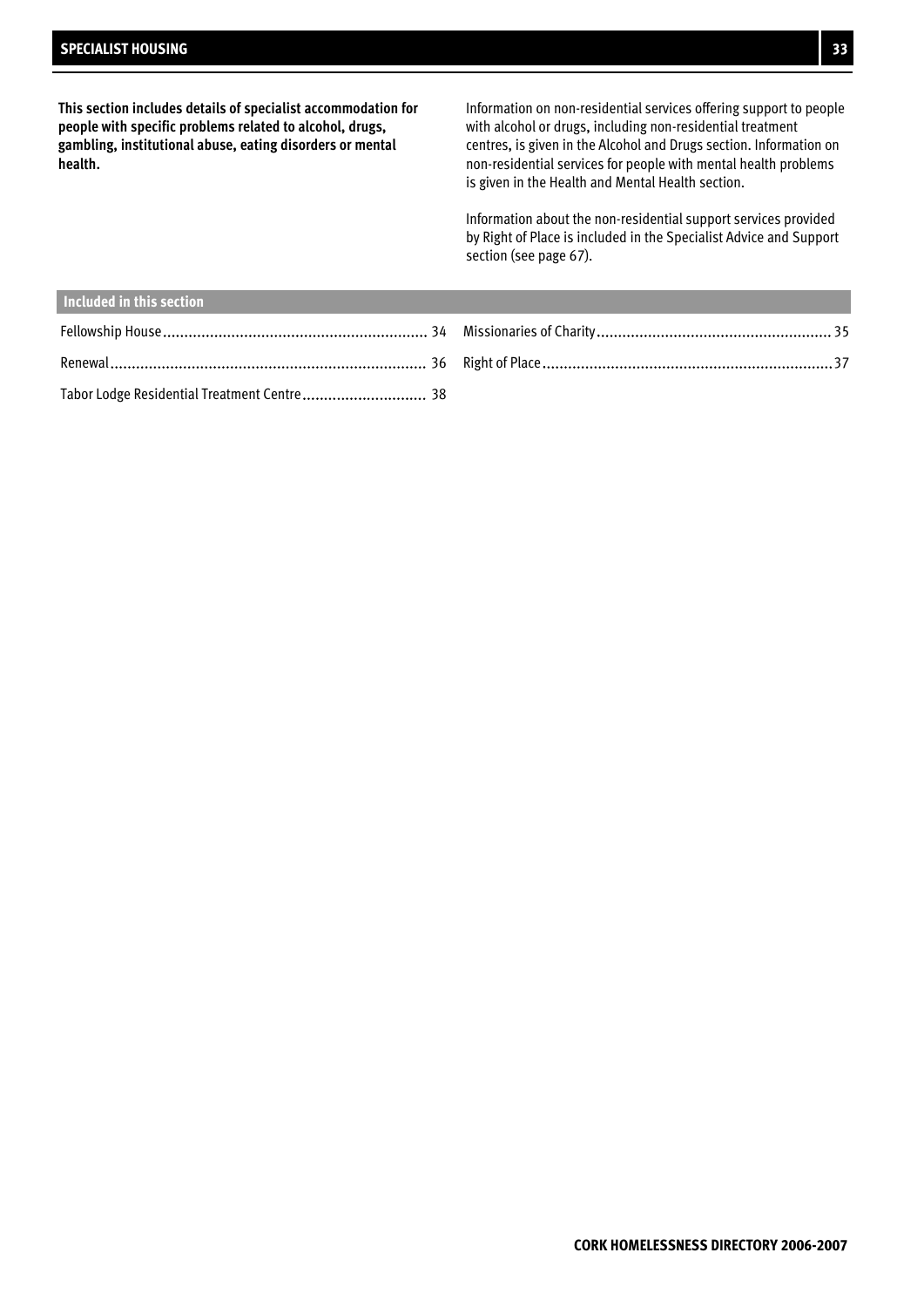**This section includes details of specialist accommodation for people with specific problems related to alcohol, drugs, gambling, institutional abuse, eating disorders or mental health.**

Information on non-residential services offering support to people with alcohol or drugs, including non-residential treatment centres, is given in the Alcohol and Drugs section. Information on non-residential services for people with mental health problems is given in the Health and Mental Health section.

Information about the non-residential support services provided by Right of Place is included in the Specialist Advice and Support section (see page 67).

| Included in this section                    |  |
|---------------------------------------------|--|
|                                             |  |
|                                             |  |
| Tabor Lodge Residential Treatment Centre 38 |  |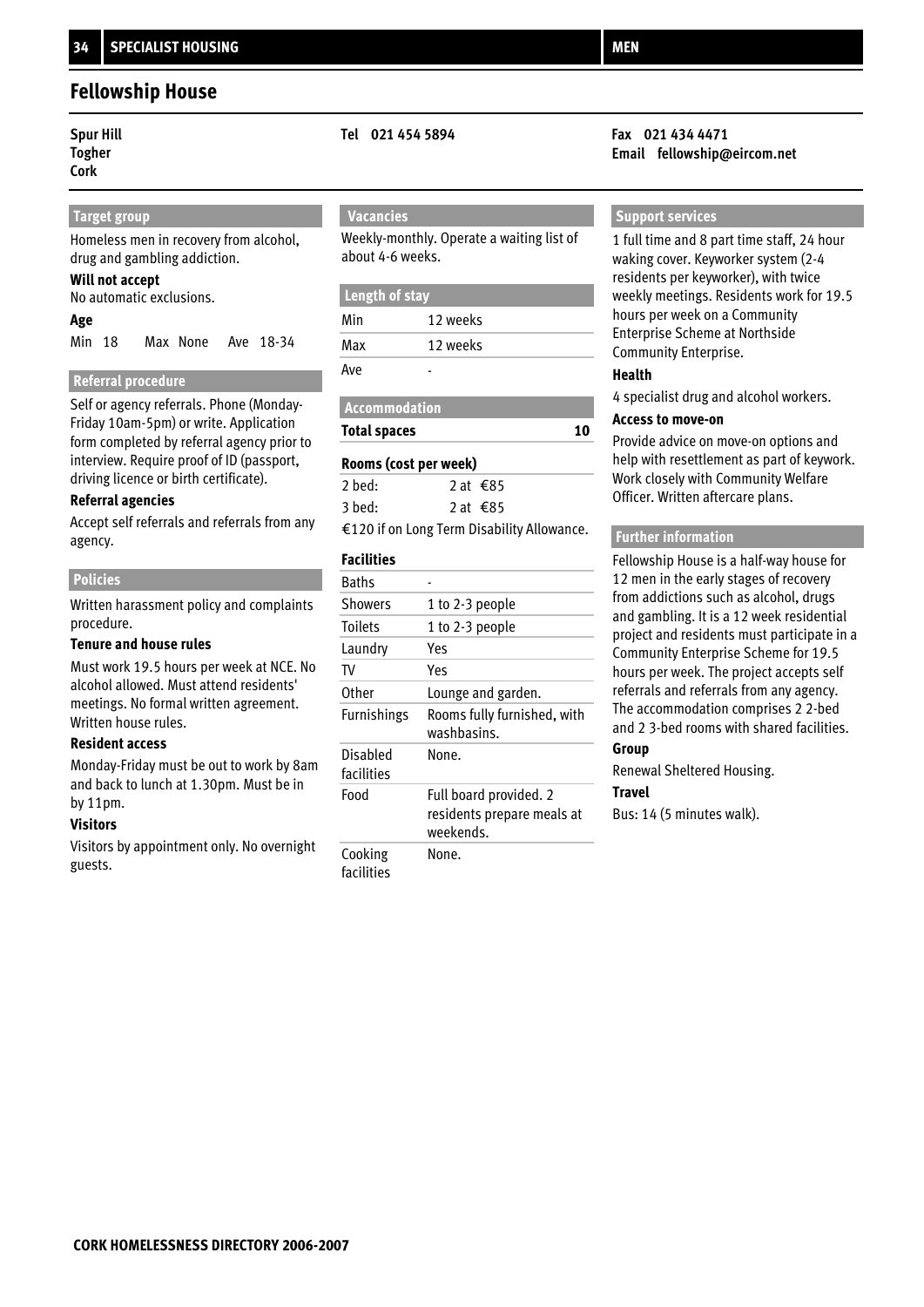### **Fellowship House**

# **Togher**

**Cork** 

#### **Target group**

Homeless men in recovery from alcohol, drug and gambling addiction.

#### **Will not accept**

No automatic exclusions.

#### **Age**

Min 18 Max None Ave 18-34

#### **Referral procedure**

Self or agency referrals. Phone (Monday-Friday 10am-5pm) or write. Application form completed by referral agency prior to interview. Require proof of ID (passport, driving licence or birth certificate).

#### **Referral agencies**

Accept self referrals and referrals from any agency.

#### **Policies**

Written harassment policy and complaints procedure.

#### **Tenure and house rules**

Must work 19.5 hours per week at NCE. No alcohol allowed. Must attend residents' meetings. No formal written agreement. Written house rules.

#### **Resident access**

Monday-Friday must be out to work by 8am and back to lunch at 1.30pm. Must be in by 11pm.

#### **Visitors**

Visitors by appointment only. No overnight guests.

### **Vacancies**

Weekly-monthly. Operate a waiting list of about 4-6 weeks.

#### **Length of stay**

| Min | 12 weeks |
|-----|----------|
| Max | 12 weeks |
| Ave |          |

**Total spaces**

#### **Rooms (cost per week)**

| 2 bed: | 2 at $\text{\textsterling}85$              |
|--------|--------------------------------------------|
| 3 bed: | 2 at $\text{\textsterling}85$              |
|        | €120 if on Long Term Disability Allowance. |

#### **Facilities**

| <b>Baths</b>           |                                                                   |
|------------------------|-------------------------------------------------------------------|
| <b>Showers</b>         | 1 to 2-3 people                                                   |
| <b>Toilets</b>         | 1 to 2-3 people                                                   |
| Laundry                | Yes                                                               |
| TV                     | Yes                                                               |
| 0ther                  | Lounge and garden.                                                |
| Furnishings            | Rooms fully furnished, with<br>washbasins.                        |
| Disabled<br>facilities | None.                                                             |
| Food                   | Full board provided. 2<br>residents prepare meals at<br>weekends. |
| Cooking<br>facilities  | None.                                                             |

#### **Spur Hill Tel 021 454 5894 Fax 021 434 4471 Email fellowship@eircom.net**

#### **Support services**

1 full time and 8 part time staff, 24 hour waking cover. Keyworker system (2-4 residents per keyworker), with twice weekly meetings. Residents work for 19.5 hours per week on a Community Enterprise Scheme at Northside Community Enterprise.

#### **Health**

**10**

4 specialist drug and alcohol workers.

#### **Access to move-on**

Provide advice on move-on options and help with resettlement as part of keywork. Work closely with Community Welfare Officer. Written aftercare plans.

#### **Further information**

Fellowship House is a half-way house for 12 men in the early stages of recovery from addictions such as alcohol, drugs and gambling. It is a 12 week residential project and residents must participate in a Community Enterprise Scheme for 19.5 hours per week. The project accepts self referrals and referrals from any agency. The accommodation comprises 2 2-bed and 2 3-bed rooms with shared facilities.

### **Group**

Renewal Sheltered Housing. **Travel**

Bus: 14 (5 minutes walk).

### **Accommodation**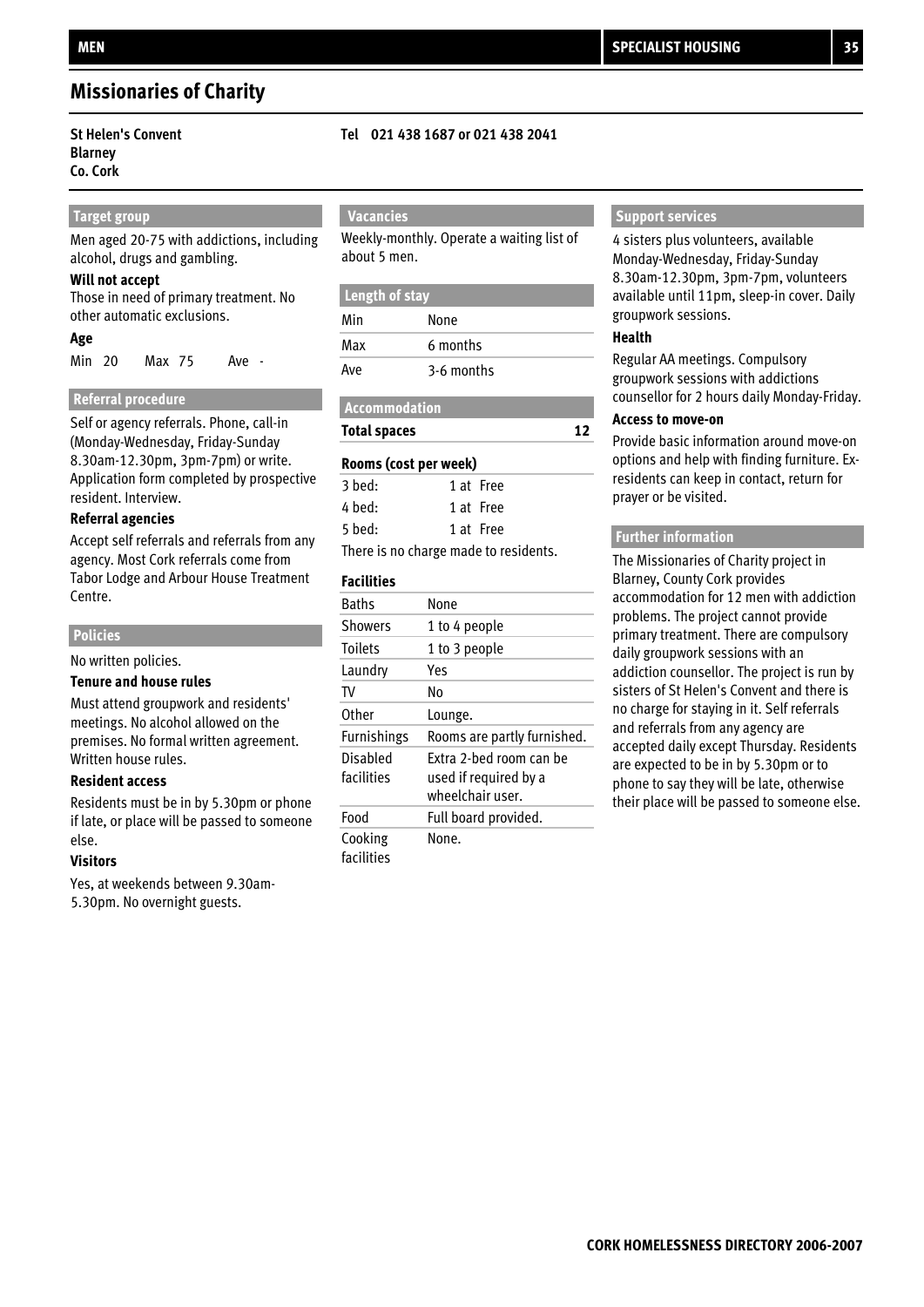### **Missionaries of Charity**

## **Blarney Co. Cork**

#### **Target group**

Men aged 20-75 with addictions, including alcohol, drugs and gambling.

#### **Will not accept**

Those in need of primary treatment. No other automatic exclusions.

#### **Age**

Min Max Ave 20 75 -

#### **Referral procedure**

Self or agency referrals. Phone, call-in (Monday-Wednesday, Friday-Sunday 8.30am-12.30pm, 3pm-7pm) or write. Application form completed by prospective resident. Interview.

#### **Referral agencies**

Accept self referrals and referrals from any agency. Most Cork referrals come from Tabor Lodge and Arbour House Treatment Centre.

#### **Policies**

No written policies.

#### **Tenure and house rules**

Must attend groupwork and residents' meetings. No alcohol allowed on the premises. No formal written agreement. Written house rules.

#### **Resident access**

Residents must be in by 5.30pm or phone if late, or place will be passed to someone else.

#### **Visitors**

Yes, at weekends between 9.30am-5.30pm. No overnight guests.

#### **St Helen's Convent Tel 021 438 1687 or 021 438 2041**

### **Vacancies**

Weekly-monthly. Operate a waiting list of about 5 men.

## **Length of stay**

| Min | None       |
|-----|------------|
| Max | 6 months   |
| Ave | 3-6 months |

### **Accommodation**

### **Total spaces**

## **Rooms (cost per week)**

| 3 bed:                              | 1 at Free |
|-------------------------------------|-----------|
| 4 bed:                              | 1 at Free |
| 5 bed:                              | 1 at Free |
| There is no shores mode to resident |           |

There is no charge made to residents.

#### **Facilities**

| <b>Baths</b>           | None                                             |
|------------------------|--------------------------------------------------|
| <b>Showers</b>         | 1 to 4 people                                    |
| <b>Toilets</b>         | 1 to 3 people                                    |
| Laundry                | Yes                                              |
| TV                     | N٥                                               |
| Other                  | Lounge.                                          |
| <b>Furnishings</b>     | Rooms are partly furnished.                      |
| Disabled<br>facilities | Fxtra 2-bed room can be<br>used if required by a |
|                        | wheelchair user.                                 |
| Food                   | Full board provided.                             |

#### **Support services**

4 sisters plus volunteers, available Monday-Wednesday, Friday-Sunday 8.30am-12.30pm, 3pm-7pm, volunteers available until 11pm, sleep-in cover. Daily groupwork sessions.

#### **Health**

**12**

Regular AA meetings. Compulsory groupwork sessions with addictions counsellor for 2 hours daily Monday-Friday.

#### **Access to move-on**

Provide basic information around move-on options and help with finding furniture. Exresidents can keep in contact, return for prayer or be visited.

#### **Further information**

The Missionaries of Charity project in Blarney, County Cork provides accommodation for 12 men with addiction problems. The project cannot provide primary treatment. There are compulsory daily groupwork sessions with an addiction counsellor. The project is run by sisters of St Helen's Convent and there is no charge for staying in it. Self referrals and referrals from any agency are accepted daily except Thursday. Residents are expected to be in by 5.30pm or to phone to say they will be late, otherwise their place will be passed to someone else.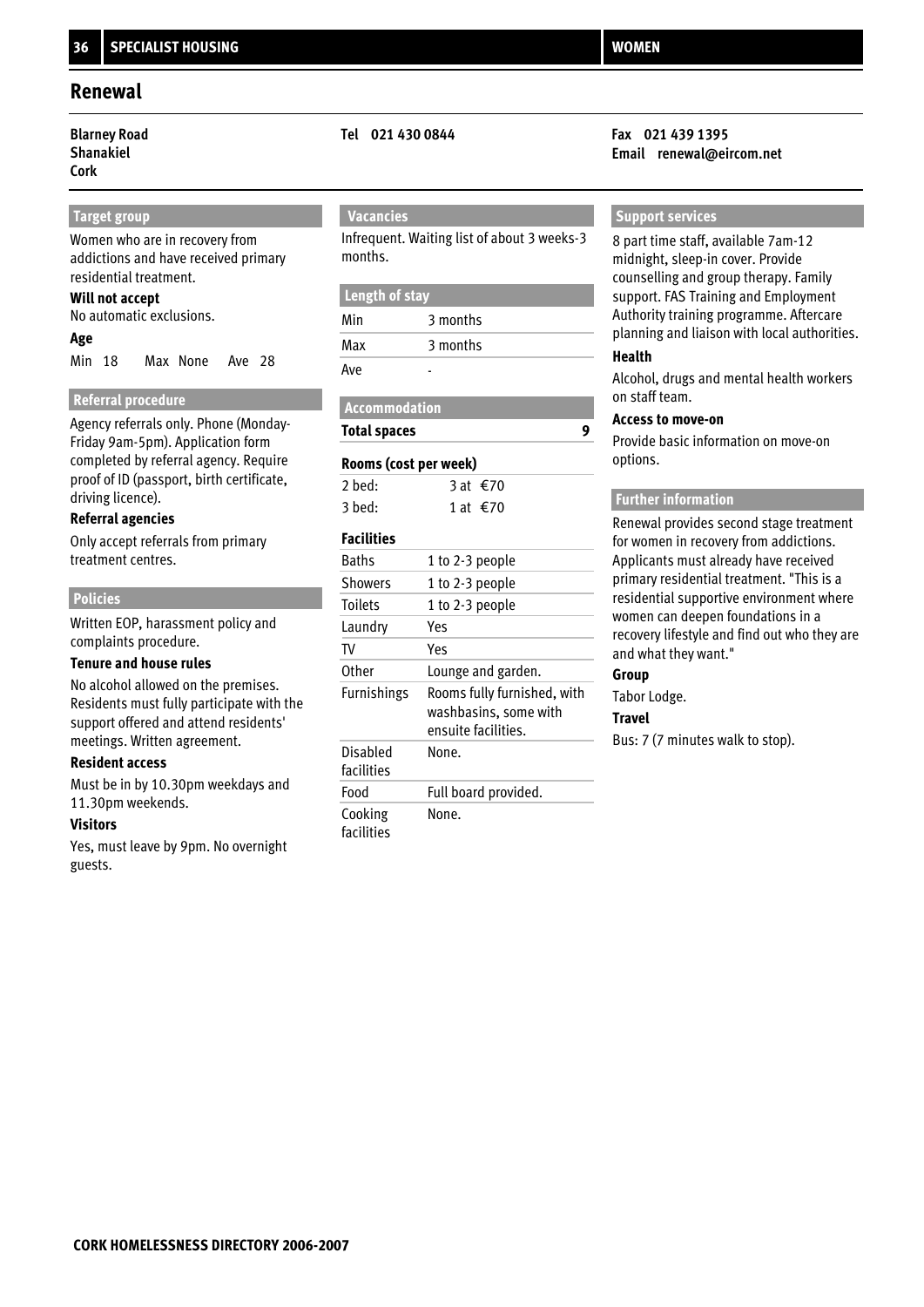### **Shanakiel Cork**

#### **Target group**

Women who are in recovery from addictions and have received primary residential treatment.

#### **Will not accept**

No automatic exclusions.

#### **Age**

Min 18 Max None Ave 28

### **Referral procedure**

Agency referrals only. Phone (Monday-Friday 9am-5pm). Application form completed by referral agency. Require proof of ID (passport, birth certificate, driving licence).

#### **Referral agencies**

Only accept referrals from primary treatment centres.

#### **Policies**

Written EOP, harassment policy and complaints procedure.

#### **Tenure and house rules**

No alcohol allowed on the premises. Residents must fully participate with the support offered and attend residents' meetings. Written agreement.

#### **Resident access**

Must be in by 10.30pm weekdays and 11.30pm weekends.

#### **Visitors**

Yes, must leave by 9pm. No overnight guests.

### **Vacancies**

Infrequent. Waiting list of about 3 weeks-3 months.

#### **Length of stay**

| Min | 3 months |
|-----|----------|
| Max | 3 months |
| Ave |          |

#### **Accommodation**

**Total spaces**

#### **Rooms (cost per week)**

| 2 bed: | 3 at €70                      |
|--------|-------------------------------|
| 3 bed: | 1 at $\text{\textsterling}70$ |

#### **Facilities**

| <b>Baths</b>           | 1 to 2-3 people                                                             |
|------------------------|-----------------------------------------------------------------------------|
| <b>Showers</b>         | 1 to 2-3 people                                                             |
| <b>Toilets</b>         | 1 to 2-3 people                                                             |
| Laundry                | Yes                                                                         |
| TV                     | Yes                                                                         |
| Other                  | Lounge and garden.                                                          |
| <b>Furnishings</b>     | Rooms fully furnished, with<br>washbasins, some with<br>ensuite facilities. |
| Disabled<br>facilities | None.                                                                       |
| Food                   | Full board provided.                                                        |
| Cooking<br>facilities  | None.                                                                       |

#### **Blarney Road Tel 021 430 0844 Fax 021 439 1395 Email renewal@eircom.net**

#### **Support services**

8 part time staff, available 7am-12 midnight, sleep-in cover. Provide counselling and group therapy. Family support. FAS Training and Employment Authority training programme. Aftercare planning and liaison with local authorities.

#### **Health**

**9**

Alcohol, drugs and mental health workers on staff team.

#### **Access to move-on**

Provide basic information on move-on options.

#### **Further information**

Renewal provides second stage treatment for women in recovery from addictions. Applicants must already have received primary residential treatment. "This is a residential supportive environment where women can deepen foundations in a recovery lifestyle and find out who they are and what they want."

### **Group**

Tabor Lodge.

#### **Travel**

Bus: 7 (7 minutes walk to stop).

**WOMEN**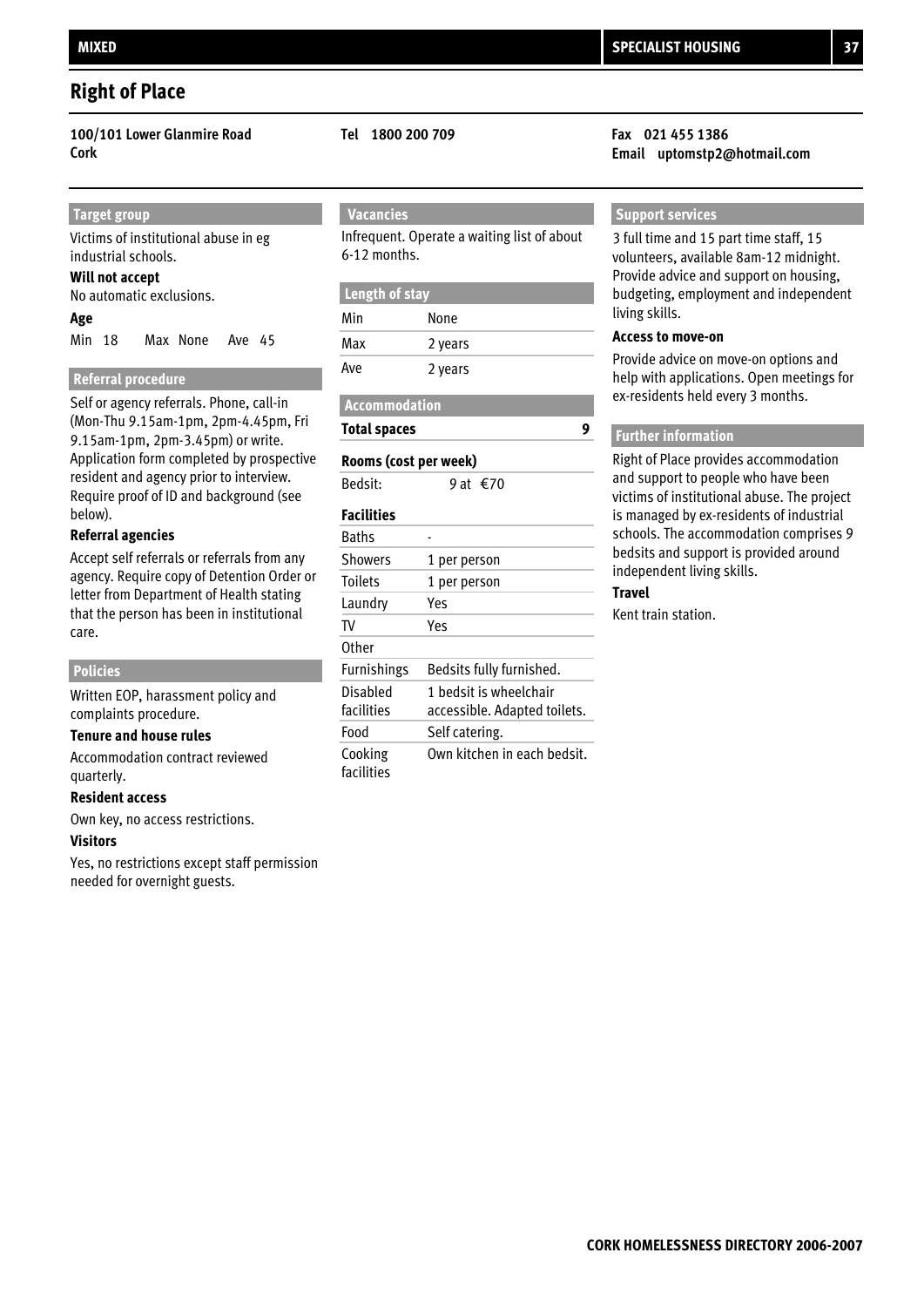### **Right of Place**

**100/101 Lower Glanmire Road Tel 1800 200 709 Fax 021 455 1386**

#### **Target group**

Victims of institutional abuse in eg industrial schools.

#### **Will not accept**

No automatic exclusions.

#### **Age**

Min 18 Max None Ave 45

#### **Referral procedure**

Self or agency referrals. Phone, call-in (Mon-Thu 9.15am-1pm, 2pm-4.45pm, Fri 9.15am-1pm, 2pm-3.45pm) or write. Application form completed by prospective resident and agency prior to interview. Require proof of ID and background (see below).

#### **Referral agencies**

Accept self referrals or referrals from any agency. Require copy of Detention Order or letter from Department of Health stating that the person has been in institutional care.

#### **Policies**

Written EOP, harassment policy and complaints procedure.

#### **Tenure and house rules**

Accommodation contract reviewed quarterly.

#### **Resident access**

Own key, no access restrictions.

#### **Visitors**

Yes, no restrictions except staff permission needed for overnight guests.

### **Vacancies**

Infrequent. Operate a waiting list of about 6-12 months.

#### **Length of stay**

| Min | None    |
|-----|---------|
| Max | 2 years |
| Ave | 2 years |

#### **Accommodation**

**Total spaces**

### Bedsit:  $9$  at  $\leq 70$ **Rooms (cost per week)**

1 bedsit is wheelchair accessible. Adapted toilets. Own kitchen in each bedsit. Self catering. **Other** TV Yes Laundry Yes Toilets 1 per person Showers 1 per person Bedsits fully furnished. **Baths** Food Cooking facilities Disabled facilities Furnishings **Facilities**

# **Cork Email uptomstp2@hotmail.com**

#### **Support services**

3 full time and 15 part time staff, 15 volunteers, available 8am-12 midnight. Provide advice and support on housing, budgeting, employment and independent living skills.

#### **Access to move-on**

Provide advice on move-on options and help with applications. Open meetings for ex-residents held every 3 months.

#### **Further information**

Right of Place provides accommodation and support to people who have been victims of institutional abuse. The project is managed by ex-residents of industrial schools. The accommodation comprises 9 bedsits and support is provided around independent living skills.

#### **Travel**

**9**

Kent train station.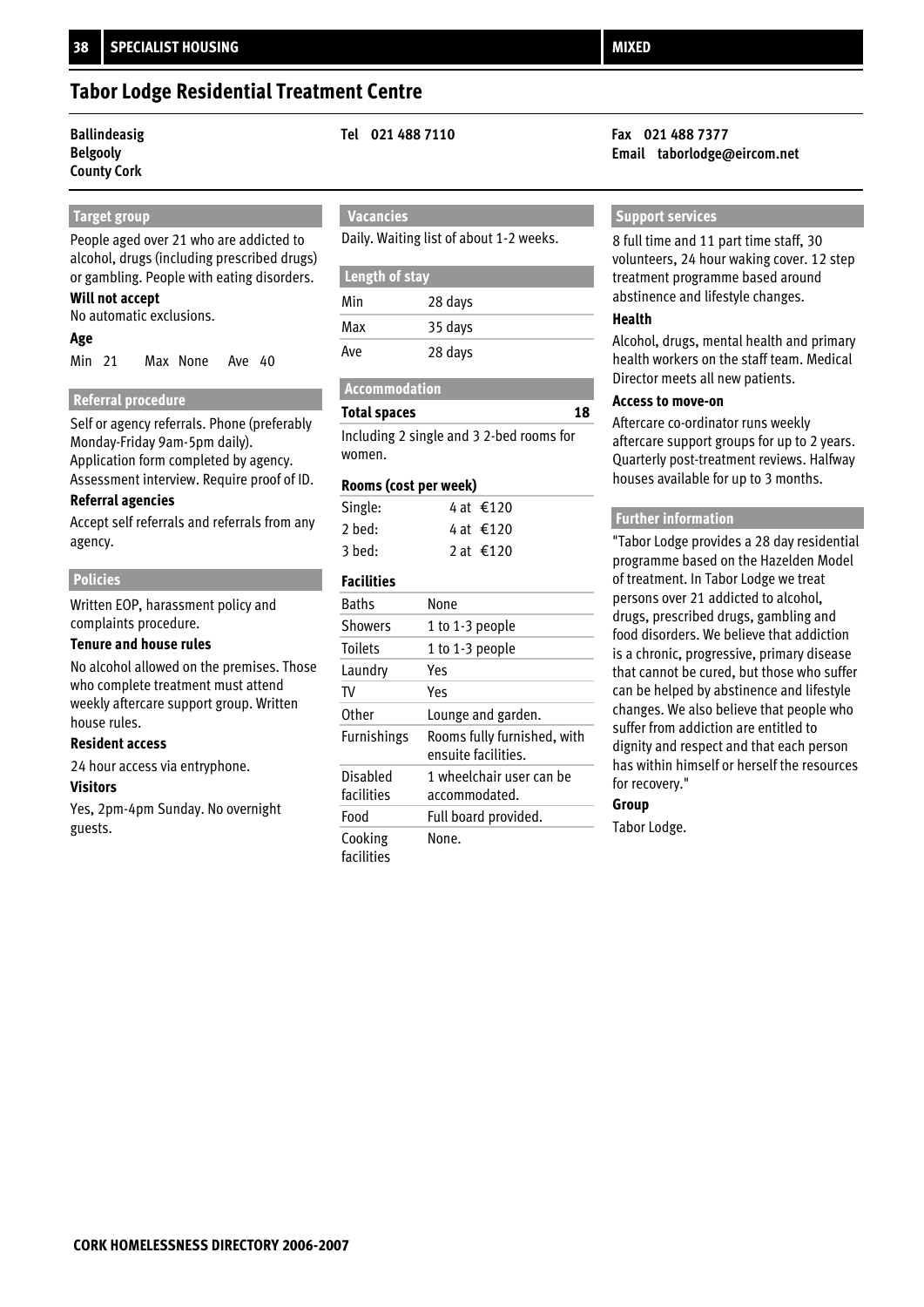## **Tabor Lodge Residential Treatment Centre**

# **Belgooly**

### **County Cork**

### **Target group**

People aged over 21 who are addicted to alcohol, drugs (including prescribed drugs) or gambling. People with eating disorders.

### **Will not accept**

No automatic exclusions.

#### **Age**

Min 21 Max None Ave 40

### **Referral procedure**

Self or agency referrals. Phone (preferably Monday-Friday 9am-5pm daily). Application form completed by agency. Assessment interview. Require proof of ID.

### **Referral agencies**

Accept self referrals and referrals from any agency.

#### **Policies**

Written EOP, harassment policy and complaints procedure.

#### **Tenure and house rules**

No alcohol allowed on the premises. Those who complete treatment must attend weekly aftercare support group. Written house rules.

#### **Resident access**

24 hour access via entryphone.

#### **Visitors**

Yes, 2pm-4pm Sunday. No overnight guests.

### **Vacancies**

Daily. Waiting list of about 1-2 weeks.

| Length of stay |         |  |
|----------------|---------|--|
| Min            | 28 days |  |
| Max            | 35 days |  |
| Ave            | 28 days |  |

#### **Accommodation**

#### **Total spaces**

Including 2 single and 3 2-bed rooms for women.

#### **Rooms (cost per week)**

| Single: | 4 at €120 |
|---------|-----------|
| 2 bed:  | 4 at €120 |
| 3 bed:  | 2 at €120 |

### **Facilities**

| <b>Baths</b>          | None                                               |
|-----------------------|----------------------------------------------------|
| <b>Showers</b>        | 1 to 1-3 people                                    |
| <b>Toilets</b>        | 1 to 1-3 people                                    |
| Laundry               | Yes                                                |
| TV                    | Yes                                                |
| <b>Other</b>          | Lounge and garden.                                 |
| <b>Furnishings</b>    | Rooms fully furnished, with<br>ensuite facilities. |
| Disabled              | 1 wheelchair user can be                           |
| facilities            | accommodated.                                      |
| Food                  | Full board provided.                               |
| Cooking<br>facilities | None.                                              |

#### **Ballindeasig Tel 021 488 7110 Fax 021 488 7377 Email taborlodge@eircom.net**

#### **Support services**

8 full time and 11 part time staff, 30 volunteers, 24 hour waking cover. 12 step treatment programme based around abstinence and lifestyle changes.

#### **Health**

**18**

Alcohol, drugs, mental health and primary health workers on the staff team. Medical Director meets all new patients.

#### **Access to move-on**

Aftercare co-ordinator runs weekly aftercare support groups for up to 2 years. Quarterly post-treatment reviews. Halfway houses available for up to 3 months.

#### **Further information**

"Tabor Lodge provides a 28 day residential programme based on the Hazelden Model of treatment. In Tabor Lodge we treat persons over 21 addicted to alcohol, drugs, prescribed drugs, gambling and food disorders. We believe that addiction is a chronic, progressive, primary disease that cannot be cured, but those who suffer can be helped by abstinence and lifestyle changes. We also believe that people who suffer from addiction are entitled to dignity and respect and that each person has within himself or herself the resources for recovery."

#### **Group**

Tabor Lodge.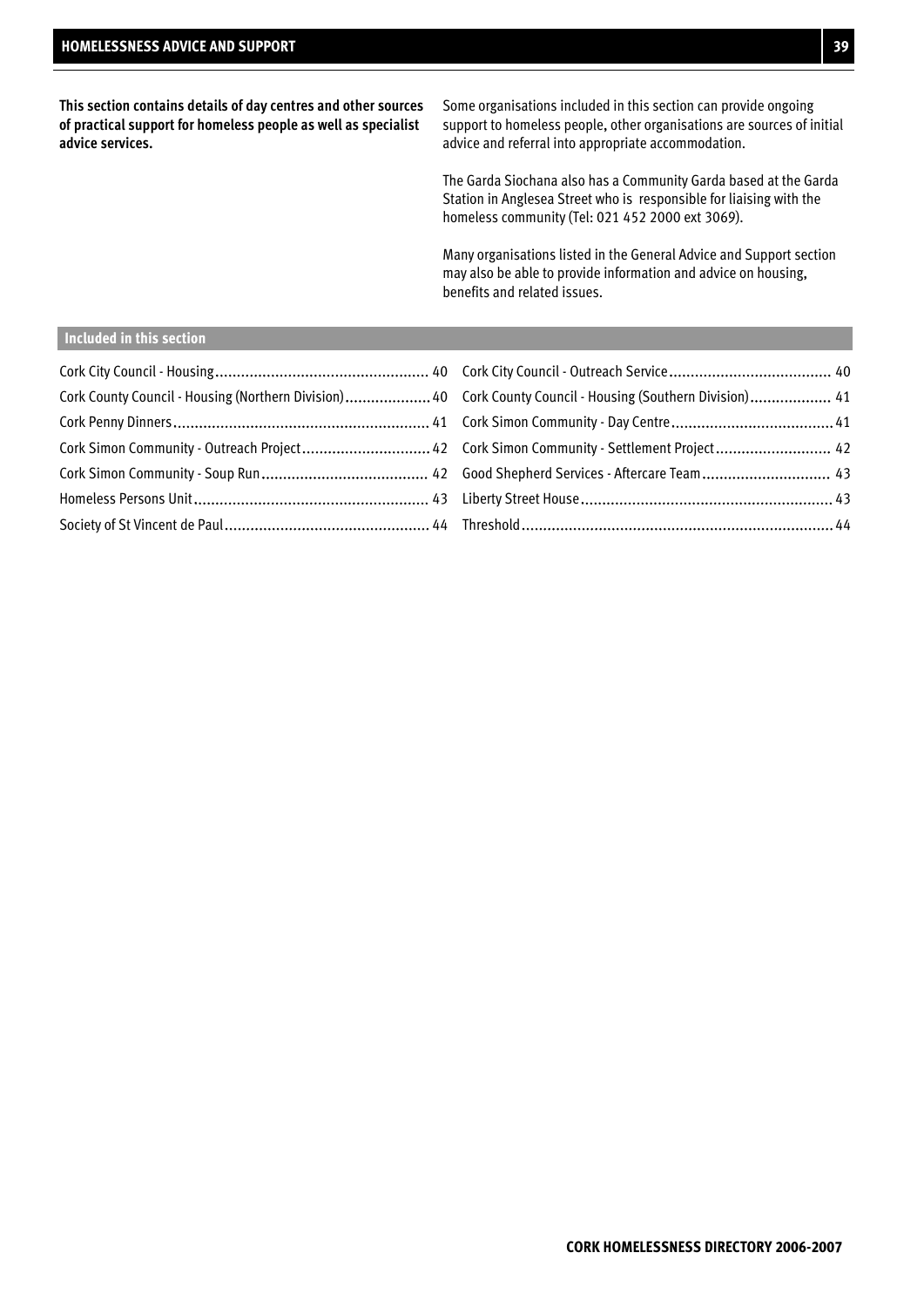**This section contains details of day centres and other sources of practical support for homeless people as well as specialist advice services.**

Some organisations included in this section can provide ongoing support to homeless people, other organisations are sources of initial advice and referral into appropriate accommodation.

The Garda Siochana also has a Community Garda based at the Garda Station in Anglesea Street who is responsible for liaising with the homeless community (Tel: 021 452 2000 ext 3069).

Many organisations listed in the General Advice and Support section may also be able to provide information and advice on housing, benefits and related issues.

#### **Included in this section**

| Cork County Council - Housing (Northern Division)  40 Cork County Council - Housing (Southern Division)  41 |  |
|-------------------------------------------------------------------------------------------------------------|--|
|                                                                                                             |  |
| Cork Simon Community - Outreach Project 42 Cork Simon Community - Settlement Project 42                     |  |
|                                                                                                             |  |
|                                                                                                             |  |
|                                                                                                             |  |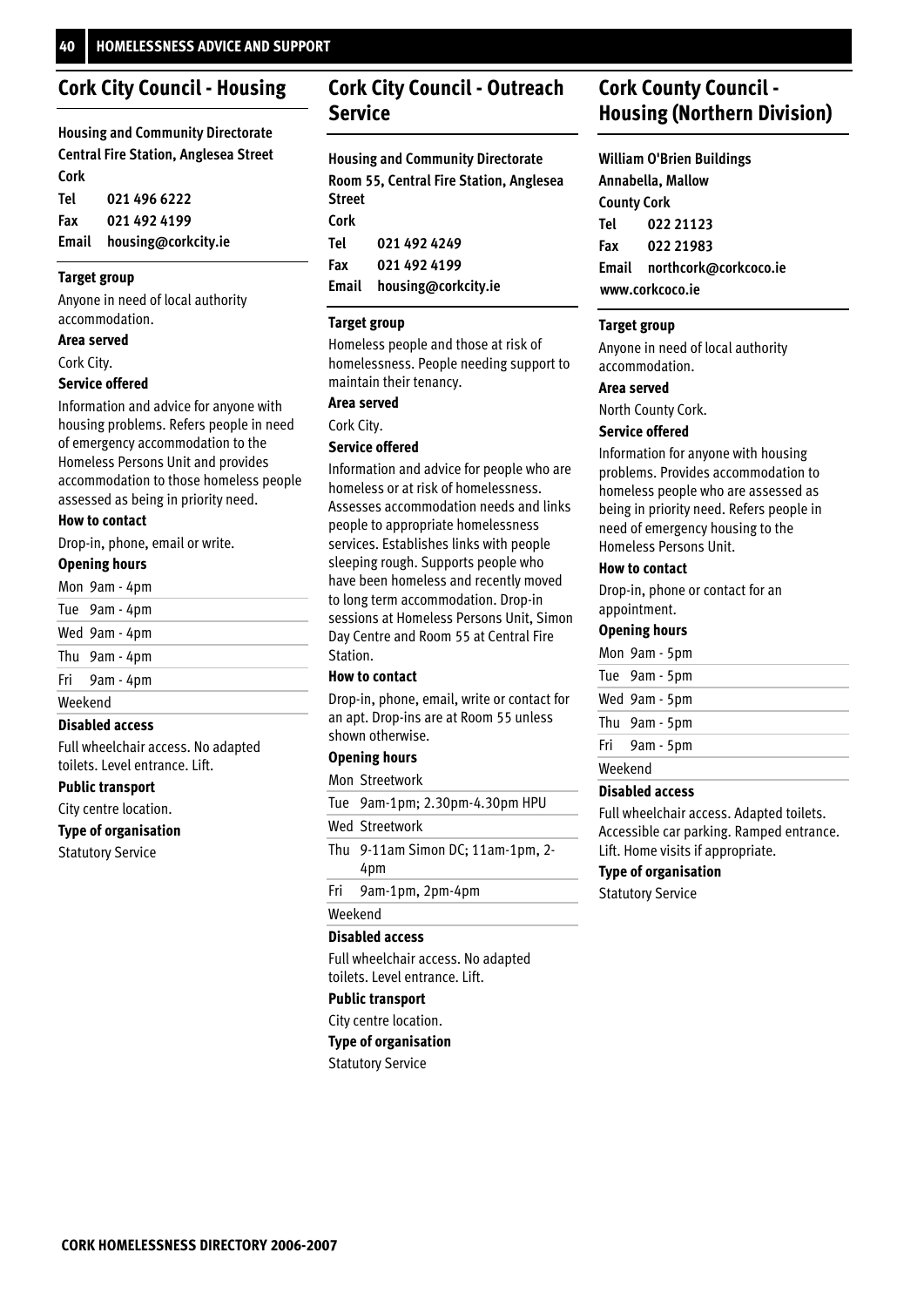### **Cork City Council - Housing**

**Housing and Community Directorate Central Fire Station, Anglesea Street Cork** 

| Tel | 021 496 6222              |
|-----|---------------------------|
| Fax | 021 492 4199              |
|     | Email housing@corkcity.ie |

#### **Target group**

Anyone in need of local authority accommodation.

#### **Area served**

Cork City.

#### **Service offered**

Information and advice for anyone with housing problems. Refers people in need of emergency accommodation to the Homeless Persons Unit and provides accommodation to those homeless people assessed as being in priority need.

#### **How to contact**

Drop-in, phone, email or write.

#### **Opening hours**

| Mon 9am - 4pm |  |
|---------------|--|
|               |  |

|         | Tue 9am - 4pm |  |
|---------|---------------|--|
|         | Wed 9am - 4pm |  |
|         | Thu 9am - 4pm |  |
|         | Fri 9am - 4pm |  |
| Weekend |               |  |
|         |               |  |

#### **Disabled access**

Full wheelchair access. No adapted toilets. Level entrance. Lift.

#### **Public transport**

City centre location.

**Type of organisation**

Statutory Service

### **Cork City Council - Outreach Service**

**Housing and Community Directorate Room 55, Central Fire Station, Anglesea Street Cork 021 492 4249 021 492 4199 Email housing@corkcity.ie Tel Fax**

#### **Target group**

Homeless people and those at risk of homelessness. People needing support to maintain their tenancy.

#### **Area served**

Cork City.

#### **Service offered**

Information and advice for people who are homeless or at risk of homelessness. Assesses accommodation needs and links people to appropriate homelessness services. Establishes links with people sleeping rough. Supports people who have been homeless and recently moved to long term accommodation. Drop-in sessions at Homeless Persons Unit, Simon Day Centre and Room 55 at Central Fire Station.

#### **How to contact**

Drop-in, phone, email, write or contact for an apt. Drop-ins are at Room 55 unless shown otherwise.

#### **Opening hours**

#### Mon Streetwork

9am-1pm; 2.30pm-4.30pm HPU Tue

#### Wed Streetwork

- 9-11am Simon DC; 11am-1pm, 2- Thu 4pm
- 9am-1pm, 2pm-4pm Fri

#### Weekend

#### **Disabled access**

Full wheelchair access. No adapted toilets. Level entrance. Lift.

### **Public transport**

City centre location.

**Type of organisation**

Statutory Service

### **Cork County Council - Housing (Northern Division)**

**William O'Brien Buildings Annabella, Mallow County Cork 022 21123 022 21983 Email northcork@corkcoco.ie www.corkcoco.ie Tel Fax**

#### **Target group**

Anyone in need of local authority accommodation.

#### **Area served**

North County Cork.

#### **Service offered**

Information for anyone with housing problems. Provides accommodation to homeless people who are assessed as being in priority need. Refers people in need of emergency housing to the Homeless Persons Unit.

#### **How to contact**

Drop-in, phone or contact for an appointment.

#### **Opening hours**

|         | Mon 9am - 5pm |
|---------|---------------|
|         | Tue 9am - 5pm |
|         | Wed 9am - 5pm |
|         | Thu 9am - 5pm |
|         | Fri 9am - 5pm |
| Weekend |               |
|         |               |

#### **Disabled access**

Full wheelchair access. Adapted toilets. Accessible car parking. Ramped entrance. Lift. Home visits if appropriate.

#### **Type of organisation**

Statutory Service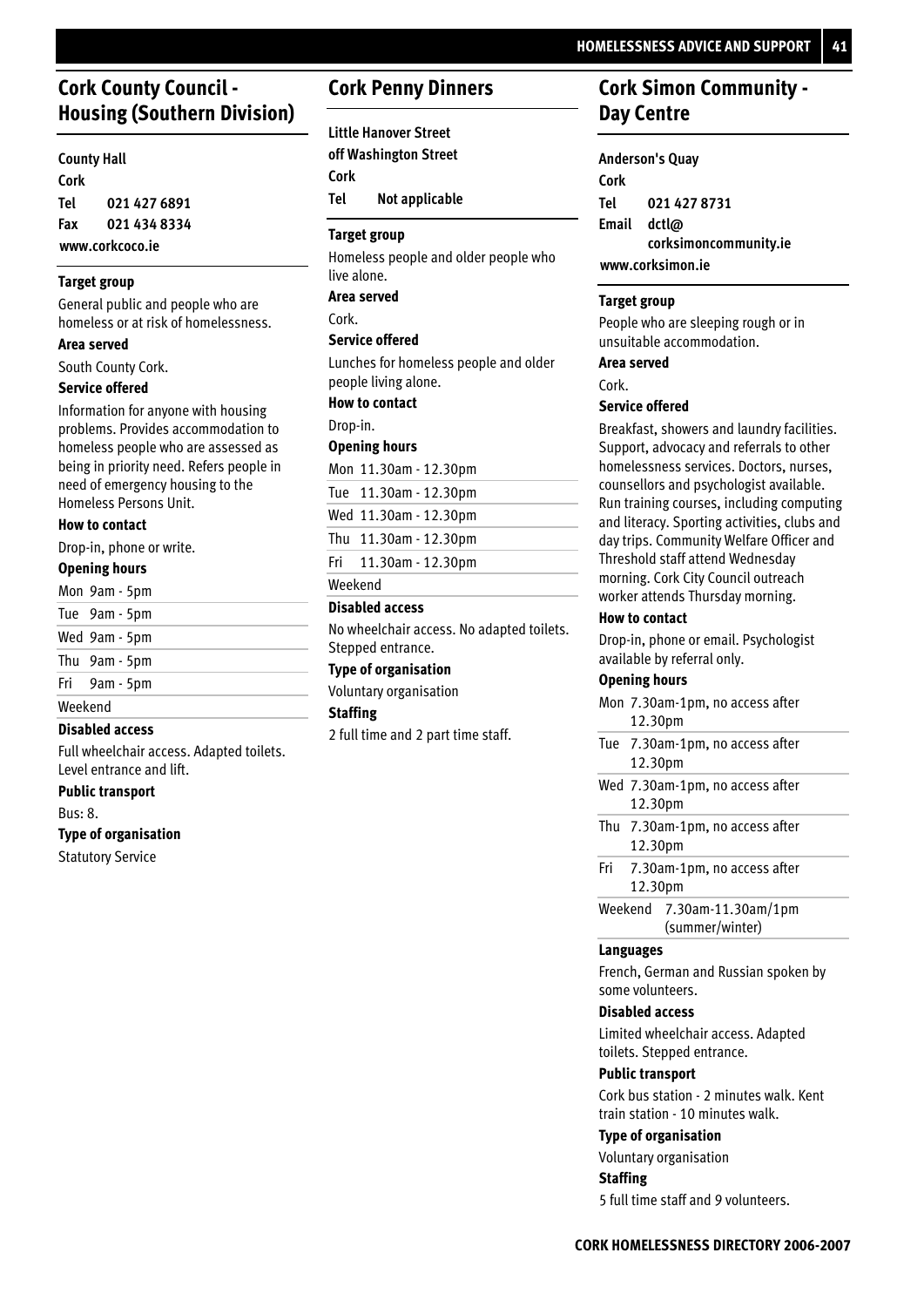### **Cork County Council - Housing (Southern Division)**

#### **County Hall Cork 021 427 6891 021 434 8334 www.corkcoco.ie Tel Fax**

#### **Target group**

General public and people who are homeless or at risk of homelessness.

#### **Area served**

South County Cork.

#### **Service offered**

Information for anyone with housing problems. Provides accommodation to homeless people who are assessed as being in priority need. Refers people in need of emergency housing to the Homeless Persons Unit.

#### **How to contact**

Drop-in, phone or write.

### **Opening hours**

|         | Mon 9am - 5pm |  |
|---------|---------------|--|
|         | Tue 9am - 5pm |  |
|         | Wed 9am - 5pm |  |
|         | Thu 9am - 5pm |  |
|         | Fri 9am - 5pm |  |
| Weekend |               |  |

#### **Disabled access**

Full wheelchair access. Adapted toilets. Level entrance and lift.

**Public transport**

Bus: 8.

#### **Type of organisation**

Statutory Service

### **Cork Penny Dinners**

**Little Hanover Street off Washington Street Cork Not applicable Tel**

#### **Target group**

Homeless people and older people who live alone.

**Area served**

#### **Service offered** Cork.

Lunches for homeless people and older people living alone.

#### **How to contact**

Drop-in.

#### **Opening hours**

| Mon 11.30am - 12.30pm |
|-----------------------|
| Tue 11.30am - 12.30pm |
| Wed 11.30am - 12.30pm |
| Thu 11.30am - 12.30pm |
| Fri 11.30am - 12.30pm |

Weekend

#### **Disabled access**

No wheelchair access. No adapted toilets. Stepped entrance.

#### **Type of organisation**

Voluntary organisation

### **Staffing**

2 full time and 2 part time staff.

### **Cork Simon Community - Day Centre**

### **Anderson's Quay**

**Cork 021 427 8731 dctl@ corksimoncommunity.ie Email www.corksimon.ie Tel**

#### **Target group**

People who are sleeping rough or in unsuitable accommodation.

#### **Area served**

Cork.

#### **Service offered**

Breakfast, showers and laundry facilities. Support, advocacy and referrals to other homelessness services. Doctors, nurses, counsellors and psychologist available. Run training courses, including computing and literacy. Sporting activities, clubs and day trips. Community Welfare Officer and Threshold staff attend Wednesday morning. Cork City Council outreach worker attends Thursday morning.

#### **How to contact**

Drop-in, phone or email. Psychologist available by referral only.

#### **Opening hours**

|                                               | Mon 7.30am-1pm, no access after<br>12.30pm |  |
|-----------------------------------------------|--------------------------------------------|--|
|                                               | Tue 7.30am-1pm, no access after<br>12.30pm |  |
|                                               | Wed 7.30am-1pm, no access after<br>12.30pm |  |
|                                               | Thu 7.30am-1pm, no access after<br>12.30pm |  |
|                                               | Fri 7.30am-1pm, no access after<br>12.30pm |  |
| Weekend 7.30am-11.30am/1pm<br>(summer/winter) |                                            |  |

#### **Languages**

French, German and Russian spoken by some volunteers.

#### **Disabled access**

Limited wheelchair access. Adapted toilets. Stepped entrance.

#### **Public transport**

Cork bus station - 2 minutes walk. Kent train station - 10 minutes walk.

#### **Type of organisation**

Voluntary organisation

### **Staffing**

5 full time staff and 9 volunteers.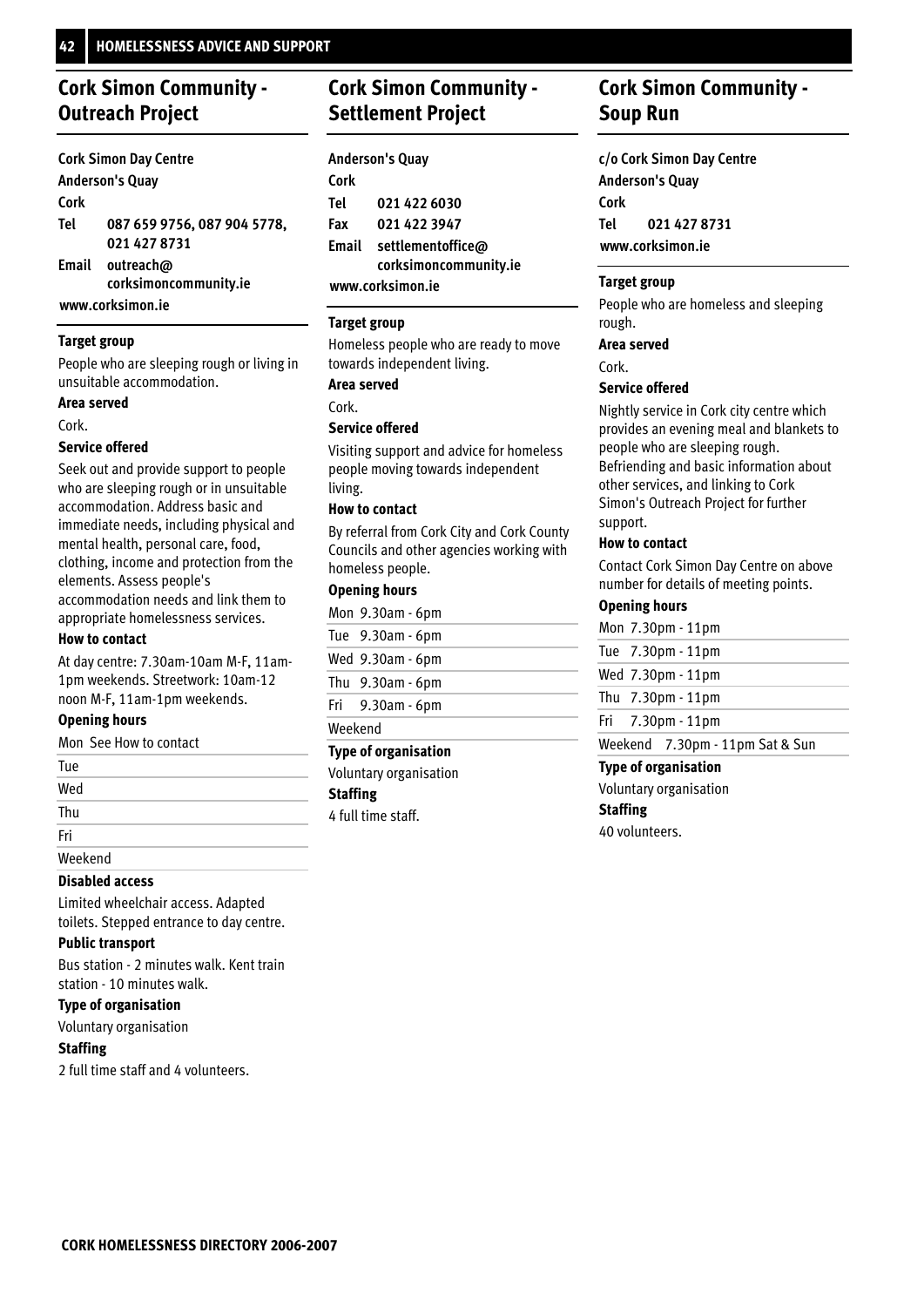## **Cork Simon Community - Outreach Project**

|      | <b>Cork Simon Day Centre</b> |
|------|------------------------------|
|      | <b>Anderson's Quay</b>       |
| Cork |                              |
| Tel  | 087 659 9756, 087 904 5778,  |
|      | 021 427 8731                 |
|      | Email outreach@              |
|      | corksimoncommunity.ie        |

**www.corksimon.ie**

#### **Target group**

People who are sleeping rough or living in unsuitable accommodation.

#### **Area served**

Cork.

#### **Service offered**

Seek out and provide support to people who are sleeping rough or in unsuitable accommodation. Address basic and immediate needs, including physical and mental health, personal care, food, clothing, income and protection from the elements. Assess people's accommodation needs and link them to appropriate homelessness services.

#### **How to contact**

At day centre: 7.30am-10am M-F, 11am-1pm weekends. Streetwork: 10am-12 noon M-F, 11am-1pm weekends.

#### **Opening hours**

Mon See How to contact

| Tue     |  |
|---------|--|
| Wed     |  |
| Thu     |  |
| Fri     |  |
| Weekend |  |

### **Disabled access**

Limited wheelchair access. Adapted toilets. Stepped entrance to day centre.

#### **Public transport**

Bus station - 2 minutes walk. Kent train station - 10 minutes walk.

#### **Type of organisation**

Voluntary organisation

#### **Staffing**

2 full time staff and 4 volunteers.

## **Cork Simon Community - Settlement Project**

|      | <b>Anderson's Quay</b>  |
|------|-------------------------|
| Cork |                         |
| Tel  | 021 422 6030            |
| Fax  | 021 422 3947            |
|      | Email settlementoffice@ |
|      | corksimoncommunity.ie   |
|      | www.corksimon.ie        |

#### **Target group**

Homeless people who are ready to move towards independent living.

### **Area served**

Cork.

#### **Service offered**

Visiting support and advice for homeless people moving towards independent living.

#### **How to contact**

By referral from Cork City and Cork County Councils and other agencies working with homeless people.

#### **Opening hours**

|         | Mon 9.30am - 6pm      |
|---------|-----------------------|
|         | Tue 9.30am - 6pm      |
|         | Wed 9.30am - 6pm      |
|         | Thu $9.30$ am $-6$ pm |
|         | Fri $9.30$ am - 6pm   |
| Weekend |                       |

#### **Type of organisation**

Voluntary organisation

### **Staffing**

4 full time staff.

### **Cork Simon Community - Soup Run**

**c/o Cork Simon Day Centre Anderson's Quay Cork 021 427 8731 www.corksimon.ie Tel**

#### **Target group**

People who are homeless and sleeping rough.

#### **Area served**

Cork.

#### **Service offered**

Nightly service in Cork city centre which provides an evening meal and blankets to people who are sleeping rough. Befriending and basic information about other services, and linking to Cork Simon's Outreach Project for further support.

#### **How to contact**

Contact Cork Simon Day Centre on above number for details of meeting points.

#### **Opening hours**

|  | Mon 7.30pm - 11pm                       |  |
|--|-----------------------------------------|--|
|  | Tue 7.30pm - 11pm                       |  |
|  | Wed 7.30pm - 11pm                       |  |
|  | Thu $7.30 \text{pm} \cdot 11 \text{pm}$ |  |
|  | Fri $7.30 \text{pm}$ - 11pm             |  |
|  | Weekend 7.30pm - 11pm Sat & Sun         |  |
|  | Toma af avaantaattan                    |  |

#### **Type of organisation**

Voluntary organisation

### **Staffing**

40 volunteers.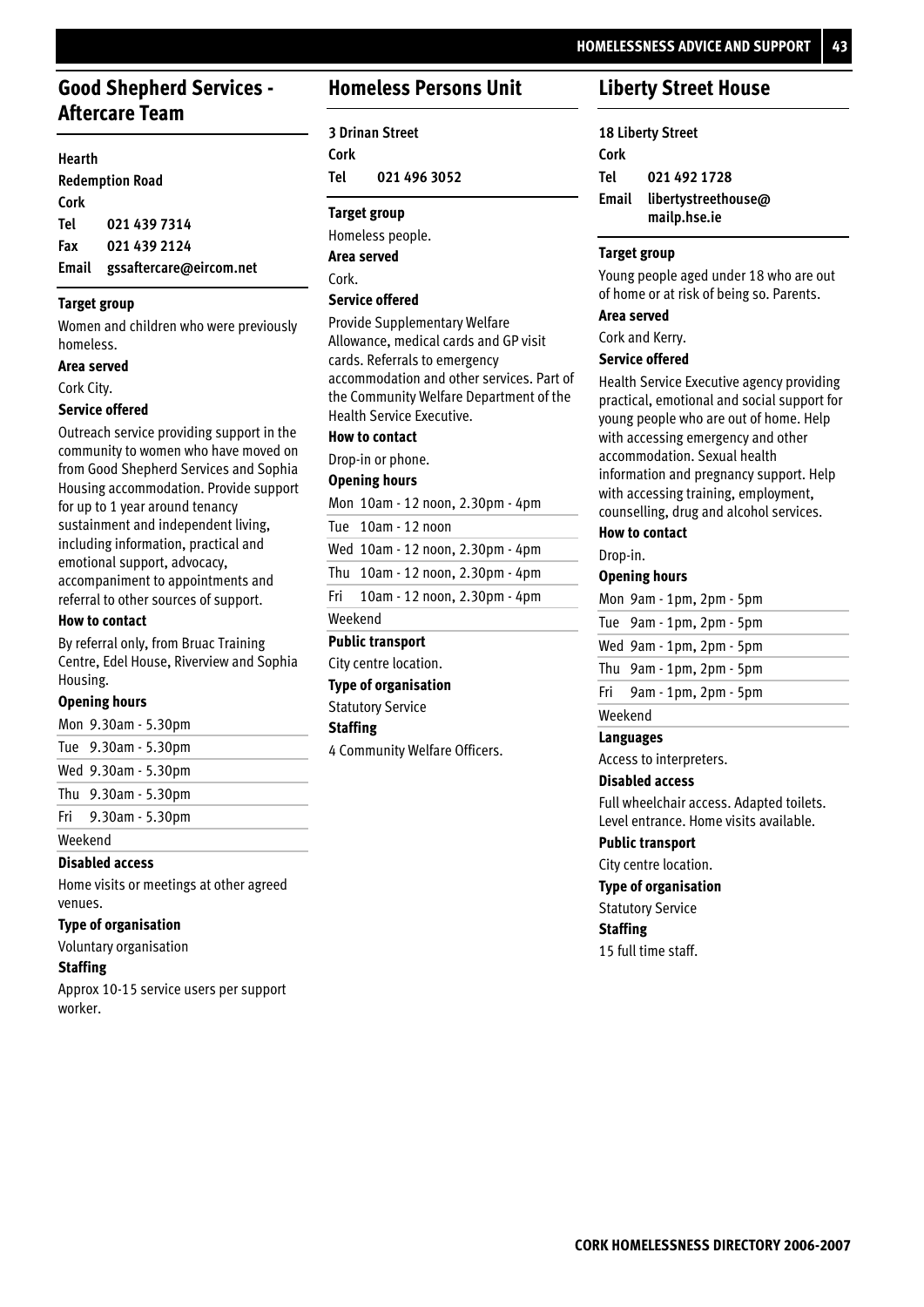### **Good Shepherd Services - Aftercare Team**

#### **Hearth**

|      | <b>Redemption Road</b>        |
|------|-------------------------------|
| Cork |                               |
| Tel  | 021 439 7314                  |
| Fax  | 021 439 2124                  |
|      | Email gssaftercare@eircom.net |

#### **Target group**

Women and children who were previously homeless.

#### **Area served**

Cork City.

#### **Service offered**

Outreach service providing support in the community to women who have moved on from Good Shepherd Services and Sophia Housing accommodation. Provide support for up to 1 year around tenancy sustainment and independent living, including information, practical and emotional support, advocacy, accompaniment to appointments and referral to other sources of support.

#### **How to contact**

By referral only, from Bruac Training Centre, Edel House, Riverview and Sophia Housing.

#### **Opening hours**

9.30am - 5.30pm Mon

9.30am - 5.30pm Tue

9.30am - 5.30pm Wed

9.30am - 5.30pm Thu

9.30am - 5.30pm Fri

Weekend

#### **Disabled access**

Home visits or meetings at other agreed venues.

#### **Type of organisation**

Voluntary organisation

#### **Staffing**

Approx 10-15 service users per support worker.

### **Homeless Persons Unit**

**3 Drinan Street Cork 021 496 3052 Tel**

#### **Target group**

Homeless people. Cork. **Area served**

#### **Service offered**

Provide Supplementary Welfare Allowance, medical cards and GP visit cards. Referrals to emergency accommodation and other services. Part of the Community Welfare Department of the Health Service Executive.

### **How to contact**

Drop-in or phone.

#### **Opening hours**

Mon 10am - 12 noon, 2.30pm - 4pm

Tue 10am - 12 noon

Wed 10am - 12 noon, 2.30pm - 4pm

Thu 10am - 12 noon, 2.30pm - 4pm

10am - 12 noon, 2.30pm - 4pm Fri

### Weekend

Statutory Service

**Staffing**

4 Community Welfare Officers.

### **Liberty Street House**

**18 Liberty Street Cork 021 492 1728 libertystreethouse@ mailp.hse.ie Email Tel**

#### **Target group**

Young people aged under 18 who are out of home or at risk of being so. Parents.

#### **Area served**

Cork and Kerry.

#### **Service offered**

Health Service Executive agency providing practical, emotional and social support for young people who are out of home. Help with accessing emergency and other accommodation. Sexual health information and pregnancy support. Help with accessing training, employment, counselling, drug and alcohol services.

#### **How to contact**

Drop-in.

#### **Opening hours**

|         | Mon 9am - 1pm, 2pm - 5pm      |
|---------|-------------------------------|
|         | Tue 9am - 1pm, 2pm - 5pm      |
|         | Wed 9am - 1pm, 2pm - 5pm      |
|         | Thu $9am - 1pm$ , $2pm - 5pm$ |
|         | Fri 9am - 1pm, 2pm - 5pm      |
| Weekend |                               |

#### **Languages**

Access to interpreters.

#### **Disabled access**

Full wheelchair access. Adapted toilets. Level entrance. Home visits available.

#### **Public transport**

City centre location.

#### **Type of organisation**

Statutory Service

#### **Staffing**

15 full time staff.

City centre location. **Type of organisation Public transport**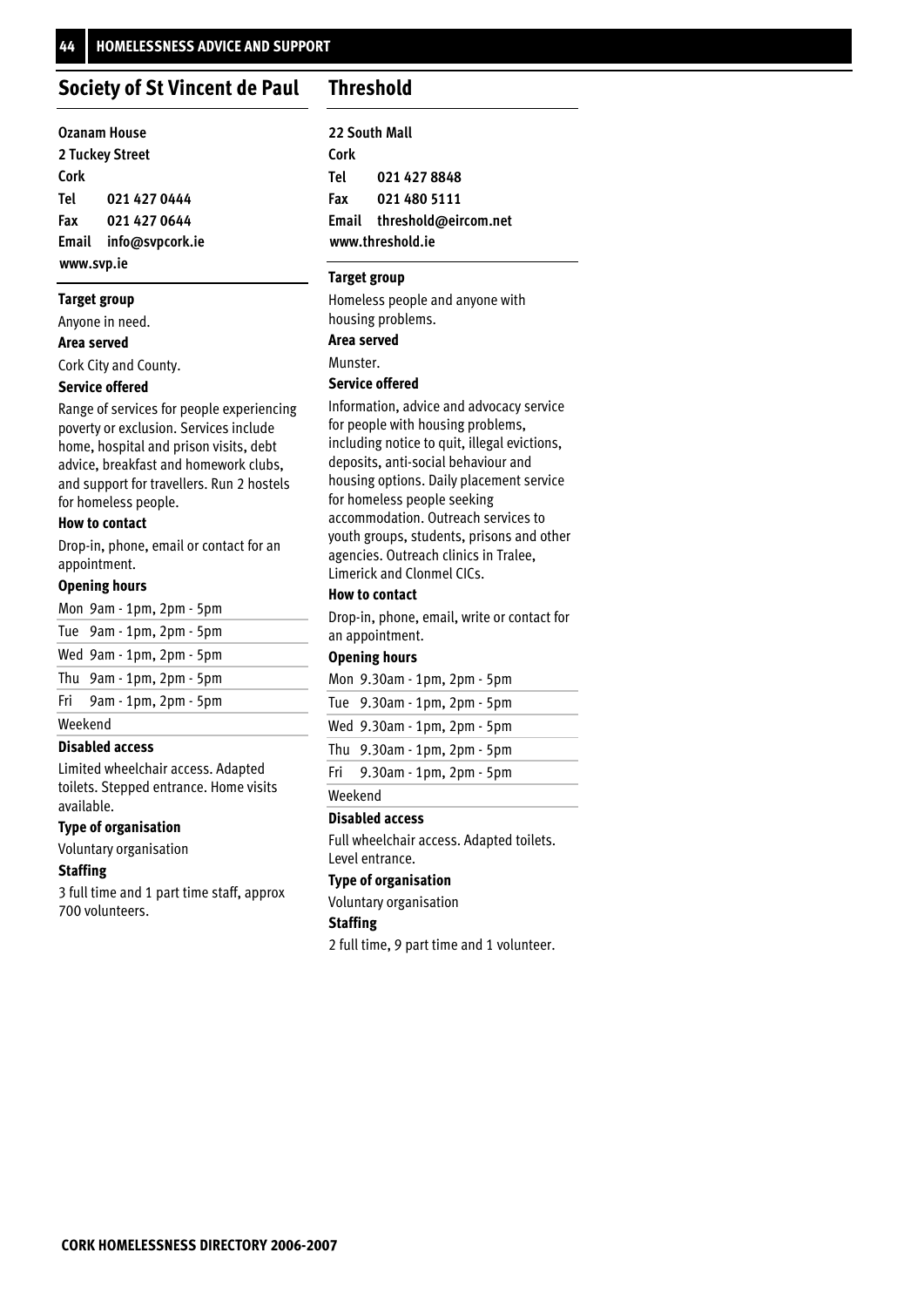#### **Society of St Vincent de Paul Threshold**

| <b>Ozanam House</b> |                       |  |  |
|---------------------|-----------------------|--|--|
|                     | 2 Tuckey Street       |  |  |
| Cork                |                       |  |  |
| Tel                 | 021 427 0444          |  |  |
| Fax                 | 021 427 0644          |  |  |
|                     | Email info@svpcork.ie |  |  |
| www.svp.ie          |                       |  |  |

#### **Target group**

Anyone in need.

#### **Area served**

Cork City and County.

#### **Service offered**

Range of services for people experiencing poverty or exclusion. Services include home, hospital and prison visits, debt advice, breakfast and homework clubs, and support for travellers. Run 2 hostels for homeless people.

#### **How to contact**

Drop-in, phone, email or contact for an appointment.

#### **Opening hours**

|         | Mon 9am - 1pm, 2pm - 5pm |
|---------|--------------------------|
|         | Tue 9am - 1pm, 2pm - 5pm |
|         | Wed 9am - 1pm, 2pm - 5pm |
|         | Thu 9am - 1pm, 2pm - 5pm |
|         | Fri 9am - 1pm, 2pm - 5pm |
| Weekend |                          |

#### **Disabled access**

Limited wheelchair access. Adapted toilets. Stepped entrance. Home visits available.

#### **Type of organisation**

Voluntary organisation

#### **Staffing**

3 full time and 1 part time staff, approx 700 volunteers.

**22 South Mall Cork 021 427 8848 021 480 5111 Email threshold@eircom.net www.threshold.ie Tel Fax**

#### **Target group**

Homeless people and anyone with housing problems. **Area served**

Munster.

#### **Service offered**

Information, advice and advocacy service for people with housing problems, including notice to quit, illegal evictions, deposits, anti-social behaviour and housing options. Daily placement service for homeless people seeking accommodation. Outreach services to youth groups, students, prisons and other agencies. Outreach clinics in Tralee, Limerick and Clonmel CICs.

#### **How to contact**

Drop-in, phone, email, write or contact for an appointment.

#### **Opening hours**

|         | Mon 9.30am - 1pm, 2pm - 5pm           |  |
|---------|---------------------------------------|--|
|         | Tue 9.30am - 1pm, 2pm - 5pm           |  |
|         | Wed 9.30am - 1pm, 2pm - 5pm           |  |
|         | Thu $9.30$ am $-1$ pm, $2$ pm $-5$ pm |  |
|         | Fri $9.30$ am - 1pm, 2pm - 5pm        |  |
| Weekend |                                       |  |

#### **Disabled access**

Full wheelchair access. Adapted toilets. Level entrance.

#### **Type of organisation**

Voluntary organisation

#### **Staffing**

2 full time, 9 part time and 1 volunteer.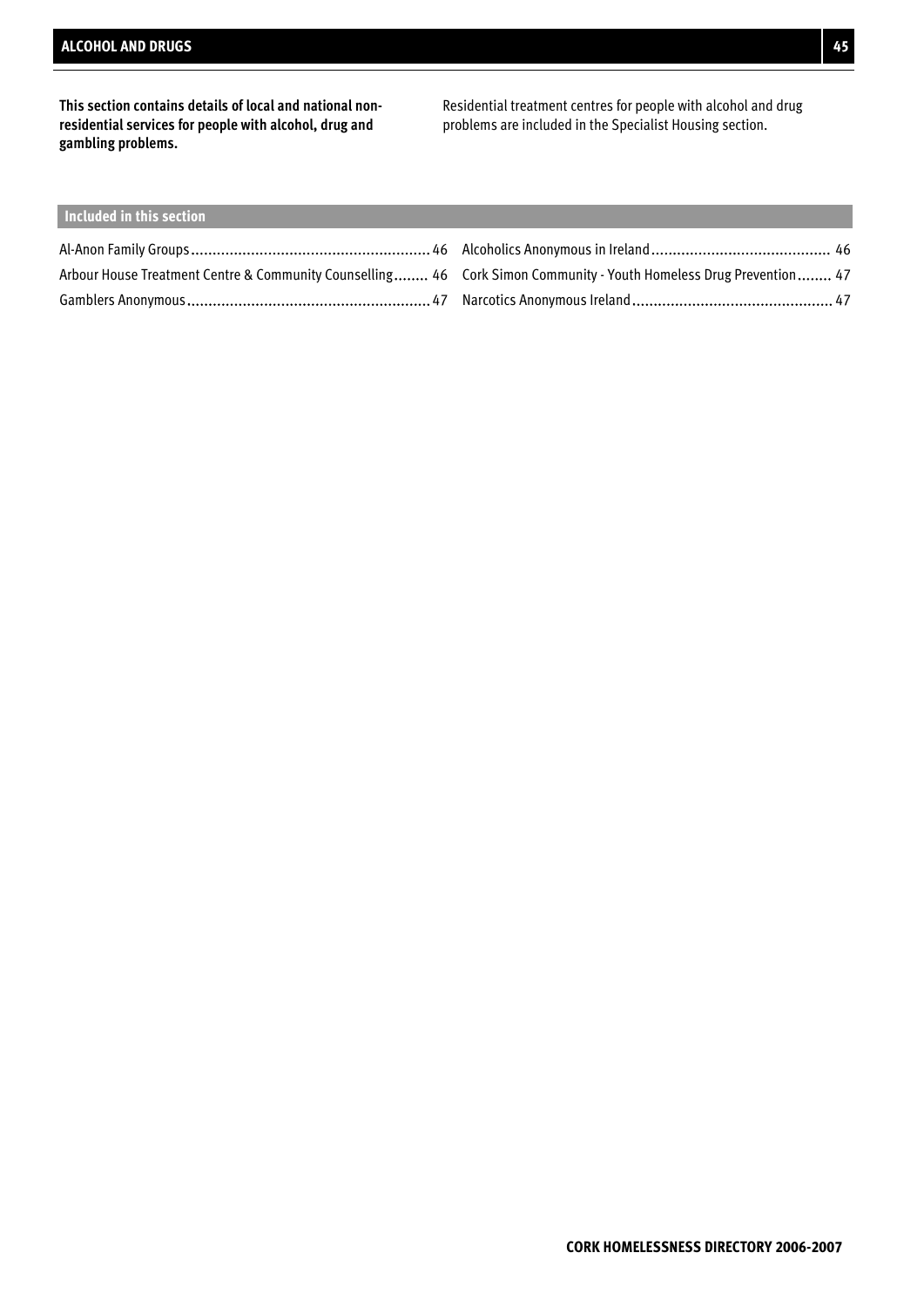**This section contains details of local and national nonresidential services for people with alcohol, drug and gambling problems.**

Residential treatment centres for people with alcohol and drug problems are included in the Specialist Housing section.

### **Included in this section**

| Arbour House Treatment Centre & Community Counselling 46 Cork Simon Community - Youth Homeless Drug Prevention 47 |  |
|-------------------------------------------------------------------------------------------------------------------|--|
|                                                                                                                   |  |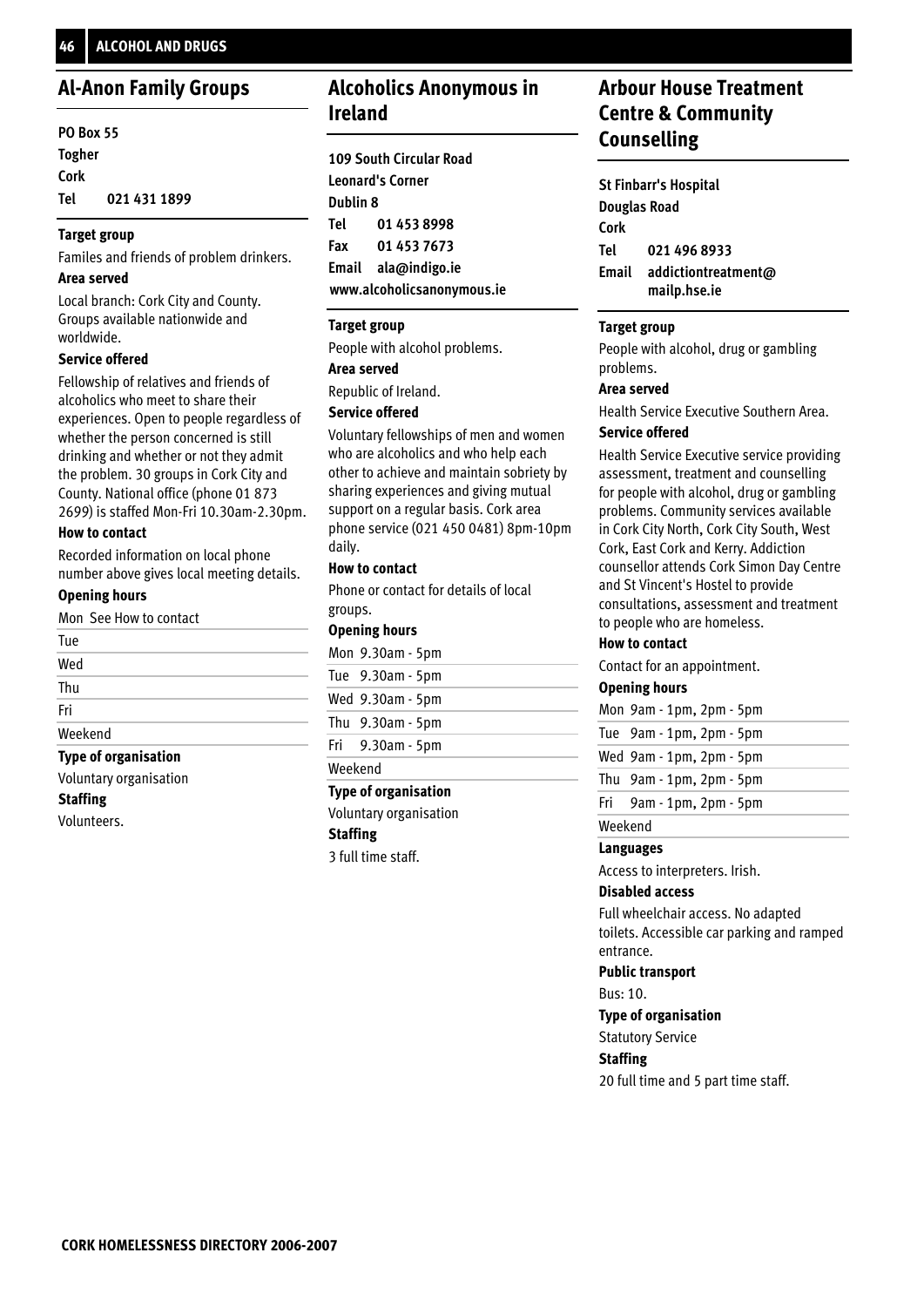### **Al-Anon Family Groups**

#### **PO Box 55 Togher Cork 021 431 1899 Tel**

#### **Target group**

Familes and friends of problem drinkers.

#### **Area served**

Local branch: Cork City and County. Groups available nationwide and worldwide.

#### **Service offered**

Fellowship of relatives and friends of alcoholics who meet to share their experiences. Open to people regardless of whether the person concerned is still drinking and whether or not they admit the problem. 30 groups in Cork City and County. National office (phone 01 873 2699) is staffed Mon-Fri 10.30am-2.30pm.

#### **How to contact**

Recorded information on local phone number above gives local meeting details.

#### **Opening hours**

Mon See How to contact

| Thu<br>Fri<br>Weekend |  |
|-----------------------|--|
|                       |  |
|                       |  |
|                       |  |
| Wed                   |  |
| Tue                   |  |

Voluntary organisation

#### **Staffing**

Volunteers.

## **Alcoholics Anonymous in Ireland**

|                     | <b>109 South Circular Road</b> |  |
|---------------------|--------------------------------|--|
|                     | <b>Leonard's Corner</b>        |  |
| Dublin 8            |                                |  |
| Tel                 | 01 453 8998                    |  |
|                     | Fax 01 453 7673                |  |
| Email ala@indigo.ie |                                |  |
|                     | www.alcoholicsanonymous.ie     |  |

#### **Target group**

People with alcohol problems.

#### **Area served**

Republic of Ireland.

#### **Service offered**

Voluntary fellowships of men and women who are alcoholics and who help each other to achieve and maintain sobriety by sharing experiences and giving mutual support on a regular basis. Cork area phone service (021 450 0481) 8pm-10pm daily.

#### **How to contact**

Phone or contact for details of local groups.

#### **Opening hours**

| Mon 9.30am - 5pm   |
|--------------------|
| Tue 9.30am - 5pm   |
| Wed $9.30am - 5pm$ |
| Thu $9.30am - 5pm$ |
| Fri 9.30am - 5pm   |

Weekend

#### **Type of organisation**

Voluntary organisation

**Staffing**

3 full time staff.

### **Arbour House Treatment Centre & Community Counselling**

**St Finbarr's Hospital Douglas Road Cork 021 496 8933 addictiontreatment@ mailp.hse.ie Email Tel**

#### **Target group**

People with alcohol, drug or gambling problems.

#### **Area served**

Health Service Executive Southern Area.

#### **Service offered**

Health Service Executive service providing assessment, treatment and counselling for people with alcohol, drug or gambling problems. Community services available in Cork City North, Cork City South, West Cork, East Cork and Kerry. Addiction counsellor attends Cork Simon Day Centre and St Vincent's Hostel to provide consultations, assessment and treatment to people who are homeless.

#### **How to contact**

Contact for an appointment.

#### **Opening hours**

|  | Mon $9am - 1pm$ , $2pm - 5pm$ |
|--|-------------------------------|
|  | Tue 9am - 1pm, 2pm - 5pm      |
|  | Wed 9am - 1pm, 2pm - 5pm      |
|  | Thu $9am - 1pm$ , $2pm - 5pm$ |

9am - 1pm, 2pm - 5pm Fri

Weekend

#### **Languages**

Access to interpreters. Irish.

#### **Disabled access**

Full wheelchair access. No adapted toilets. Accessible car parking and ramped entrance.

#### **Public transport**

Bus: 10.

**Type of organisation**

Statutory Service

### **Staffing**

20 full time and 5 part time staff.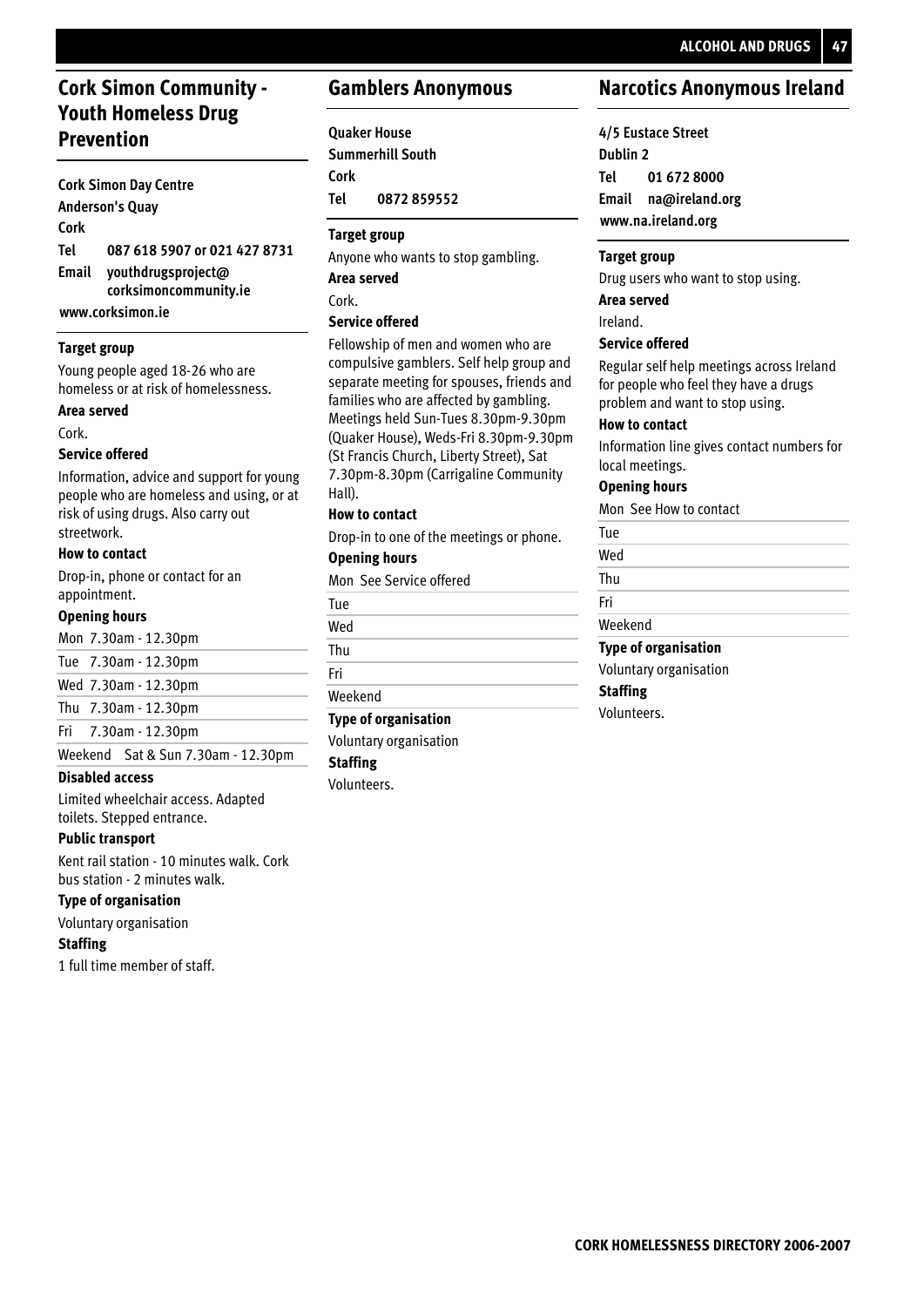## **Cork Simon Community - Youth Homeless Drug Prevention**

#### **Cork Simon Day Centre Anderson's Quay Cork 087 618 5907 or 021 427 8731 youthdrugsproject@ corksimoncommunity.ie Email Tel**

**www.corksimon.ie**

#### **Target group**

Young people aged 18-26 who are homeless or at risk of homelessness.

#### **Area served**

Cork.

#### **Service offered**

Information, advice and support for young people who are homeless and using, or at risk of using drugs. Also carry out streetwork.

#### **How to contact**

Drop-in, phone or contact for an appointment.

#### **Opening hours**

7.30am - 12.30pm Mon

| Tue 7.30am - 12.30pm |  |
|----------------------|--|
|----------------------|--|

|  | Wed 7.30am - 12.30pm |
|--|----------------------|
|  |                      |

7.30am - 12.30pm Thu

```
7.30am - 12.30pm
Fri
```
Weekend Sat & Sun 7.30am - 12.30pm

#### **Disabled access**

Limited wheelchair access. Adapted toilets. Stepped entrance.

#### **Public transport**

Kent rail station - 10 minutes walk. Cork bus station - 2 minutes walk.

#### **Type of organisation**

Voluntary organisation

#### **Staffing**

1 full time member of staff.

### **Gamblers Anonymous**

### **Quaker House**

**Summerhill South Cork 0872 859552 Tel**

#### **Target group**

Anyone who wants to stop gambling.

**Area served**

Cork.

#### **Service offered**

Fellowship of men and women who are compulsive gamblers. Self help group and separate meeting for spouses, friends and families who are affected by gambling. Meetings held Sun-Tues 8.30pm-9.30pm (Quaker House), Weds-Fri 8.30pm-9.30pm (St Francis Church, Liberty Street), Sat 7.30pm-8.30pm (Carrigaline Community Hall).

#### **How to contact**

Drop-in to one of the meetings or phone.

#### **Opening hours**

Mon See Service offered

| Tue     |
|---------|
| Wed     |
| Thu     |
| Fri     |
| Weekend |
|         |

### **Type of organisation**

Voluntary organisation

### **Staffing**

Volunteers.

### **Narcotics Anonymous Ireland**

**4/5 Eustace Street Dublin 2 01 672 8000 Email na@ireland.org www.na.ireland.org Tel**

#### **Target group**

Drug users who want to stop using. **Area served**

## Ireland.

### **Service offered**

Regular self help meetings across Ireland for people who feel they have a drugs problem and want to stop using.

#### **How to contact**

Information line gives contact numbers for local meetings.

#### **Opening hours**

Mon See How to contact

Tue

Wed

Thu Fri

### Weekend

Voluntary organisation **Staffing Type of organisation**

Volunteers.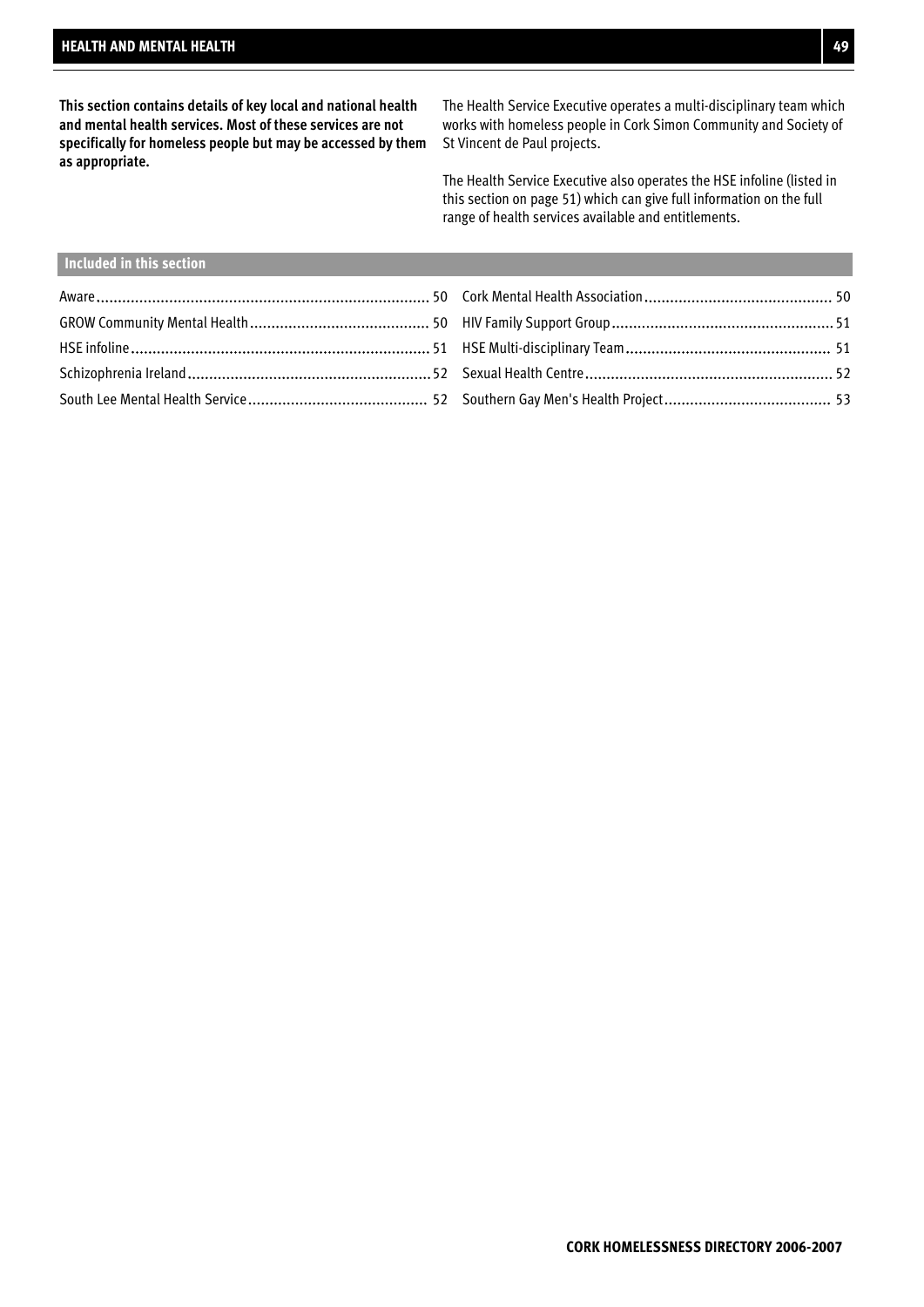**This section contains details of key local and national health and mental health services. Most of these services are not specifically for homeless people but may be accessed by them as appropriate.**

The Health Service Executive operates a multi-disciplinary team which works with homeless people in Cork Simon Community and Society of St Vincent de Paul projects.

The Health Service Executive also operates the HSE infoline (listed in this section on page 51) which can give full information on the full range of health services available and entitlements.

### **Included in this section**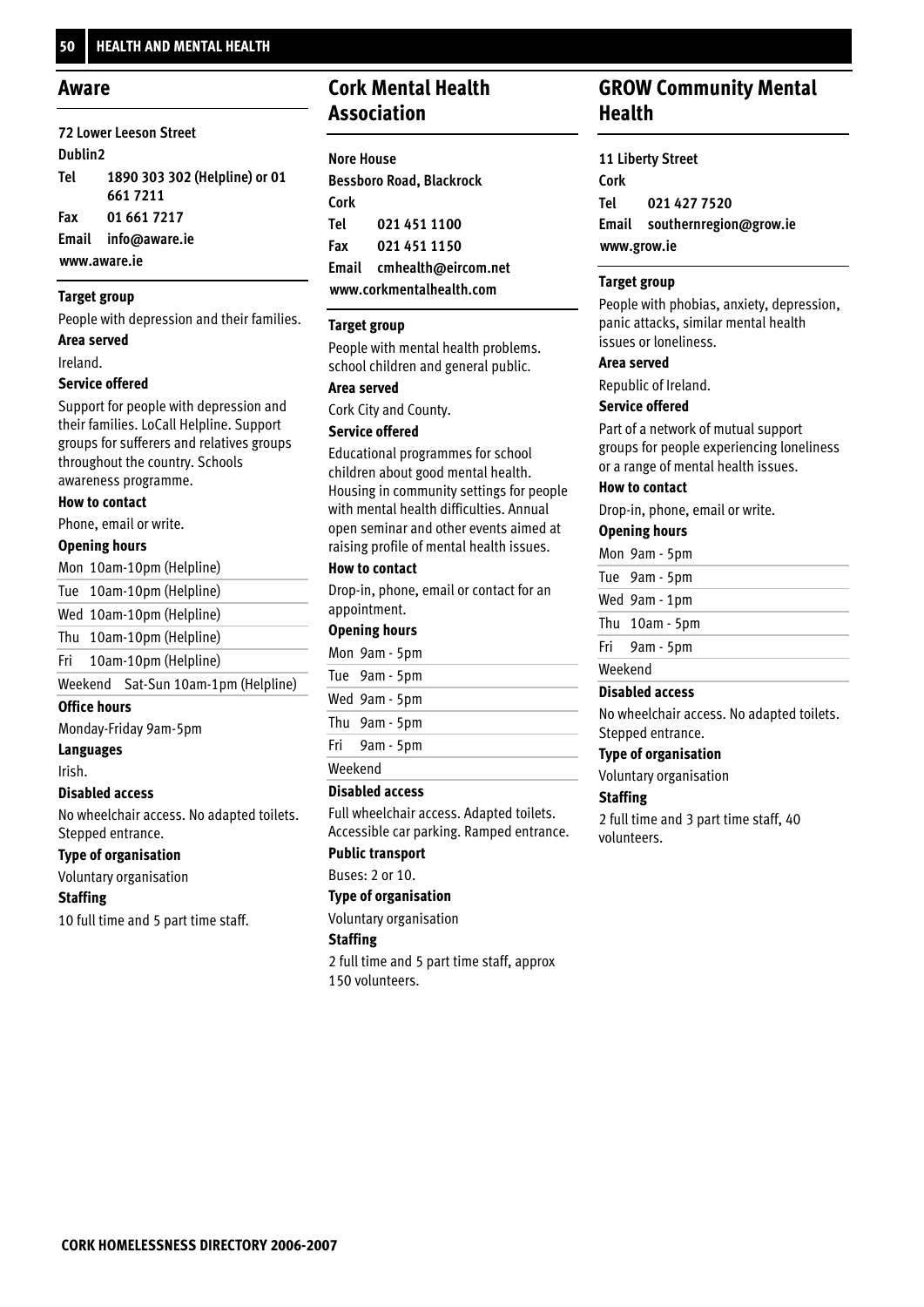#### **Aware**

#### **72 Lower Leeson Street Dublin2 1890 303 302 (Helpline) or 01 661 7211 01 661 7217 Email info@aware.ie www.aware.ie Tel Fax**

#### **Target group**

People with depression and their families.

**Area served**

Ireland.

#### **Service offered**

Support for people with depression and their families. LoCall Helpline. Support groups for sufferers and relatives groups throughout the country. Schools awareness programme.

#### **How to contact**

Phone, email or write.

#### **Opening hours**

Mon 10am-10pm (Helpline)

Tue 10am-10pm (Helpline)

Wed 10am-10pm (Helpline)

Thu 10am-10pm (Helpline)

10am-10pm (Helpline) Fri

Weekend Sat-Sun 10am-1pm (Helpline)

#### **Office hours**

Monday-Friday 9am-5pm

#### **Languages**

Irish.

#### **Disabled access**

No wheelchair access. No adapted toilets. Stepped entrance.

#### **Type of organisation**

Voluntary organisation

#### **Staffing**

10 full time and 5 part time staff.

## **Cork Mental Health Association**

| <b>Nore House</b> |                                 |
|-------------------|---------------------------------|
|                   | <b>Bessboro Road, Blackrock</b> |
| Cork              |                                 |
| Tel               | 021 451 1100                    |
| Fax               | 021 451 1150                    |
|                   | Email cmhealth@eircom.net       |
|                   | www.corkmentalhealth.com        |

#### **Target group**

People with mental health problems. school children and general public.

#### **Area served**

Cork City and County.

#### **Service offered**

Educational programmes for school children about good mental health. Housing in community settings for people with mental health difficulties. Annual open seminar and other events aimed at raising profile of mental health issues.

#### **How to contact**

Drop-in, phone, email or contact for an appointment.

#### **Opening hours**

| Mon 9am - 5pm |  |
|---------------|--|
| Tue 9am - 5pm |  |
| Wed 9am - 5pm |  |
| Thu 9am - 5pm |  |
| Fri 9am - 5pm |  |
| Weekend       |  |

#### **Disabled access**

Full wheelchair access. Adapted toilets. Accessible car parking. Ramped entrance.

#### **Public transport**

Buses: 2 or 10.

#### **Type of organisation**

Voluntary organisation

#### **Staffing**

2 full time and 5 part time staff, approx 150 volunteers.

### **GROW Community Mental Health**

**11 Liberty Street Cork 021 427 7520 Email southernregion@grow.ie www.grow.ie Tel**

#### **Target group**

People with phobias, anxiety, depression, panic attacks, similar mental health issues or loneliness.

#### **Area served**

Republic of Ireland.

#### **Service offered**

Part of a network of mutual support groups for people experiencing loneliness or a range of mental health issues.

#### **How to contact**

Drop-in, phone, email or write.

#### **Opening hours**

Mon 9am - 5pm

- Tue 9am 5pm
- Wed 9am 1pm
- Thu 10am 5pm
- 9am 5pm Fri

#### Weekend

#### **Disabled access**

No wheelchair access. No adapted toilets. Stepped entrance.

#### **Type of organisation**

Voluntary organisation

#### **Staffing**

2 full time and 3 part time staff, 40 volunteers.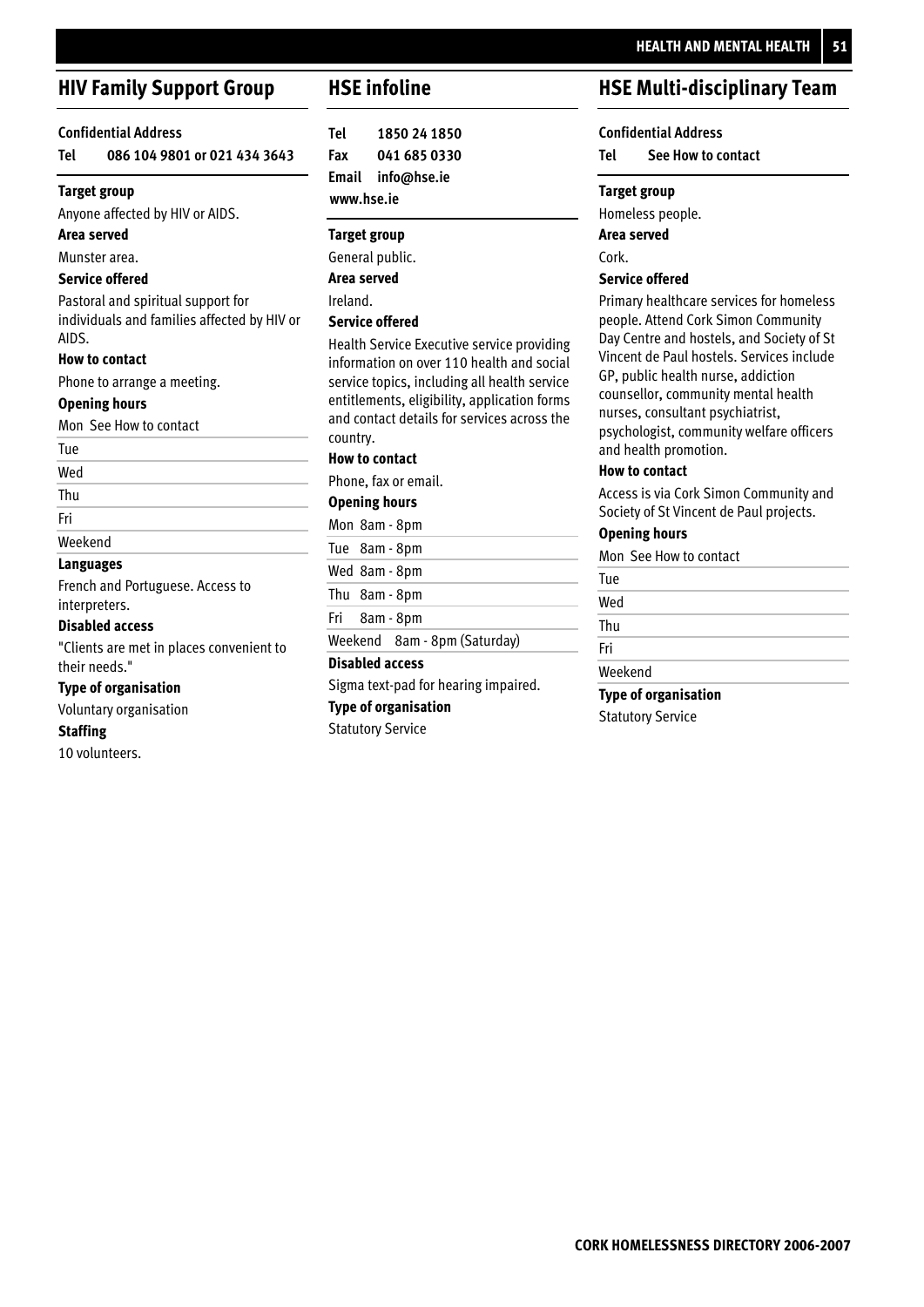## **HEALTH AND MENTAL HEALTH 51**

## **HIV Family Support Group**

#### **Confidential Address**

**086 104 9801 or 021 434 3643 Tel**

#### **Target group**

Anyone affected by HIV or AIDS.

#### **Area served**

Munster area.

#### **Service offered**

Pastoral and spiritual support for individuals and families affected by HIV or AIDS.

#### **How to contact**

Phone to arrange a meeting.

#### **Opening hours**

Mon See How to contact

#### Tue

Wed

#### Thu

Fri

#### Weekend

### **Languages**

French and Portuguese. Access to interpreters.

#### **Disabled access**

"Clients are met in places convenient to their needs."

#### **Type of organisation**

Voluntary organisation

#### **Staffing**

10 volunteers.

### **HSE infoline**

**1850 24 1850 041 685 0330 Email info@hse.ie www.hse.ie Tel Fax**

#### **Target group**

General public.

**Area served**

Ireland.

#### **Service offered**

Health Service Executive service providing information on over 110 health and social service topics, including all health service entitlements, eligibility, application forms and contact details for services across the country.

#### **How to contact**

Phone, fax or email.

#### **Opening hours**

Mon 8am - 8pm

- Tue 8am 8pm
- 
- Wed 8am 8pm

Thu 8am - 8pm

8am - 8pm Fri

Weekend 8am - 8pm (Saturday)

#### **Disabled access**

Sigma text-pad for hearing impaired.

#### **Type of organisation**

Statutory Service

## **HSE Multi-disciplinary Team**

### **Confidential Address**

**See How to contact Tel**

#### **Target group**

Homeless people.

**Area served**

Cork.

#### **Service offered**

Primary healthcare services for homeless people. Attend Cork Simon Community Day Centre and hostels, and Society of St Vincent de Paul hostels. Services include GP, public health nurse, addiction counsellor, community mental health nurses, consultant psychiatrist, psychologist, community welfare officers and health promotion.

#### **How to contact**

Access is via Cork Simon Community and Society of St Vincent de Paul projects.

#### **Opening hours**

Mon See How to contact

| Tue     |  |
|---------|--|
| Wed     |  |
| Thu     |  |
| Fri     |  |
| Weekend |  |

**Type of organisation**

Statutory Service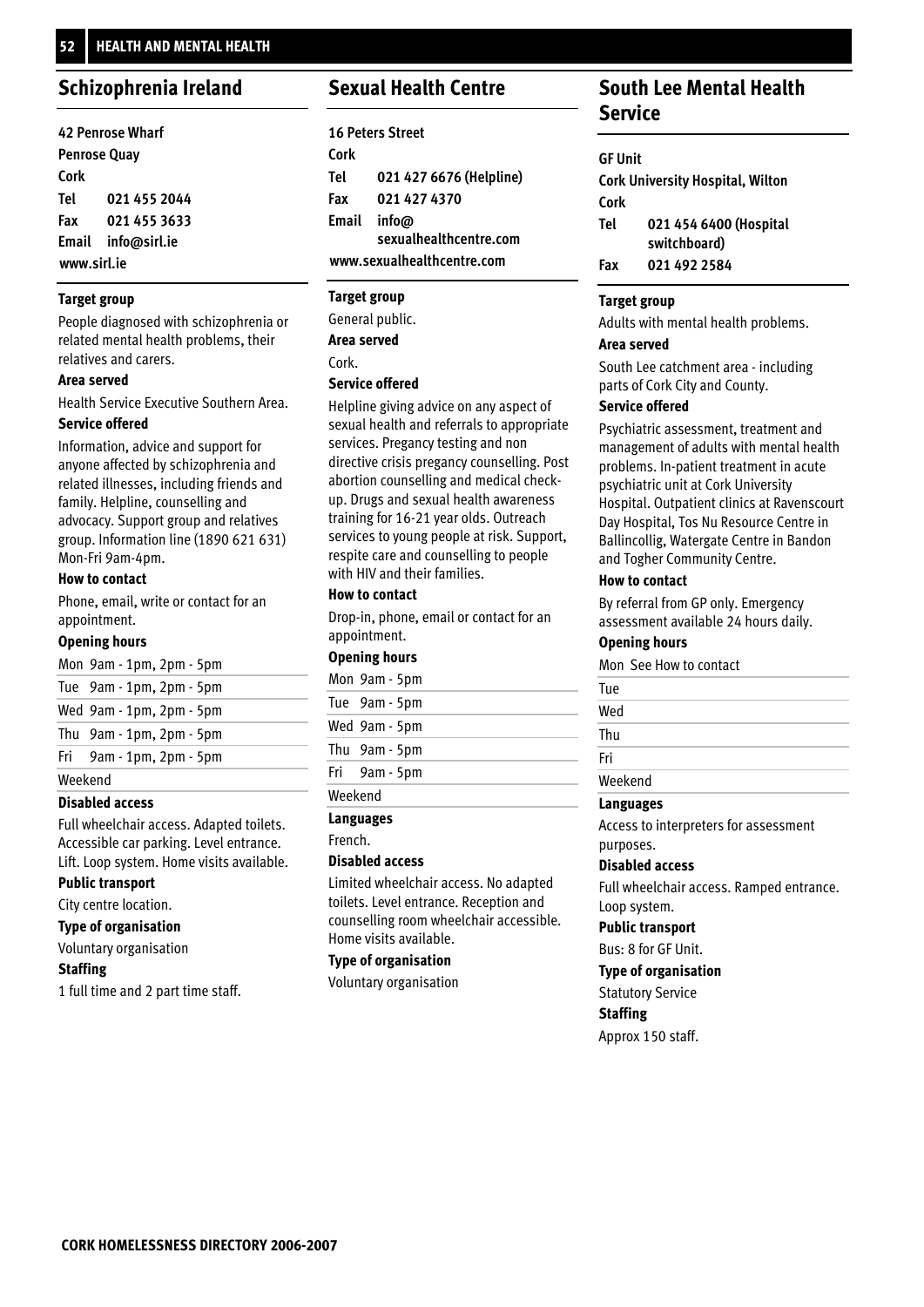### **Schizophrenia Ireland**

| <b>42 Penrose Wharf</b> |                    |
|-------------------------|--------------------|
| <b>Penrose Quay</b>     |                    |
| Cork                    |                    |
| Tel                     | 021 455 2044       |
| Fax                     | 021 455 3633       |
|                         | Email info@sirl.ie |
| www.sirl.ie             |                    |

#### **Target group**

People diagnosed with schizophrenia or related mental health problems, their relatives and carers.

#### **Area served**

Health Service Executive Southern Area.

#### **Service offered**

Information, advice and support for anyone affected by schizophrenia and related illnesses, including friends and family. Helpline, counselling and advocacy. Support group and relatives group. Information line (1890 621 631) Mon-Fri 9am-4pm.

#### **How to contact**

Phone, email, write or contact for an appointment.

#### **Opening hours**

|         | Mon 9am - 1pm, 2pm - 5pm |
|---------|--------------------------|
|         | Tue 9am - 1pm, 2pm - 5pm |
|         | Wed 9am - 1pm, 2pm - 5pm |
|         | Thu 9am - 1pm, 2pm - 5pm |
|         | Fri 9am - 1pm, 2pm - 5pm |
| Weekend |                          |

#### **Disabled access**

Full wheelchair access. Adapted toilets. Accessible car parking. Level entrance. Lift. Loop system. Home visits available.

#### **Public transport**

City centre location.

### **Type of organisation**

Voluntary organisation

#### **Staffing**

1 full time and 2 part time staff.

### **Sexual Health Centre**

|       | <b>16 Peters Street</b>    |
|-------|----------------------------|
| Cork  |                            |
| Tel   | 021 427 6676 (Helpline)    |
| Fax   | 021 427 4370               |
| Email | info@                      |
|       | sexualhealthcentre.com     |
|       | www.sexualhealthcentre.com |

### **Target group**

General public. Cork. **Area served**

#### **Service offered**

Helpline giving advice on any aspect of sexual health and referrals to appropriate services. Pregancy testing and non directive crisis pregancy counselling. Post abortion counselling and medical checkup. Drugs and sexual health awareness training for 16-21 year olds. Outreach services to young people at risk. Support, respite care and counselling to people with HIV and their families.

#### **How to contact**

Drop-in, phone, email or contact for an appointment.

#### **Opening hours**

|         | Mon 9am - 5pm |
|---------|---------------|
|         | Tue 9am - 5pm |
|         | Wed 9am - 5pm |
|         | Thu 9am - 5pm |
|         | Fri 9am - 5pm |
| Weekend |               |

#### **Languages**

French.

#### **Disabled access**

Limited wheelchair access. No adapted toilets. Level entrance. Reception and counselling room wheelchair accessible. Home visits available.

#### **Type of organisation**

Voluntary organisation

### **South Lee Mental Health Service**

#### **GF Unit**

| <b>Cork University Hospital, Wilton</b> |                                        |
|-----------------------------------------|----------------------------------------|
| Cork                                    |                                        |
| Tel                                     | 021 454 6400 (Hospital<br>switchboard) |
| Fax                                     | 021 492 2584                           |

#### **Target group**

Adults with mental health problems.

#### **Area served**

South Lee catchment area - including parts of Cork City and County.

#### **Service offered**

Psychiatric assessment, treatment and management of adults with mental health problems. In-patient treatment in acute psychiatric unit at Cork University Hospital. Outpatient clinics at Ravenscourt Day Hospital, Tos Nu Resource Centre in Ballincollig, Watergate Centre in Bandon and Togher Community Centre.

#### **How to contact**

By referral from GP only. Emergency assessment available 24 hours daily.

#### **Opening hours**

Mon See How to contact

| Tue     |  |
|---------|--|
| Wed     |  |
| Thu     |  |
| Fri     |  |
| Weekend |  |

#### **Languages**

Access to interpreters for assessment purposes.

#### **Disabled access**

Full wheelchair access. Ramped entrance. Loop system.

#### **Public transport**

Bus: 8 for GF Unit.

#### **Type of organisation**

Statutory Service

**Staffing**

Approx 150 staff.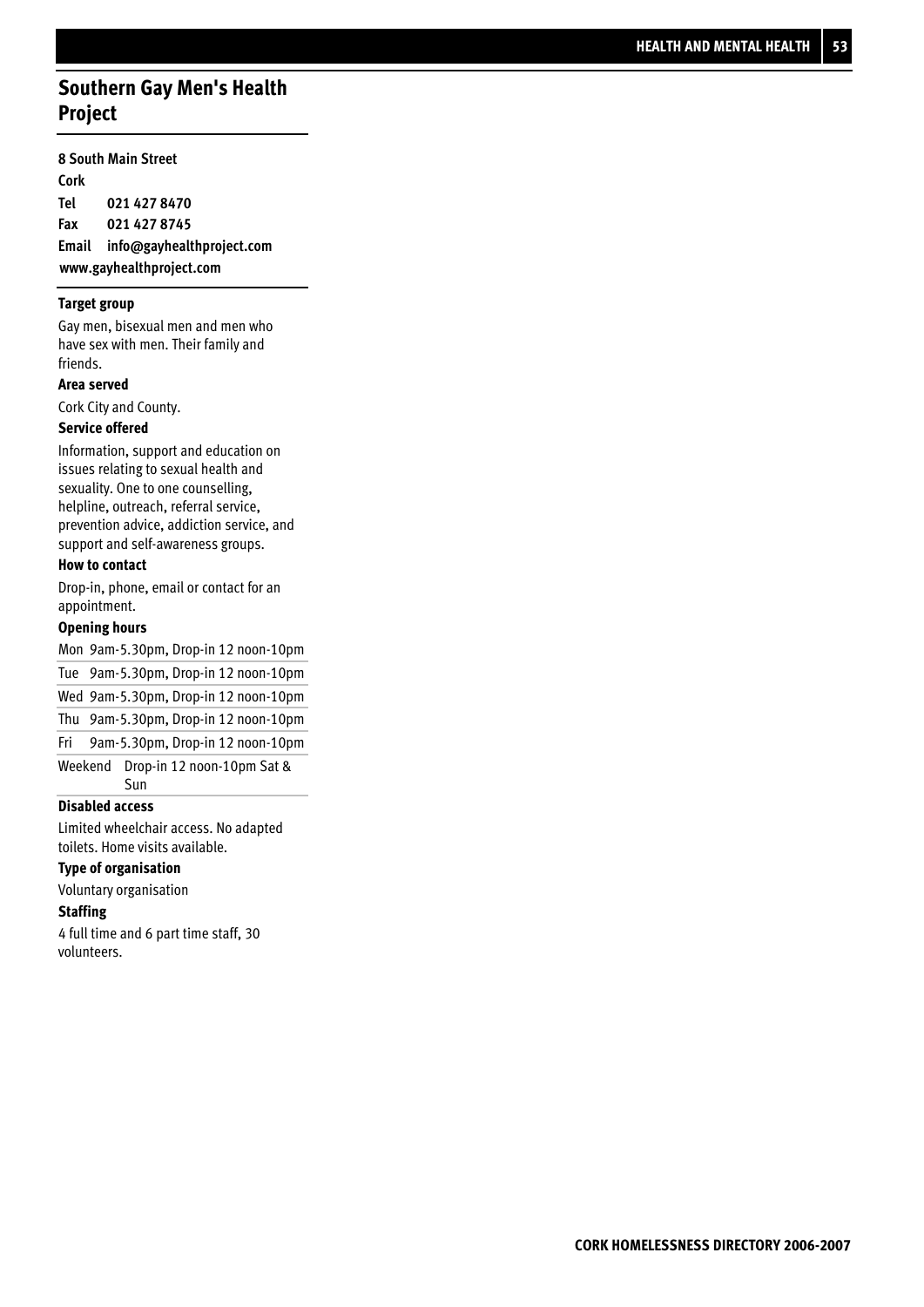## **Southern Gay Men's Health Project**

#### **8 South Main Street**

**Cork 021 427 8470 021 427 8745 Email info@gayhealthproject.com www.gayhealthproject.com Tel Fax**

#### **Target group**

Gay men, bisexual men and men who have sex with men. Their family and friends.

#### **Area served**

Cork City and County.

#### **Service offered**

Information, support and education on issues relating to sexual health and sexuality. One to one counselling, helpline, outreach, referral service, prevention advice, addiction service, and support and self-awareness groups.

#### **How to contact**

Drop-in, phone, email or contact for an appointment.

#### **Opening hours**

Mon 9am-5.30pm, Drop-in 12 noon-10pm 9am-5.30pm, Drop-in 12 noon-10pm Tue Wed 9am-5.30pm, Drop-in 12 noon-10pm 9am-5.30pm, Drop-in 12 noon-10pm Thu 9am-5.30pm, Drop-in 12 noon-10pm Fri

Drop-in 12 noon-10pm Sat & Sun Weekend

#### **Disabled access**

Limited wheelchair access. No adapted toilets. Home visits available.

#### **Type of organisation**

Voluntary organisation

#### **Staffing**

4 full time and 6 part time staff, 30 volunteers.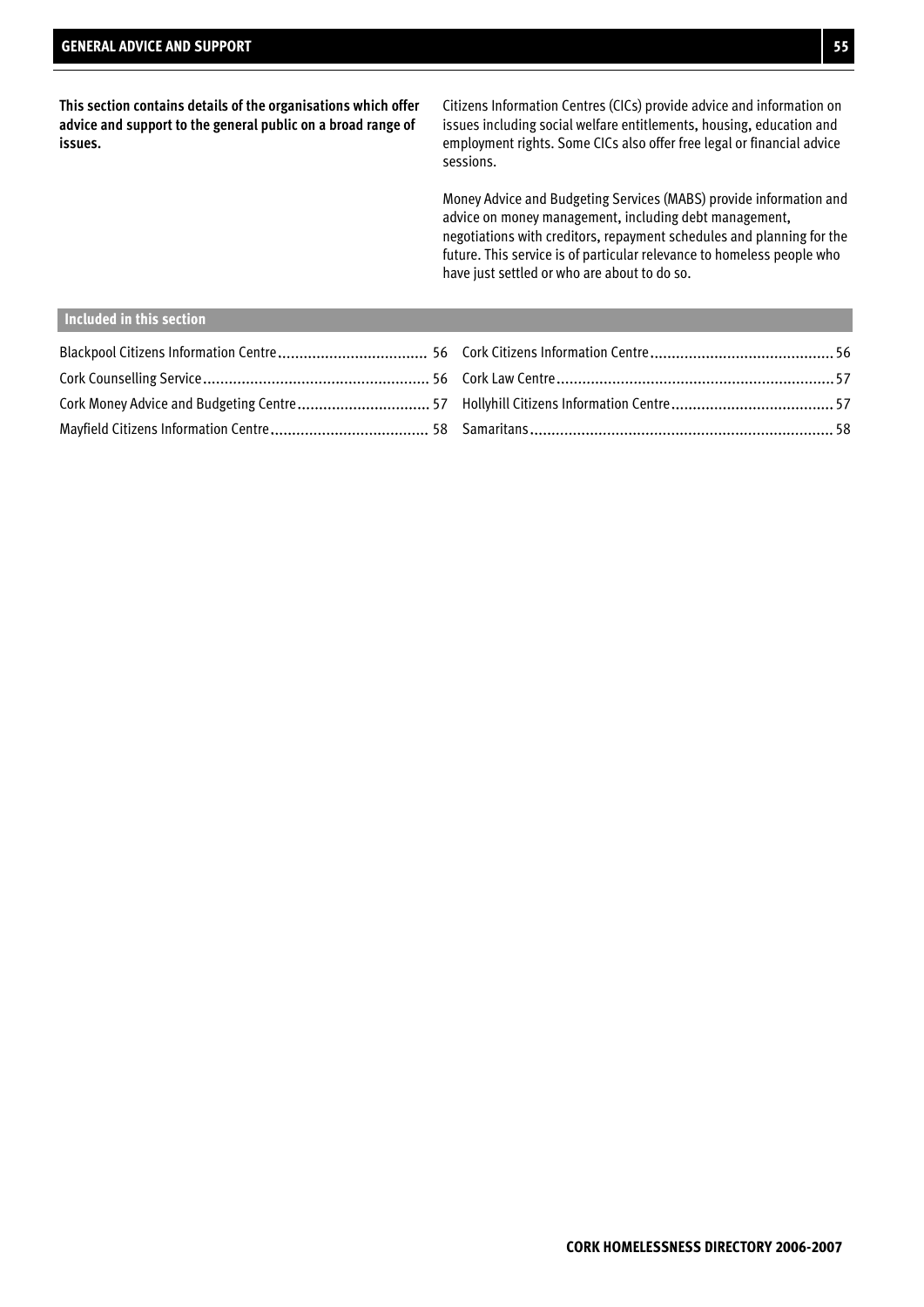**This section contains details of the organisations which offer advice and support to the general public on a broad range of issues.**

Citizens Information Centres (CICs) provide advice and information on issues including social welfare entitlements, housing, education and employment rights. Some CICs also offer free legal or financial advice sessions.

Money Advice and Budgeting Services (MABS) provide information and advice on money management, including debt management, negotiations with creditors, repayment schedules and planning for the future. This service is of particular relevance to homeless people who have just settled or who are about to do so.

#### **Included in this section**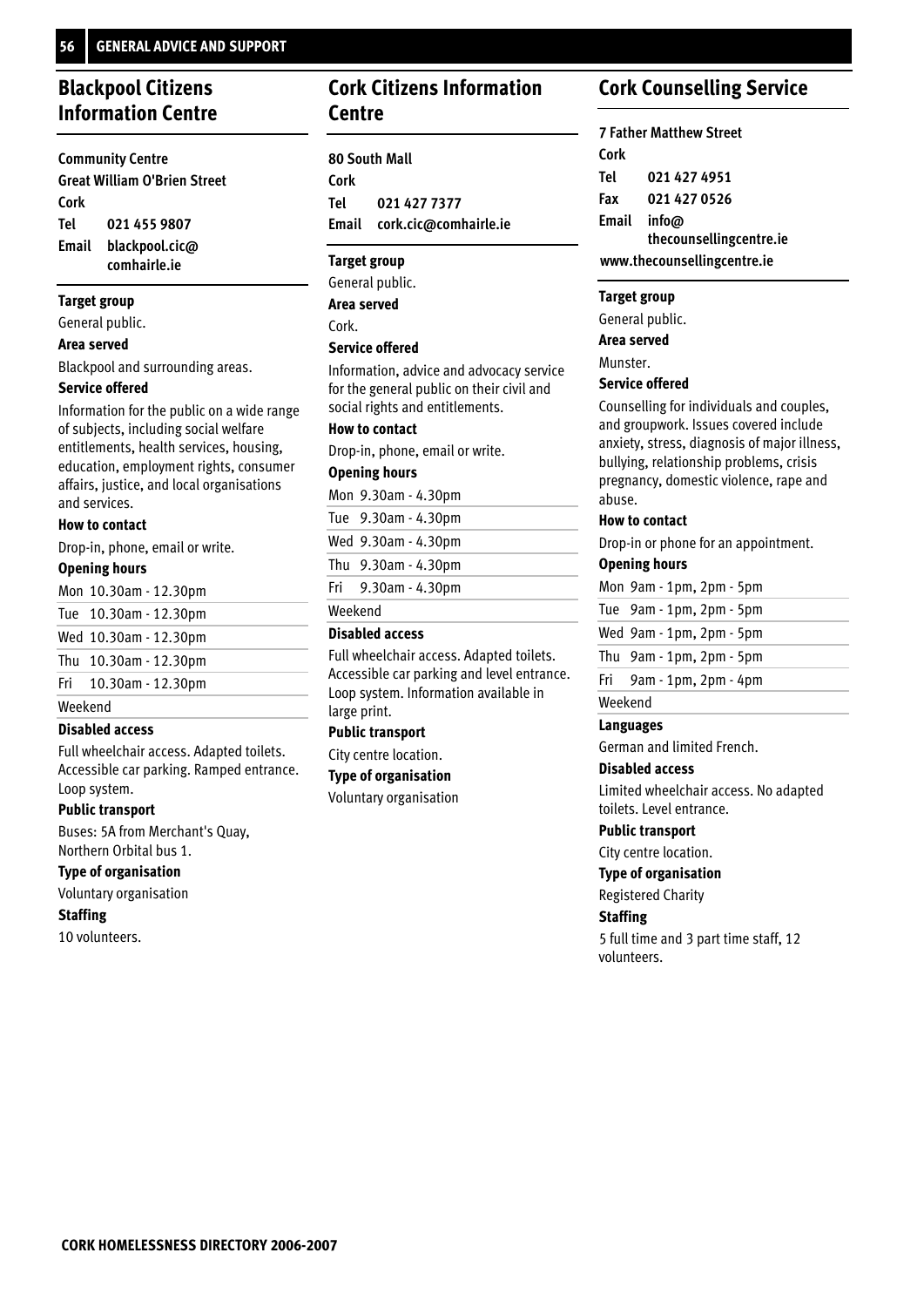## **Blackpool Citizens Information Centre**

**Community Centre Great William O'Brien Street Cork 021 455 9807 blackpool.cic@ comhairle.ie Email Tel**

#### **Target group**

General public.

#### **Area served**

Blackpool and surrounding areas.

#### **Service offered**

Information for the public on a wide range of subjects, including social welfare entitlements, health services, housing, education, employment rights, consumer affairs, justice, and local organisations and services.

#### **How to contact**

Drop-in, phone, email or write.

#### **Opening hours**

|         | Mon 10.30am - 12.30pm |
|---------|-----------------------|
|         | Tue 10.30am - 12.30pm |
|         | Wed 10.30am - 12.30pm |
|         | Thu 10.30am - 12.30pm |
|         | Fri 10.30am - 12.30pm |
| Weekend |                       |

#### **Disabled access**

Full wheelchair access. Adapted toilets. Accessible car parking. Ramped entrance. Loop system.

#### **Public transport**

Buses: 5A from Merchant's Quay, Northern Orbital bus 1.

#### **Type of organisation**

Voluntary organisation

#### **Staffing**

10 volunteers.

### **Cork Citizens Information Centre**

**80 South Mall Cork 021 427 7377 Email cork.cic@comhairle.ie Tel**

#### **Target group**

General public. **Area served**

Cork.

#### **Service offered**

Information, advice and advocacy service for the general public on their civil and social rights and entitlements.

#### **How to contact**

Drop-in, phone, email or write.

#### **Opening hours**

9.30am - 4.30pm Mon

9.30am - 4.30pm Tue

9.30am - 4.30pm Wed

9.30am - 4.30pm Thu

9.30am - 4.30pm Fri

Weekend

#### **Disabled access**

Full wheelchair access. Adapted toilets. Accessible car parking and level entrance. Loop system. Information available in large print.

#### **Public transport**

**Type of organisation**

### **Cork Counselling Service**

**7 Father Matthew Street Cork 021 427 4951 021 427 0526 info@ thecounsellingcentre.ie Email www.thecounsellingcentre.ie Tel Fax**

#### **Target group**

General public.

**Area served**

Munster.

#### **Service offered**

Counselling for individuals and couples, and groupwork. Issues covered include anxiety, stress, diagnosis of major illness, bullying, relationship problems, crisis pregnancy, domestic violence, rape and abuse.

#### **How to contact**

Drop-in or phone for an appointment.

### **Opening hours**

|         | Mon 9am - 1pm, 2pm - 5pm      |
|---------|-------------------------------|
|         | Tue $9am - 1pm$ , $2pm - 5pm$ |
|         | Wed 9am - 1pm, 2pm - 5pm      |
|         | Thu $9am - 1pm$ , $2pm - 5pm$ |
| Fri     | 9am - 1pm, 2pm - 4pm          |
| Weekend |                               |

#### **Languages**

German and limited French.

#### **Disabled access**

Limited wheelchair access. No adapted toilets. Level entrance.

#### **Public transport**

City centre location.

**Type of organisation**

#### Registered Charity

**Staffing**

5 full time and 3 part time staff, 12 volunteers.

City centre location.

Voluntary organisation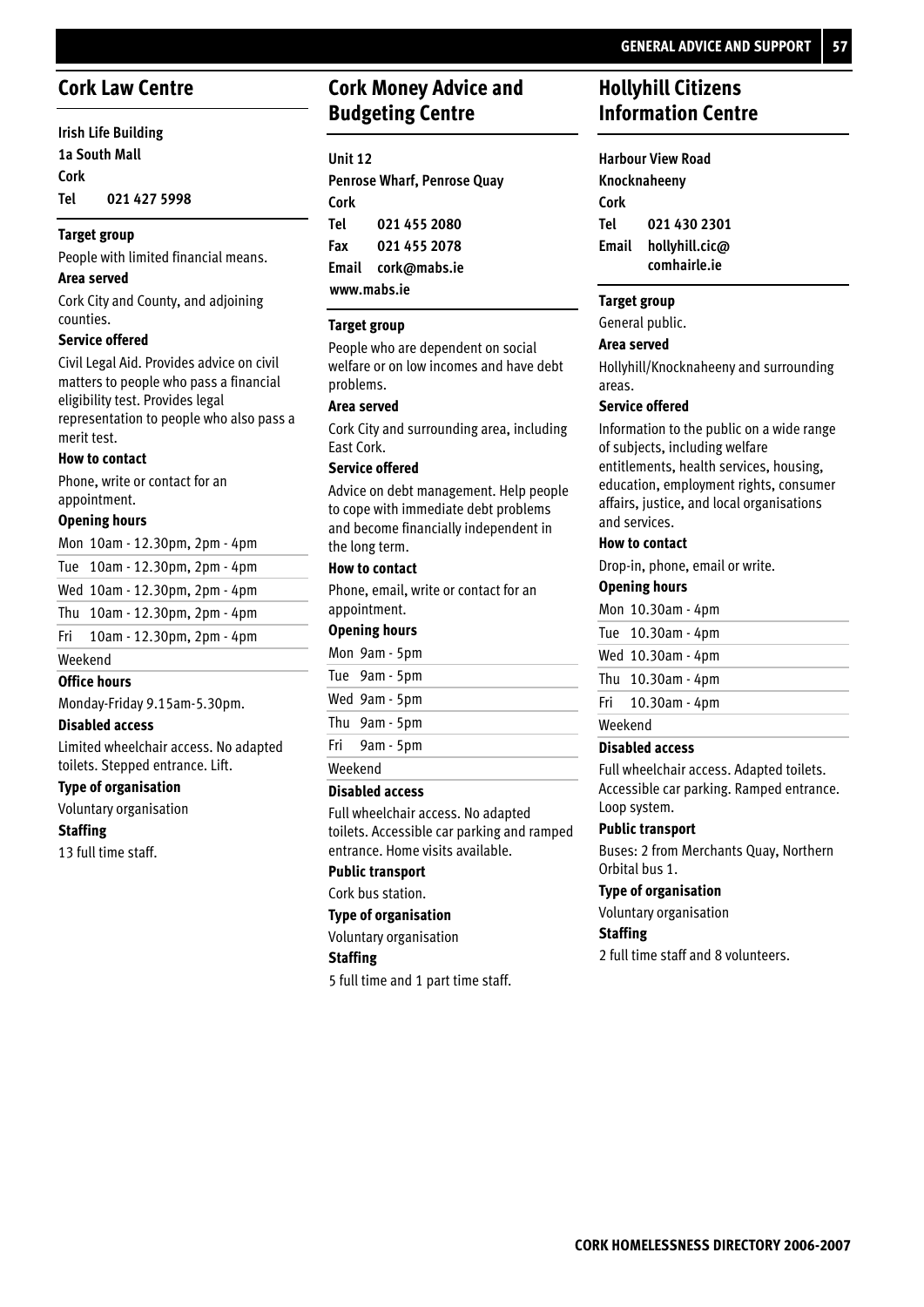### **Cork Law Centre**

**Irish Life Building 1a South Mall Cork 021 427 5998 Tel**

#### **Target group**

People with limited financial means.

#### **Area served**

Cork City and County, and adjoining counties.

#### **Service offered**

Civil Legal Aid. Provides advice on civil matters to people who pass a financial eligibility test. Provides legal representation to people who also pass a merit test.

#### **How to contact**

Phone, write or contact for an appointment.

#### **Opening hours**

|         | Mon 10am - 12.30pm, 2pm - 4pm      |  |  |
|---------|------------------------------------|--|--|
|         | Tue 10am - 12.30pm, 2pm - 4pm      |  |  |
|         | Wed 10am - 12.30pm, 2pm - 4pm      |  |  |
|         | Thu $10am - 12.30pm$ , $2pm - 4pm$ |  |  |
|         | Fri $10am - 12.30pm$ , 2pm $-4pm$  |  |  |
| Weekend |                                    |  |  |

#### **Office hours**

Monday-Friday 9.15am-5.30pm.

#### **Disabled access**

Limited wheelchair access. No adapted toilets. Stepped entrance. Lift.

#### **Type of organisation**

Voluntary organisation

#### **Staffing**

13 full time staff.

### **Cork Money Advice and Budgeting Centre**

#### **Unit 12**

**Penrose Wharf, Penrose Quay Cork 021 455 2080 021 455 2078 Email cork@mabs.ie www.mabs.ie Tel Fax**

#### **Target group**

People who are dependent on social welfare or on low incomes and have debt problems.

#### **Area served**

Cork City and surrounding area, including East Cork.

#### **Service offered**

Advice on debt management. Help people to cope with immediate debt problems and become financially independent in the long term.

#### **How to contact**

Phone, email, write or contact for an appointment.

#### **Opening hours**

|         | Mon 9am - 5pm |  |
|---------|---------------|--|
|         | Tue 9am - 5pm |  |
|         | Wed 9am - 5pm |  |
|         | Thu 9am - 5pm |  |
|         | Fri 9am - 5pm |  |
| Weekend |               |  |

#### **Disabled access**

Full wheelchair access. No adapted toilets. Accessible car parking and ramped entrance. Home visits available.

#### **Public transport**

Cork bus station.

#### **Type of organisation**

Voluntary organisation

#### **Staffing**

5 full time and 1 part time staff.

### **Hollyhill Citizens Information Centre**

**Harbour View Road Knocknaheeny Cork 021 430 2301 hollyhill.cic@ comhairle.ie Email Tel**

#### **Target group**

#### General public.

#### **Area served**

Hollyhill/Knocknaheeny and surrounding areas.

#### **Service offered**

Information to the public on a wide range of subjects, including welfare entitlements, health services, housing, education, employment rights, consumer affairs, justice, and local organisations and services.

#### **How to contact**

Drop-in, phone, email or write.

#### **Opening hours**

Mon 10.30am - 4pm 10.30am - 4pm Tue Wed 10.30am - 4pm Thu 10.30am - 4pm 10.30am - 4pm Fri

### Weekend

#### **Disabled access**

Full wheelchair access. Adapted toilets. Accessible car parking. Ramped entrance. Loop system.

#### **Public transport**

Buses: 2 from Merchants Quay, Northern Orbital bus 1.

#### **Type of organisation**

Voluntary organisation

#### **Staffing**

2 full time staff and 8 volunteers.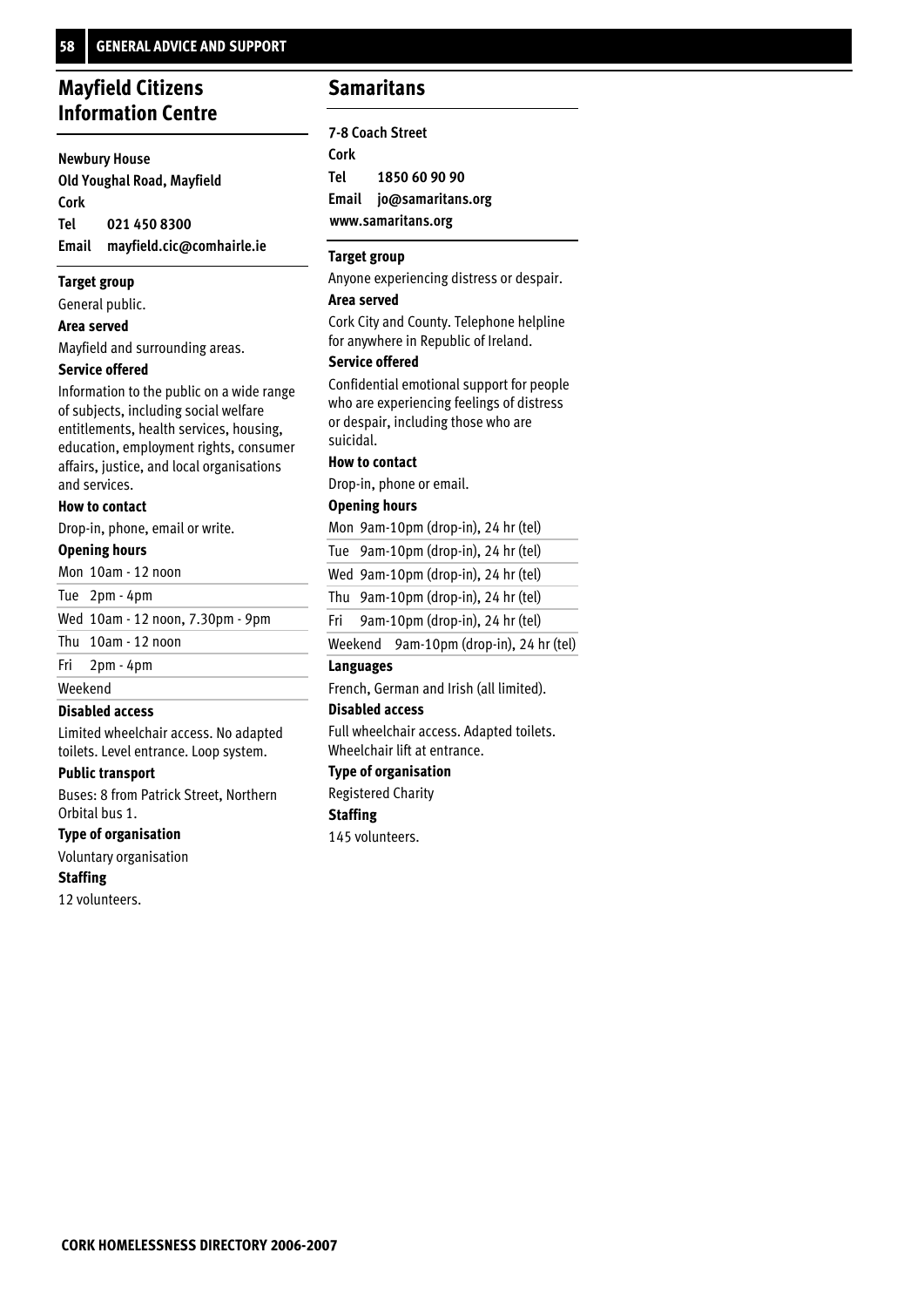### **Mayfield Citizens Information Centre**

#### **Newbury House**

**Old Youghal Road, Mayfield Cork 021 450 8300 Email mayfield.cic@comhairle.ie Tel**

#### **Target group**

General public.

#### **Area served**

Mayfield and surrounding areas.

#### **Service offered**

Information to the public on a wide range of subjects, including social welfare entitlements, health services, housing, education, employment rights, consumer affairs, justice, and local organisations and services.

#### **How to contact**

Drop-in, phone, email or write.

#### **Opening hours**

Mon 10am - 12 noon

Tue 2pm - 4pm

Wed 10am - 12 noon, 7.30pm - 9pm

Thu 10am - 12 noon

#### 2pm - 4pm Fri

Weekend

#### **Disabled access**

Limited wheelchair access. No adapted toilets. Level entrance. Loop system.

#### **Public transport**

Buses: 8 from Patrick Street, Northern Orbital bus 1.

#### **Type of organisation**

Voluntary organisation

#### **Staffing**

12 volunteers.

### **Samaritans**

**7-8 Coach Street Cork 1850 60 90 90 Email jo@samaritans.org www.samaritans.org Tel**

#### **Target group**

Anyone experiencing distress or despair.

#### **Area served**

Cork City and County. Telephone helpline for anywhere in Republic of Ireland.

#### **Service offered**

Confidential emotional support for people who are experiencing feelings of distress or despair, including those who are suicidal.

#### **How to contact**

Drop-in, phone or email.

#### **Opening hours**

Mon 9am-10pm (drop-in), 24 hr (tel) 9am-10pm (drop-in), 24 hr (tel) Tue Wed 9am-10pm (drop-in), 24 hr (tel) 9am-10pm (drop-in), 24 hr (tel) Thu 9am-10pm (drop-in), 24 hr (tel) Fri

Weekend 9am-10pm (drop-in), 24 hr (tel)

#### **Languages**

French, German and Irish (all limited).

#### **Disabled access**

Full wheelchair access. Adapted toilets. Wheelchair lift at entrance.

#### **Type of organisation**

Registered Charity

#### **Staffing**

145 volunteers.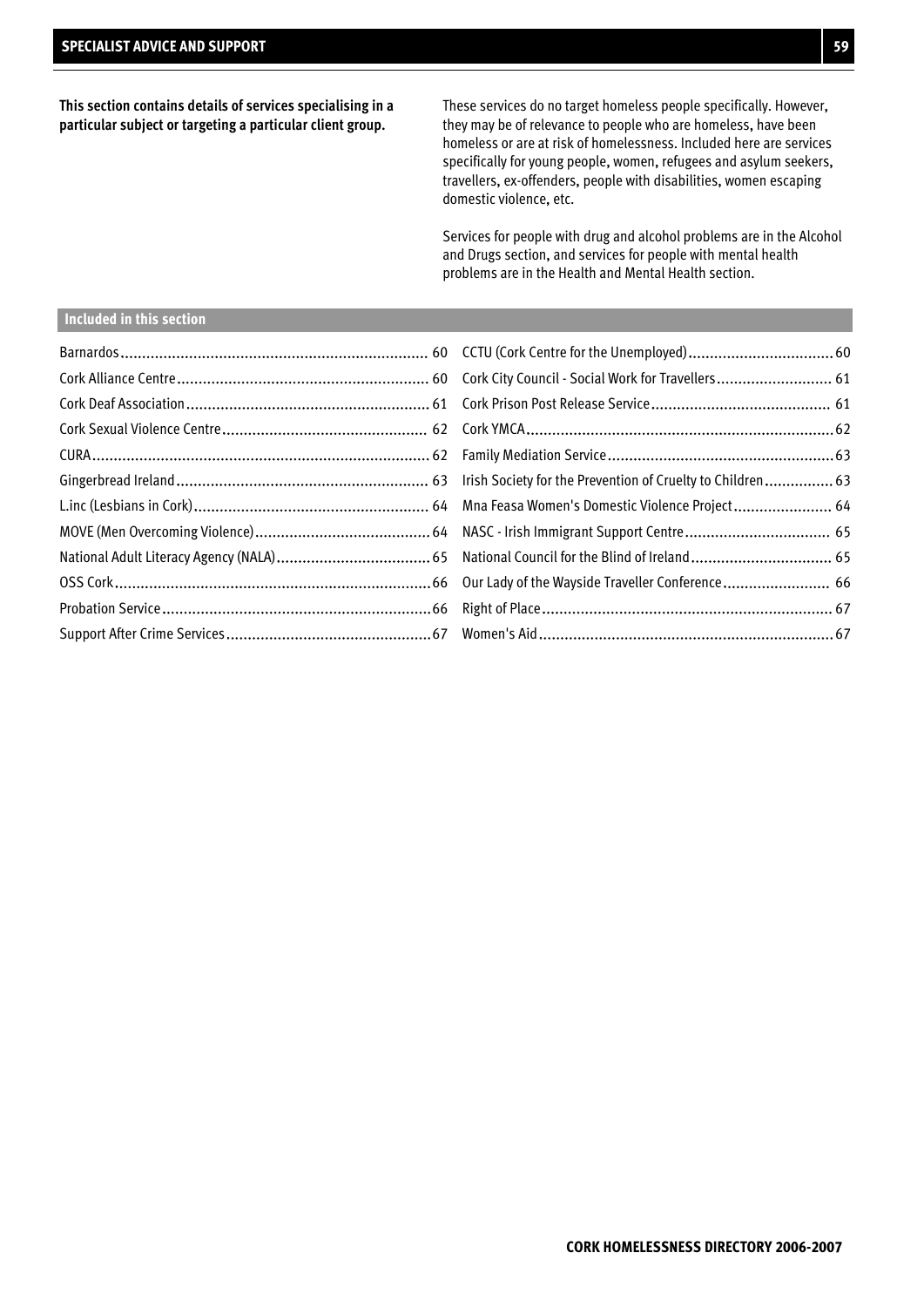**This section contains details of services specialising in a particular subject or targeting a particular client group.**

These services do no target homeless people specifically. However, they may be of relevance to people who are homeless, have been homeless or are at risk of homelessness. Included here are services specifically for young people, women, refugees and asylum seekers, travellers, ex-offenders, people with disabilities, women escaping domestic violence, etc.

Services for people with drug and alcohol problems are in the Alcohol and Drugs section, and services for people with mental health problems are in the Health and Mental Health section.

## **Included in this section**

| Probation Service………………………………………………………………………………66     Right of Place……………………………………………………………………………67 |  |
|-----------------------------------------------------------------------------------------------------|--|
|                                                                                                     |  |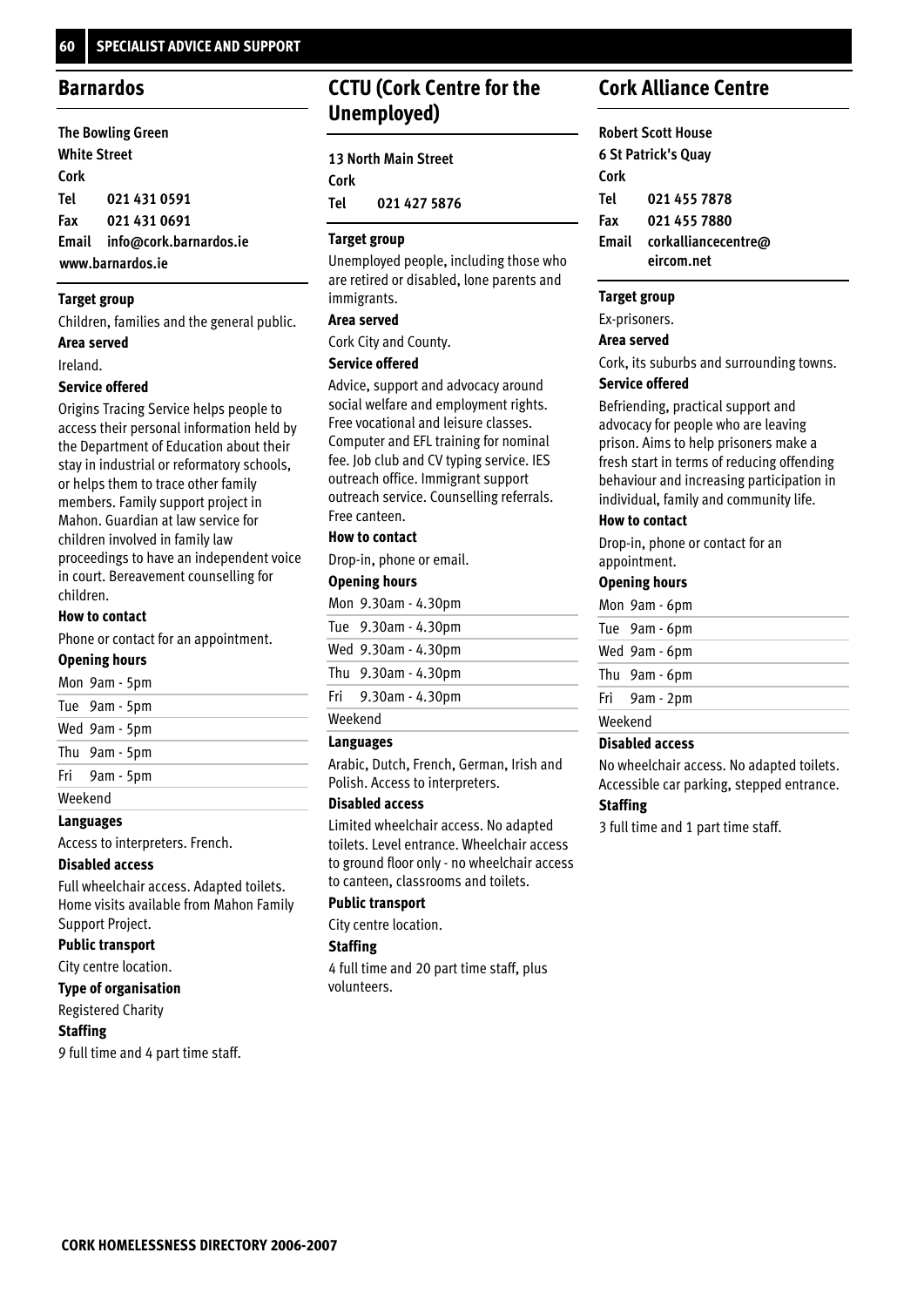## **Barnardos**

| <b>The Bowling Green</b> |                              |  |
|--------------------------|------------------------------|--|
| <b>White Street</b>      |                              |  |
| Cork                     |                              |  |
| Tel                      | 021 431 0591                 |  |
| Fax                      | 021 431 0691                 |  |
|                          | Email info@cork.barnardos.ie |  |
| www.barnardos.ie         |                              |  |

## **Target group**

Children, families and the general public. **Area served**

Ireland.

## **Service offered**

Origins Tracing Service helps people to access their personal information held by the Department of Education about their stay in industrial or reformatory schools, or helps them to trace other family members. Family support project in Mahon. Guardian at law service for children involved in family law proceedings to have an independent voice in court. Bereavement counselling for children.

## **How to contact**

Phone or contact for an appointment.

## **Opening hours**

|         | 1190          |
|---------|---------------|
| Weekend |               |
|         | Fri 9am - 5pm |
|         | Thu 9am - 5pm |
|         | Wed 9am - 5pm |
|         | Tue 9am - 5pm |
|         | Mon 9am - 5pm |

**Languages**

Access to interpreters. French.

## **Disabled access**

Full wheelchair access. Adapted toilets. Home visits available from Mahon Family Support Project.

## **Public transport**

City centre location.

## **Type of organisation**

Registered Charity

## **Staffing**

9 full time and 4 part time staff.

## **CCTU (Cork Centre for the Unemployed)**

| <b>13 North Main Street</b> |              |
|-----------------------------|--------------|
| Cork                        |              |
| Tel                         | 021 427 5876 |

## **Target group**

Unemployed people, including those who are retired or disabled, lone parents and immigrants.

## **Area served**

Cork City and County.

## **Service offered**

Advice, support and advocacy around social welfare and employment rights. Free vocational and leisure classes. Computer and EFL training for nominal fee. Job club and CV typing service. IES outreach office. Immigrant support outreach service. Counselling referrals. Free canteen.

## **How to contact**

Drop-in, phone or email.

## **Opening hours**

|         | Mon 9.30am - 4.30pm |  |
|---------|---------------------|--|
|         | Tue 9.30am - 4.30pm |  |
|         | Wed 9.30am - 4.30pm |  |
|         | Thu 9.30am - 4.30pm |  |
|         | Fri 9.30am - 4.30pm |  |
| Weekend |                     |  |

## **Languages**

Arabic, Dutch, French, German, Irish and Polish. Access to interpreters.

## **Disabled access**

Limited wheelchair access. No adapted toilets. Level entrance. Wheelchair access to ground floor only - no wheelchair access to canteen, classrooms and toilets.

## **Public transport**

City centre location.

## **Staffing**

4 full time and 20 part time staff, plus volunteers.

## **Cork Alliance Centre**

|       | <b>Robert Scott House</b>  |
|-------|----------------------------|
|       | <b>6 St Patrick's Quay</b> |
| Cork  |                            |
| Tel   | 021 455 7878               |
| Fax   | 021 455 7880               |
| Email | corkalliancecentre@        |
|       | eircom.net                 |

## **Target group**

Ex-prisoners.

## **Area served**

Cork, its suburbs and surrounding towns.

## **Service offered**

Befriending, practical support and advocacy for people who are leaving prison. Aims to help prisoners make a fresh start in terms of reducing offending behaviour and increasing participation in individual, family and community life.

## **How to contact**

Drop-in, phone or contact for an appointment.

## **Opening hours**

|         | Mon 9am - 6pm |
|---------|---------------|
|         | Tue 9am - 6pm |
|         | Wed 9am - 6pm |
|         | Thu 9am - 6pm |
|         | Fri 9am - 2pm |
| Weekend |               |

## **Disabled access**

No wheelchair access. No adapted toilets. Accessible car parking, stepped entrance.

## **Staffing**

3 full time and 1 part time staff.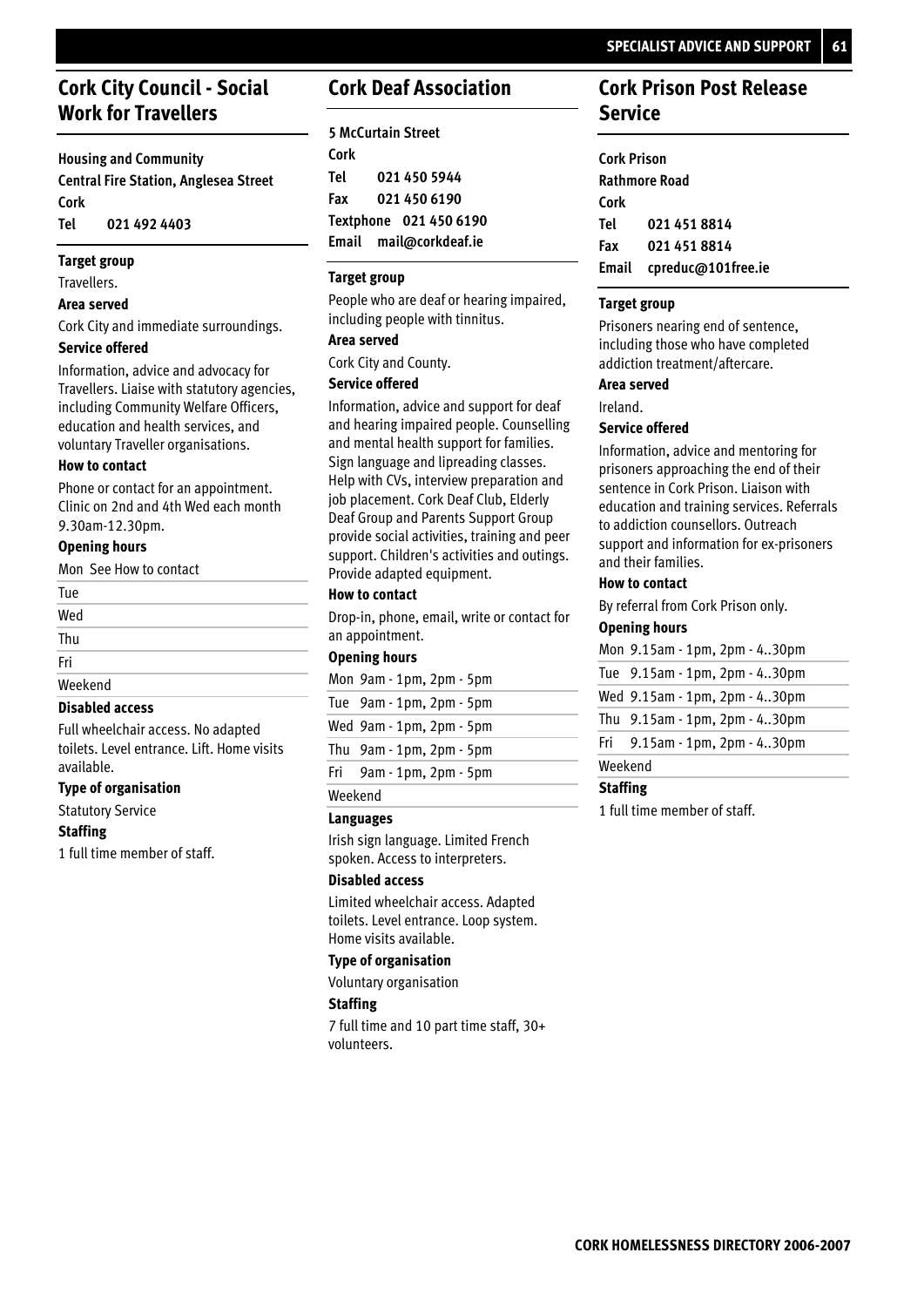## **Cork City Council - Social Work for Travellers**

**Housing and Community**

**Central Fire Station, Anglesea Street Cork 021 492 4403 Tel**

## **Target group**

Travellers.

## **Area served**

Cork City and immediate surroundings.

## **Service offered**

Information, advice and advocacy for Travellers. Liaise with statutory agencies, including Community Welfare Officers, education and health services, and voluntary Traveller organisations.

## **How to contact**

Phone or contact for an appointment. Clinic on 2nd and 4th Wed each month 9.30am-12.30pm.

## **Opening hours**

| Mon See How to contact |  |
|------------------------|--|
| Tue                    |  |
| Wed                    |  |
| Thu                    |  |
| Fri                    |  |
| Weekend                |  |

## **Disabled access**

Full wheelchair access. No adapted toilets. Level entrance. Lift. Home visits available.

## **Type of organisation**

Statutory Service

## **Staffing**

1 full time member of staff.

## **Cork Deaf Association**

| <b>5 McCurtain Street</b> |                        |  |
|---------------------------|------------------------|--|
| Cork                      |                        |  |
| Tel                       | 021 450 5944           |  |
| Fax                       | 021 450 6190           |  |
| Textphone 021 450 6190    |                        |  |
|                           | Email mail@corkdeaf.ie |  |

## **Target group**

People who are deaf or hearing impaired, including people with tinnitus.

## **Area served**

Cork City and County.

## **Service offered**

Information, advice and support for deaf and hearing impaired people. Counselling and mental health support for families. Sign language and lipreading classes. Help with CVs, interview preparation and job placement. Cork Deaf Club, Elderly Deaf Group and Parents Support Group provide social activities, training and peer support. Children's activities and outings. Provide adapted equipment.

## **How to contact**

Drop-in, phone, email, write or contact for an appointment.

## **Opening hours**

| Mon 9am - 1pm, 2pm - 5pm |
|--------------------------|
| Tue 9am - 1pm, 2pm - 5pm |
| Wed 9am - 1pm, 2pm - 5pm |
| Thu 9am - 1pm, 2pm - 5pm |
| Fri 9am - 1pm, 2pm - 5pm |
|                          |

## Weekend

## **Languages**

Irish sign language. Limited French spoken. Access to interpreters.

## **Disabled access**

Limited wheelchair access. Adapted toilets. Level entrance. Loop system. Home visits available.

## **Type of organisation**

Voluntary organisation

## **Staffing**

7 full time and 10 part time staff, 30+ volunteers.

## **Cork Prison Post Release Service**

| <b>Cork Prison</b>   |                    |  |
|----------------------|--------------------|--|
| <b>Rathmore Road</b> |                    |  |
| Cork                 |                    |  |
| Tel                  | 021 451 8814       |  |
| Fax                  | 021 451 8814       |  |
| Email                | cpreduc@101free.ie |  |

## **Target group**

Prisoners nearing end of sentence, including those who have completed addiction treatment/aftercare.

## **Area served**

Ireland.

## **Service offered**

Information, advice and mentoring for prisoners approaching the end of their sentence in Cork Prison. Liaison with education and training services. Referrals to addiction counsellors. Outreach support and information for ex-prisoners and their families.

## **How to contact**

By referral from Cork Prison only.

## **Opening hours**

|         | Mon 9.15am - 1pm, 2pm - 430pm |
|---------|-------------------------------|
|         | Tue 9.15am - 1pm, 2pm - 430pm |
|         | Wed 9.15am - 1pm, 2pm - 430pm |
|         | Thu 9.15am - 1pm, 2pm - 430pm |
|         | Fri 9.15am - 1pm, 2pm - 430pm |
| Weekend |                               |

## **Staffing**

1 full time member of staff.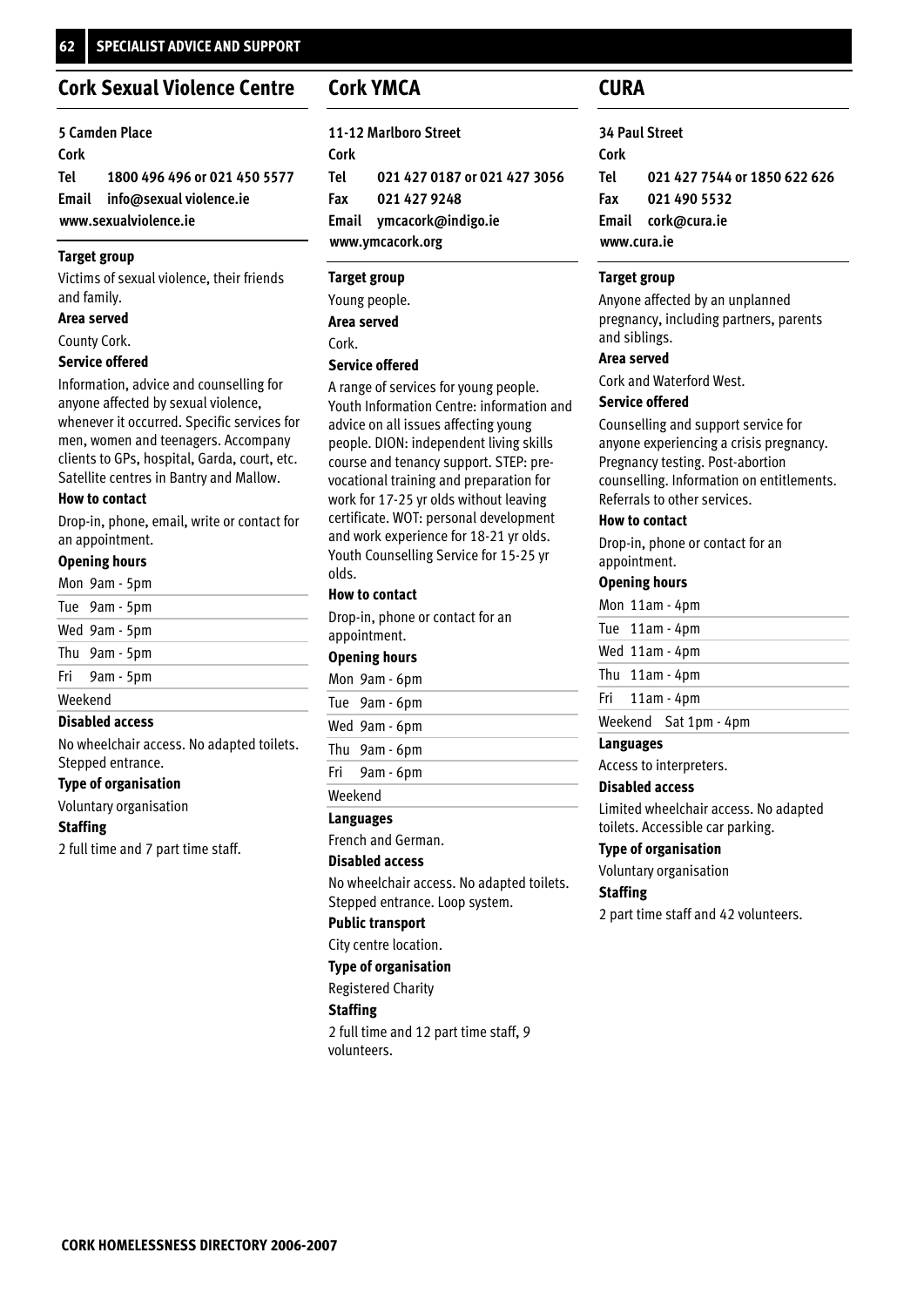## **Cork Sexual Violence Centre**

| <b>5 Camden Place</b> |                                  |
|-----------------------|----------------------------------|
| Cork                  |                                  |
|                       | Tel 1800 496 496 or 021 450 5577 |
|                       | Email info@sexual violence.ie    |
| www.sexualviolence.ie |                                  |

## **Target group**

Victims of sexual violence, their friends and family.

## **Area served**

County Cork.

## **Service offered**

Information, advice and counselling for anyone affected by sexual violence, whenever it occurred. Specific services for men, women and teenagers. Accompany clients to GPs, hospital, Garda, court, etc. Satellite centres in Bantry and Mallow.

## **How to contact**

Drop-in, phone, email, write or contact for an appointment.

## **Opening hours**

|         | Biashlad aaaaaa |
|---------|-----------------|
| Weekend |                 |
|         | Fri 9am - 5pm   |
|         | Thu 9am - 5pm   |
|         | Wed 9am - 5pm   |
|         | Tue 9am - 5pm   |
|         | Mon 9am - 5pm   |

## **Disabled access**

No wheelchair access. No adapted toilets. Stepped entrance.

## **Type of organisation**

Voluntary organisation

## **Staffing**

2 full time and 7 part time staff.

## **Cork YMCA**

**11-12 Marlboro Street Cork 021 427 0187 or 021 427 3056 021 427 9248 Email ymcacork@indigo.ie www.ymcacork.org Tel Fax**

## **Target group**

**Service offered** Young people. Cork. **Area served**

A range of services for young people. Youth Information Centre: information and advice on all issues affecting young people. DION: independent living skills course and tenancy support. STEP: prevocational training and preparation for work for 17-25 yr olds without leaving certificate. WOT: personal development and work experience for 18-21 yr olds. Youth Counselling Service for 15-25 yr olds.

## **How to contact**

Drop-in, phone or contact for an appointment.

## **Opening hours**

Mon 9am - 6pm Tue 9am - 6pm Wed 9am - 6pm

Thu 9am - 6pm

9am - 6pm Fri

## Weekend

**Languages**

French and German.

## **Disabled access**

No wheelchair access. No adapted toilets. Stepped entrance. Loop system.

## **Public transport**

City centre location.

## **Type of organisation**

Registered Charity

## **Staffing**

2 full time and 12 part time staff, 9 volunteers.

## **CURA**

**34 Paul Street Cork 021 427 7544 or 1850 622 626 021 490 5532 Email cork@cura.ie www.cura.ie Tel Fax**

## **Target group**

Anyone affected by an unplanned pregnancy, including partners, parents and siblings.

## **Area served**

Cork and Waterford West.

## **Service offered**

Counselling and support service for anyone experiencing a crisis pregnancy. Pregnancy testing. Post-abortion counselling. Information on entitlements. Referrals to other services.

## **How to contact**

Drop-in, phone or contact for an appointment.

## **Opening hours**

Mon 11am - 4pm Tue 11am - 4pm Wed 11am - 4pm Thu 11am - 4pm 11am - 4pm Weekend Sat 1pm - 4pm Fri

## **Languages**

Access to interpreters.

## **Disabled access**

Limited wheelchair access. No adapted toilets. Accessible car parking.

## **Type of organisation**

Voluntary organisation

## **Staffing**

2 part time staff and 42 volunteers.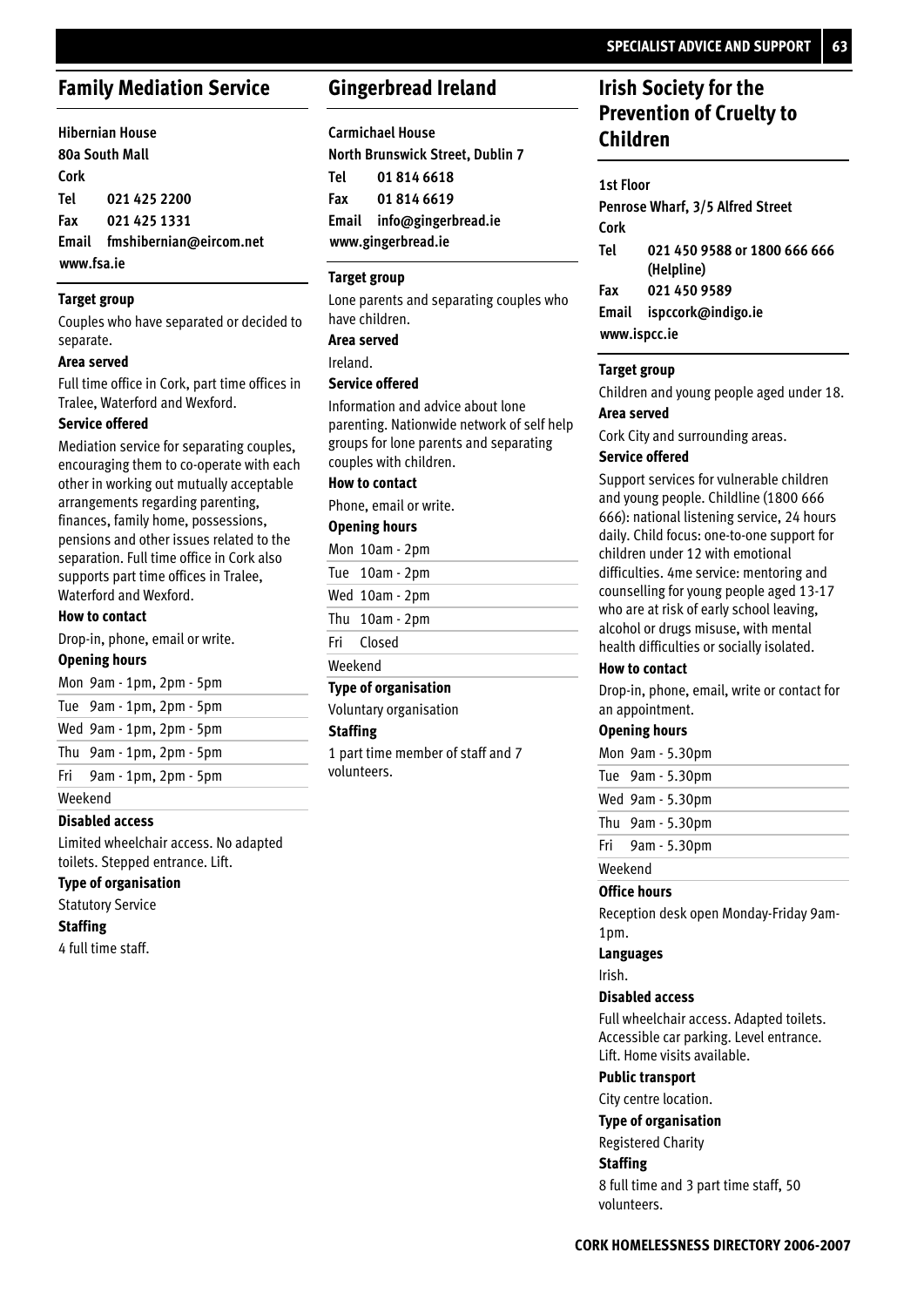## **Family Mediation Service**

|            | <b>Hibernian House</b>        |
|------------|-------------------------------|
|            | 80a South Mall                |
| Cork       |                               |
|            | Tel 021 425 2200              |
|            | Fax 0214251331                |
|            | Email fmshibernian@eircom.net |
| www.fsa.ie |                               |

## **Target group**

Couples who have separated or decided to separate.

#### **Area served**

Full time office in Cork, part time offices in Tralee, Waterford and Wexford.

#### **Service offered**

Mediation service for separating couples, encouraging them to co-operate with each other in working out mutually acceptable arrangements regarding parenting, finances, family home, possessions, pensions and other issues related to the separation. Full time office in Cork also supports part time offices in Tralee, Waterford and Wexford.

### **How to contact**

Drop-in, phone, email or write.

## **Opening hours**

| Mon 9am - 1pm, 2pm - 5pm      |  |
|-------------------------------|--|
| Tue 9am - 1pm, 2pm - 5pm      |  |
| Wed 9am - 1pm, 2pm - 5pm      |  |
| Thu $9am - 1pm$ , $2pm - 5pm$ |  |
| Fri 9am - 1pm, 2pm - 5pm      |  |

### Weekend

## **Disabled access**

Limited wheelchair access. No adapted toilets. Stepped entrance. Lift.

## **Type of organisation**

Statutory Service

#### **Staffing**

4 full time staff.

## **Gingerbread Ireland**

**Carmichael House North Brunswick Street, Dublin 7 01 814 6618 01 814 6619 Email info@gingerbread.ie www.gingerbread.ie**

## **Target group**

Lone parents and separating couples who have children.

**Area served**

Ireland.

## **Service offered**

Information and advice about lone parenting. Nationwide network of self help groups for lone parents and separating couples with children.

## **How to contact**

Phone, email or write.

## **Opening hours**

Mon 10am - 2pm Tue 10am - 2pm Wed 10am - 2pm Thu 10am - 2pm

Closed Fri

Weekend

## **Type of organisation**

Voluntary organisation

#### **Staffing**

1 part time member of staff and 7 volunteers.

## **Irish Society for the Prevention of Cruelty to Children**

#### **1st Floor**

**Penrose Wharf, 3/5 Alfred Street Cork 021 450 9588 or 1800 666 666 (Helpline) 021 450 9589 Email ispccork@indigo.ie www.ispcc.ie Tel Fax**

#### **Target group**

Children and young people aged under 18.

## **Area served**

Cork City and surrounding areas.

#### **Service offered**

Support services for vulnerable children and young people. Childline (1800 666 666): national listening service, 24 hours daily. Child focus: one-to-one support for children under 12 with emotional difficulties. 4me service: mentoring and counselling for young people aged 13-17 who are at risk of early school leaving, alcohol or drugs misuse, with mental health difficulties or socially isolated.

#### **How to contact**

Drop-in, phone, email, write or contact for an appointment.

#### **Opening hours**

Mon 9am - 5.30pm 9am - 5.30pm Tue Wed 9am - 5.30pm 9am - 5.30pm Thu 9am - 5.30pm Fri Weekend

#### **Office hours**

Reception desk open Monday-Friday 9am-1pm.

#### **Languages**

Irish.

#### **Disabled access**

Full wheelchair access. Adapted toilets. Accessible car parking. Level entrance. Lift. Home visits available.

## **Public transport**

City centre location.

#### **Type of organisation**

Registered Charity

## **Staffing**

8 full time and 3 part time staff, 50 volunteers.

**Tel Fax**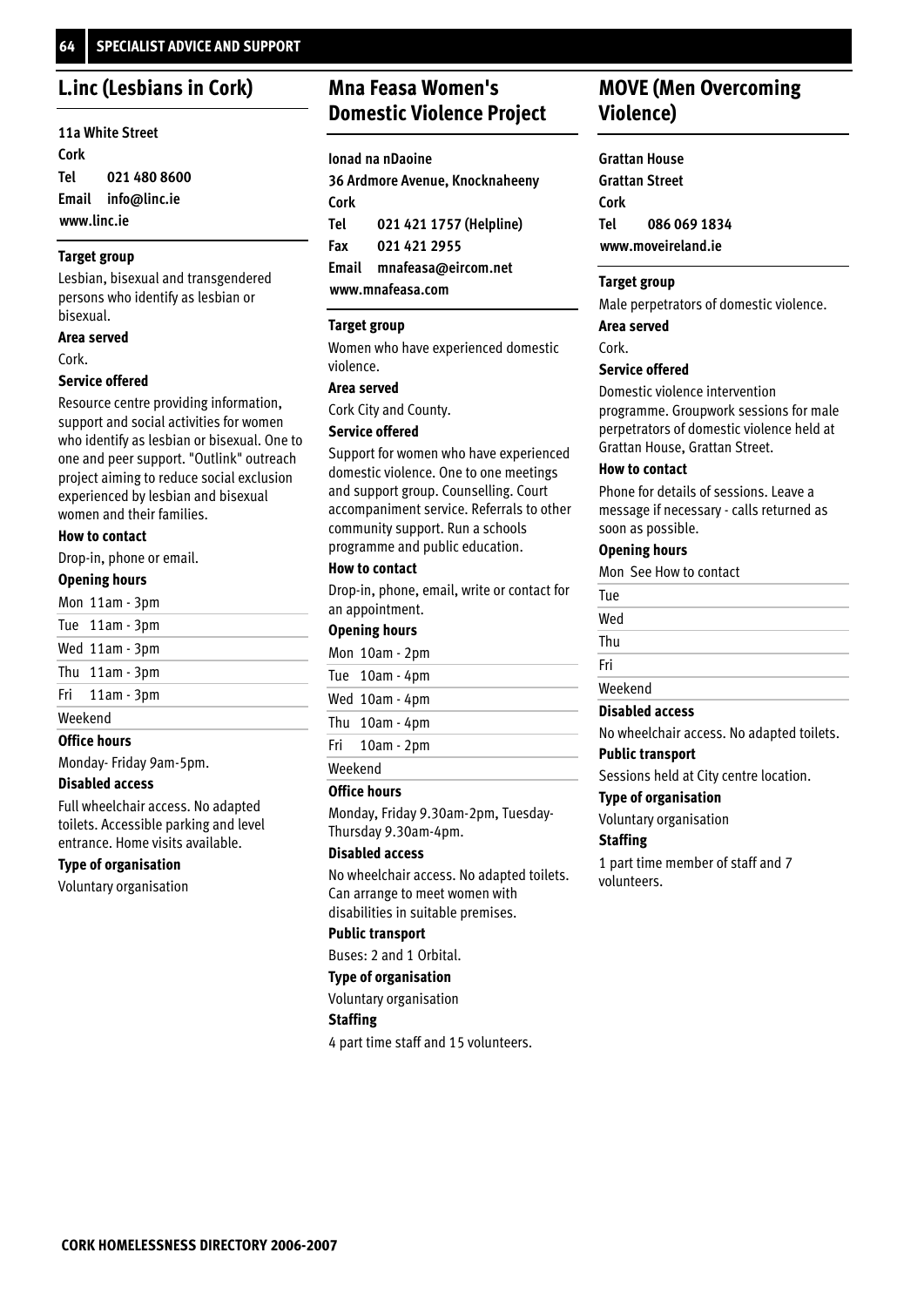## **L.inc (Lesbians in Cork)**

| 11a White Street |                    |
|------------------|--------------------|
| Cork             |                    |
| Tel              | 021 480 8600       |
|                  | Email info@linc.ie |
| www.linc.ie      |                    |

## **Target group**

Lesbian, bisexual and transgendered persons who identify as lesbian or bisexual.

## **Area served**

Cork.

## **Service offered**

Resource centre providing information, support and social activities for women who identify as lesbian or bisexual. One to one and peer support. "Outlink" outreach project aiming to reduce social exclusion experienced by lesbian and bisexual women and their families.

## **How to contact**

Drop-in, phone or email.

#### **Opening hours**

| <b>Office hours</b> |                |
|---------------------|----------------|
| Weekend             |                |
|                     | Fri 11am - 3pm |
|                     | Thu 11am - 3pm |
|                     | Wed 11am - 3pm |
|                     | Tue 11am - 3pm |
|                     | Mon 11am - 3pm |

Monday- Friday 9am-5pm.

## **Disabled access**

Full wheelchair access. No adapted toilets. Accessible parking and level entrance. Home visits available.

## **Type of organisation**

Voluntary organisation

# **Mna Feasa Women's Domestic Violence Project**

**Ionad na nDaoine 36 Ardmore Avenue, Knocknaheeny Cork 021 421 1757 (Helpline) 021 421 2955 Email mnafeasa@eircom.net Tel Fax**

**www.mnafeasa.com**

## **Target group**

Women who have experienced domestic violence.

## **Area served**

Cork City and County.

## **Service offered**

Support for women who have experienced domestic violence. One to one meetings and support group. Counselling. Court accompaniment service. Referrals to other community support. Run a schools programme and public education.

#### **How to contact**

Drop-in, phone, email, write or contact for an appointment.

## **Opening hours**

|         | Mon 10am - 2pm |
|---------|----------------|
|         | Tue 10am - 4pm |
|         | Wed 10am - 4pm |
|         | Thu 10am - 4pm |
|         | Fri 10am - 2pm |
| Weekend |                |

#### **Office hours**

Monday, Friday 9.30am-2pm, Tuesday-Thursday 9.30am-4pm.

#### **Disabled access**

No wheelchair access. No adapted toilets. Can arrange to meet women with disabilities in suitable premises.

## **Public transport**

Buses: 2 and 1 Orbital.

## **Type of organisation**

Voluntary organisation

#### **Staffing**

4 part time staff and 15 volunteers.

## **MOVE (Men Overcoming Violence)**

**Grattan House Grattan Street Cork 086 069 1834 www.moveireland.ie Tel**

#### **Target group**

Male perpetrators of domestic violence.

**Area served**

#### Cork.

## **Service offered**

Domestic violence intervention programme. Groupwork sessions for male perpetrators of domestic violence held at Grattan House, Grattan Street.

## **How to contact**

Phone for details of sessions. Leave a message if necessary - calls returned as soon as possible.

## **Opening hours**

Mon See How to contact

| <b>Disabled access</b> |  |
|------------------------|--|
| Weekend                |  |
| Fri                    |  |
| Thu                    |  |
| Wed                    |  |
| Tue                    |  |

No wheelchair access. No adapted toilets.

## Sessions held at City centre location. **Public transport**

**Type of organisation**

Voluntary organisation

## **Staffing**

1 part time member of staff and 7 volunteers.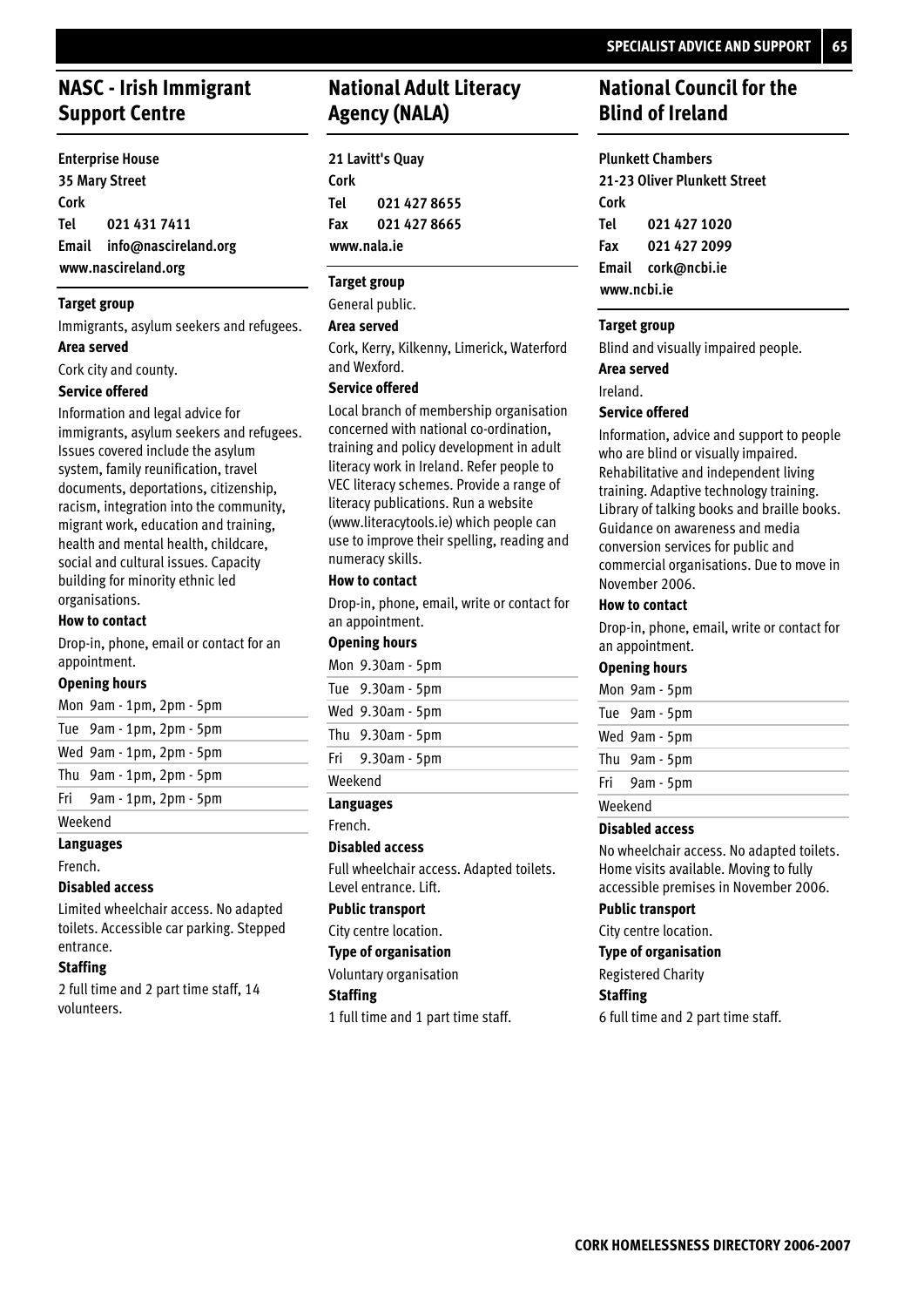## **NASC - Irish Immigrant Support Centre**

**Enterprise House 35 Mary Street Cork 021 431 7411 Email info@nascireland.org www.nascireland.org Tel**

## **Target group**

Immigrants, asylum seekers and refugees. **Area served**

Cork city and county.

#### **Service offered**

Information and legal advice for immigrants, asylum seekers and refugees. Issues covered include the asylum system, family reunification, travel documents, deportations, citizenship, racism, integration into the community, migrant work, education and training, health and mental health, childcare, social and cultural issues. Capacity building for minority ethnic led organisations.

#### **How to contact**

Drop-in, phone, email or contact for an appointment.

#### **Opening hours**

| Mon 9am - 1pm, 2pm - 5pm      |
|-------------------------------|
| Tue 9am - 1pm, 2pm - 5pm      |
| Wed 9am - 1pm, 2pm - 5pm      |
| Thu $9am - 1pm$ , $2pm - 5pm$ |
| Fri 9am - 1pm, 2pm - 5pm      |
|                               |

**Languages** Weekend

## French.

**Disabled access**

Limited wheelchair access. No adapted toilets. Accessible car parking. Stepped entrance.

## **Staffing**

2 full time and 2 part time staff, 14 volunteers.

## **National Adult Literacy Agency (NALA)**

**21 Lavitt's Quay Cork 021 427 8655 021 427 8665 www.nala.ie Tel Fax**

## **Target group**

General public.

## **Area served**

Cork, Kerry, Kilkenny, Limerick, Waterford and Wexford.

### **Service offered**

Local branch of membership organisation concerned with national co-ordination, training and policy development in adult literacy work in Ireland. Refer people to VEC literacy schemes. Provide a range of literacy publications. Run a website (www.literacytools.ie) which people can use to improve their spelling, reading and numeracy skills.

#### **How to contact**

Drop-in, phone, email, write or contact for an appointment.

## **Opening hours**

|         | Mon 9.30am - 5pm |
|---------|------------------|
|         | Tue 9.30am - 5pm |
|         | Wed 9.30am - 5pm |
|         | Thu 9.30am - 5pm |
|         | Fri 9.30am - 5pm |
| Weekend |                  |

## **Languages**

French.

#### **Disabled access**

Full wheelchair access. Adapted toilets. Level entrance. Lift.

## **Public transport**

City centre location.

#### **Type of organisation**

Voluntary organisation

## **Staffing**

1 full time and 1 part time staff.

## **National Council for the Blind of Ireland**

#### **Plunkett Chambers**

**21-23 Oliver Plunkett Street Cork 021 427 1020 021 427 2099 Email cork@ncbi.ie www.ncbi.ie Tel Fax**

## **Target group**

Blind and visually impaired people.

#### **Area served**

Ireland.

#### **Service offered**

Information, advice and support to people who are blind or visually impaired. Rehabilitative and independent living training. Adaptive technology training. Library of talking books and braille books. Guidance on awareness and media conversion services for public and commercial organisations. Due to move in November 2006.

#### **How to contact**

Drop-in, phone, email, write or contact for an appointment.

#### **Opening hours**

|         | Mon 9am - 5pm |
|---------|---------------|
|         | Tue 9am - 5pm |
|         | Wed 9am - 5pm |
|         | Thu 9am - 5pm |
|         | Fri 9am - 5pm |
| Weekend |               |

## **Disabled access**

No wheelchair access. No adapted toilets. Home visits available. Moving to fully accessible premises in November 2006.

#### **Public transport**

City centre location.

#### **Type of organisation**

Registered Charity

## **Staffing**

6 full time and 2 part time staff.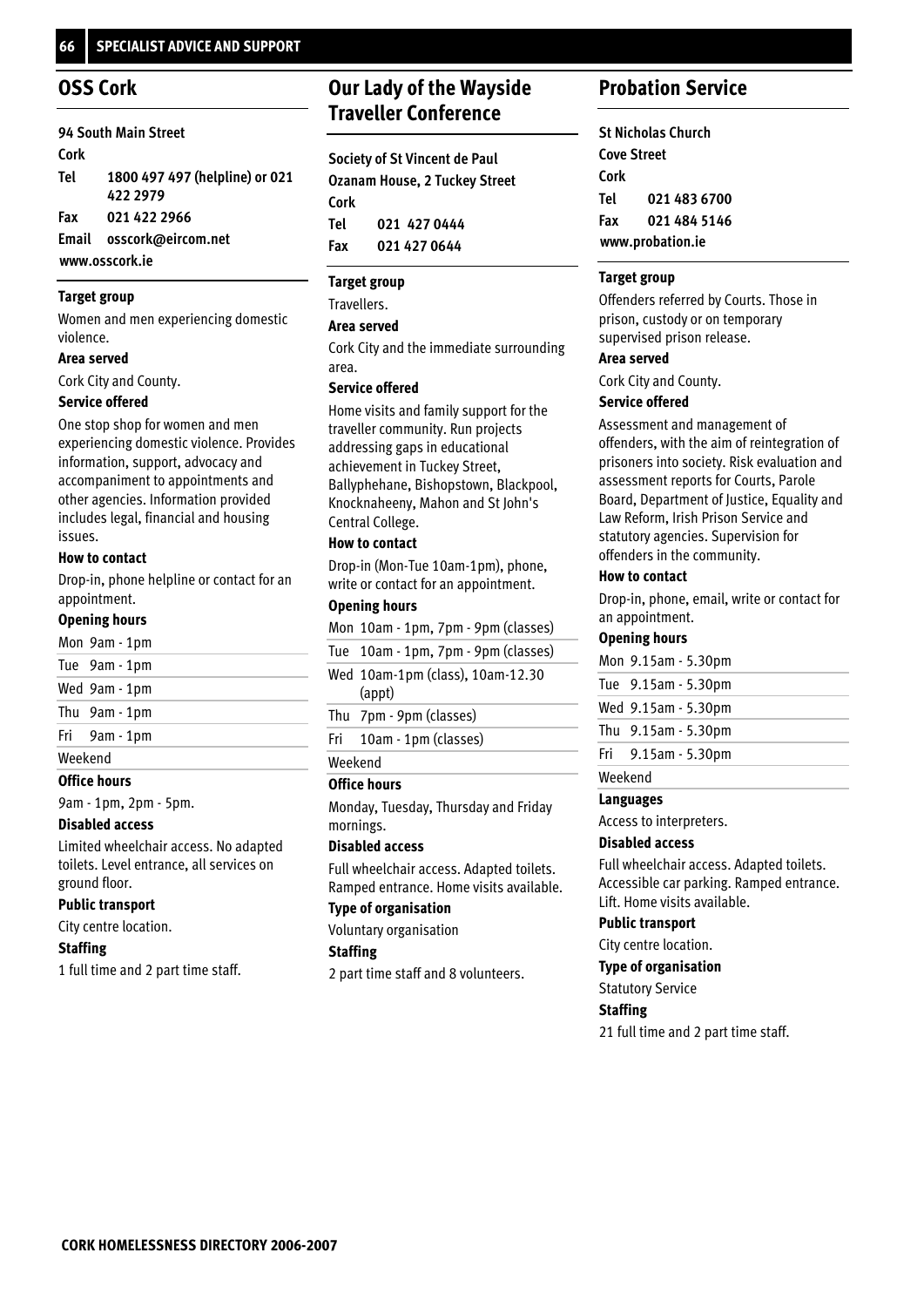## **OSS Cork**

|      | 94 South Main Street           |
|------|--------------------------------|
| Cork |                                |
| Tel  | 1800 497 497 (helpline) or 021 |
|      | 422 2979                       |
| Fax  | 021 422 2966                   |
|      | Email osscork@eircom.net       |
|      |                                |

## **www.osscork.ie**

## **Target group**

Women and men experiencing domestic violence.

#### **Area served**

Cork City and County.

## **Service offered**

One stop shop for women and men experiencing domestic violence. Provides information, support, advocacy and accompaniment to appointments and other agencies. Information provided includes legal, financial and housing issues.

## **How to contact**

Drop-in, phone helpline or contact for an appointment.

## **Opening hours**

|         | Mon 9am - 1pm |  |  |
|---------|---------------|--|--|
|         | Tue 9am - 1pm |  |  |
|         | Wed 9am - 1pm |  |  |
|         | Thu 9am - 1pm |  |  |
|         | Fri 9am - 1pm |  |  |
| Weekend |               |  |  |

## **Office hours**

9am - 1pm, 2pm - 5pm.

## **Disabled access**

Limited wheelchair access. No adapted toilets. Level entrance, all services on ground floor.

## **Public transport**

City centre location.

## **Staffing**

1 full time and 2 part time staff.

# **Our Lady of the Wayside Traveller Conference**

**Society of St Vincent de Paul Ozanam House, 2 Tuckey Street Cork 021 427 0444 021 427 0644 Tel Fax**

## **Target group**

Travellers.

## **Area served**

Cork City and the immediate surrounding area.

## **Service offered**

Home visits and family support for the traveller community. Run projects addressing gaps in educational achievement in Tuckey Street, Ballyphehane, Bishopstown, Blackpool, Knocknaheeny, Mahon and St John's Central College.

## **How to contact**

Drop-in (Mon-Tue 10am-1pm), phone, write or contact for an appointment.

## **Opening hours**

Mon 10am - 1pm, 7pm - 9pm (classes)

Tue 10am - 1pm, 7pm - 9pm (classes)

Wed 10am-1pm (class), 10am-12.30 (appt)

7pm - 9pm (classes) Thu

10am - 1pm (classes) Fri

Weekend

## **Office hours**

Monday, Tuesday, Thursday and Friday mornings.

## **Disabled access**

Full wheelchair access. Adapted toilets. Ramped entrance. Home visits available.

## **Type of organisation**

Voluntary organisation

## **Staffing**

2 part time staff and 8 volunteers.

## **Probation Service**

**St Nicholas Church Cove Street Cork 021 483 6700 021 484 5146 www.probation.ie Tel Fax**

## **Target group**

Offenders referred by Courts. Those in prison, custody or on temporary supervised prison release.

## **Area served**

Cork City and County.

## **Service offered**

Assessment and management of offenders, with the aim of reintegration of prisoners into society. Risk evaluation and assessment reports for Courts, Parole Board, Department of Justice, Equality and Law Reform, Irish Prison Service and statutory agencies. Supervision for offenders in the community.

## **How to contact**

Drop-in, phone, email, write or contact for an appointment.

## **Opening hours**

|         | Mon 9.15am - 5.30pm      |
|---------|--------------------------|
|         | Tue 9.15am - 5.30pm      |
|         | Wed 9.15am - 5.30pm      |
|         | Thu $9.15$ am $-5.30$ pm |
|         | Fri $9.15$ am $-5.30$ pm |
| Weekend |                          |

## **Languages**

Access to interpreters.

## **Disabled access**

Full wheelchair access. Adapted toilets. Accessible car parking. Ramped entrance. Lift. Home visits available.

## **Public transport**

City centre location.

## **Type of organisation**

Statutory Service

## **Staffing**

21 full time and 2 part time staff.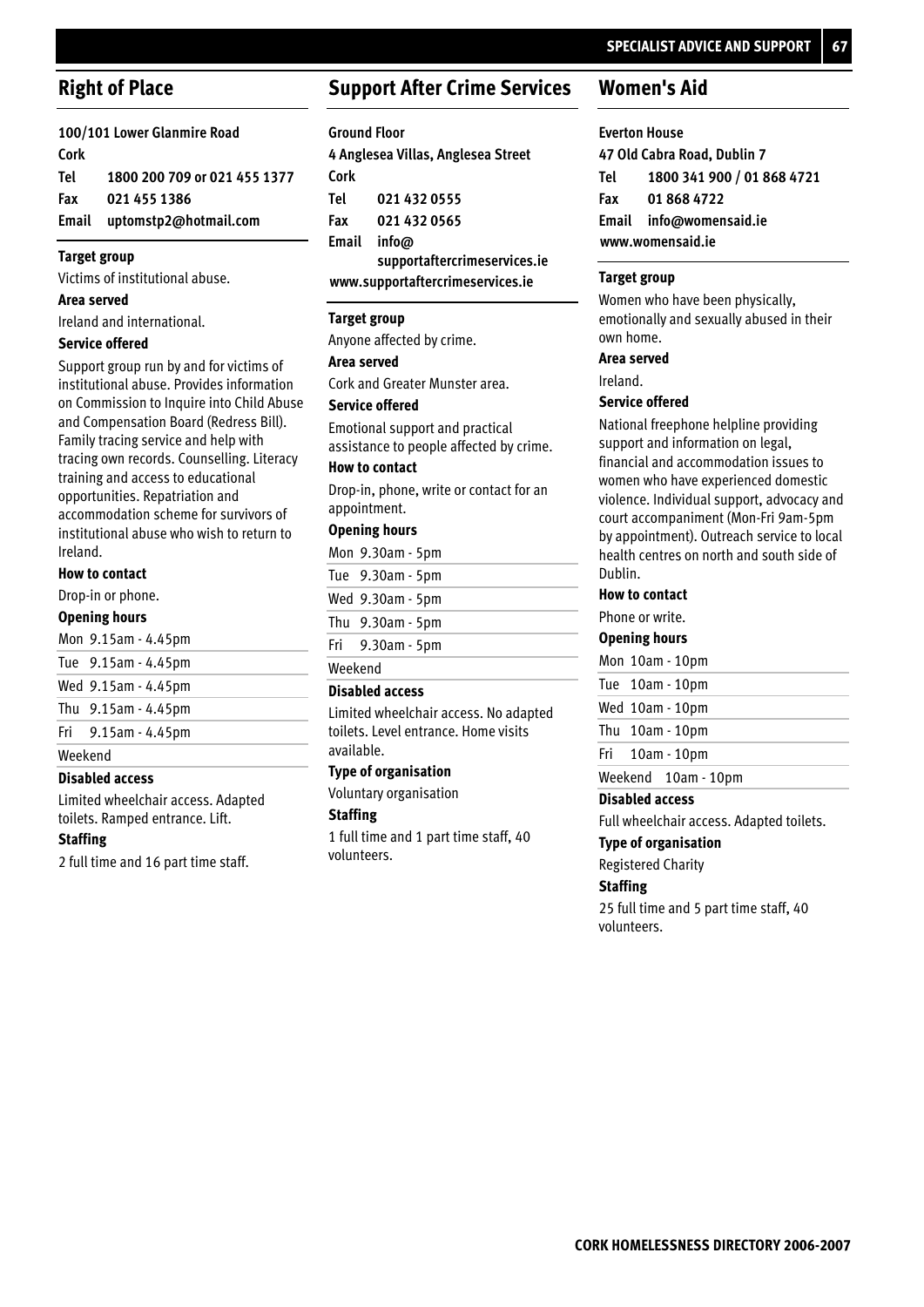## **Right of Place**

**100/101 Lower Glanmire Road Cork 1800 200 709 or 021 455 1377 021 455 1386 Email uptomstp2@hotmail.com Tel Fax**

## **Target group**

Victims of institutional abuse.

**Area served**

Ireland and international.

## **Service offered**

Support group run by and for victims of institutional abuse. Provides information on Commission to Inquire into Child Abuse and Compensation Board (Redress Bill). Family tracing service and help with tracing own records. Counselling. Literacy training and access to educational opportunities. Repatriation and accommodation scheme for survivors of institutional abuse who wish to return to Ireland.

## **How to contact**

Drop-in or phone.

#### **Opening hours**

|  |  |  |  | Mon 9.15am - 4.45pm |
|--|--|--|--|---------------------|
|--|--|--|--|---------------------|

- 9.15am 4.45pm Tue
- 9.15am 4.45pm Wed
- 9.15am 4.45pm Thu
- 9.15am 4.45pm Fri

Weekend

## **Disabled access**

Limited wheelchair access. Adapted toilets. Ramped entrance. Lift.

#### **Staffing**

2 full time and 16 part time staff.

## **Support After Crime Services**

#### **Ground Floor**

**4 Anglesea Villas, Anglesea Street Cork 021 432 0555 021 432 0565 info@ supportaftercrimeservices.ie Email www.supportaftercrimeservices.ie Tel Fax**

#### **Target group**

Anyone affected by crime.

#### **Area served**

Cork and Greater Munster area.

## **Service offered**

Emotional support and practical assistance to people affected by crime.

## **How to contact**

Drop-in, phone, write or contact for an appointment.

## **Opening hours**

|         | Mon 9.30am - 5pm |  |  |
|---------|------------------|--|--|
|         | Tue 9.30am - 5pm |  |  |
|         | Wed 9.30am - 5pm |  |  |
|         | Thu 9.30am - 5pm |  |  |
|         | Fri 9.30am - 5pm |  |  |
| Weekend |                  |  |  |

#### **Disabled access**

Limited wheelchair access. No adapted toilets. Level entrance. Home visits available.

## **Type of organisation**

Voluntary organisation

## **Staffing**

1 full time and 1 part time staff, 40 volunteers.

## **Women's Aid**

**Everton House 47 Old Cabra Road, Dublin 7 1800 341 900 / 01 868 4721 01 868 4722 Email info@womensaid.ie www.womensaid.ie Tel Fax**

## **Target group**

Women who have been physically, emotionally and sexually abused in their own home.

#### **Area served**

Ireland.

## **Service offered**

National freephone helpline providing support and information on legal, financial and accommodation issues to women who have experienced domestic violence. Individual support, advocacy and court accompaniment (Mon-Fri 9am-5pm by appointment). Outreach service to local health centres on north and south side of Dublin.

#### **How to contact**

Phone or write.

#### **Opening hours**

Mon 10am - 10pm

## Tue 10am - 10pm

Wed 10am - 10pm Thu 10am - 10pm

#### 10am - 10pm Fri

Weekend 10am - 10pm

#### **Disabled access**

Full wheelchair access. Adapted toilets.

## **Type of organisation**

Registered Charity

## **Staffing**

25 full time and 5 part time staff, 40 volunteers.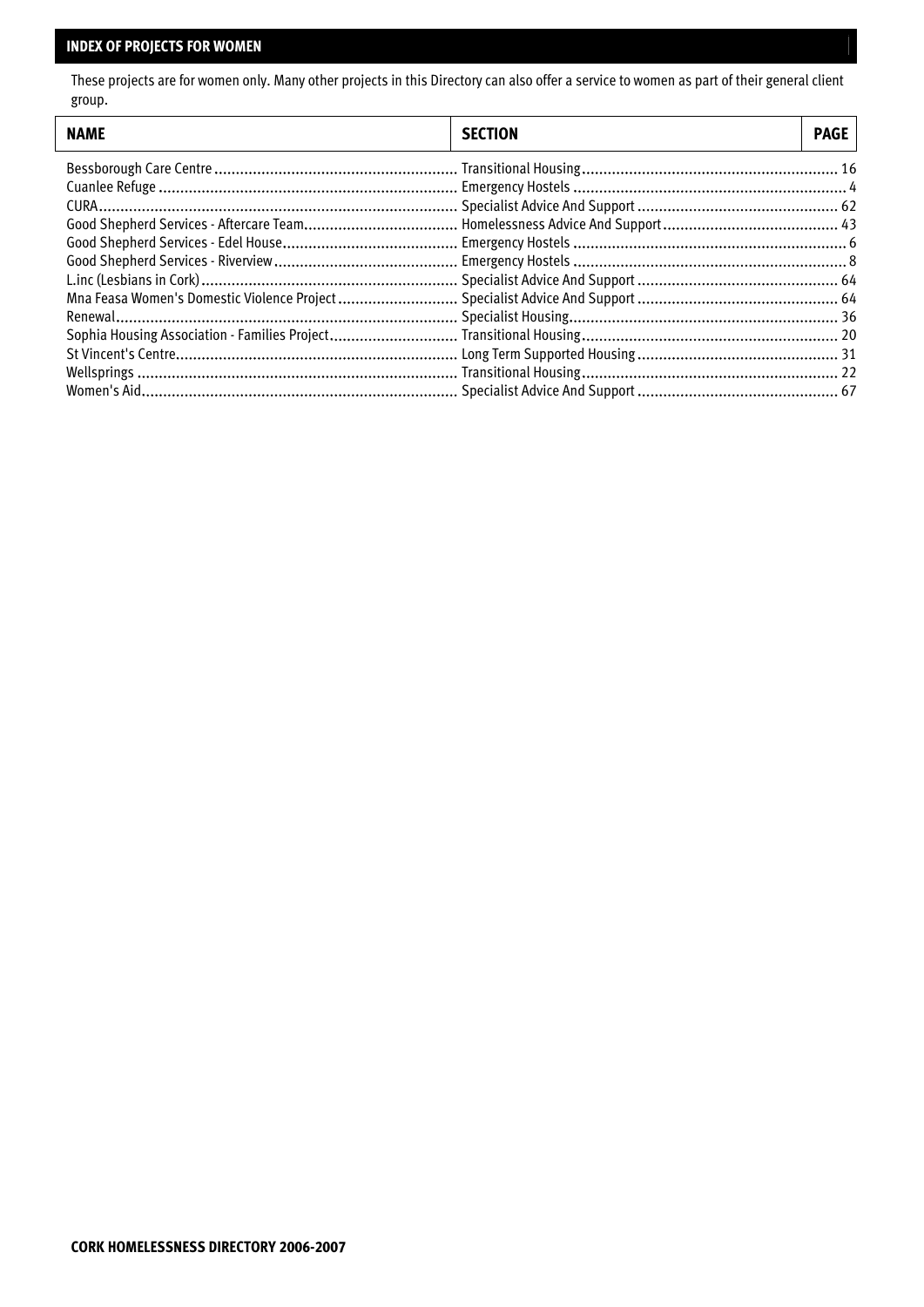## **INDEX OF PROJECTS FOR WOMEN**

 $\lfloor$ 

These projects are for women only. Many other projects in this Directory can also offer a service to women as part of their general client group.

| <b>NAME</b> | <b>SECTION</b> | <b>PAGE</b> |
|-------------|----------------|-------------|
|             |                |             |
|             |                |             |
|             |                |             |
|             |                |             |
|             |                |             |
|             |                |             |
|             |                |             |
|             |                |             |
|             |                |             |
|             |                |             |
|             |                |             |
|             |                |             |
|             |                |             |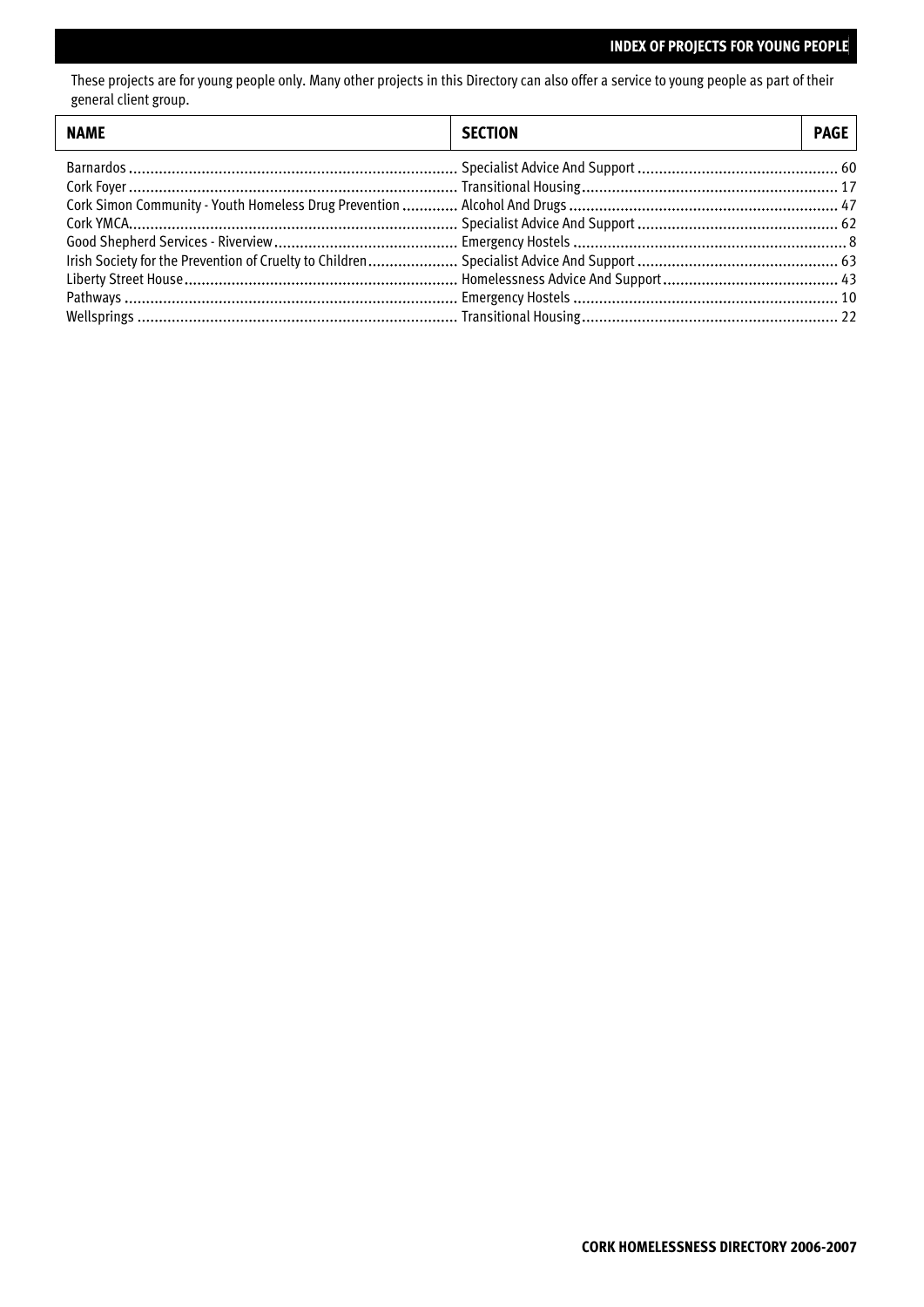## **INDEX OF PROJECTS FOR YOUNG PEOPLE**

These projects are for young people only. Many other projects in this Directory can also offer a service to young people as part of their general client group.

| <b>NAME</b> | <b>SECTION</b> | PAGE |
|-------------|----------------|------|
|             |                |      |
|             |                |      |
|             |                |      |
|             |                |      |
|             |                |      |
|             |                |      |
|             |                |      |
|             |                |      |
|             |                |      |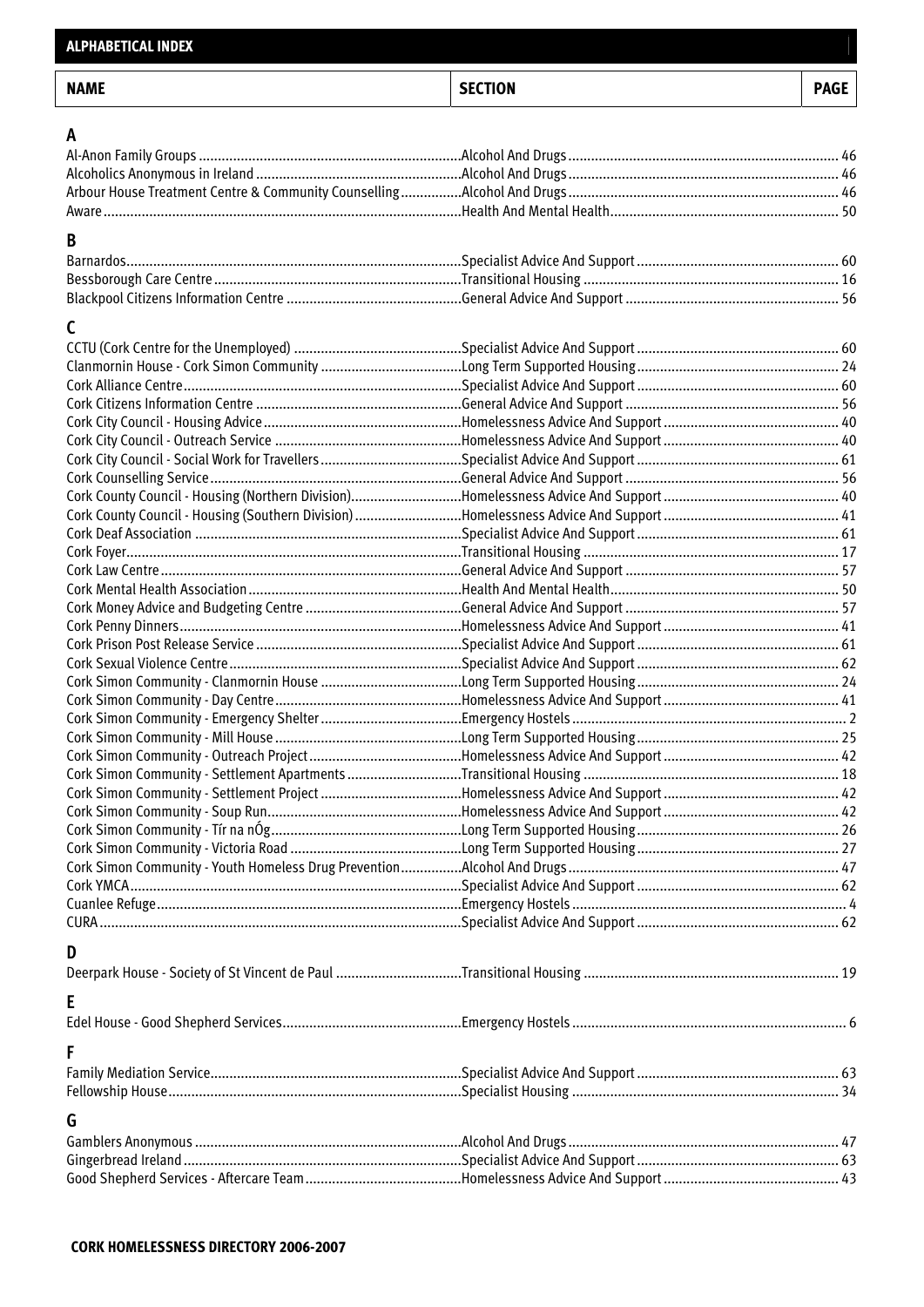| <b>NAME</b> | <b>SECTION</b> | <b>PAGE</b> |
|-------------|----------------|-------------|
| A           |                |             |
|             |                |             |
|             |                |             |
|             |                |             |
|             |                |             |
|             |                |             |
| B           |                |             |
|             |                |             |
|             |                |             |
|             |                |             |
| C           |                |             |
|             |                |             |
|             |                |             |
|             |                |             |
|             |                |             |
|             |                |             |
|             |                |             |
|             |                |             |
|             |                |             |
|             |                |             |
|             |                |             |
|             |                |             |
|             |                |             |
|             |                |             |
|             |                |             |
|             |                |             |
|             |                |             |
|             |                |             |
|             |                |             |
|             |                |             |
|             |                |             |
|             |                |             |
|             |                |             |
|             |                |             |
|             |                |             |
|             |                |             |
|             |                |             |
|             |                |             |
|             |                |             |
|             |                |             |
|             |                |             |
|             |                |             |
|             |                |             |
|             |                |             |
| D           |                |             |
|             |                |             |
|             |                |             |
| E           |                |             |
|             |                |             |
| F           |                |             |
|             |                |             |
|             |                |             |
|             |                |             |
| G           |                |             |
|             |                |             |
|             |                |             |
|             |                |             |
|             |                |             |

**ALPHABETICAL INDEX**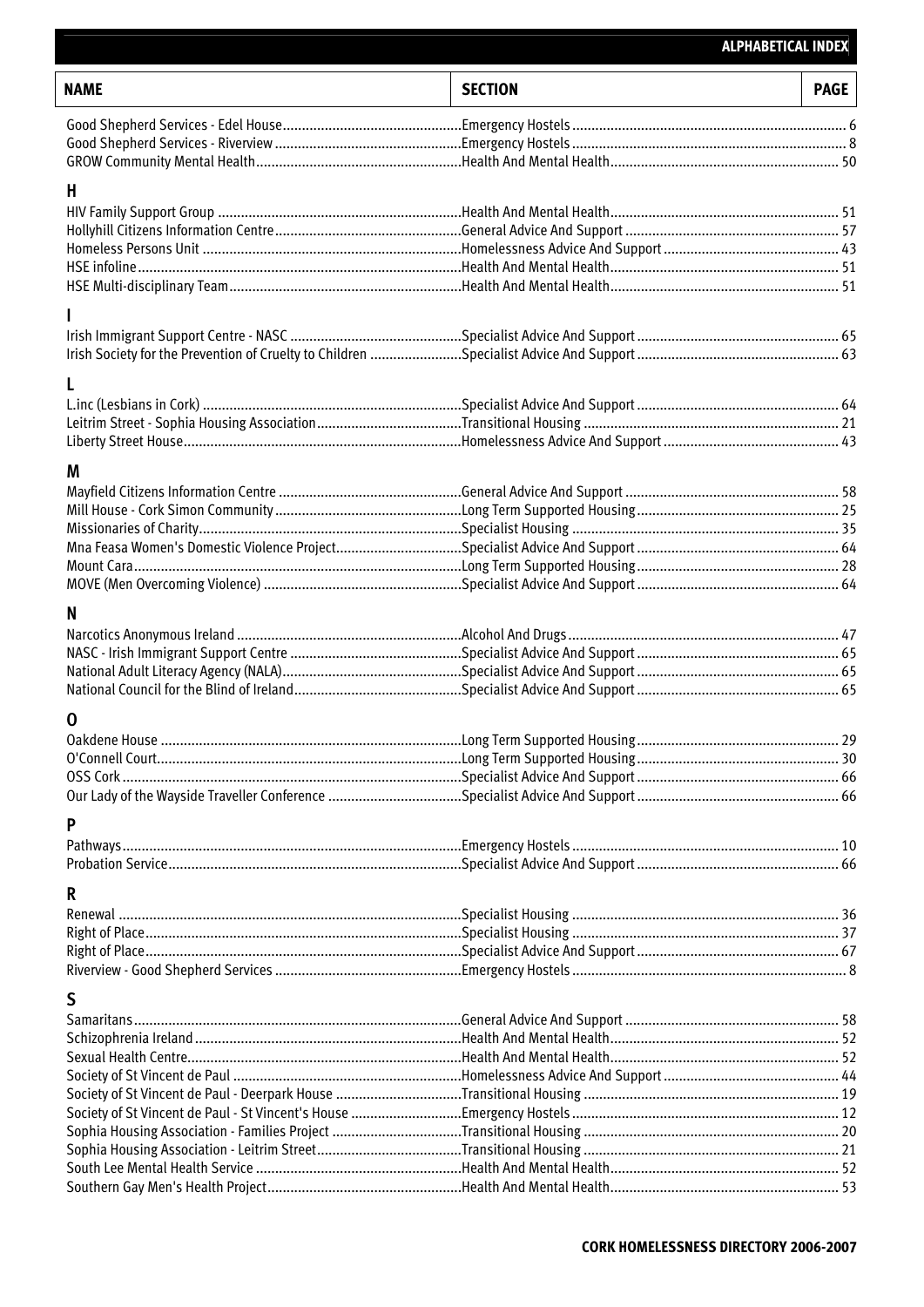## **ALPHABETICAL INDEX**

| <b>NAME</b> | <b>SECTION</b> | <b>PAGE</b> |
|-------------|----------------|-------------|
|             |                |             |
|             |                |             |
|             |                |             |
| H           |                |             |
|             |                |             |
|             |                |             |
|             |                |             |
|             |                |             |
|             |                |             |
|             |                |             |
|             |                |             |
|             |                |             |
|             |                |             |
|             |                |             |
|             |                |             |
|             |                |             |
| M           |                |             |
|             |                |             |
|             |                |             |
|             |                |             |
|             |                |             |
|             |                |             |
|             |                |             |
| N           |                |             |
|             |                |             |
|             |                |             |
|             |                |             |
|             |                |             |
| $\mathbf 0$ |                |             |
|             |                |             |
|             |                |             |
|             |                |             |
|             |                |             |
| P           |                |             |
|             |                |             |
|             |                |             |
| R           |                |             |
|             |                |             |
|             |                |             |
|             |                |             |
|             |                |             |
| S           |                |             |
|             |                |             |
|             |                |             |
|             |                |             |
|             |                |             |
|             |                |             |
|             |                |             |
|             |                |             |
|             |                |             |
|             |                |             |
|             |                |             |

 $\overline{\Gamma}$  $\overline{\mathsf{L}}$